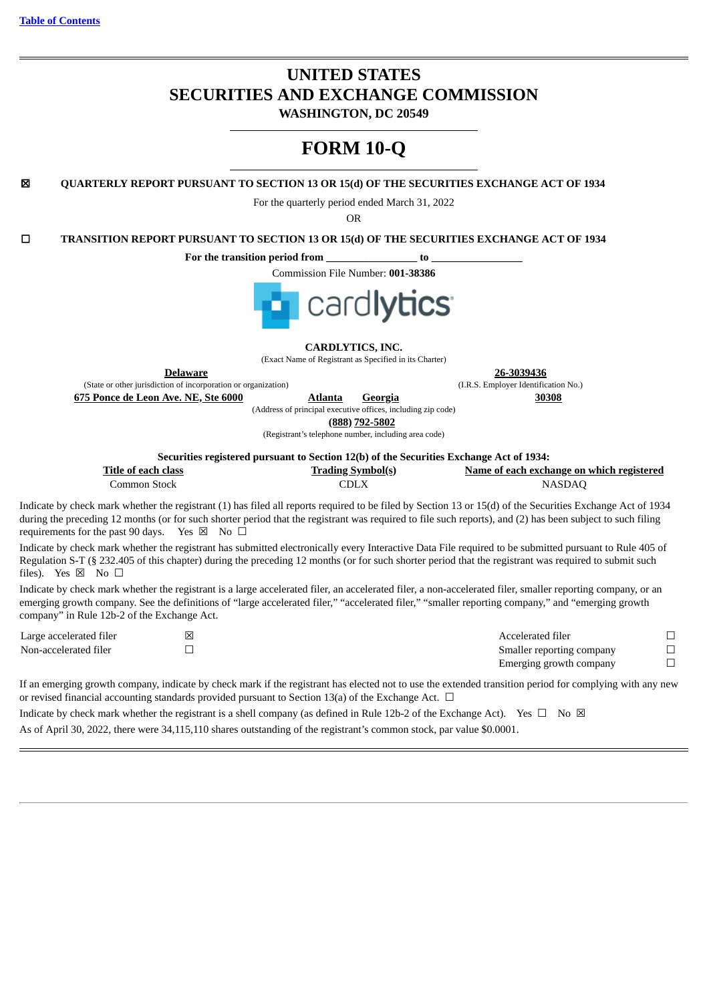# **UNITED STATES SECURITIES AND EXCHANGE COMMISSION**

**WASHINGTON, DC 20549**

# **FORM 10-Q**

☒ **QUARTERLY REPORT PURSUANT TO SECTION 13 OR 15(d) OF THE SECURITIES EXCHANGE ACT OF 1934**

For the quarterly period ended March 31, 2022

OR

☐ **TRANSITION REPORT PURSUANT TO SECTION 13 OR 15(d) OF THE SECURITIES EXCHANGE ACT OF 1934**

**For the transition period from \_\_\_\_\_\_\_\_\_\_\_\_\_\_\_\_\_ to \_\_\_\_\_\_\_\_\_\_\_\_\_\_\_\_\_**

Commission File Number: **001-38386**



**CARDLYTICS, INC.**

(Exact Name of Registrant as Specified in its Charter)

**Delaware**<br> **26-3039436**<br> **26-3039436**<br> **26-3039436**<br> **26-3039436**<br> **26-3039436**<br> **26-3039436**<br> **26-3039436** (State or other jurisdiction of incorporation or organization)

**675 Ponce de Leon Ave. NE, Ste 6000 Atlanta Georgia 30308** (Address of principal executive offices, including zip code)

**(888) 792-5802**

(Registrant's telephone number, including area code)

**Securities registered pursuant to Section 12(b) of the Securities Exchange Act of 1934:**

| Title of each class | <b>Trading Symbol(s)</b> | Name of each exchange on which registered |
|---------------------|--------------------------|-------------------------------------------|
| Common Stock        | CDLX                     | NASDAO                                    |

Indicate by check mark whether the registrant (1) has filed all reports required to be filed by Section 13 or 15(d) of the Securities Exchange Act of 1934 during the preceding 12 months (or for such shorter period that the registrant was required to file such reports), and (2) has been subject to such filing requirements for the past 90 days. Yes  $\boxtimes$  No  $\Box$ 

Indicate by check mark whether the registrant has submitted electronically every Interactive Data File required to be submitted pursuant to Rule 405 of Regulation S-T (§ 232.405 of this chapter) during the preceding 12 months (or for such shorter period that the registrant was required to submit such files). Yes  $\boxtimes$  No  $\square$ 

Indicate by check mark whether the registrant is a large accelerated filer, an accelerated filer, a non-accelerated filer, smaller reporting company, or an emerging growth company. See the definitions of "large accelerated filer," "accelerated filer," "smaller reporting company," and "emerging growth company" in Rule 12b-2 of the Exchange Act.

Large accelerated filer ◯  $□$   $□$   $□$ Non-accelerated filer ☐ Smaller reporting company ☐ Emerging growth company  $\Box$ 

If an emerging growth company, indicate by check mark if the registrant has elected not to use the extended transition period for complying with any new or revised financial accounting standards provided pursuant to Section 13(a) of the Exchange Act.  $\Box$ 

Indicate by check mark whether the registrant is a shell company (as defined in Rule 12b-2 of the Exchange Act). Yes  $\Box$  No  $\boxtimes$ 

<span id="page-0-0"></span>As of April 30, 2022, there were 34,115,110 shares outstanding of the registrant's common stock, par value \$0.0001.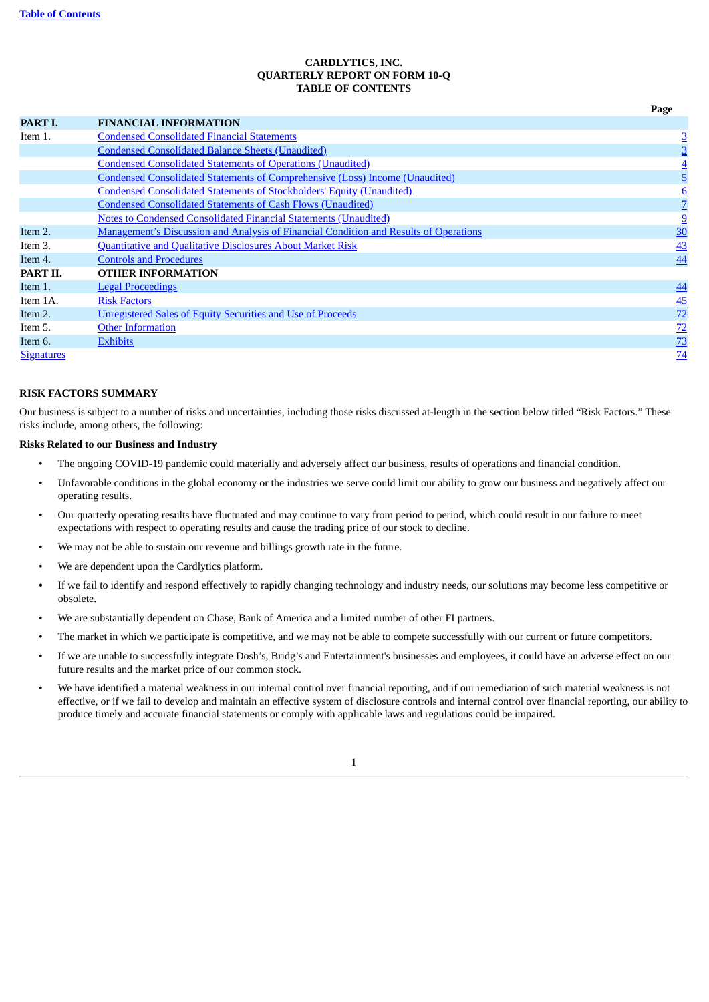# **CARDLYTICS, INC. QUARTERLY REPORT ON FORM 10-Q TABLE OF CONTENTS**

|                   |                                                                                              | Page            |
|-------------------|----------------------------------------------------------------------------------------------|-----------------|
| PART I.           | <b>FINANCIAL INFORMATION</b>                                                                 |                 |
| Item 1.           | <b>Condensed Consolidated Financial Statements</b>                                           |                 |
|                   | <b>Condensed Consolidated Balance Sheets (Unaudited)</b>                                     |                 |
|                   | <b>Condensed Consolidated Statements of Operations (Unaudited)</b>                           |                 |
|                   | <b>Condensed Consolidated Statements of Comprehensive (Loss) Income (Unaudited)</b>          |                 |
|                   | <b>Condensed Consolidated Statements of Stockholders' Equity (Unaudited)</b>                 | $6\overline{6}$ |
|                   | <b>Condensed Consolidated Statements of Cash Flows (Unaudited)</b>                           |                 |
|                   | Notes to Condensed Consolidated Financial Statements (Unaudited)                             | 9               |
| Item 2.           | <b>Management's Discussion and Analysis of Financial Condition and Results of Operations</b> | 30              |
| Item 3.           | <b>Quantitative and Qualitative Disclosures About Market Risk</b>                            | 43              |
| Item 4.           | <b>Controls and Procedures</b>                                                               | 44              |
| PART II.          | <b>OTHER INFORMATION</b>                                                                     |                 |
| Item 1.           | <b>Legal Proceedings</b>                                                                     | <u>44</u>       |
| Item 1A.          | <b>Risk Factors</b>                                                                          | 45              |
| Item 2.           | <b>Unregistered Sales of Equity Securities and Use of Proceeds</b>                           | 72              |
| Item 5.           | <b>Other Information</b>                                                                     | 72              |
| Item 6.           | <b>Exhibits</b>                                                                              | 73              |
| <b>Signatures</b> |                                                                                              | $\overline{74}$ |

#### **RISK FACTORS SUMMARY**

Our business is subject to a number of risks and uncertainties, including those risks discussed at-length in the section below titled "Risk Factors." These risks include, among others, the following:

#### **Risks Related to our Business and Industry**

- The ongoing COVID-19 pandemic could materially and adversely affect our business, results of operations and financial condition.
- Unfavorable conditions in the global economy or the industries we serve could limit our ability to grow our business and negatively affect our operating results.
- Our quarterly operating results have fluctuated and may continue to vary from period to period, which could result in our failure to meet expectations with respect to operating results and cause the trading price of our stock to decline.
- We may not be able to sustain our revenue and billings growth rate in the future.
- We are dependent upon the Cardlytics platform.
- *•* If we fail to identify and respond effectively to rapidly changing technology and industry needs, our solutions may become less competitive or obsolete.
- We are substantially dependent on Chase, Bank of America and a limited number of other FI partners.
- The market in which we participate is competitive, and we may not be able to compete successfully with our current or future competitors.
- If we are unable to successfully integrate Dosh's, Bridg's and Entertainment's businesses and employees, it could have an adverse effect on our future results and the market price of our common stock.
- We have identified a material weakness in our internal control over financial reporting, and if our remediation of such material weakness is not effective, or if we fail to develop and maintain an effective system of disclosure controls and internal control over financial reporting, our ability to produce timely and accurate financial statements or comply with applicable laws and regulations could be impaired.

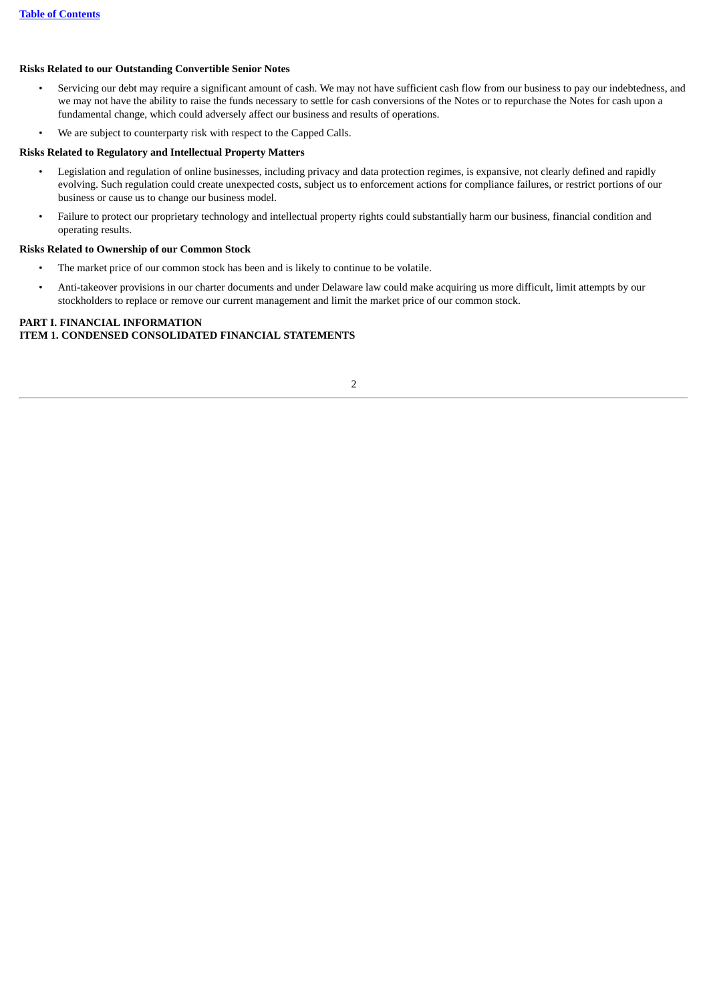# **Risks Related to our Outstanding Convertible Senior Notes**

- Servicing our debt may require a significant amount of cash. We may not have sufficient cash flow from our business to pay our indebtedness, and we may not have the ability to raise the funds necessary to settle for cash conversions of the Notes or to repurchase the Notes for cash upon a fundamental change, which could adversely affect our business and results of operations.
- We are subject to counterparty risk with respect to the Capped Calls.

# **Risks Related to Regulatory and Intellectual Property Matters**

- Legislation and regulation of online businesses, including privacy and data protection regimes, is expansive, not clearly defined and rapidly evolving. Such regulation could create unexpected costs, subject us to enforcement actions for compliance failures, or restrict portions of our business or cause us to change our business model.
- Failure to protect our proprietary technology and intellectual property rights could substantially harm our business, financial condition and operating results.

# **Risks Related to Ownership of our Common Stock**

- The market price of our common stock has been and is likely to continue to be volatile.
- Anti-takeover provisions in our charter documents and under Delaware law could make acquiring us more difficult, limit attempts by our stockholders to replace or remove our current management and limit the market price of our common stock.

# **PART I. FINANCIAL INFORMATION**

# <span id="page-2-1"></span><span id="page-2-0"></span>**ITEM 1. CONDENSED CONSOLIDATED FINANCIAL STATEMENTS**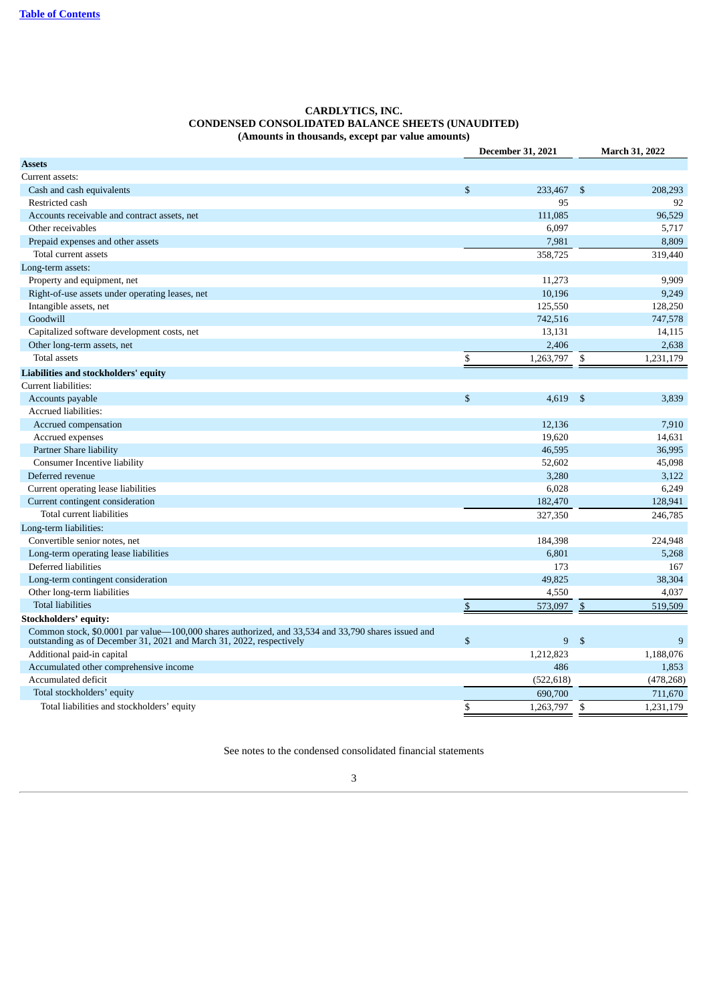# **CARDLYTICS, INC. CONDENSED CONSOLIDATED BALANCE SHEETS (UNAUDITED) (Amounts in thousands, except par value amounts)**

|                                                                                                                                                                             | <b>December 31, 2021</b> |            | <b>March 31, 2022</b> |            |
|-----------------------------------------------------------------------------------------------------------------------------------------------------------------------------|--------------------------|------------|-----------------------|------------|
| <b>Assets</b>                                                                                                                                                               |                          |            |                       |            |
| Current assets:                                                                                                                                                             |                          |            |                       |            |
| Cash and cash equivalents                                                                                                                                                   | \$                       | 233,467    | <b>S</b>              | 208,293    |
| Restricted cash                                                                                                                                                             |                          | 95         |                       | 92         |
| Accounts receivable and contract assets, net                                                                                                                                |                          | 111,085    |                       | 96,529     |
| Other receivables                                                                                                                                                           |                          | 6,097      |                       | 5,717      |
| Prepaid expenses and other assets                                                                                                                                           |                          | 7,981      |                       | 8,809      |
| Total current assets                                                                                                                                                        |                          | 358,725    |                       | 319,440    |
| Long-term assets:                                                                                                                                                           |                          |            |                       |            |
| Property and equipment, net                                                                                                                                                 |                          | 11,273     |                       | 9,909      |
| Right-of-use assets under operating leases, net                                                                                                                             |                          | 10,196     |                       | 9,249      |
| Intangible assets, net                                                                                                                                                      |                          | 125,550    |                       | 128,250    |
| Goodwill                                                                                                                                                                    |                          | 742,516    |                       | 747,578    |
| Capitalized software development costs, net                                                                                                                                 |                          | 13,131     |                       | 14,115     |
| Other long-term assets, net                                                                                                                                                 |                          | 2,406      |                       | 2,638      |
| Total assets                                                                                                                                                                | \$                       | 1,263,797  | \$                    | 1,231,179  |
| Liabilities and stockholders' equity                                                                                                                                        |                          |            |                       |            |
| Current liabilities:                                                                                                                                                        |                          |            |                       |            |
| Accounts payable                                                                                                                                                            | \$                       | 4,619      | -\$                   | 3,839      |
| Accrued liabilities:                                                                                                                                                        |                          |            |                       |            |
| Accrued compensation                                                                                                                                                        |                          | 12,136     |                       | 7,910      |
| Accrued expenses                                                                                                                                                            |                          | 19,620     |                       | 14,631     |
| Partner Share liability                                                                                                                                                     |                          | 46,595     |                       | 36,995     |
| Consumer Incentive liability                                                                                                                                                |                          | 52,602     |                       | 45,098     |
| Deferred revenue                                                                                                                                                            |                          | 3,280      |                       | 3,122      |
| Current operating lease liabilities                                                                                                                                         |                          | 6,028      |                       | 6,249      |
| Current contingent consideration                                                                                                                                            |                          | 182,470    |                       | 128,941    |
| Total current liabilities                                                                                                                                                   |                          | 327,350    |                       | 246,785    |
| Long-term liabilities:                                                                                                                                                      |                          |            |                       |            |
| Convertible senior notes, net                                                                                                                                               |                          | 184,398    |                       | 224,948    |
| Long-term operating lease liabilities                                                                                                                                       |                          | 6,801      |                       | 5,268      |
| Deferred liabilities                                                                                                                                                        |                          | 173        |                       | 167        |
| Long-term contingent consideration                                                                                                                                          |                          | 49,825     |                       | 38,304     |
| Other long-term liabilities                                                                                                                                                 |                          | 4,550      |                       | 4,037      |
| <b>Total liabilities</b>                                                                                                                                                    | \$                       | 573,097    | \$                    | 519,509    |
| Stockholders' equity:                                                                                                                                                       |                          |            |                       |            |
| Common stock, \$0.0001 par value—100,000 shares authorized, and 33,534 and 33,790 shares issued and<br>outstanding as of December 31, 2021 and March 31, 2022, respectively | \$                       | 9          | -\$                   | 9          |
| Additional paid-in capital                                                                                                                                                  |                          | 1,212,823  |                       | 1,188,076  |
| Accumulated other comprehensive income                                                                                                                                      |                          | 486        |                       | 1,853      |
| <b>Accumulated deficit</b>                                                                                                                                                  |                          | (522, 618) |                       | (478, 268) |
| Total stockholders' equity                                                                                                                                                  |                          | 690,700    |                       | 711,670    |
| Total liabilities and stockholders' equity                                                                                                                                  | \$                       | 1,263,797  | \$                    | 1,231,179  |

<span id="page-3-0"></span>See notes to the condensed consolidated financial statements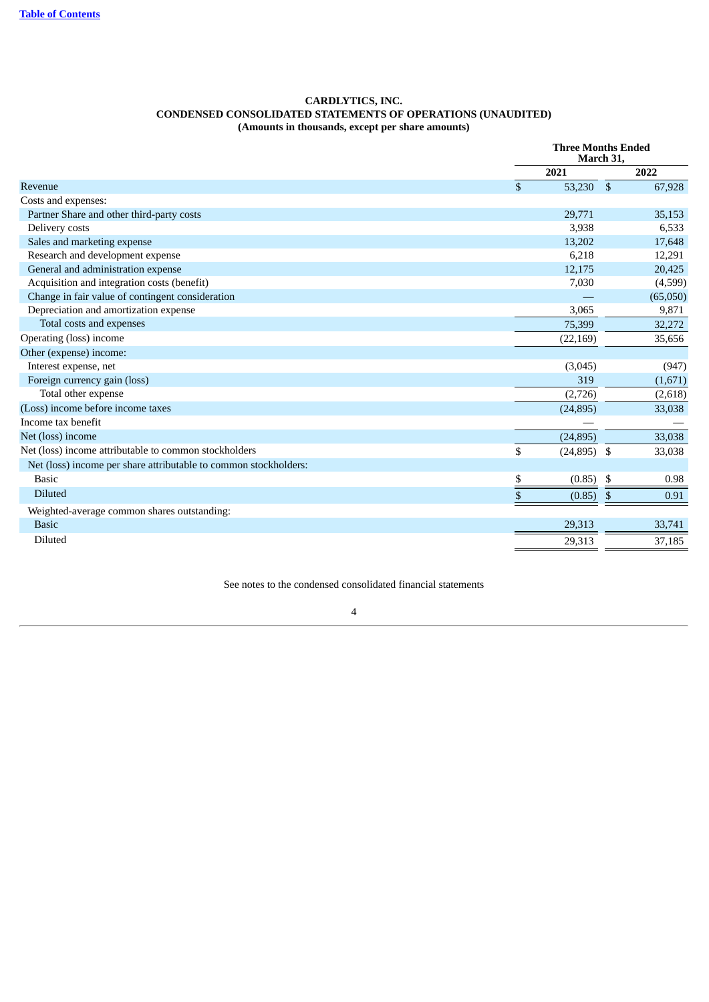# **CARDLYTICS, INC. CONDENSED CONSOLIDATED STATEMENTS OF OPERATIONS (UNAUDITED) (Amounts in thousands, except per share amounts)**

|                                                                  |               | <b>Three Months Ended</b><br>March 31, |      |          |
|------------------------------------------------------------------|---------------|----------------------------------------|------|----------|
|                                                                  |               | 2021                                   |      | 2022     |
| Revenue                                                          | $\mathcal{S}$ | 53,230 \$                              |      | 67,928   |
| Costs and expenses:                                              |               |                                        |      |          |
| Partner Share and other third-party costs                        |               | 29,771                                 |      | 35,153   |
| Delivery costs                                                   |               | 3,938                                  |      | 6,533    |
| Sales and marketing expense                                      |               | 13,202                                 |      | 17,648   |
| Research and development expense                                 |               | 6,218                                  |      | 12,291   |
| General and administration expense                               |               | 12,175                                 |      | 20,425   |
| Acquisition and integration costs (benefit)                      |               | 7,030                                  |      | (4,599)  |
| Change in fair value of contingent consideration                 |               |                                        |      | (65,050) |
| Depreciation and amortization expense                            |               | 3,065                                  |      | 9,871    |
| Total costs and expenses                                         |               | 75,399                                 |      | 32,272   |
| Operating (loss) income                                          |               | (22, 169)                              |      | 35,656   |
| Other (expense) income:                                          |               |                                        |      |          |
| Interest expense, net                                            |               | (3,045)                                |      | (947)    |
| Foreign currency gain (loss)                                     |               | 319                                    |      | (1,671)  |
| Total other expense                                              |               | (2,726)                                |      | (2,618)  |
| (Loss) income before income taxes                                |               | (24, 895)                              |      | 33,038   |
| Income tax benefit                                               |               |                                        |      |          |
| Net (loss) income                                                |               | (24, 895)                              |      | 33,038   |
| Net (loss) income attributable to common stockholders            | \$            | $(24,895)$ \$                          |      | 33,038   |
| Net (loss) income per share attributable to common stockholders: |               |                                        |      |          |
| <b>Basic</b>                                                     | \$            | (0.85)                                 | - \$ | 0.98     |
| <b>Diluted</b>                                                   |               | (0.85)                                 | -S   | 0.91     |
| Weighted-average common shares outstanding:                      |               |                                        |      |          |
| <b>Basic</b>                                                     |               | 29,313                                 |      | 33,741   |
| <b>Diluted</b>                                                   |               | 29,313                                 |      | 37,185   |
|                                                                  |               |                                        |      |          |

<span id="page-4-0"></span>See notes to the condensed consolidated financial statements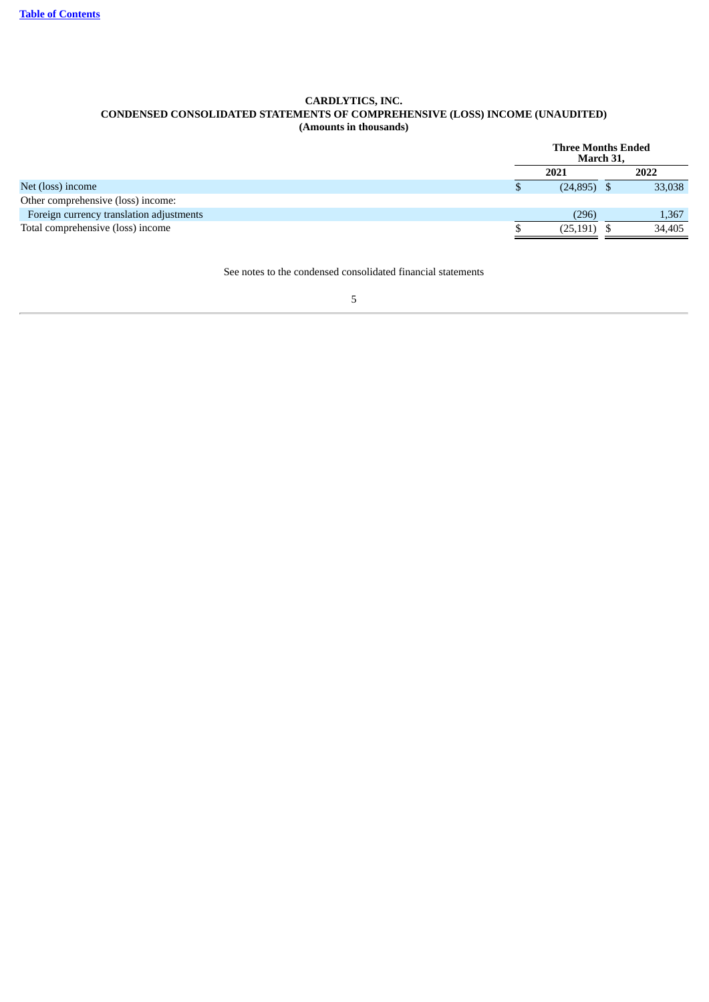# **CARDLYTICS, INC. CONDENSED CONSOLIDATED STATEMENTS OF COMPREHENSIVE (LOSS) INCOME (UNAUDITED) (Amounts in thousands)**

<span id="page-5-0"></span>

|                                          | <b>Three Months Ended</b><br>March 31, |        |
|------------------------------------------|----------------------------------------|--------|
|                                          | 2021                                   | 2022   |
| Net (loss) income                        | $(24,895)$ \$                          | 33,038 |
| Other comprehensive (loss) income:       |                                        |        |
| Foreign currency translation adjustments | (296)                                  | 1,367  |
| Total comprehensive (loss) income        | $(25, 191)$ \$                         | 34,405 |
|                                          |                                        |        |

See notes to the condensed consolidated financial statements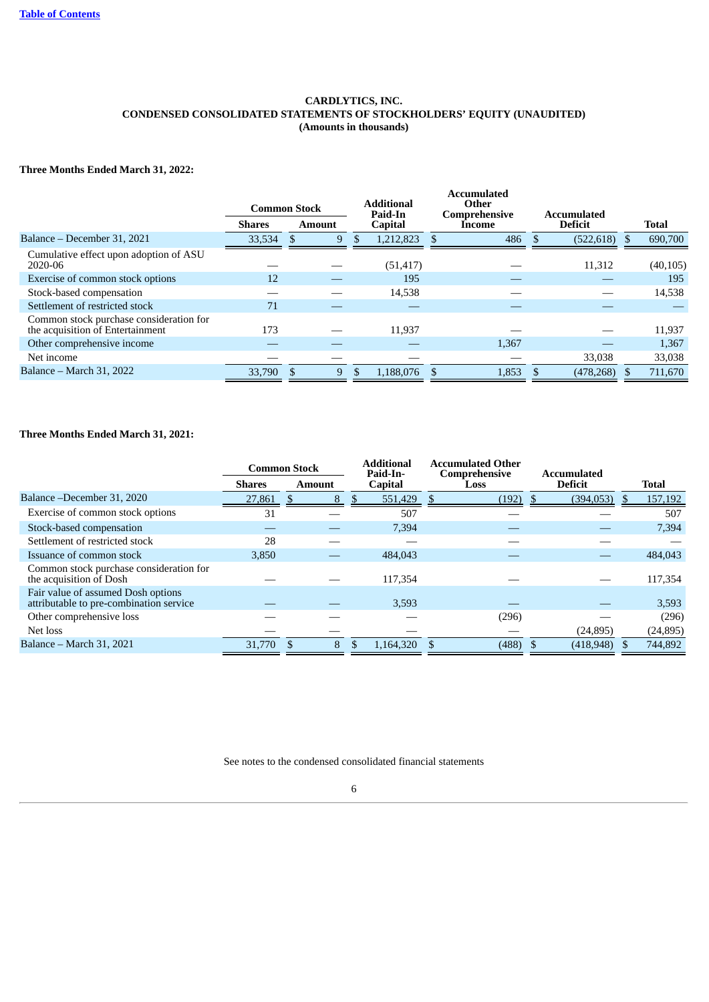# **CARDLYTICS, INC. CONDENSED CONSOLIDATED STATEMENTS OF STOCKHOLDERS' EQUITY (UNAUDITED) (Amounts in thousands)**

# **Three Months Ended March 31, 2022:**

|                                                                             |                         | <b>Common Stock</b> |                | <b>Additional</b><br>Paid-In |  | <b>Accumulated</b><br>Other<br>Comprehensive |  | Accumulated     |           |                |       |
|-----------------------------------------------------------------------------|-------------------------|---------------------|----------------|------------------------------|--|----------------------------------------------|--|-----------------|-----------|----------------|-------|
|                                                                             | Shares<br><b>Amount</b> |                     | <b>Capital</b> |                              |  | Income                                       |  |                 |           | <b>Deficit</b> | Total |
| Balance – December 31, 2021                                                 | 33,534                  | 9<br>S              | \$.            | 1,212,823                    |  | 486                                          |  | $(522, 618)$ \$ | 690,700   |                |       |
| Cumulative effect upon adoption of ASU<br>2020-06                           |                         |                     |                | (51, 417)                    |  |                                              |  | 11,312          | (40, 105) |                |       |
| Exercise of common stock options                                            | 12                      |                     |                | 195                          |  |                                              |  |                 | 195       |                |       |
| Stock-based compensation                                                    |                         |                     |                | 14,538                       |  |                                              |  |                 | 14,538    |                |       |
| Settlement of restricted stock                                              | 71                      |                     |                |                              |  |                                              |  |                 |           |                |       |
| Common stock purchase consideration for<br>the acquisition of Entertainment | 173                     |                     |                | 11,937                       |  |                                              |  |                 | 11,937    |                |       |
| Other comprehensive income                                                  |                         |                     |                |                              |  | 1,367                                        |  |                 | 1,367     |                |       |
| Net income                                                                  |                         |                     |                |                              |  |                                              |  | 33,038          | 33,038    |                |       |
| Balance – March 31, 2022                                                    | 33,790                  | 9                   |                | 1,188,076                    |  | 1,853                                        |  | (478, 268)      | 711,670   |                |       |

# **Three Months Ended March 31, 2021:**

|                                                                               |               | <b>Common Stock</b> | <b>Additional</b><br>Paid-In- | <b>Accumulated Other</b><br>Comprehensive | Accumulated    |              |
|-------------------------------------------------------------------------------|---------------|---------------------|-------------------------------|-------------------------------------------|----------------|--------------|
|                                                                               | <b>Shares</b> | <b>Amount</b>       | <b>Capital</b>                | Loss                                      | <b>Deficit</b> | <b>Total</b> |
| Balance -December 31, 2020                                                    | 27,861        | 8                   | 551,429                       | (192)                                     | (394,053)      | 157,192      |
| Exercise of common stock options                                              | 31            |                     | 507                           |                                           |                | 507          |
| Stock-based compensation                                                      |               |                     | 7,394                         |                                           |                | 7,394        |
| Settlement of restricted stock                                                | 28            |                     |                               |                                           |                |              |
| Issuance of common stock                                                      | 3,850         |                     | 484,043                       |                                           |                | 484,043      |
| Common stock purchase consideration for<br>the acquisition of Dosh            |               |                     | 117,354                       |                                           |                | 117,354      |
| Fair value of assumed Dosh options<br>attributable to pre-combination service |               |                     | 3,593                         |                                           |                | 3,593        |
| Other comprehensive loss                                                      |               |                     |                               | (296)                                     |                | (296)        |
| Net loss                                                                      |               |                     |                               |                                           | (24, 895)      | (24,895)     |
| Balance – March 31, 2021                                                      | 31,770        | 8                   | 1.164.320                     | (488)                                     | (418,948)      | 744.892      |

<span id="page-6-0"></span>See notes to the condensed consolidated financial statements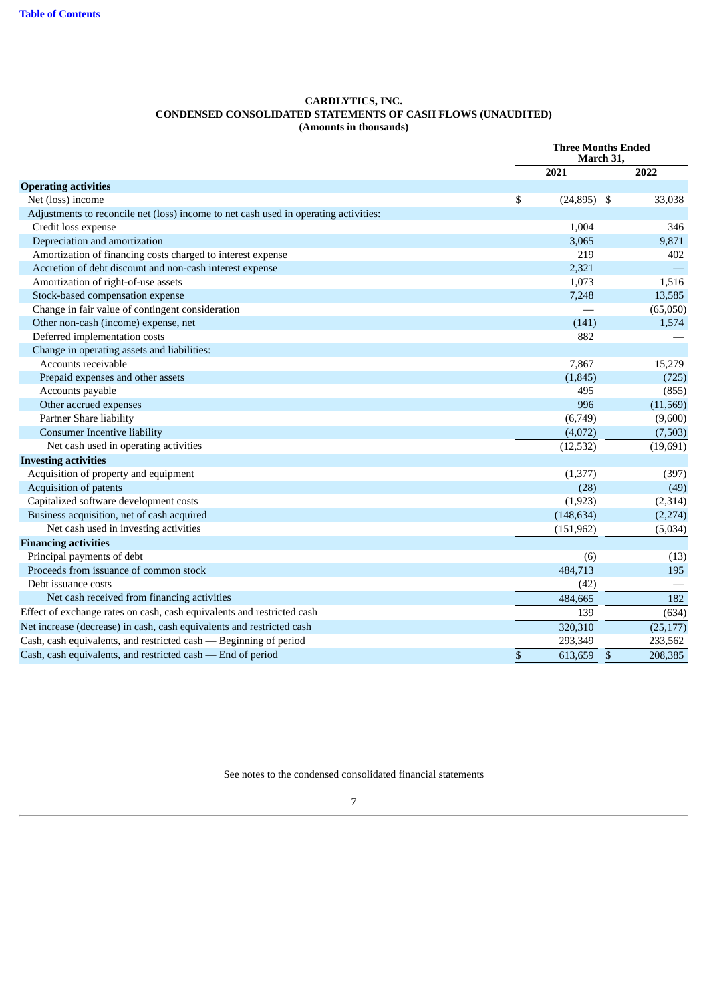# **CARDLYTICS, INC. CONDENSED CONSOLIDATED STATEMENTS OF CASH FLOWS (UNAUDITED) (Amounts in thousands)**

|                                                                                      |                                      | <b>Three Months Ended</b><br>March 31, |  |  |
|--------------------------------------------------------------------------------------|--------------------------------------|----------------------------------------|--|--|
|                                                                                      | 2021                                 | 2022                                   |  |  |
| <b>Operating activities</b>                                                          |                                      |                                        |  |  |
| Net (loss) income                                                                    | \$<br>$(24,895)$ \$                  | 33,038                                 |  |  |
| Adjustments to reconcile net (loss) income to net cash used in operating activities: |                                      |                                        |  |  |
| Credit loss expense                                                                  | 1,004                                | 346                                    |  |  |
| Depreciation and amortization                                                        | 3,065                                | 9,871                                  |  |  |
| Amortization of financing costs charged to interest expense                          | 219                                  | 402                                    |  |  |
| Accretion of debt discount and non-cash interest expense                             | 2,321                                |                                        |  |  |
| Amortization of right-of-use assets                                                  | 1,073                                | 1,516                                  |  |  |
| Stock-based compensation expense                                                     | 7,248                                | 13,585                                 |  |  |
| Change in fair value of contingent consideration                                     |                                      | (65,050)                               |  |  |
| Other non-cash (income) expense, net                                                 | (141)                                | 1,574                                  |  |  |
| Deferred implementation costs                                                        | 882                                  |                                        |  |  |
| Change in operating assets and liabilities:                                          |                                      |                                        |  |  |
| Accounts receivable                                                                  | 7,867                                | 15,279                                 |  |  |
| Prepaid expenses and other assets                                                    | (1, 845)                             | (725)                                  |  |  |
| Accounts payable                                                                     | 495                                  | (855)                                  |  |  |
| Other accrued expenses                                                               | 996                                  | (11, 569)                              |  |  |
| Partner Share liability                                                              | (6,749)                              | (9,600)                                |  |  |
| <b>Consumer Incentive liability</b>                                                  | (4,072)                              | (7,503)                                |  |  |
| Net cash used in operating activities                                                | (12, 532)                            | (19,691)                               |  |  |
| <b>Investing activities</b>                                                          |                                      |                                        |  |  |
| Acquisition of property and equipment                                                | (1, 377)                             | (397)                                  |  |  |
| Acquisition of patents                                                               | (28)                                 | (49)                                   |  |  |
| Capitalized software development costs                                               | (1,923)                              | (2,314)                                |  |  |
| Business acquisition, net of cash acquired                                           | (148, 634)                           | (2, 274)                               |  |  |
| Net cash used in investing activities                                                | (151, 962)                           | (5,034)                                |  |  |
| <b>Financing activities</b>                                                          |                                      |                                        |  |  |
| Principal payments of debt                                                           | (6)                                  | (13)                                   |  |  |
| Proceeds from issuance of common stock                                               | 484,713                              | 195                                    |  |  |
| Debt issuance costs                                                                  | (42)                                 |                                        |  |  |
| Net cash received from financing activities                                          | 484,665                              | 182                                    |  |  |
| Effect of exchange rates on cash, cash equivalents and restricted cash               | 139                                  | (634)                                  |  |  |
| Net increase (decrease) in cash, cash equivalents and restricted cash                | 320,310                              | (25, 177)                              |  |  |
| Cash, cash equivalents, and restricted cash — Beginning of period                    | 293,349                              | 233,562                                |  |  |
| Cash, cash equivalents, and restricted cash - End of period                          | $\boldsymbol{\mathsf{S}}$<br>613,659 | $\sqrt{5}$<br>208,385                  |  |  |

See notes to the condensed consolidated financial statements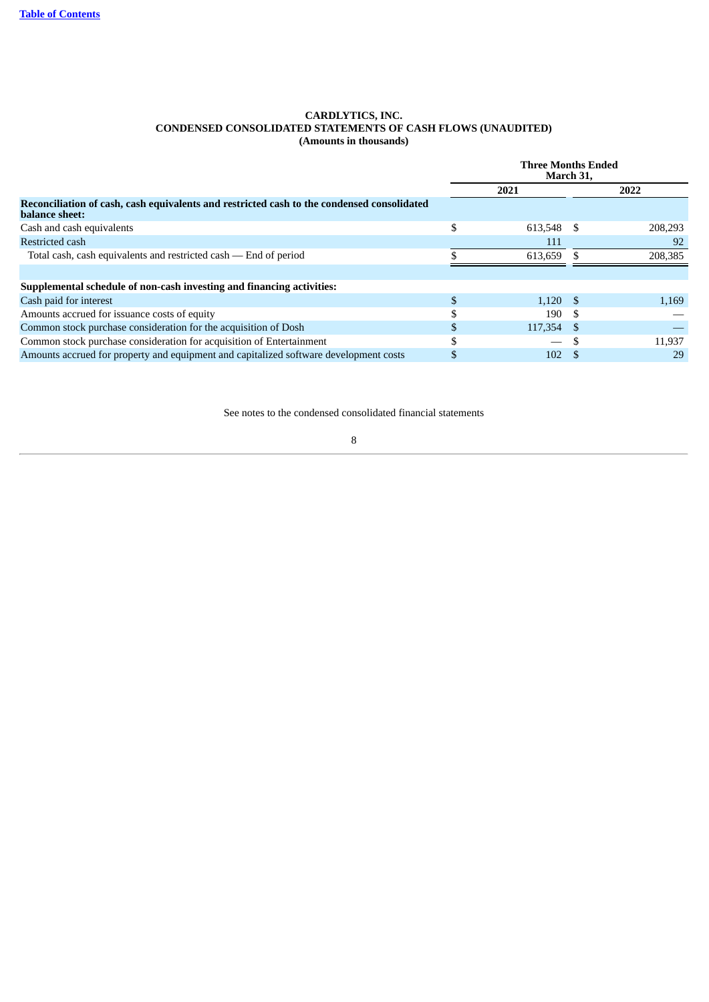# **CARDLYTICS, INC. CONDENSED CONSOLIDATED STATEMENTS OF CASH FLOWS (UNAUDITED) (Amounts in thousands)**

|                                                                                                              | <b>Three Months Ended</b><br>March 31, |    |         |
|--------------------------------------------------------------------------------------------------------------|----------------------------------------|----|---------|
|                                                                                                              | 2021                                   |    | 2022    |
| Reconciliation of cash, cash equivalents and restricted cash to the condensed consolidated<br>balance sheet: |                                        |    |         |
| Cash and cash equivalents                                                                                    | \$<br>613,548 \$                       |    | 208,293 |
| Restricted cash                                                                                              | 111                                    |    | 92      |
| Total cash, cash equivalents and restricted cash — End of period                                             | 613.659                                |    | 208,385 |
|                                                                                                              |                                        |    |         |
| Supplemental schedule of non-cash investing and financing activities:                                        |                                        |    |         |
| Cash paid for interest                                                                                       | \$<br>$1,120$ \$                       |    | 1,169   |
| Amounts accrued for issuance costs of equity                                                                 | 190 \$                                 |    |         |
| Common stock purchase consideration for the acquisition of Dosh                                              | \$<br>117,354 \$                       |    |         |
| Common stock purchase consideration for acquisition of Entertainment                                         |                                        | S. | 11,937  |
| Amounts accrued for property and equipment and capitalized software development costs                        | 102                                    |    | 29      |

<span id="page-8-0"></span>See notes to the condensed consolidated financial statements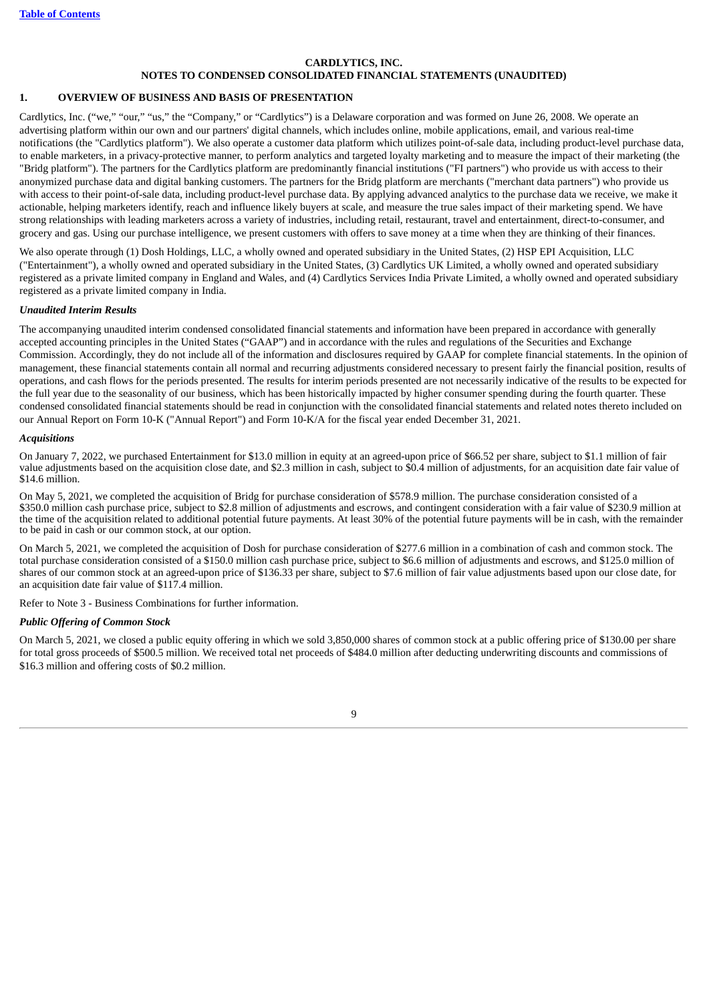# **CARDLYTICS, INC.**

# **NOTES TO CONDENSED CONSOLIDATED FINANCIAL STATEMENTS (UNAUDITED)**

# **1. OVERVIEW OF BUSINESS AND BASIS OF PRESENTATION**

Cardlytics, Inc. ("we," "our," "us," the "Company," or "Cardlytics") is a Delaware corporation and was formed on June 26, 2008. We operate an advertising platform within our own and our partners' digital channels, which includes online, mobile applications, email, and various real-time notifications (the "Cardlytics platform"). We also operate a customer data platform which utilizes point-of-sale data, including product-level purchase data, to enable marketers, in a privacy-protective manner, to perform analytics and targeted loyalty marketing and to measure the impact of their marketing (the "Bridg platform"). The partners for the Cardlytics platform are predominantly financial institutions ("FI partners") who provide us with access to their anonymized purchase data and digital banking customers. The partners for the Bridg platform are merchants ("merchant data partners") who provide us with access to their point-of-sale data, including product-level purchase data. By applying advanced analytics to the purchase data we receive, we make it actionable, helping marketers identify, reach and influence likely buyers at scale, and measure the true sales impact of their marketing spend. We have strong relationships with leading marketers across a variety of industries, including retail, restaurant, travel and entertainment, direct-to-consumer, and grocery and gas. Using our purchase intelligence, we present customers with offers to save money at a time when they are thinking of their finances.

We also operate through (1) Dosh Holdings, LLC, a wholly owned and operated subsidiary in the United States, (2) HSP EPI Acquisition, LLC ("Entertainment"), a wholly owned and operated subsidiary in the United States, (3) Cardlytics UK Limited, a wholly owned and operated subsidiary registered as a private limited company in England and Wales, and (4) Cardlytics Services India Private Limited, a wholly owned and operated subsidiary registered as a private limited company in India.

#### *Unaudited Interim Results*

The accompanying unaudited interim condensed consolidated financial statements and information have been prepared in accordance with generally accepted accounting principles in the United States ("GAAP") and in accordance with the rules and regulations of the Securities and Exchange Commission. Accordingly, they do not include all of the information and disclosures required by GAAP for complete financial statements. In the opinion of management, these financial statements contain all normal and recurring adjustments considered necessary to present fairly the financial position, results of operations, and cash flows for the periods presented. The results for interim periods presented are not necessarily indicative of the results to be expected for the full year due to the seasonality of our business, which has been historically impacted by higher consumer spending during the fourth quarter. These condensed consolidated financial statements should be read in conjunction with the consolidated financial statements and related notes thereto included on our Annual Report on Form 10-K ("Annual Report") and Form 10-K/A for the fiscal year ended December 31, 2021.

# *Acquisitions*

On January 7, 2022, we purchased Entertainment for \$13.0 million in equity at an agreed-upon price of \$66.52 per share, subject to \$1.1 million of fair value adjustments based on the acquisition close date, and \$2.3 million in cash, subject to \$0.4 million of adjustments, for an acquisition date fair value of \$14.6 million.

On May 5, 2021, we completed the acquisition of Bridg for purchase consideration of \$578.9 million. The purchase consideration consisted of a \$350.0 million cash purchase price, subject to \$2.8 million of adjustments and escrows, and contingent consideration with a fair value of \$230.9 million at the time of the acquisition related to additional potential future payments. At least 30% of the potential future payments will be in cash, with the remainder to be paid in cash or our common stock, at our option.

On March 5, 2021, we completed the acquisition of Dosh for purchase consideration of \$277.6 million in a combination of cash and common stock. The total purchase consideration consisted of a \$150.0 million cash purchase price, subject to \$6.6 million of adjustments and escrows, and \$125.0 million of shares of our common stock at an agreed-upon price of \$136.33 per share, subject to \$7.6 million of fair value adjustments based upon our close date, for an acquisition date fair value of \$117.4 million.

Refer to Note 3 - Business Combinations for further information.

#### *Public Offering of Common Stock*

On March 5, 2021, we closed a public equity offering in which we sold 3,850,000 shares of common stock at a public offering price of \$130.00 per share for total gross proceeds of \$500.5 million. We received total net proceeds of \$484.0 million after deducting underwriting discounts and commissions of \$16.3 million and offering costs of \$0.2 million.

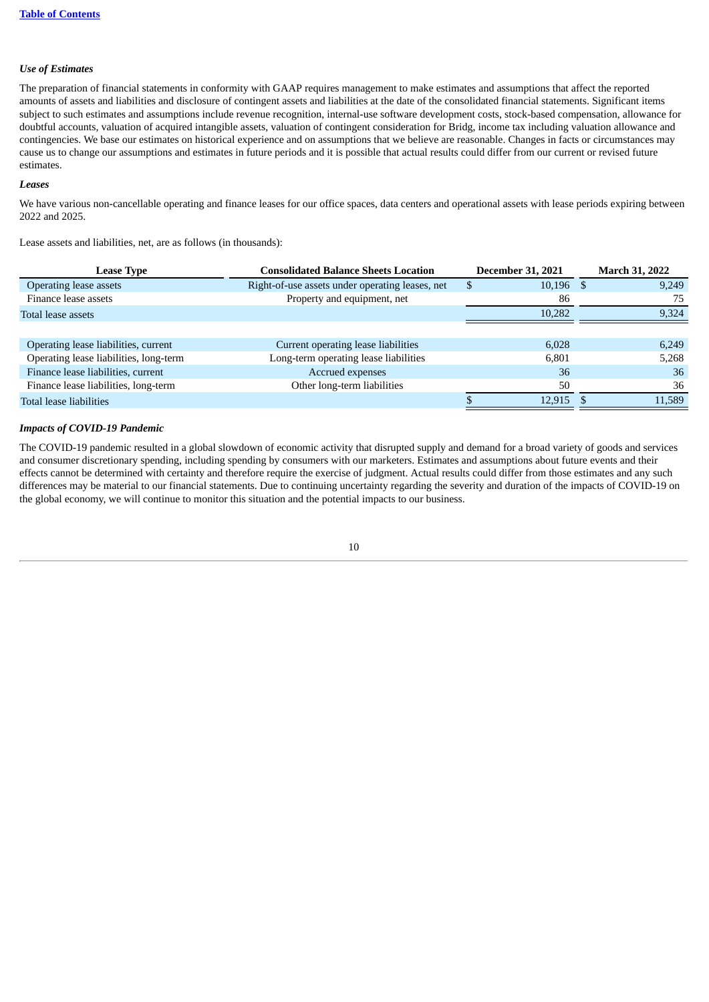# *Use of Estimates*

The preparation of financial statements in conformity with GAAP requires management to make estimates and assumptions that affect the reported amounts of assets and liabilities and disclosure of contingent assets and liabilities at the date of the consolidated financial statements. Significant items subject to such estimates and assumptions include revenue recognition, internal-use software development costs, stock-based compensation, allowance for doubtful accounts, valuation of acquired intangible assets, valuation of contingent consideration for Bridg, income tax including valuation allowance and contingencies. We base our estimates on historical experience and on assumptions that we believe are reasonable. Changes in facts or circumstances may cause us to change our assumptions and estimates in future periods and it is possible that actual results could differ from our current or revised future estimates.

# *Leases*

We have various non-cancellable operating and finance leases for our office spaces, data centers and operational assets with lease periods expiring between 2022 and 2025.

Lease assets and liabilities, net, are as follows (in thousands):

| <b>Lease Type</b>                      | <b>Consolidated Balance Sheets Location</b>     | <b>December 31, 2021</b> |     | <b>March 31, 2022</b> |
|----------------------------------------|-------------------------------------------------|--------------------------|-----|-----------------------|
| <b>Operating lease assets</b>          | Right-of-use assets under operating leases, net | \$<br>10,196             | - S | 9,249                 |
| Finance lease assets                   | Property and equipment, net                     | 86                       |     | 75                    |
| Total lease assets                     |                                                 | 10,282                   |     | 9,324                 |
|                                        |                                                 |                          |     |                       |
| Operating lease liabilities, current   | Current operating lease liabilities             | 6.028                    |     | 6.249                 |
| Operating lease liabilities, long-term | Long-term operating lease liabilities           | 6.801                    |     | 5,268                 |
| Finance lease liabilities, current     | Accrued expenses                                | 36                       |     | 36                    |
| Finance lease liabilities, long-term   | Other long-term liabilities                     | 50                       |     | 36                    |
| Total lease liabilities                |                                                 | 12,915                   |     | 11,589                |

# *Impacts of COVID-19 Pandemic*

The COVID-19 pandemic resulted in a global slowdown of economic activity that disrupted supply and demand for a broad variety of goods and services and consumer discretionary spending, including spending by consumers with our marketers. Estimates and assumptions about future events and their effects cannot be determined with certainty and therefore require the exercise of judgment. Actual results could differ from those estimates and any such differences may be material to our financial statements. Due to continuing uncertainty regarding the severity and duration of the impacts of COVID-19 on the global economy, we will continue to monitor this situation and the potential impacts to our business.

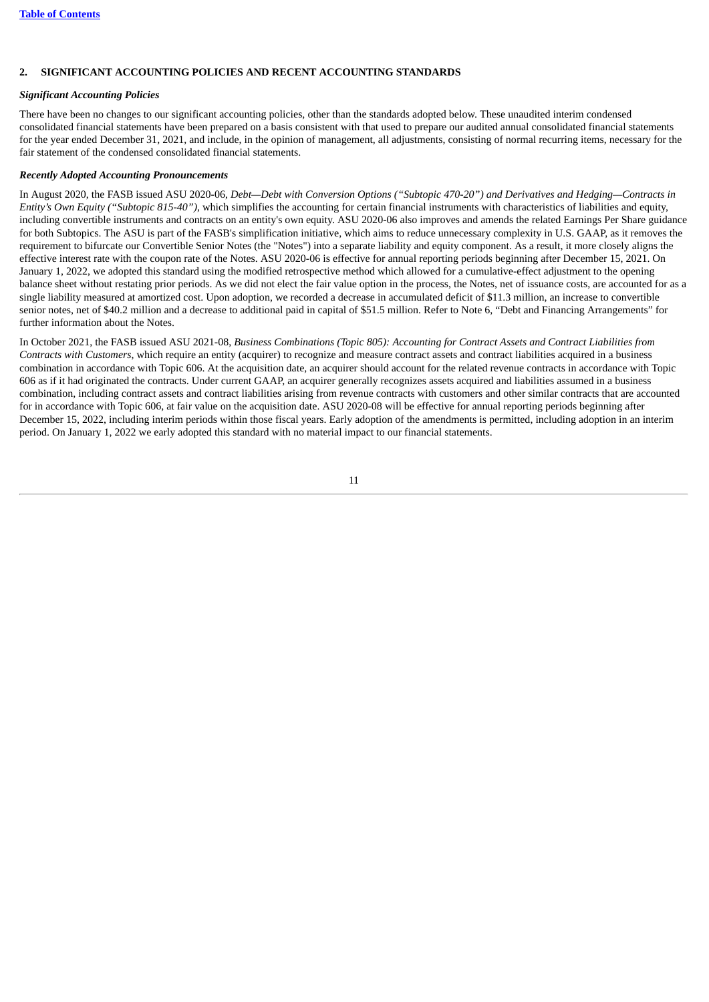# **2. SIGNIFICANT ACCOUNTING POLICIES AND RECENT ACCOUNTING STANDARDS**

#### *Significant Accounting Policies*

There have been no changes to our significant accounting policies, other than the standards adopted below. These unaudited interim condensed consolidated financial statements have been prepared on a basis consistent with that used to prepare our audited annual consolidated financial statements for the year ended December 31, 2021, and include, in the opinion of management, all adjustments, consisting of normal recurring items, necessary for the fair statement of the condensed consolidated financial statements.

# *Recently Adopted Accounting Pronouncements*

In August 2020, the FASB issued ASU 2020-06, *Debt—Debt with Conversion Options ("Subtopic 470-20") and Derivatives and Hedging—Contracts in Entity's Own Equity ("Subtopic 815-40")*, which simplifies the accounting for certain financial instruments with characteristics of liabilities and equity, including convertible instruments and contracts on an entity's own equity. ASU 2020-06 also improves and amends the related Earnings Per Share guidance for both Subtopics. The ASU is part of the FASB's simplification initiative, which aims to reduce unnecessary complexity in U.S. GAAP, as it removes the requirement to bifurcate our Convertible Senior Notes (the "Notes") into a separate liability and equity component. As a result, it more closely aligns the effective interest rate with the coupon rate of the Notes. ASU 2020-06 is effective for annual reporting periods beginning after December 15, 2021. On January 1, 2022, we adopted this standard using the modified retrospective method which allowed for a cumulative-effect adjustment to the opening balance sheet without restating prior periods. As we did not elect the fair value option in the process, the Notes, net of issuance costs, are accounted for as a single liability measured at amortized cost. Upon adoption, we recorded a decrease in accumulated deficit of \$11.3 million, an increase to convertible senior notes, net of \$40.2 million and a decrease to additional paid in capital of \$51.5 million. Refer to Note 6, "Debt and Financing Arrangements" for further information about the Notes.

In October 2021, the FASB issued ASU 2021-08, Business Combinations (Topic 805): Accounting for Contract Assets and Contract Liabilities from *Contracts with Customers*, which require an entity (acquirer) to recognize and measure contract assets and contract liabilities acquired in a business combination in accordance with Topic 606. At the acquisition date, an acquirer should account for the related revenue contracts in accordance with Topic 606 as if it had originated the contracts. Under current GAAP, an acquirer generally recognizes assets acquired and liabilities assumed in a business combination, including contract assets and contract liabilities arising from revenue contracts with customers and other similar contracts that are accounted for in accordance with Topic 606, at fair value on the acquisition date. ASU 2020-08 will be effective for annual reporting periods beginning after December 15, 2022, including interim periods within those fiscal years. Early adoption of the amendments is permitted, including adoption in an interim period. On January 1, 2022 we early adopted this standard with no material impact to our financial statements.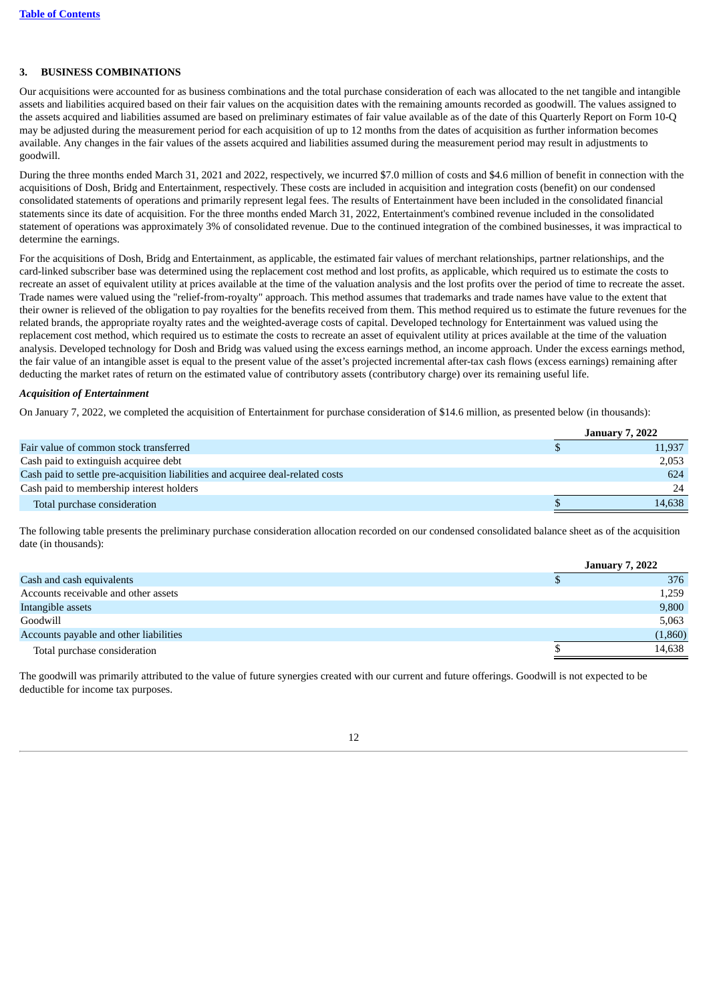# **3. BUSINESS COMBINATIONS**

Our acquisitions were accounted for as business combinations and the total purchase consideration of each was allocated to the net tangible and intangible assets and liabilities acquired based on their fair values on the acquisition dates with the remaining amounts recorded as goodwill. The values assigned to the assets acquired and liabilities assumed are based on preliminary estimates of fair value available as of the date of this Quarterly Report on Form 10-Q may be adjusted during the measurement period for each acquisition of up to 12 months from the dates of acquisition as further information becomes available. Any changes in the fair values of the assets acquired and liabilities assumed during the measurement period may result in adjustments to goodwill.

During the three months ended March 31, 2021 and 2022, respectively, we incurred \$7.0 million of costs and \$4.6 million of benefit in connection with the acquisitions of Dosh, Bridg and Entertainment, respectively. These costs are included in acquisition and integration costs (benefit) on our condensed consolidated statements of operations and primarily represent legal fees. The results of Entertainment have been included in the consolidated financial statements since its date of acquisition. For the three months ended March 31, 2022, Entertainment's combined revenue included in the consolidated statement of operations was approximately 3% of consolidated revenue. Due to the continued integration of the combined businesses, it was impractical to determine the earnings.

For the acquisitions of Dosh, Bridg and Entertainment, as applicable, the estimated fair values of merchant relationships, partner relationships, and the card-linked subscriber base was determined using the replacement cost method and lost profits, as applicable, which required us to estimate the costs to recreate an asset of equivalent utility at prices available at the time of the valuation analysis and the lost profits over the period of time to recreate the asset. Trade names were valued using the "relief-from-royalty" approach. This method assumes that trademarks and trade names have value to the extent that their owner is relieved of the obligation to pay royalties for the benefits received from them. This method required us to estimate the future revenues for the related brands, the appropriate royalty rates and the weighted-average costs of capital. Developed technology for Entertainment was valued using the replacement cost method, which required us to estimate the costs to recreate an asset of equivalent utility at prices available at the time of the valuation analysis. Developed technology for Dosh and Bridg was valued using the excess earnings method, an income approach. Under the excess earnings method, the fair value of an intangible asset is equal to the present value of the asset's projected incremental after-tax cash flows (excess earnings) remaining after deducting the market rates of return on the estimated value of contributory assets (contributory charge) over its remaining useful life.

#### *Acquisition of Entertainment*

On January 7, 2022, we completed the acquisition of Entertainment for purchase consideration of \$14.6 million, as presented below (in thousands):

|                                                                                 | <b>January 7, 2022</b> |
|---------------------------------------------------------------------------------|------------------------|
| Fair value of common stock transferred                                          | 11,937                 |
| Cash paid to extinguish acquiree debt                                           | 2,053                  |
| Cash paid to settle pre-acquisition liabilities and acquiree deal-related costs | 624                    |
| Cash paid to membership interest holders                                        |                        |
| Total purchase consideration                                                    | 14,638                 |

The following table presents the preliminary purchase consideration allocation recorded on our condensed consolidated balance sheet as of the acquisition date (in thousands):

|                                        | <b>January 7, 2022</b> |
|----------------------------------------|------------------------|
| Cash and cash equivalents              | 376                    |
| Accounts receivable and other assets   | 1,259                  |
| Intangible assets                      | 9,800                  |
| Goodwill                               | 5,063                  |
| Accounts payable and other liabilities | (1,860)                |
| Total purchase consideration           | 14,638                 |

The goodwill was primarily attributed to the value of future synergies created with our current and future offerings. Goodwill is not expected to be deductible for income tax purposes.

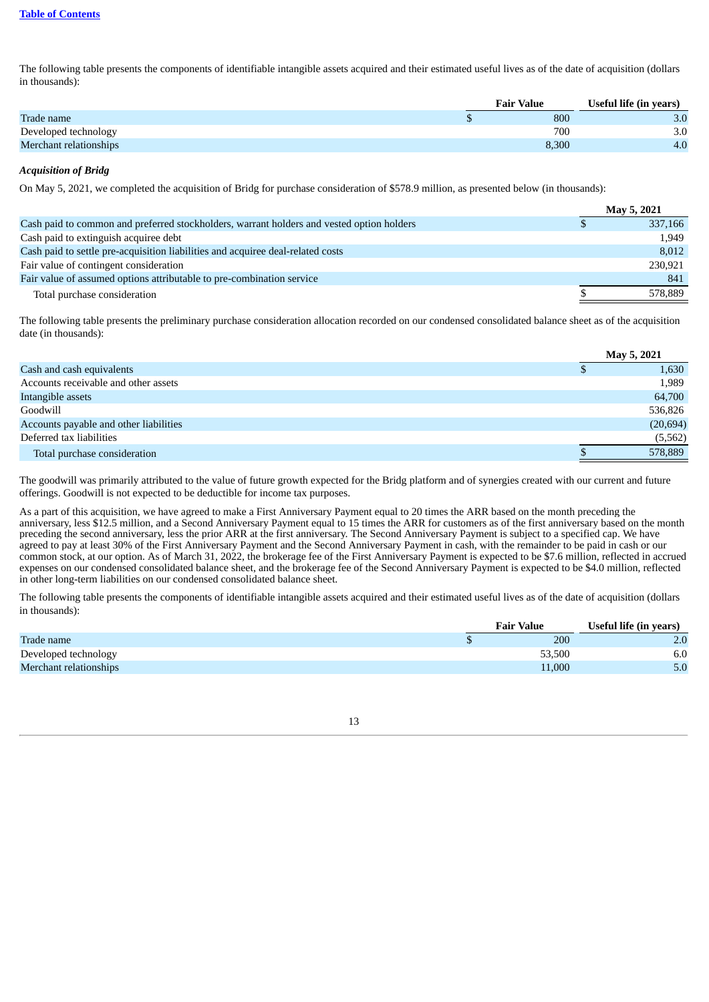The following table presents the components of identifiable intangible assets acquired and their estimated useful lives as of the date of acquisition (dollars in thousands):

|                        | <b>Fair Value</b> | Useful life (in years) |
|------------------------|-------------------|------------------------|
| Trade name             | 800               | ח כ<br>.JU             |
| Developed technology   | 700               | 3.0                    |
| Merchant relationships | 8,300             | 4.0                    |

# *Acquisition of Bridg*

On May 5, 2021, we completed the acquisition of Bridg for purchase consideration of \$578.9 million, as presented below (in thousands):

|                                                                                           | May 5, 2021 |
|-------------------------------------------------------------------------------------------|-------------|
| Cash paid to common and preferred stockholders, warrant holders and vested option holders | 337,166     |
| Cash paid to extinguish acquiree debt                                                     | 1.949       |
| Cash paid to settle pre-acquisition liabilities and acquiree deal-related costs           | 8,012       |
| Fair value of contingent consideration                                                    | 230,921     |
| Fair value of assumed options attributable to pre-combination service                     | 841         |
| Total purchase consideration                                                              | 578,889     |

The following table presents the preliminary purchase consideration allocation recorded on our condensed consolidated balance sheet as of the acquisition date (in thousands):

|                                        | May 5, 2021 |
|----------------------------------------|-------------|
| Cash and cash equivalents              | 1,630       |
| Accounts receivable and other assets   | 1,989       |
| Intangible assets                      | 64,700      |
| Goodwill                               | 536,826     |
| Accounts payable and other liabilities | (20, 694)   |
| Deferred tax liabilities               | (5, 562)    |
| Total purchase consideration           | 578,889     |

The goodwill was primarily attributed to the value of future growth expected for the Bridg platform and of synergies created with our current and future offerings. Goodwill is not expected to be deductible for income tax purposes.

As a part of this acquisition, we have agreed to make a First Anniversary Payment equal to 20 times the ARR based on the month preceding the anniversary, less \$12.5 million, and a Second Anniversary Payment equal to 15 times the ARR for customers as of the first anniversary based on the month preceding the second anniversary, less the prior ARR at the first anniversary. The Second Anniversary Payment is subject to a specified cap. We have agreed to pay at least 30% of the First Anniversary Payment and the Second Anniversary Payment in cash, with the remainder to be paid in cash or our common stock, at our option. As of March 31, 2022, the brokerage fee of the First Anniversary Payment is expected to be \$7.6 million, reflected in accrued expenses on our condensed consolidated balance sheet, and the brokerage fee of the Second Anniversary Payment is expected to be \$4.0 million, reflected in other long-term liabilities on our condensed consolidated balance sheet.

The following table presents the components of identifiable intangible assets acquired and their estimated useful lives as of the date of acquisition (dollars in thousands):

|                        | <b>Fair Value</b> | Useful life (in years) |
|------------------------|-------------------|------------------------|
| Trade name             | 200               | 2.0                    |
| Developed technology   | 53.500            | 6.0                    |
| Merchant relationships | 11.000            | 5.0                    |

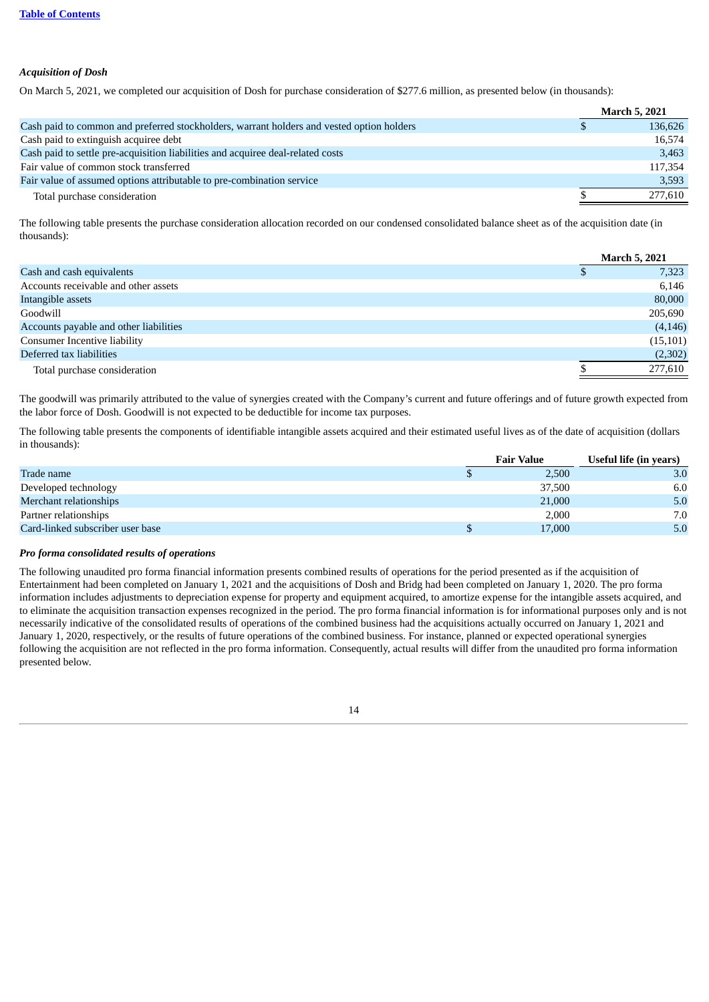# *Acquisition of Dosh*

On March 5, 2021, we completed our acquisition of Dosh for purchase consideration of \$277.6 million, as presented below (in thousands):

| <b>March 5, 2021</b> |  |
|----------------------|--|
| 136,626              |  |
| 16,574               |  |
| 3,463                |  |
| 117,354              |  |
| 3,593                |  |
| 277,610              |  |
|                      |  |

The following table presents the purchase consideration allocation recorded on our condensed consolidated balance sheet as of the acquisition date (in thousands):

|                                        | <b>March 5, 2021</b> |
|----------------------------------------|----------------------|
| Cash and cash equivalents              | 7,323                |
| Accounts receivable and other assets   | 6.146                |
| Intangible assets                      | 80,000               |
| Goodwill                               | 205,690              |
| Accounts payable and other liabilities | (4, 146)             |
| Consumer Incentive liability           | (15, 101)            |
| Deferred tax liabilities               | (2,302)              |
| Total purchase consideration           | 277,610              |

The goodwill was primarily attributed to the value of synergies created with the Company's current and future offerings and of future growth expected from the labor force of Dosh. Goodwill is not expected to be deductible for income tax purposes.

The following table presents the components of identifiable intangible assets acquired and their estimated useful lives as of the date of acquisition (dollars in thousands):

|                                  |   | <b>Fair Value</b> | Useful life (in years) |
|----------------------------------|---|-------------------|------------------------|
| Trade name                       | Φ | 2,500             | 3.0                    |
| Developed technology             |   | 37.500            | 6.0                    |
| Merchant relationships           |   | 21,000            | 5.0                    |
| Partner relationships            |   | 2,000             | 7.0                    |
| Card-linked subscriber user base |   | 17,000            | 5.0                    |

#### *Pro forma consolidated results of operations*

The following unaudited pro forma financial information presents combined results of operations for the period presented as if the acquisition of Entertainment had been completed on January 1, 2021 and the acquisitions of Dosh and Bridg had been completed on January 1, 2020. The pro forma information includes adjustments to depreciation expense for property and equipment acquired, to amortize expense for the intangible assets acquired, and to eliminate the acquisition transaction expenses recognized in the period. The pro forma financial information is for informational purposes only and is not necessarily indicative of the consolidated results of operations of the combined business had the acquisitions actually occurred on January 1, 2021 and January 1, 2020, respectively, or the results of future operations of the combined business. For instance, planned or expected operational synergies following the acquisition are not reflected in the pro forma information. Consequently, actual results will differ from the unaudited pro forma information presented below.

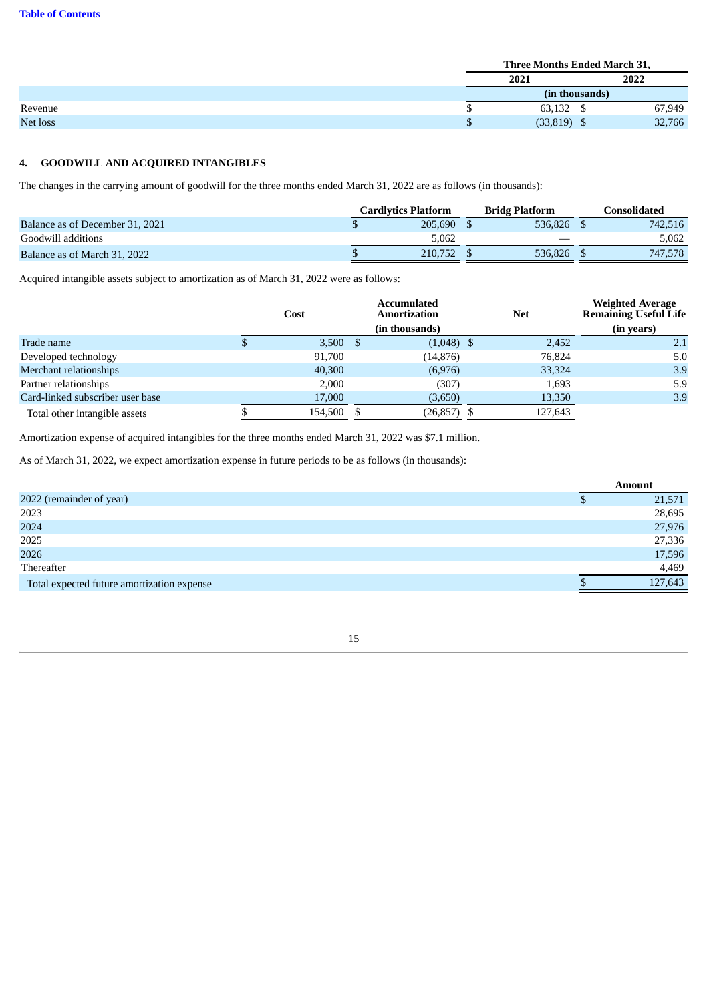|          | Three Months Ended March 31, |        |  |
|----------|------------------------------|--------|--|
|          | 2021                         | 2022   |  |
|          | (in thousands)               |        |  |
| Revenue  | 63,132                       | 67,949 |  |
| Net loss | (33, 819)                    | 32,766 |  |

# **4. GOODWILL AND ACQUIRED INTANGIBLES**

The changes in the carrying amount of goodwill for the three months ended March 31, 2022 are as follows (in thousands):

|                                 | <b>Cardivtics Platform</b> | <b>Bridg Platform</b> | Consolidated |
|---------------------------------|----------------------------|-----------------------|--------------|
| Balance as of December 31, 2021 | 205,690                    | 536,826               | 742,516      |
| Goodwill additions              | 5.062                      | __                    | 5,062        |
| Balance as of March 31, 2022    | 210,752                    | 536,826               | 747.578      |

Acquired intangible assets subject to amortization as of March 31, 2022 were as follows:

|                                  | Cost       | <b>Accumulated</b><br>Amortization | <b>Net</b> | <b>Weighted Average</b><br><b>Remaining Useful Life</b> |
|----------------------------------|------------|------------------------------------|------------|---------------------------------------------------------|
|                                  |            | (in thousands)                     |            | (in years)                                              |
| Trade name                       | $3,500$ \$ | $(1,048)$ \$                       | 2,452      | 2.1                                                     |
| Developed technology             | 91,700     | (14, 876)                          | 76,824     | 5.0                                                     |
| Merchant relationships           | 40,300     | (6, 976)                           | 33,324     | 3.9                                                     |
| Partner relationships            | 2.000      | (307)                              | 1,693      | 5.9                                                     |
| Card-linked subscriber user base | 17,000     | (3,650)                            | 13,350     | 3.9                                                     |
| Total other intangible assets    | 154,500 \$ | (26, 857)                          | 127,643    |                                                         |

Amortization expense of acquired intangibles for the three months ended March 31, 2022 was \$7.1 million.

As of March 31, 2022, we expect amortization expense in future periods to be as follows (in thousands):

|                                            | <b>Amount</b> |
|--------------------------------------------|---------------|
| 2022 (remainder of year)                   | 21,571        |
| 2023                                       | 28,695        |
| 2024                                       | 27,976        |
| 2025                                       | 27,336        |
| 2026                                       | 17,596        |
| Thereafter                                 | 4,469         |
| Total expected future amortization expense | 127,643       |
|                                            |               |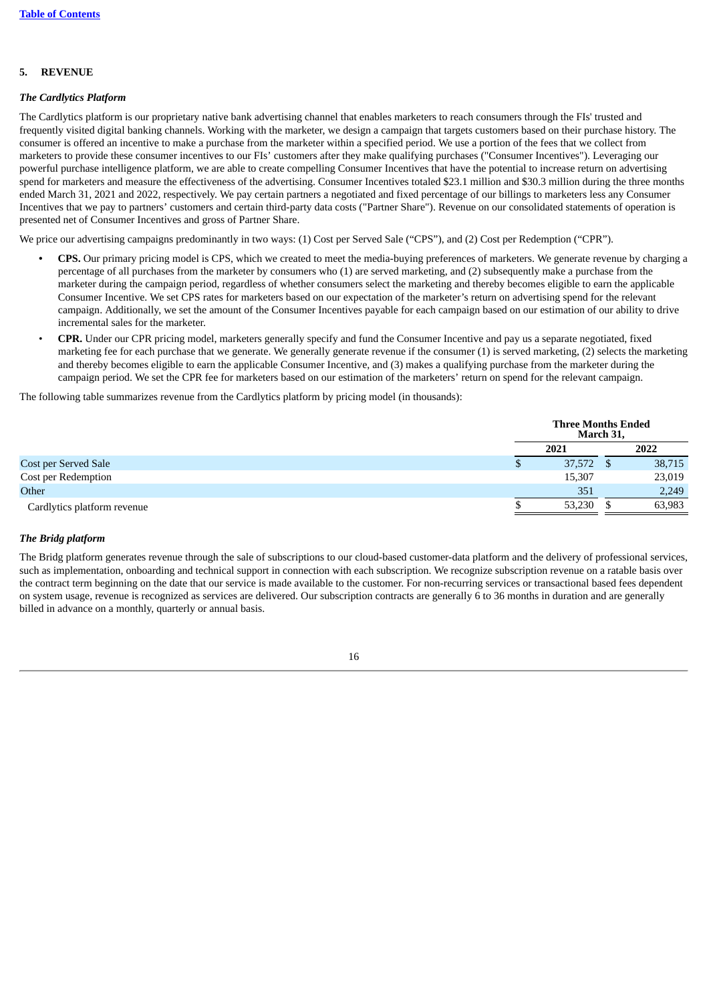# **5. REVENUE**

#### *The Cardlytics Platform*

The Cardlytics platform is our proprietary native bank advertising channel that enables marketers to reach consumers through the FIs' trusted and frequently visited digital banking channels. Working with the marketer, we design a campaign that targets customers based on their purchase history. The consumer is offered an incentive to make a purchase from the marketer within a specified period. We use a portion of the fees that we collect from marketers to provide these consumer incentives to our FIs' customers after they make qualifying purchases ("Consumer Incentives"). Leveraging our powerful purchase intelligence platform, we are able to create compelling Consumer Incentives that have the potential to increase return on advertising spend for marketers and measure the effectiveness of the advertising. Consumer Incentives totaled \$23.1 million and \$30.3 million during the three months ended March 31, 2021 and 2022, respectively. We pay certain partners a negotiated and fixed percentage of our billings to marketers less any Consumer Incentives that we pay to partners' customers and certain third-party data costs ("Partner Share"). Revenue on our consolidated statements of operation is presented net of Consumer Incentives and gross of Partner Share.

We price our advertising campaigns predominantly in two ways: (1) Cost per Served Sale ("CPS"), and (2) Cost per Redemption ("CPR").

- **• CPS.** Our primary pricing model is CPS, which we created to meet the media-buying preferences of marketers. We generate revenue by charging a percentage of all purchases from the marketer by consumers who (1) are served marketing, and (2) subsequently make a purchase from the marketer during the campaign period, regardless of whether consumers select the marketing and thereby becomes eligible to earn the applicable Consumer Incentive. We set CPS rates for marketers based on our expectation of the marketer's return on advertising spend for the relevant campaign. Additionally, we set the amount of the Consumer Incentives payable for each campaign based on our estimation of our ability to drive incremental sales for the marketer.
- **CPR.** Under our CPR pricing model, marketers generally specify and fund the Consumer Incentive and pay us a separate negotiated, fixed marketing fee for each purchase that we generate. We generally generate revenue if the consumer (1) is served marketing, (2) selects the marketing and thereby becomes eligible to earn the applicable Consumer Incentive, and (3) makes a qualifying purchase from the marketer during the campaign period. We set the CPR fee for marketers based on our estimation of the marketers' return on spend for the relevant campaign.

The following table summarizes revenue from the Cardlytics platform by pricing model (in thousands):

|                             |   | <b>Three Months Ended</b><br>March 31, |  |        |
|-----------------------------|---|----------------------------------------|--|--------|
|                             |   | 2021                                   |  | 2022   |
| Cost per Served Sale        | D | 37,572 \$                              |  | 38,715 |
| Cost per Redemption         |   | 15,307                                 |  | 23,019 |
| Other                       |   | 351                                    |  | 2,249  |
| Cardlytics platform revenue |   | 53,230                                 |  | 63,983 |

#### *The Bridg platform*

The Bridg platform generates revenue through the sale of subscriptions to our cloud-based customer-data platform and the delivery of professional services, such as implementation, onboarding and technical support in connection with each subscription. We recognize subscription revenue on a ratable basis over the contract term beginning on the date that our service is made available to the customer. For non-recurring services or transactional based fees dependent on system usage, revenue is recognized as services are delivered. Our subscription contracts are generally 6 to 36 months in duration and are generally billed in advance on a monthly, quarterly or annual basis.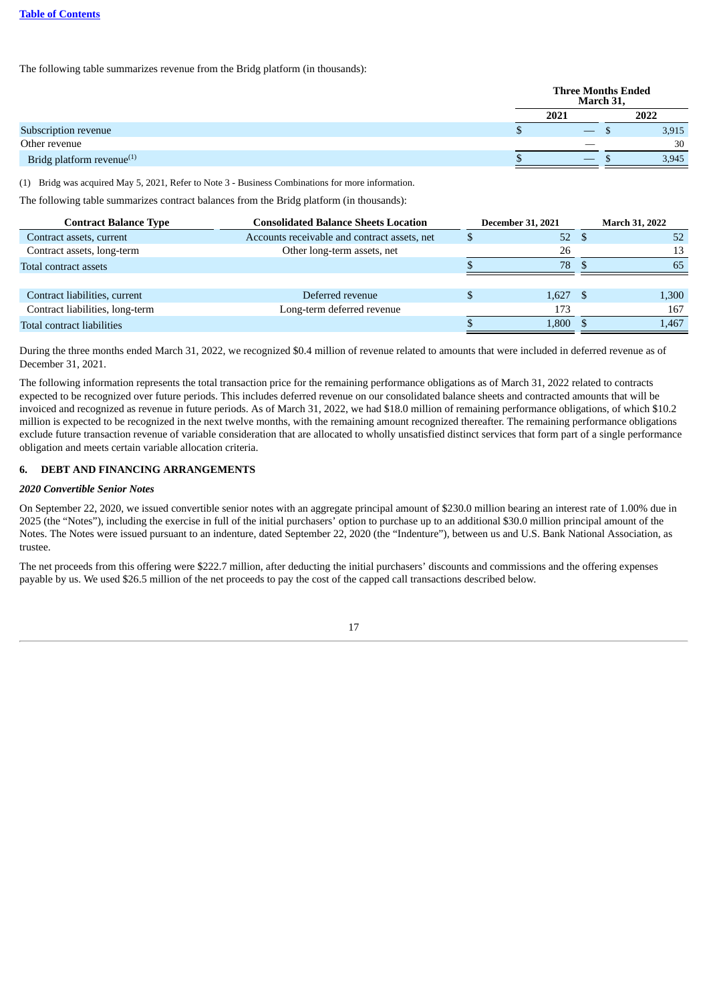The following table summarizes revenue from the Bridg platform (in thousands):

|                                       | <b>Three Months Ended</b><br>March 31, |      |       |  |  |
|---------------------------------------|----------------------------------------|------|-------|--|--|
|                                       | 2021                                   | 2022 |       |  |  |
| Subscription revenue                  |                                        |      | 3,915 |  |  |
| Other revenue                         |                                        |      | 30    |  |  |
| Bridg platform revenue <sup>(1)</sup> |                                        |      | 3,945 |  |  |
|                                       |                                        |      |       |  |  |

(1) Bridg was acquired May 5, 2021, Refer to Note 3 - Business Combinations for more information.

The following table summarizes contract balances from the Bridg platform (in thousands):

| <b>Contract Balance Type</b>    | Consolidated Balance Sheets Location         | <b>December 31, 2021</b> |       |  | <b>March 31, 2022</b> |
|---------------------------------|----------------------------------------------|--------------------------|-------|--|-----------------------|
| Contract assets, current        | Accounts receivable and contract assets, net |                          | 52    |  | 52                    |
| Contract assets, long-term      | Other long-term assets, net                  |                          | 26    |  | 13                    |
| Total contract assets           |                                              |                          | 78    |  | -65                   |
|                                 |                                              |                          |       |  |                       |
| Contract liabilities, current   | Deferred revenue                             |                          | 1.627 |  | 1,300                 |
| Contract liabilities, long-term | Long-term deferred revenue                   |                          | 173   |  | 167                   |
| Total contract liabilities      |                                              |                          | 1,800 |  | 1,467                 |

During the three months ended March 31, 2022, we recognized \$0.4 million of revenue related to amounts that were included in deferred revenue as of December 31, 2021.

The following information represents the total transaction price for the remaining performance obligations as of March 31, 2022 related to contracts expected to be recognized over future periods. This includes deferred revenue on our consolidated balance sheets and contracted amounts that will be invoiced and recognized as revenue in future periods. As of March 31, 2022, we had \$18.0 million of remaining performance obligations, of which \$10.2 million is expected to be recognized in the next twelve months, with the remaining amount recognized thereafter. The remaining performance obligations exclude future transaction revenue of variable consideration that are allocated to wholly unsatisfied distinct services that form part of a single performance obligation and meets certain variable allocation criteria.

# **6. DEBT AND FINANCING ARRANGEMENTS**

# *2020 Convertible Senior Notes*

On September 22, 2020, we issued convertible senior notes with an aggregate principal amount of \$230.0 million bearing an interest rate of 1.00% due in 2025 (the "Notes"), including the exercise in full of the initial purchasers' option to purchase up to an additional \$30.0 million principal amount of the Notes. The Notes were issued pursuant to an indenture, dated September 22, 2020 (the "Indenture"), between us and U.S. Bank National Association, as trustee.

The net proceeds from this offering were \$222.7 million, after deducting the initial purchasers' discounts and commissions and the offering expenses payable by us. We used \$26.5 million of the net proceeds to pay the cost of the capped call transactions described below.

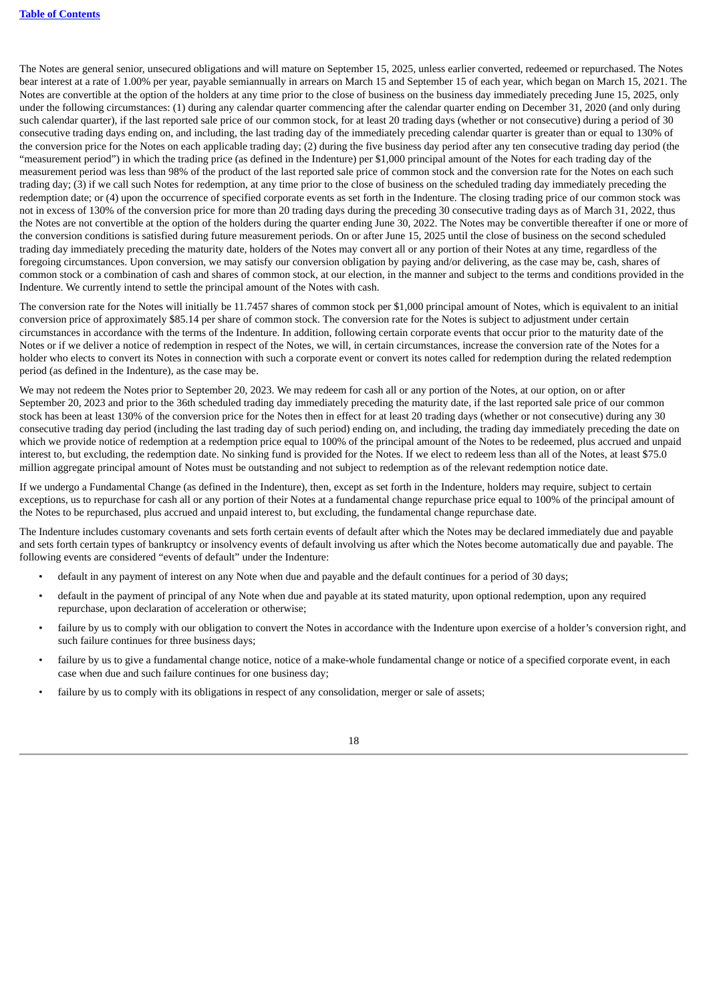The Notes are general senior, unsecured obligations and will mature on September 15, 2025, unless earlier converted, redeemed or repurchased. The Notes bear interest at a rate of 1.00% per year, payable semiannually in arrears on March 15 and September 15 of each year, which began on March 15, 2021. The Notes are convertible at the option of the holders at any time prior to the close of business on the business day immediately preceding June 15, 2025, only under the following circumstances: (1) during any calendar quarter commencing after the calendar quarter ending on December 31, 2020 (and only during such calendar quarter), if the last reported sale price of our common stock, for at least 20 trading days (whether or not consecutive) during a period of 30 consecutive trading days ending on, and including, the last trading day of the immediately preceding calendar quarter is greater than or equal to 130% of the conversion price for the Notes on each applicable trading day; (2) during the five business day period after any ten consecutive trading day period (the "measurement period") in which the trading price (as defined in the Indenture) per \$1,000 principal amount of the Notes for each trading day of the measurement period was less than 98% of the product of the last reported sale price of common stock and the conversion rate for the Notes on each such trading day; (3) if we call such Notes for redemption, at any time prior to the close of business on the scheduled trading day immediately preceding the redemption date; or (4) upon the occurrence of specified corporate events as set forth in the Indenture. The closing trading price of our common stock was not in excess of 130% of the conversion price for more than 20 trading days during the preceding 30 consecutive trading days as of March 31, 2022, thus the Notes are not convertible at the option of the holders during the quarter ending June 30, 2022. The Notes may be convertible thereafter if one or more of the conversion conditions is satisfied during future measurement periods. On or after June 15, 2025 until the close of business on the second scheduled trading day immediately preceding the maturity date, holders of the Notes may convert all or any portion of their Notes at any time, regardless of the foregoing circumstances. Upon conversion, we may satisfy our conversion obligation by paying and/or delivering, as the case may be, cash, shares of common stock or a combination of cash and shares of common stock, at our election, in the manner and subject to the terms and conditions provided in the Indenture. We currently intend to settle the principal amount of the Notes with cash.

The conversion rate for the Notes will initially be 11.7457 shares of common stock per \$1,000 principal amount of Notes, which is equivalent to an initial conversion price of approximately \$85.14 per share of common stock. The conversion rate for the Notes is subject to adjustment under certain circumstances in accordance with the terms of the Indenture. In addition, following certain corporate events that occur prior to the maturity date of the Notes or if we deliver a notice of redemption in respect of the Notes, we will, in certain circumstances, increase the conversion rate of the Notes for a holder who elects to convert its Notes in connection with such a corporate event or convert its notes called for redemption during the related redemption period (as defined in the Indenture), as the case may be.

We may not redeem the Notes prior to September 20, 2023. We may redeem for cash all or any portion of the Notes, at our option, on or after September 20, 2023 and prior to the 36th scheduled trading day immediately preceding the maturity date, if the last reported sale price of our common stock has been at least 130% of the conversion price for the Notes then in effect for at least 20 trading days (whether or not consecutive) during any 30 consecutive trading day period (including the last trading day of such period) ending on, and including, the trading day immediately preceding the date on which we provide notice of redemption at a redemption price equal to 100% of the principal amount of the Notes to be redeemed, plus accrued and unpaid interest to, but excluding, the redemption date. No sinking fund is provided for the Notes. If we elect to redeem less than all of the Notes, at least \$75.0 million aggregate principal amount of Notes must be outstanding and not subject to redemption as of the relevant redemption notice date.

If we undergo a Fundamental Change (as defined in the Indenture), then, except as set forth in the Indenture, holders may require, subject to certain exceptions, us to repurchase for cash all or any portion of their Notes at a fundamental change repurchase price equal to 100% of the principal amount of the Notes to be repurchased, plus accrued and unpaid interest to, but excluding, the fundamental change repurchase date.

The Indenture includes customary covenants and sets forth certain events of default after which the Notes may be declared immediately due and payable and sets forth certain types of bankruptcy or insolvency events of default involving us after which the Notes become automatically due and payable. The following events are considered "events of default" under the Indenture:

- default in any payment of interest on any Note when due and payable and the default continues for a period of 30 days;
- default in the payment of principal of any Note when due and payable at its stated maturity, upon optional redemption, upon any required repurchase, upon declaration of acceleration or otherwise;
- failure by us to comply with our obligation to convert the Notes in accordance with the Indenture upon exercise of a holder's conversion right, and such failure continues for three business days;
- failure by us to give a fundamental change notice, notice of a make-whole fundamental change or notice of a specified corporate event, in each case when due and such failure continues for one business day;
- failure by us to comply with its obligations in respect of any consolidation, merger or sale of assets;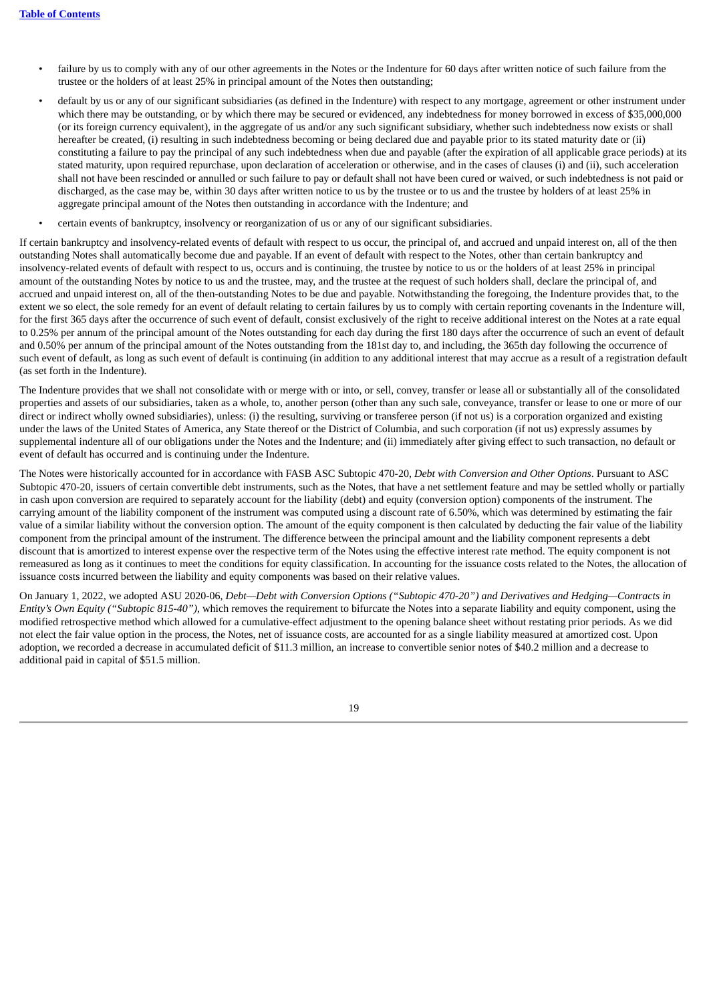- failure by us to comply with any of our other agreements in the Notes or the Indenture for 60 days after written notice of such failure from the trustee or the holders of at least 25% in principal amount of the Notes then outstanding;
- default by us or any of our significant subsidiaries (as defined in the Indenture) with respect to any mortgage, agreement or other instrument under which there may be outstanding, or by which there may be secured or evidenced, any indebtedness for money borrowed in excess of \$35,000,000 (or its foreign currency equivalent), in the aggregate of us and/or any such significant subsidiary, whether such indebtedness now exists or shall hereafter be created, (i) resulting in such indebtedness becoming or being declared due and payable prior to its stated maturity date or (ii) constituting a failure to pay the principal of any such indebtedness when due and payable (after the expiration of all applicable grace periods) at its stated maturity, upon required repurchase, upon declaration of acceleration or otherwise, and in the cases of clauses (i) and (ii), such acceleration shall not have been rescinded or annulled or such failure to pay or default shall not have been cured or waived, or such indebtedness is not paid or discharged, as the case may be, within 30 days after written notice to us by the trustee or to us and the trustee by holders of at least 25% in aggregate principal amount of the Notes then outstanding in accordance with the Indenture; and
- certain events of bankruptcy, insolvency or reorganization of us or any of our significant subsidiaries.

If certain bankruptcy and insolvency-related events of default with respect to us occur, the principal of, and accrued and unpaid interest on, all of the then outstanding Notes shall automatically become due and payable. If an event of default with respect to the Notes, other than certain bankruptcy and insolvency-related events of default with respect to us, occurs and is continuing, the trustee by notice to us or the holders of at least 25% in principal amount of the outstanding Notes by notice to us and the trustee, may, and the trustee at the request of such holders shall, declare the principal of, and accrued and unpaid interest on, all of the then-outstanding Notes to be due and payable. Notwithstanding the foregoing, the Indenture provides that, to the extent we so elect, the sole remedy for an event of default relating to certain failures by us to comply with certain reporting covenants in the Indenture will, for the first 365 days after the occurrence of such event of default, consist exclusively of the right to receive additional interest on the Notes at a rate equal to 0.25% per annum of the principal amount of the Notes outstanding for each day during the first 180 days after the occurrence of such an event of default and 0.50% per annum of the principal amount of the Notes outstanding from the 181st day to, and including, the 365th day following the occurrence of such event of default, as long as such event of default is continuing (in addition to any additional interest that may accrue as a result of a registration default (as set forth in the Indenture).

The Indenture provides that we shall not consolidate with or merge with or into, or sell, convey, transfer or lease all or substantially all of the consolidated properties and assets of our subsidiaries, taken as a whole, to, another person (other than any such sale, conveyance, transfer or lease to one or more of our direct or indirect wholly owned subsidiaries), unless: (i) the resulting, surviving or transferee person (if not us) is a corporation organized and existing under the laws of the United States of America, any State thereof or the District of Columbia, and such corporation (if not us) expressly assumes by supplemental indenture all of our obligations under the Notes and the Indenture; and (ii) immediately after giving effect to such transaction, no default or event of default has occurred and is continuing under the Indenture.

The Notes were historically accounted for in accordance with FASB ASC Subtopic 470-20, *Debt with Conversion and Other Options*. Pursuant to ASC Subtopic 470-20, issuers of certain convertible debt instruments, such as the Notes, that have a net settlement feature and may be settled wholly or partially in cash upon conversion are required to separately account for the liability (debt) and equity (conversion option) components of the instrument. The carrying amount of the liability component of the instrument was computed using a discount rate of 6.50%, which was determined by estimating the fair value of a similar liability without the conversion option. The amount of the equity component is then calculated by deducting the fair value of the liability component from the principal amount of the instrument. The difference between the principal amount and the liability component represents a debt discount that is amortized to interest expense over the respective term of the Notes using the effective interest rate method. The equity component is not remeasured as long as it continues to meet the conditions for equity classification. In accounting for the issuance costs related to the Notes, the allocation of issuance costs incurred between the liability and equity components was based on their relative values.

On January 1, 2022, we adopted ASU 2020-06, *Debt—Debt with Conversion Options ("Subtopic 470-20") and Derivatives and Hedging—Contracts in Entity's Own Equity ("Subtopic 815-40")*, which removes the requirement to bifurcate the Notes into a separate liability and equity component, using the modified retrospective method which allowed for a cumulative-effect adjustment to the opening balance sheet without restating prior periods. As we did not elect the fair value option in the process, the Notes, net of issuance costs, are accounted for as a single liability measured at amortized cost. Upon adoption, we recorded a decrease in accumulated deficit of \$11.3 million, an increase to convertible senior notes of \$40.2 million and a decrease to additional paid in capital of \$51.5 million.

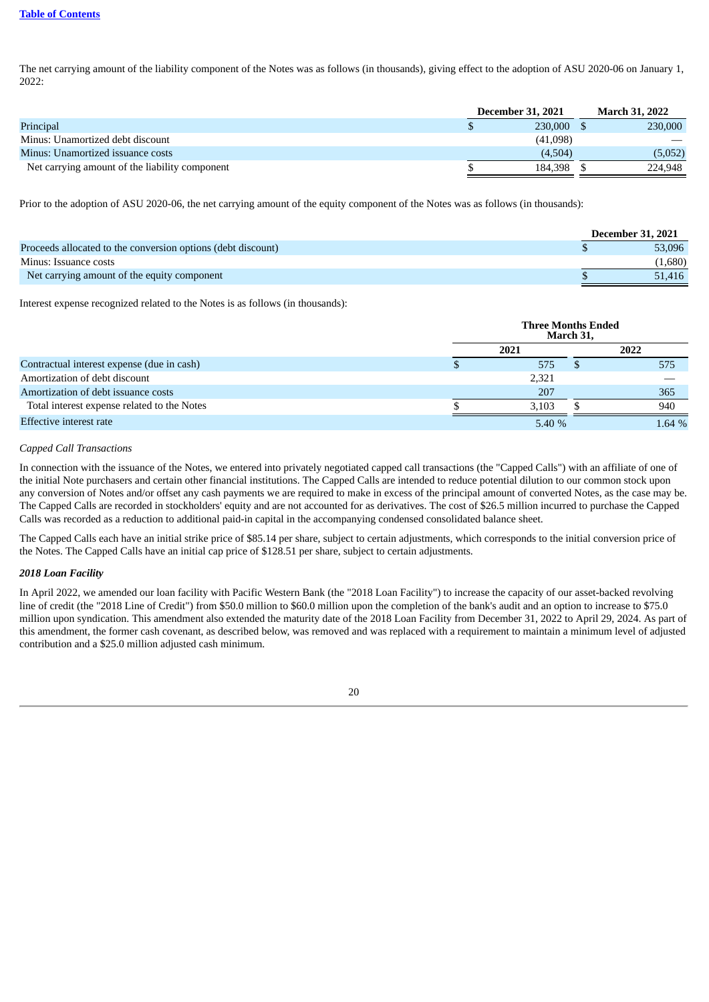The net carrying amount of the liability component of the Notes was as follows (in thousands), giving effect to the adoption of ASU 2020-06 on January 1, 2022:

|                                                | <b>December 31, 2021</b> |          |  | March 31, 2022 |
|------------------------------------------------|--------------------------|----------|--|----------------|
| Principal                                      |                          | 230,000  |  | 230,000        |
| Minus: Unamortized debt discount               |                          | (41,098) |  |                |
| Minus: Unamortized issuance costs              |                          | (4,504)  |  | (5,052)        |
| Net carrying amount of the liability component |                          | 184.398  |  | 224,948        |

Prior to the adoption of ASU 2020-06, the net carrying amount of the equity component of the Notes was as follows (in thousands):

|                                                              | <b>December 31, 2021</b> |         |
|--------------------------------------------------------------|--------------------------|---------|
| Proceeds allocated to the conversion options (debt discount) |                          | 53.096  |
| Minus: Issuance costs                                        |                          | (1,680) |
| Net carrying amount of the equity component                  |                          | 51.416  |

Interest expense recognized related to the Notes is as follows (in thousands):

|                                             | <b>Three Months Ended</b><br>March 31, |  |        |  |  |  |
|---------------------------------------------|----------------------------------------|--|--------|--|--|--|
|                                             | 2021                                   |  |        |  |  |  |
| Contractual interest expense (due in cash)  | 575                                    |  | 575    |  |  |  |
| Amortization of debt discount               | 2,321                                  |  |        |  |  |  |
| Amortization of debt issuance costs         | 207                                    |  | 365    |  |  |  |
| Total interest expense related to the Notes | 3.103                                  |  | 940    |  |  |  |
| Effective interest rate                     | 5.40 %                                 |  | 1.64 % |  |  |  |

#### *Capped Call Transactions*

In connection with the issuance of the Notes, we entered into privately negotiated capped call transactions (the "Capped Calls") with an affiliate of one of the initial Note purchasers and certain other financial institutions. The Capped Calls are intended to reduce potential dilution to our common stock upon any conversion of Notes and/or offset any cash payments we are required to make in excess of the principal amount of converted Notes, as the case may be. The Capped Calls are recorded in stockholders' equity and are not accounted for as derivatives. The cost of \$26.5 million incurred to purchase the Capped Calls was recorded as a reduction to additional paid-in capital in the accompanying condensed consolidated balance sheet.

The Capped Calls each have an initial strike price of \$85.14 per share, subject to certain adjustments, which corresponds to the initial conversion price of the Notes. The Capped Calls have an initial cap price of \$128.51 per share, subject to certain adjustments.

# *2018 Loan Facility*

In April 2022, we amended our loan facility with Pacific Western Bank (the "2018 Loan Facility") to increase the capacity of our asset-backed revolving line of credit (the "2018 Line of Credit") from \$50.0 million to \$60.0 million upon the completion of the bank's audit and an option to increase to \$75.0 million upon syndication. This amendment also extended the maturity date of the 2018 Loan Facility from December 31, 2022 to April 29, 2024. As part of this amendment, the former cash covenant, as described below, was removed and was replaced with a requirement to maintain a minimum level of adjusted contribution and a \$25.0 million adjusted cash minimum.

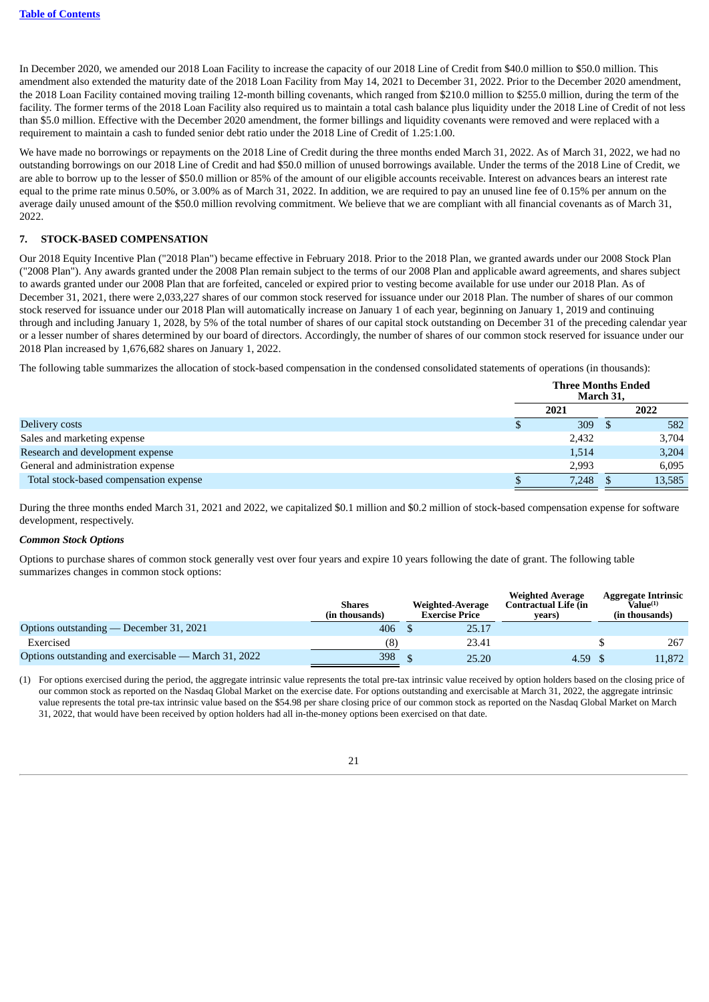In December 2020, we amended our 2018 Loan Facility to increase the capacity of our 2018 Line of Credit from \$40.0 million to \$50.0 million. This amendment also extended the maturity date of the 2018 Loan Facility from May 14, 2021 to December 31, 2022. Prior to the December 2020 amendment, the 2018 Loan Facility contained moving trailing 12-month billing covenants, which ranged from \$210.0 million to \$255.0 million, during the term of the facility. The former terms of the 2018 Loan Facility also required us to maintain a total cash balance plus liquidity under the 2018 Line of Credit of not less than \$5.0 million. Effective with the December 2020 amendment, the former billings and liquidity covenants were removed and were replaced with a requirement to maintain a cash to funded senior debt ratio under the 2018 Line of Credit of 1.25:1.00.

We have made no borrowings or repayments on the 2018 Line of Credit during the three months ended March 31, 2022. As of March 31, 2022, we had no outstanding borrowings on our 2018 Line of Credit and had \$50.0 million of unused borrowings available. Under the terms of the 2018 Line of Credit, we are able to borrow up to the lesser of \$50.0 million or 85% of the amount of our eligible accounts receivable. Interest on advances bears an interest rate equal to the prime rate minus 0.50%, or 3.00% as of March 31, 2022. In addition, we are required to pay an unused line fee of 0.15% per annum on the average daily unused amount of the \$50.0 million revolving commitment. We believe that we are compliant with all financial covenants as of March 31, 2022.

#### **7. STOCK-BASED COMPENSATION**

Our 2018 Equity Incentive Plan ("2018 Plan") became effective in February 2018. Prior to the 2018 Plan, we granted awards under our 2008 Stock Plan ("2008 Plan"). Any awards granted under the 2008 Plan remain subject to the terms of our 2008 Plan and applicable award agreements, and shares subject to awards granted under our 2008 Plan that are forfeited, canceled or expired prior to vesting become available for use under our 2018 Plan. As of December 31, 2021, there were 2,033,227 shares of our common stock reserved for issuance under our 2018 Plan. The number of shares of our common stock reserved for issuance under our 2018 Plan will automatically increase on January 1 of each year, beginning on January 1, 2019 and continuing through and including January 1, 2028, by 5% of the total number of shares of our capital stock outstanding on December 31 of the preceding calendar year or a lesser number of shares determined by our board of directors. Accordingly, the number of shares of our common stock reserved for issuance under our 2018 Plan increased by 1,676,682 shares on January 1, 2022.

The following table summarizes the allocation of stock-based compensation in the condensed consolidated statements of operations (in thousands):

|                                        | <b>Three Months Ended</b><br>March 31, |       |  |        |
|----------------------------------------|----------------------------------------|-------|--|--------|
|                                        |                                        | 2021  |  | 2022   |
| Delivery costs                         |                                        | 309   |  | 582    |
| Sales and marketing expense            |                                        | 2,432 |  | 3,704  |
| Research and development expense       |                                        | 1,514 |  | 3,204  |
| General and administration expense     |                                        | 2,993 |  | 6,095  |
| Total stock-based compensation expense |                                        | 7,248 |  | 13,585 |

During the three months ended March 31, 2021 and 2022, we capitalized \$0.1 million and \$0.2 million of stock-based compensation expense for software development, respectively.

#### *Common Stock Options*

Options to purchase shares of common stock generally vest over four years and expire 10 years following the date of grant. The following table summarizes changes in common stock options:

|                                                      | <b>Shares</b><br>(in thousands) | Weighted-Average<br><b>Exercise Price</b> | <b>Weighted Average</b><br>Contractual Life (in<br>vears) | <b>Aggregate Intrinsic</b><br>Value <sup>(1)</sup><br>(in thousands) |
|------------------------------------------------------|---------------------------------|-------------------------------------------|-----------------------------------------------------------|----------------------------------------------------------------------|
| Options outstanding — December 31, 2021              | 406                             | 25.17                                     |                                                           |                                                                      |
| Exercised                                            | (8)                             | 23.41                                     |                                                           | 267                                                                  |
| Options outstanding and exercisable — March 31, 2022 | 398                             | 25.20                                     | 4.59                                                      | 11.872                                                               |

(1) For options exercised during the period, the aggregate intrinsic value represents the total pre-tax intrinsic value received by option holders based on the closing price of our common stock as reported on the Nasdaq Global Market on the exercise date. For options outstanding and exercisable at March 31, 2022, the aggregate intrinsic value represents the total pre-tax intrinsic value based on the \$54.98 per share closing price of our common stock as reported on the Nasdaq Global Market on March 31, 2022, that would have been received by option holders had all in-the-money options been exercised on that date.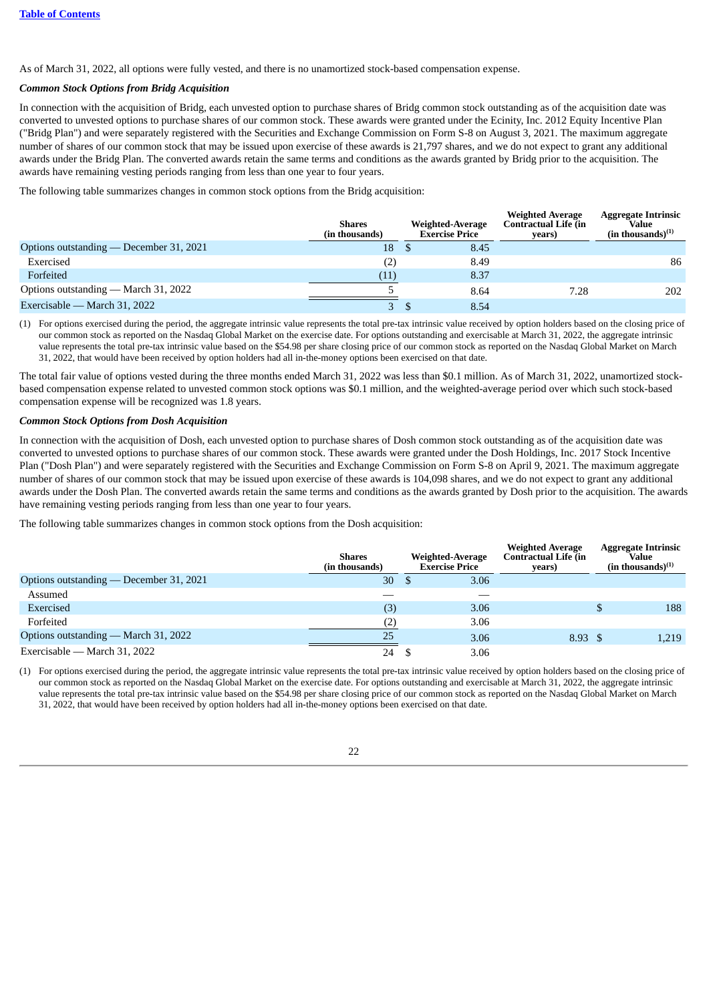As of March 31, 2022, all options were fully vested, and there is no unamortized stock-based compensation expense.

#### *Common Stock Options from Bridg Acquisition*

In connection with the acquisition of Bridg, each unvested option to purchase shares of Bridg common stock outstanding as of the acquisition date was converted to unvested options to purchase shares of our common stock. These awards were granted under the Ecinity, Inc. 2012 Equity Incentive Plan ("Bridg Plan") and were separately registered with the Securities and Exchange Commission on Form S-8 on August 3, 2021. The maximum aggregate number of shares of our common stock that may be issued upon exercise of these awards is 21,797 shares, and we do not expect to grant any additional awards under the Bridg Plan. The converted awards retain the same terms and conditions as the awards granted by Bridg prior to the acquisition. The awards have remaining vesting periods ranging from less than one year to four years.

The following table summarizes changes in common stock options from the Bridg acquisition:

|                                         | <b>Shares</b><br>(in thousands) | Weighted-Average<br><b>Exercise Price</b> | <b>Weighted Average</b><br><b>Contractual Life (in</b><br>years) | <b>Aggregate Intrinsic</b><br>Value<br>(in thousands) <sup>(1)</sup> |
|-----------------------------------------|---------------------------------|-------------------------------------------|------------------------------------------------------------------|----------------------------------------------------------------------|
| Options outstanding — December 31, 2021 | 18                              | 8.45                                      |                                                                  |                                                                      |
| Exercised                               | (2)                             | 8.49                                      |                                                                  | 86                                                                   |
| Forfeited                               | (11)                            | 8.37                                      |                                                                  |                                                                      |
| Options outstanding — March 31, 2022    |                                 | 8.64                                      | 7.28                                                             | 202                                                                  |
| Exercisable — March 31, 2022            | $3 \cdot$                       | 8.54                                      |                                                                  |                                                                      |

(1) For options exercised during the period, the aggregate intrinsic value represents the total pre-tax intrinsic value received by option holders based on the closing price of our common stock as reported on the Nasdaq Global Market on the exercise date. For options outstanding and exercisable at March 31, 2022, the aggregate intrinsic value represents the total pre-tax intrinsic value based on the \$54.98 per share closing price of our common stock as reported on the Nasdaq Global Market on March 31, 2022, that would have been received by option holders had all in-the-money options been exercised on that date.

The total fair value of options vested during the three months ended March 31, 2022 was less than \$0.1 million. As of March 31, 2022, unamortized stockbased compensation expense related to unvested common stock options was \$0.1 million, and the weighted-average period over which such stock-based compensation expense will be recognized was 1.8 years.

# *Common Stock Options from Dosh Acquisition*

In connection with the acquisition of Dosh, each unvested option to purchase shares of Dosh common stock outstanding as of the acquisition date was converted to unvested options to purchase shares of our common stock. These awards were granted under the Dosh Holdings, Inc. 2017 Stock Incentive Plan ("Dosh Plan") and were separately registered with the Securities and Exchange Commission on Form S-8 on April 9, 2021. The maximum aggregate number of shares of our common stock that may be issued upon exercise of these awards is 104,098 shares, and we do not expect to grant any additional awards under the Dosh Plan. The converted awards retain the same terms and conditions as the awards granted by Dosh prior to the acquisition. The awards have remaining vesting periods ranging from less than one year to four years.

The following table summarizes changes in common stock options from the Dosh acquisition:

|                                         | <b>Shares</b><br>(in thousands) | Weighted-Average<br><b>Exercise Price</b> |      | <b>Weighted Average</b><br><b>Contractual Life (in</b><br>years) | <b>Aggregate Intrinsic</b><br>Value<br>(in thousands) <sup>(1)</sup> |
|-----------------------------------------|---------------------------------|-------------------------------------------|------|------------------------------------------------------------------|----------------------------------------------------------------------|
| Options outstanding — December 31, 2021 | 30                              |                                           | 3.06 |                                                                  |                                                                      |
| Assumed                                 |                                 |                                           |      |                                                                  |                                                                      |
| Exercised                               | (3)                             |                                           | 3.06 |                                                                  | 188                                                                  |
| Forfeited                               | (2)                             |                                           | 3.06 |                                                                  |                                                                      |
| Options outstanding — March 31, 2022    | 25                              |                                           | 3.06 | 8.93 <sup>5</sup>                                                | 1,219                                                                |
| Exercisable — March 31, 2022            | 24                              |                                           | 3.06 |                                                                  |                                                                      |

(1) For options exercised during the period, the aggregate intrinsic value represents the total pre-tax intrinsic value received by option holders based on the closing price of our common stock as reported on the Nasdaq Global Market on the exercise date. For options outstanding and exercisable at March 31, 2022, the aggregate intrinsic value represents the total pre-tax intrinsic value based on the \$54.98 per share closing price of our common stock as reported on the Nasdaq Global Market on March 31, 2022, that would have been received by option holders had all in-the-money options been exercised on that date.

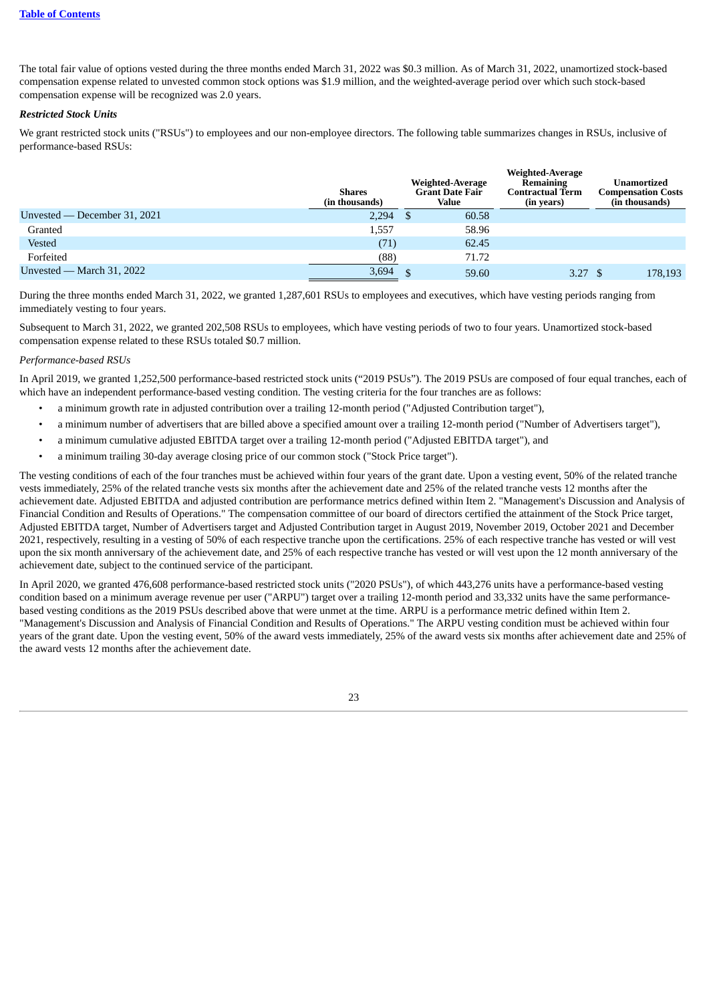The total fair value of options vested during the three months ended March 31, 2022 was \$0.3 million. As of March 31, 2022, unamortized stock-based compensation expense related to unvested common stock options was \$1.9 million, and the weighted-average period over which such stock-based compensation expense will be recognized was 2.0 years.

# *Restricted Stock Units*

We grant restricted stock units ("RSUs") to employees and our non-employee directors. The following table summarizes changes in RSUs, inclusive of performance-based RSUs:

|                              | Shares<br>(in thousands) |     | Weighted-Average<br><b>Grant Date Fair</b><br><b>Value</b> | Weighted-Average<br><b>Remaining</b><br><b>Contractual Term</b><br>(in years) | Unamortized<br><b>Compensation Costs</b><br>(in thousands) |
|------------------------------|--------------------------|-----|------------------------------------------------------------|-------------------------------------------------------------------------------|------------------------------------------------------------|
| Unvested — December 31, 2021 | 2,294                    | - S | 60.58                                                      |                                                                               |                                                            |
| Granted                      | 1,557                    |     | 58.96                                                      |                                                                               |                                                            |
| <b>Vested</b>                | (71)                     |     | 62.45                                                      |                                                                               |                                                            |
| Forfeited                    | (88)                     |     | 71.72                                                      |                                                                               |                                                            |
| Unvested — March 31, 2022    | 3,694                    |     | 59.60                                                      | 3.27                                                                          | 178.193                                                    |

During the three months ended March 31, 2022, we granted 1,287,601 RSUs to employees and executives, which have vesting periods ranging from immediately vesting to four years.

Subsequent to March 31, 2022, we granted 202,508 RSUs to employees, which have vesting periods of two to four years. Unamortized stock-based compensation expense related to these RSUs totaled \$0.7 million.

# *Performance-based RSUs*

In April 2019, we granted 1,252,500 performance-based restricted stock units ("2019 PSUs"). The 2019 PSUs are composed of four equal tranches, each of which have an independent performance-based vesting condition. The vesting criteria for the four tranches are as follows:

- a minimum growth rate in adjusted contribution over a trailing 12-month period ("Adjusted Contribution target"),
- a minimum number of advertisers that are billed above a specified amount over a trailing 12-month period ("Number of Advertisers target"),
- a minimum cumulative adjusted EBITDA target over a trailing 12-month period ("Adjusted EBITDA target"), and
- a minimum trailing 30-day average closing price of our common stock ("Stock Price target").

The vesting conditions of each of the four tranches must be achieved within four years of the grant date. Upon a vesting event, 50% of the related tranche vests immediately, 25% of the related tranche vests six months after the achievement date and 25% of the related tranche vests 12 months after the achievement date. Adjusted EBITDA and adjusted contribution are performance metrics defined within Item 2. "Management's Discussion and Analysis of Financial Condition and Results of Operations." The compensation committee of our board of directors certified the attainment of the Stock Price target, Adjusted EBITDA target, Number of Advertisers target and Adjusted Contribution target in August 2019, November 2019, October 2021 and December 2021, respectively, resulting in a vesting of 50% of each respective tranche upon the certifications. 25% of each respective tranche has vested or will vest upon the six month anniversary of the achievement date, and 25% of each respective tranche has vested or will vest upon the 12 month anniversary of the achievement date, subject to the continued service of the participant.

In April 2020, we granted 476,608 performance-based restricted stock units ("2020 PSUs"), of which 443,276 units have a performance-based vesting condition based on a minimum average revenue per user ("ARPU") target over a trailing 12-month period and 33,332 units have the same performancebased vesting conditions as the 2019 PSUs described above that were unmet at the time. ARPU is a performance metric defined within Item 2. "Management's Discussion and Analysis of Financial Condition and Results of Operations." The ARPU vesting condition must be achieved within four years of the grant date. Upon the vesting event, 50% of the award vests immediately, 25% of the award vests six months after achievement date and 25% of the award vests 12 months after the achievement date.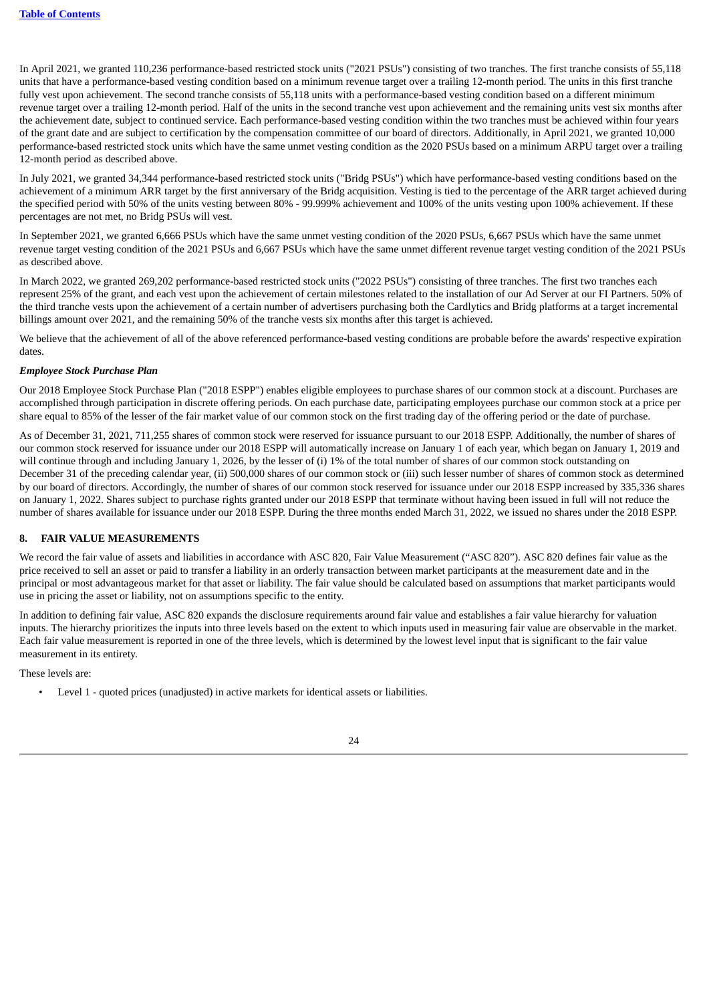In April 2021, we granted 110,236 performance-based restricted stock units ("2021 PSUs") consisting of two tranches. The first tranche consists of 55,118 units that have a performance-based vesting condition based on a minimum revenue target over a trailing 12-month period. The units in this first tranche fully vest upon achievement. The second tranche consists of 55,118 units with a performance-based vesting condition based on a different minimum revenue target over a trailing 12-month period. Half of the units in the second tranche vest upon achievement and the remaining units vest six months after the achievement date, subject to continued service. Each performance-based vesting condition within the two tranches must be achieved within four years of the grant date and are subject to certification by the compensation committee of our board of directors. Additionally, in April 2021, we granted 10,000 performance-based restricted stock units which have the same unmet vesting condition as the 2020 PSUs based on a minimum ARPU target over a trailing 12-month period as described above.

In July 2021, we granted 34,344 performance-based restricted stock units ("Bridg PSUs") which have performance-based vesting conditions based on the achievement of a minimum ARR target by the first anniversary of the Bridg acquisition. Vesting is tied to the percentage of the ARR target achieved during the specified period with 50% of the units vesting between 80% - 99.999% achievement and 100% of the units vesting upon 100% achievement. If these percentages are not met, no Bridg PSUs will vest.

In September 2021, we granted 6,666 PSUs which have the same unmet vesting condition of the 2020 PSUs, 6,667 PSUs which have the same unmet revenue target vesting condition of the 2021 PSUs and 6,667 PSUs which have the same unmet different revenue target vesting condition of the 2021 PSUs as described above.

In March 2022, we granted 269,202 performance-based restricted stock units ("2022 PSUs") consisting of three tranches. The first two tranches each represent 25% of the grant, and each vest upon the achievement of certain milestones related to the installation of our Ad Server at our FI Partners. 50% of the third tranche vests upon the achievement of a certain number of advertisers purchasing both the Cardlytics and Bridg platforms at a target incremental billings amount over 2021, and the remaining 50% of the tranche vests six months after this target is achieved.

We believe that the achievement of all of the above referenced performance-based vesting conditions are probable before the awards' respective expiration dates.

#### *Employee Stock Purchase Plan*

Our 2018 Employee Stock Purchase Plan ("2018 ESPP") enables eligible employees to purchase shares of our common stock at a discount. Purchases are accomplished through participation in discrete offering periods. On each purchase date, participating employees purchase our common stock at a price per share equal to 85% of the lesser of the fair market value of our common stock on the first trading day of the offering period or the date of purchase.

As of December 31, 2021, 711,255 shares of common stock were reserved for issuance pursuant to our 2018 ESPP. Additionally, the number of shares of our common stock reserved for issuance under our 2018 ESPP will automatically increase on January 1 of each year, which began on January 1, 2019 and will continue through and including January 1, 2026, by the lesser of (i) 1% of the total number of shares of our common stock outstanding on December 31 of the preceding calendar year, (ii) 500,000 shares of our common stock or (iii) such lesser number of shares of common stock as determined by our board of directors. Accordingly, the number of shares of our common stock reserved for issuance under our 2018 ESPP increased by 335,336 shares on January 1, 2022. Shares subject to purchase rights granted under our 2018 ESPP that terminate without having been issued in full will not reduce the number of shares available for issuance under our 2018 ESPP. During the three months ended March 31, 2022, we issued no shares under the 2018 ESPP.

#### **8. FAIR VALUE MEASUREMENTS**

We record the fair value of assets and liabilities in accordance with ASC 820, Fair Value Measurement ("ASC 820"). ASC 820 defines fair value as the price received to sell an asset or paid to transfer a liability in an orderly transaction between market participants at the measurement date and in the principal or most advantageous market for that asset or liability. The fair value should be calculated based on assumptions that market participants would use in pricing the asset or liability, not on assumptions specific to the entity.

In addition to defining fair value, ASC 820 expands the disclosure requirements around fair value and establishes a fair value hierarchy for valuation inputs. The hierarchy prioritizes the inputs into three levels based on the extent to which inputs used in measuring fair value are observable in the market. Each fair value measurement is reported in one of the three levels, which is determined by the lowest level input that is significant to the fair value measurement in its entirety.

These levels are:

• Level 1 - quoted prices (unadjusted) in active markets for identical assets or liabilities.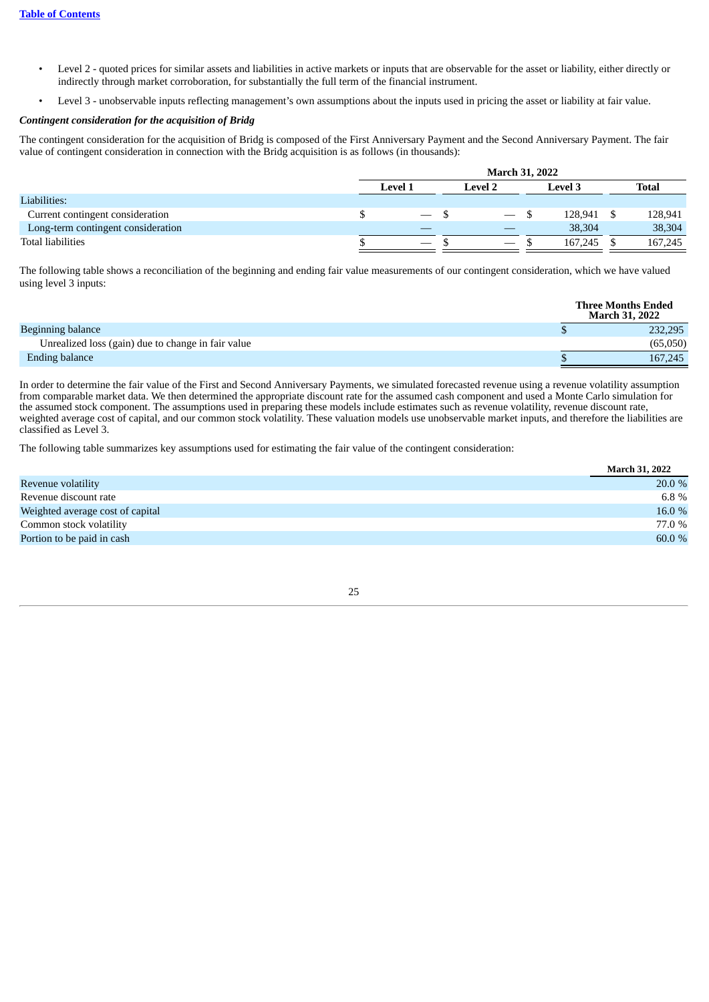- Level 2 quoted prices for similar assets and liabilities in active markets or inputs that are observable for the asset or liability, either directly or indirectly through market corroboration, for substantially the full term of the financial instrument.
- Level 3 unobservable inputs reflecting management's own assumptions about the inputs used in pricing the asset or liability at fair value.

#### *Contingent consideration for the acquisition of Bridg*

The contingent consideration for the acquisition of Bridg is composed of the First Anniversary Payment and the Second Anniversary Payment. The fair value of contingent consideration in connection with the Bridg acquisition is as follows (in thousands):

|                                    | <b>March 31, 2022</b> |                                 |  |                          |  |                |  |              |  |
|------------------------------------|-----------------------|---------------------------------|--|--------------------------|--|----------------|--|--------------|--|
|                                    |                       | Level 1                         |  | Level 2                  |  | <b>Level</b> 3 |  | <b>Total</b> |  |
| Liabilities:                       |                       |                                 |  |                          |  |                |  |              |  |
| Current contingent consideration   |                       | $\hspace{0.1mm}-\hspace{0.1mm}$ |  | $\overline{\phantom{m}}$ |  | 128,941        |  | 128,941      |  |
| Long-term contingent consideration |                       | _                               |  |                          |  | 38,304         |  | 38,304       |  |
| Total liabilities                  |                       | $\hspace{0.1mm}-\hspace{0.1mm}$ |  | $\hspace{0.05cm}$        |  | 167,245        |  | 167,245      |  |

The following table shows a reconciliation of the beginning and ending fair value measurements of our contingent consideration, which we have valued using level 3 inputs:

|                                                    | <b>Three Months Ended</b><br><b>March 31, 2022</b> |
|----------------------------------------------------|----------------------------------------------------|
| Beginning balance                                  | 232,295                                            |
| Unrealized loss (gain) due to change in fair value | (65,050)                                           |
| Ending balance                                     | 167,245                                            |

In order to determine the fair value of the First and Second Anniversary Payments, we simulated forecasted revenue using a revenue volatility assumption from comparable market data. We then determined the appropriate discount rate for the assumed cash component and used a Monte Carlo simulation for the assumed stock component. The assumptions used in preparing these models include estimates such as revenue volatility, revenue discount rate, weighted average cost of capital, and our common stock volatility. These valuation models use unobservable market inputs, and therefore the liabilities are classified as Level 3.

The following table summarizes key assumptions used for estimating the fair value of the contingent consideration:

|                                  | <b>March 31, 2022</b> |
|----------------------------------|-----------------------|
| Revenue volatility               | $20.0\%$              |
| Revenue discount rate            | 6.8 $%$               |
| Weighted average cost of capital | 16.0 %                |
| Common stock volatility          | 77.0 %                |
| Portion to be paid in cash       | 60.0 %                |

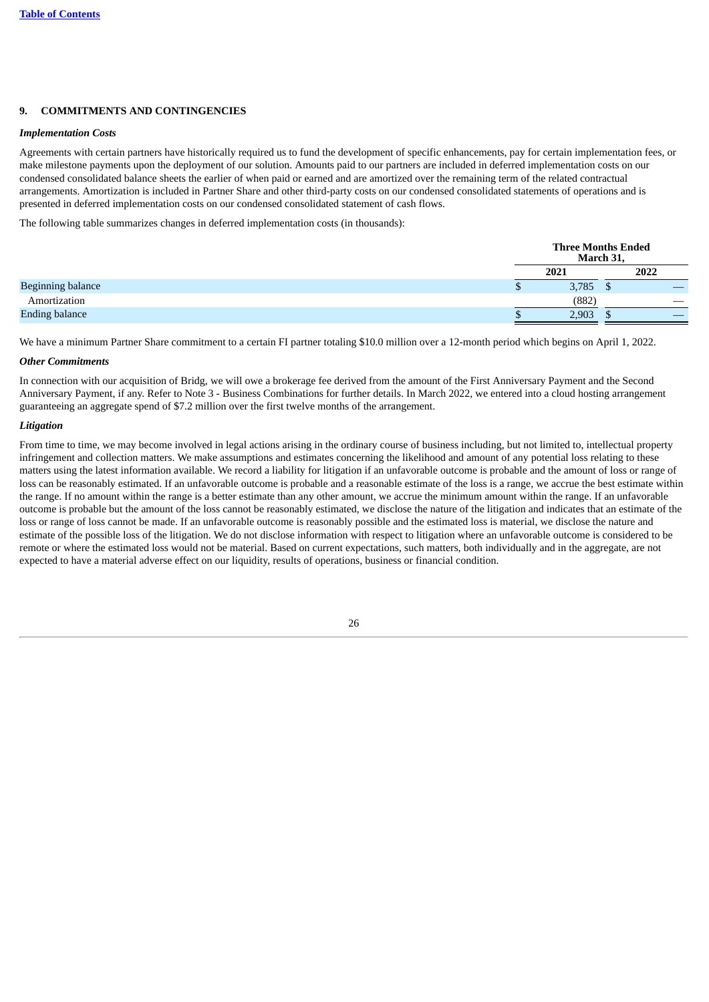# **9. COMMITMENTS AND CONTINGENCIES**

#### *Implementation Costs*

Agreements with certain partners have historically required us to fund the development of specific enhancements, pay for certain implementation fees, or make milestone payments upon the deployment of our solution. Amounts paid to our partners are included in deferred implementation costs on our condensed consolidated balance sheets the earlier of when paid or earned and are amortized over the remaining term of the related contractual arrangements. Amortization is included in Partner Share and other third-party costs on our condensed consolidated statements of operations and is presented in deferred implementation costs on our condensed consolidated statement of cash flows.

The following table summarizes changes in deferred implementation costs (in thousands):

|                          |   | <b>Three Months Ended</b> | March 31, |      |
|--------------------------|---|---------------------------|-----------|------|
|                          |   | 2021                      |           | 2022 |
| <b>Beginning balance</b> | D | 3,785                     |           |      |
| Amortization             |   | (882)                     |           |      |
| <b>Ending balance</b>    | D | 2,903                     |           |      |

We have a minimum Partner Share commitment to a certain FI partner totaling \$10.0 million over a 12-month period which begins on April 1, 2022.

#### *Other Commitments*

In connection with our acquisition of Bridg, we will owe a brokerage fee derived from the amount of the First Anniversary Payment and the Second Anniversary Payment, if any. Refer to Note 3 - Business Combinations for further details. In March 2022, we entered into a cloud hosting arrangement guaranteeing an aggregate spend of \$7.2 million over the first twelve months of the arrangement.

#### *Litigation*

From time to time, we may become involved in legal actions arising in the ordinary course of business including, but not limited to, intellectual property infringement and collection matters. We make assumptions and estimates concerning the likelihood and amount of any potential loss relating to these matters using the latest information available. We record a liability for litigation if an unfavorable outcome is probable and the amount of loss or range of loss can be reasonably estimated. If an unfavorable outcome is probable and a reasonable estimate of the loss is a range, we accrue the best estimate within the range. If no amount within the range is a better estimate than any other amount, we accrue the minimum amount within the range. If an unfavorable outcome is probable but the amount of the loss cannot be reasonably estimated, we disclose the nature of the litigation and indicates that an estimate of the loss or range of loss cannot be made. If an unfavorable outcome is reasonably possible and the estimated loss is material, we disclose the nature and estimate of the possible loss of the litigation. We do not disclose information with respect to litigation where an unfavorable outcome is considered to be remote or where the estimated loss would not be material. Based on current expectations, such matters, both individually and in the aggregate, are not expected to have a material adverse effect on our liquidity, results of operations, business or financial condition.

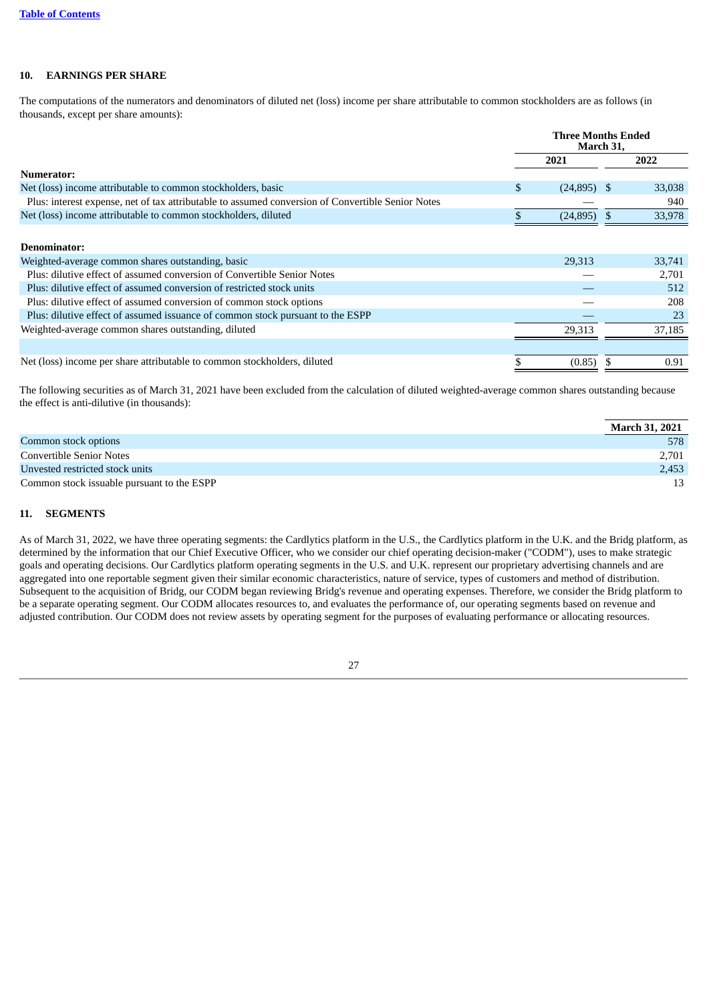# **10. EARNINGS PER SHARE**

The computations of the numerators and denominators of diluted net (loss) income per share attributable to common stockholders are as follows (in thousands, except per share amounts):

|                                                                                                   | <b>Three Months Ended</b><br>March 31, |               |  |        |  |  |  |
|---------------------------------------------------------------------------------------------------|----------------------------------------|---------------|--|--------|--|--|--|
|                                                                                                   |                                        | 2021          |  | 2022   |  |  |  |
| Numerator:                                                                                        |                                        |               |  |        |  |  |  |
| Net (loss) income attributable to common stockholders, basic                                      | \$                                     | $(24,895)$ \$ |  | 33,038 |  |  |  |
| Plus: interest expense, net of tax attributable to assumed conversion of Convertible Senior Notes |                                        |               |  | 940    |  |  |  |
| Net (loss) income attributable to common stockholders, diluted                                    |                                        | (24, 895)     |  | 33,978 |  |  |  |
| Denominator:                                                                                      |                                        |               |  |        |  |  |  |
| Weighted-average common shares outstanding, basic                                                 |                                        | 29,313        |  | 33,741 |  |  |  |
| Plus: dilutive effect of assumed conversion of Convertible Senior Notes                           |                                        |               |  | 2,701  |  |  |  |
| Plus: dilutive effect of assumed conversion of restricted stock units                             |                                        |               |  | 512    |  |  |  |
| Plus: dilutive effect of assumed conversion of common stock options                               |                                        |               |  | 208    |  |  |  |
| Plus: dilutive effect of assumed issuance of common stock pursuant to the ESPP                    |                                        |               |  | 23     |  |  |  |
| Weighted-average common shares outstanding, diluted                                               |                                        | 29,313        |  | 37,185 |  |  |  |
|                                                                                                   |                                        |               |  |        |  |  |  |
| Net (loss) income per share attributable to common stockholders, diluted                          |                                        | (0.85)        |  | 0.91   |  |  |  |
|                                                                                                   |                                        |               |  |        |  |  |  |

The following securities as of March 31, 2021 have been excluded from the calculation of diluted weighted-average common shares outstanding because the effect is anti-dilutive (in thousands):

|                                            | <b>March 31, 2021</b> |
|--------------------------------------------|-----------------------|
| Common stock options                       | 578                   |
| Convertible Senior Notes                   | 2.701                 |
| Unvested restricted stock units            | 2,453                 |
| Common stock issuable pursuant to the ESPP |                       |

# **11. SEGMENTS**

As of March 31, 2022, we have three operating segments: the Cardlytics platform in the U.S., the Cardlytics platform in the U.K. and the Bridg platform, as determined by the information that our Chief Executive Officer, who we consider our chief operating decision-maker ("CODM"), uses to make strategic goals and operating decisions. Our Cardlytics platform operating segments in the U.S. and U.K. represent our proprietary advertising channels and are aggregated into one reportable segment given their similar economic characteristics, nature of service, types of customers and method of distribution. Subsequent to the acquisition of Bridg, our CODM began reviewing Bridg's revenue and operating expenses. Therefore, we consider the Bridg platform to be a separate operating segment. Our CODM allocates resources to, and evaluates the performance of, our operating segments based on revenue and adjusted contribution. Our CODM does not review assets by operating segment for the purposes of evaluating performance or allocating resources.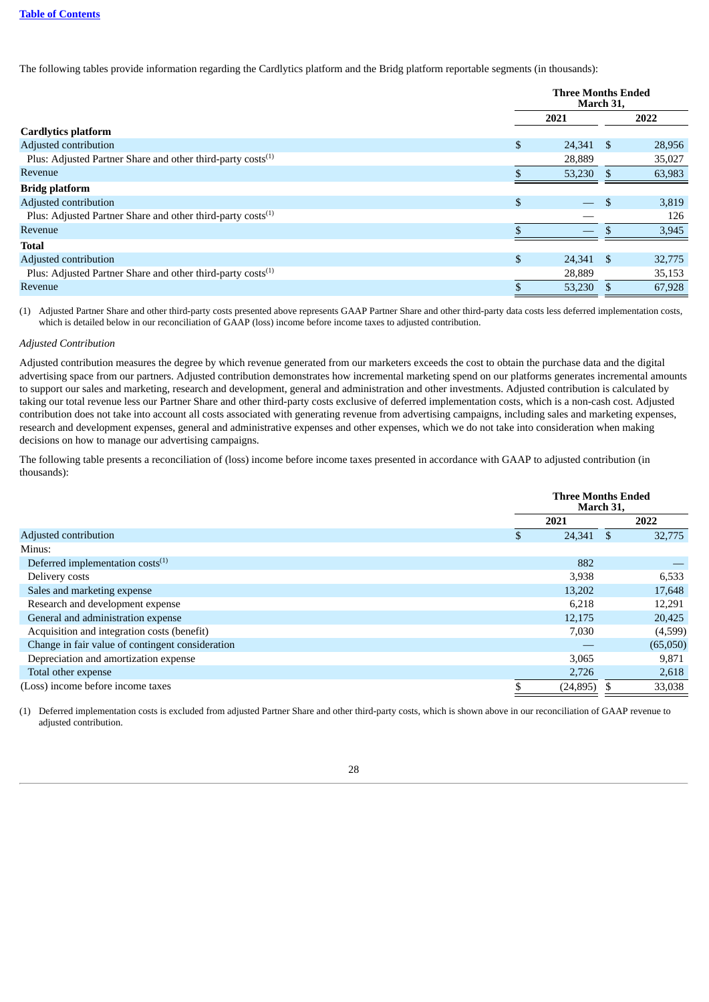The following tables provide information regarding the Cardlytics platform and the Bridg platform reportable segments (in thousands):

|                                                                         | <b>Three Months Ended</b><br>March 31, |           |  |        |  |  |  |  |
|-------------------------------------------------------------------------|----------------------------------------|-----------|--|--------|--|--|--|--|
|                                                                         |                                        | 2021      |  | 2022   |  |  |  |  |
| <b>Cardlytics platform</b>                                              |                                        |           |  |        |  |  |  |  |
| Adjusted contribution                                                   | \$                                     | 24,341 \$ |  | 28,956 |  |  |  |  |
| Plus: Adjusted Partner Share and other third-party $costs^{(1)}$        |                                        | 28,889    |  | 35,027 |  |  |  |  |
| Revenue                                                                 |                                        | 53,230    |  | 63,983 |  |  |  |  |
| <b>Bridg platform</b>                                                   |                                        |           |  |        |  |  |  |  |
| Adjusted contribution                                                   | \$                                     |           |  | 3,819  |  |  |  |  |
| Plus: Adjusted Partner Share and other third-party $costs^{(1)}$        |                                        |           |  | 126    |  |  |  |  |
| Revenue                                                                 |                                        |           |  | 3,945  |  |  |  |  |
| <b>Total</b>                                                            |                                        |           |  |        |  |  |  |  |
| Adjusted contribution                                                   | \$.                                    | 24,341 \$ |  | 32,775 |  |  |  |  |
| Plus: Adjusted Partner Share and other third-party costs <sup>(1)</sup> |                                        | 28,889    |  | 35,153 |  |  |  |  |
| Revenue                                                                 |                                        | 53,230    |  | 67,928 |  |  |  |  |

(1) Adjusted Partner Share and other third-party costs presented above represents GAAP Partner Share and other third-party data costs less deferred implementation costs, which is detailed below in our reconciliation of GAAP (loss) income before income taxes to adjusted contribution.

#### *Adjusted Contribution*

Adjusted contribution measures the degree by which revenue generated from our marketers exceeds the cost to obtain the purchase data and the digital advertising space from our partners. Adjusted contribution demonstrates how incremental marketing spend on our platforms generates incremental amounts to support our sales and marketing, research and development, general and administration and other investments. Adjusted contribution is calculated by taking our total revenue less our Partner Share and other third-party costs exclusive of deferred implementation costs, which is a non-cash cost. Adjusted contribution does not take into account all costs associated with generating revenue from advertising campaigns, including sales and marketing expenses, research and development expenses, general and administrative expenses and other expenses, which we do not take into consideration when making decisions on how to manage our advertising campaigns.

The following table presents a reconciliation of (loss) income before income taxes presented in accordance with GAAP to adjusted contribution (in thousands):

|                                                  | <b>Three Months Ended</b> | March 31, |          |
|--------------------------------------------------|---------------------------|-----------|----------|
|                                                  | 2021                      |           | 2022     |
| Adjusted contribution                            | 24,341 \$<br>\$.          |           | 32,775   |
| Minus:                                           |                           |           |          |
| Deferred implementation $costs^{(1)}$            | 882                       |           |          |
| Delivery costs                                   | 3,938                     |           | 6,533    |
| Sales and marketing expense                      | 13,202                    |           | 17,648   |
| Research and development expense                 | 6,218                     |           | 12,291   |
| General and administration expense               | 12,175                    |           | 20,425   |
| Acquisition and integration costs (benefit)      | 7,030                     |           | (4,599)  |
| Change in fair value of contingent consideration |                           |           | (65,050) |
| Depreciation and amortization expense            | 3,065                     |           | 9,871    |
| Total other expense                              | 2,726                     |           | 2,618    |
| (Loss) income before income taxes                | (24, 895)                 |           | 33,038   |

(1) Deferred implementation costs is excluded from adjusted Partner Share and other third-party costs, which is shown above in our reconciliation of GAAP revenue to adjusted contribution.

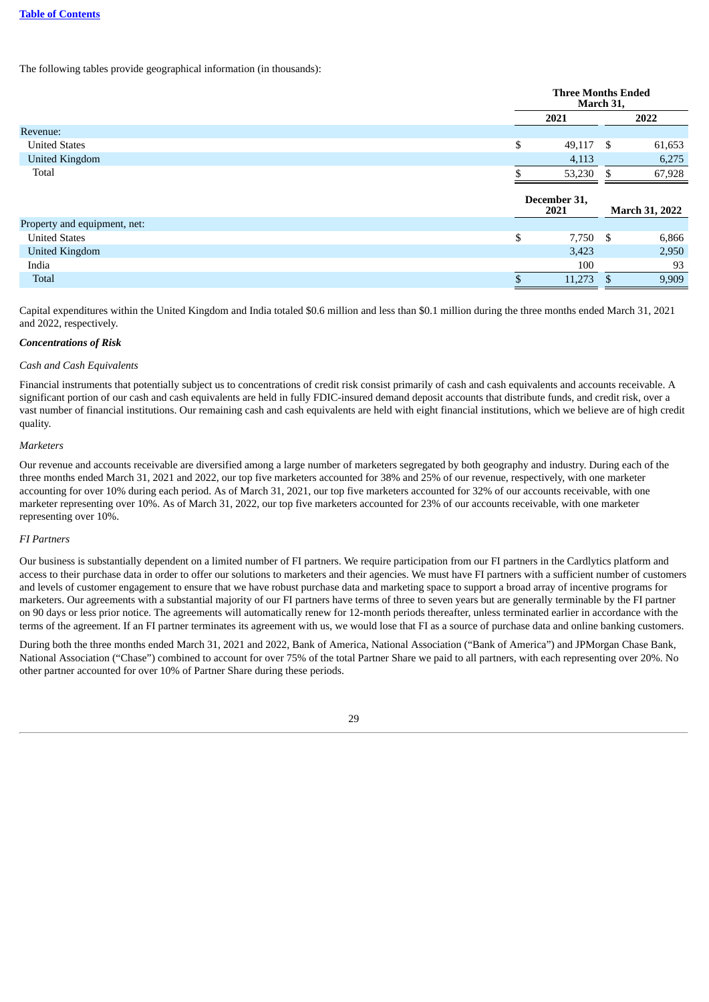The following tables provide geographical information (in thousands):

|                              | <b>Three Months Ended</b> | March 31, |                       |
|------------------------------|---------------------------|-----------|-----------------------|
|                              | 2021                      |           | 2022                  |
| Revenue:                     |                           |           |                       |
| <b>United States</b>         | \$<br>49,117 \$           |           | 61,653                |
| <b>United Kingdom</b>        | 4,113                     |           | 6,275                 |
| Total                        | 53,230                    | S.        | 67,928                |
|                              | December 31,<br>2021      |           | <b>March 31, 2022</b> |
| Property and equipment, net: |                           |           |                       |
| <b>United States</b>         | \$<br>7,750 \$            |           | 6,866                 |
| <b>United Kingdom</b>        | 3,423                     |           | 2,950                 |
| India                        | 100                       |           | 93                    |
| <b>Total</b>                 | 11,273                    | \$.       | 9,909                 |

Capital expenditures within the United Kingdom and India totaled \$0.6 million and less than \$0.1 million during the three months ended March 31, 2021 and 2022, respectively.

#### *Concentrations of Risk*

#### *Cash and Cash Equivalents*

Financial instruments that potentially subject us to concentrations of credit risk consist primarily of cash and cash equivalents and accounts receivable. A significant portion of our cash and cash equivalents are held in fully FDIC-insured demand deposit accounts that distribute funds, and credit risk, over a vast number of financial institutions. Our remaining cash and cash equivalents are held with eight financial institutions, which we believe are of high credit quality.

#### *Marketers*

Our revenue and accounts receivable are diversified among a large number of marketers segregated by both geography and industry. During each of the three months ended March 31, 2021 and 2022, our top five marketers accounted for 38% and 25% of our revenue, respectively, with one marketer accounting for over 10% during each period. As of March 31, 2021, our top five marketers accounted for 32% of our accounts receivable, with one marketer representing over 10%. As of March 31, 2022, our top five marketers accounted for 23% of our accounts receivable, with one marketer representing over 10%.

# *FI Partners*

Our business is substantially dependent on a limited number of FI partners. We require participation from our FI partners in the Cardlytics platform and access to their purchase data in order to offer our solutions to marketers and their agencies. We must have FI partners with a sufficient number of customers and levels of customer engagement to ensure that we have robust purchase data and marketing space to support a broad array of incentive programs for marketers. Our agreements with a substantial majority of our FI partners have terms of three to seven years but are generally terminable by the FI partner on 90 days or less prior notice. The agreements will automatically renew for 12-month periods thereafter, unless terminated earlier in accordance with the terms of the agreement. If an FI partner terminates its agreement with us, we would lose that FI as a source of purchase data and online banking customers.

<span id="page-29-0"></span>During both the three months ended March 31, 2021 and 2022, Bank of America, National Association ("Bank of America") and JPMorgan Chase Bank, National Association ("Chase") combined to account for over 75% of the total Partner Share we paid to all partners, with each representing over 20%. No other partner accounted for over 10% of Partner Share during these periods.

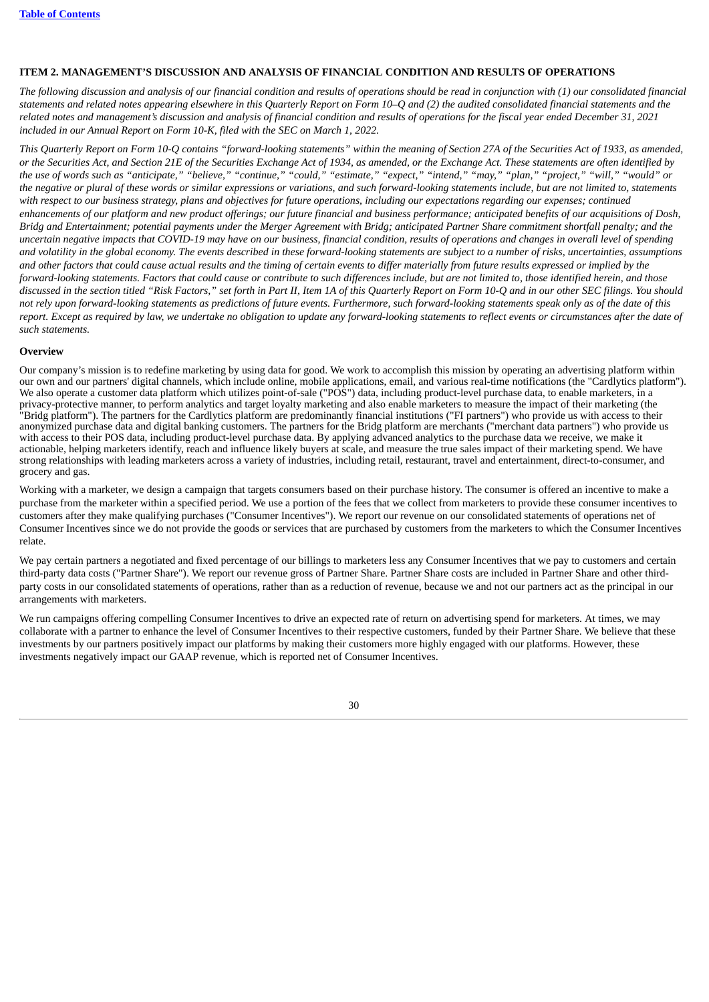# **ITEM 2. MANAGEMENT'S DISCUSSION AND ANALYSIS OF FINANCIAL CONDITION AND RESULTS OF OPERATIONS**

The following discussion and analysis of our financial condition and results of operations should be read in conjunction with (1) our consolidated financial statements and related notes appearing elsewhere in this Quarterly Report on Form 10-Q and (2) the audited consolidated financial statements and the related notes and management's discussion and analysis of financial condition and results of operations for the fiscal year ended December 31, 2021 *included in our Annual Report on Form 10-K, filed with the SEC on March 1, 2022.*

This Quarterly Report on Form 10-Q contains "forward-looking statements" within the meaning of Section 27A of the Securities Act of 1933, as amended, or the Securities Act, and Section 21E of the Securities Exchange Act of 1934, as amended, or the Exchange Act. These statements are often identified by the use of words such as "anticipate," "believe," "continue," "could," "estimate," "expect," "intend," "may," "plan," "project," "will," "would" or the negative or plural of these words or similar expressions or variations, and such forward-looking statements include, but are not limited to, statements with respect to our business strategy, plans and objectives for future operations, including our expectations regarding our expenses; continued enhancements of our platform and new product offerings; our future financial and business performance; anticipated benefits of our acquisitions of Dosh, Bridg and Entertainment; potential payments under the Merger Agreement with Bridg; anticipated Partner Share commitment shortfall penalty; and the uncertain negative impacts that COVID-19 may have on our business, financial condition, results of operations and changes in overall level of spending and volatility in the global economy. The events described in these forward-looking statements are subject to a number of risks, uncertainties, assumptions and other factors that could cause actual results and the timing of certain events to differ materially from future results expressed or implied by the forward-looking statements. Factors that could cause or contribute to such differences include, but are not limited to, those identified herein, and those discussed in the section titled "Risk Factors," set forth in Part II, Item 1A of this Quarterly Report on Form 10-Q and in our other SEC filings. You should not rely upon forward-looking statements as predictions of future events. Furthermore, such forward-looking statements speak only as of the date of this report. Except as required by law, we undertake no obligation to update any forward-looking statements to reflect events or circumstances after the date of *such statements.*

#### **Overview**

Our company's mission is to redefine marketing by using data for good. We work to accomplish this mission by operating an advertising platform within our own and our partners' digital channels, which include online, mobile applications, email, and various real-time notifications (the "Cardlytics platform"). We also operate a customer data platform which utilizes point-of-sale ("POS") data, including product-level purchase data, to enable marketers, in a privacy-protective manner, to perform analytics and target loyalty marketing and also enable marketers to measure the impact of their marketing (the "Bridg platform"). The partners for the Cardlytics platform are predominantly financial institutions ("FI partners") who provide us with access to their anonymized purchase data and digital banking customers. The partners for the Bridg platform are merchants ("merchant data partners") who provide us with access to their POS data, including product-level purchase data. By applying advanced analytics to the purchase data we receive, we make it actionable, helping marketers identify, reach and influence likely buyers at scale, and measure the true sales impact of their marketing spend. We have strong relationships with leading marketers across a variety of industries, including retail, restaurant, travel and entertainment, direct-to-consumer, and grocery and gas.

Working with a marketer, we design a campaign that targets consumers based on their purchase history. The consumer is offered an incentive to make a purchase from the marketer within a specified period. We use a portion of the fees that we collect from marketers to provide these consumer incentives to customers after they make qualifying purchases ("Consumer Incentives"). We report our revenue on our consolidated statements of operations net of Consumer Incentives since we do not provide the goods or services that are purchased by customers from the marketers to which the Consumer Incentives relate.

We pay certain partners a negotiated and fixed percentage of our billings to marketers less any Consumer Incentives that we pay to customers and certain third-party data costs ("Partner Share"). We report our revenue gross of Partner Share. Partner Share costs are included in Partner Share and other thirdparty costs in our consolidated statements of operations, rather than as a reduction of revenue, because we and not our partners act as the principal in our arrangements with marketers.

We run campaigns offering compelling Consumer Incentives to drive an expected rate of return on advertising spend for marketers. At times, we may collaborate with a partner to enhance the level of Consumer Incentives to their respective customers, funded by their Partner Share. We believe that these investments by our partners positively impact our platforms by making their customers more highly engaged with our platforms. However, these investments negatively impact our GAAP revenue, which is reported net of Consumer Incentives.

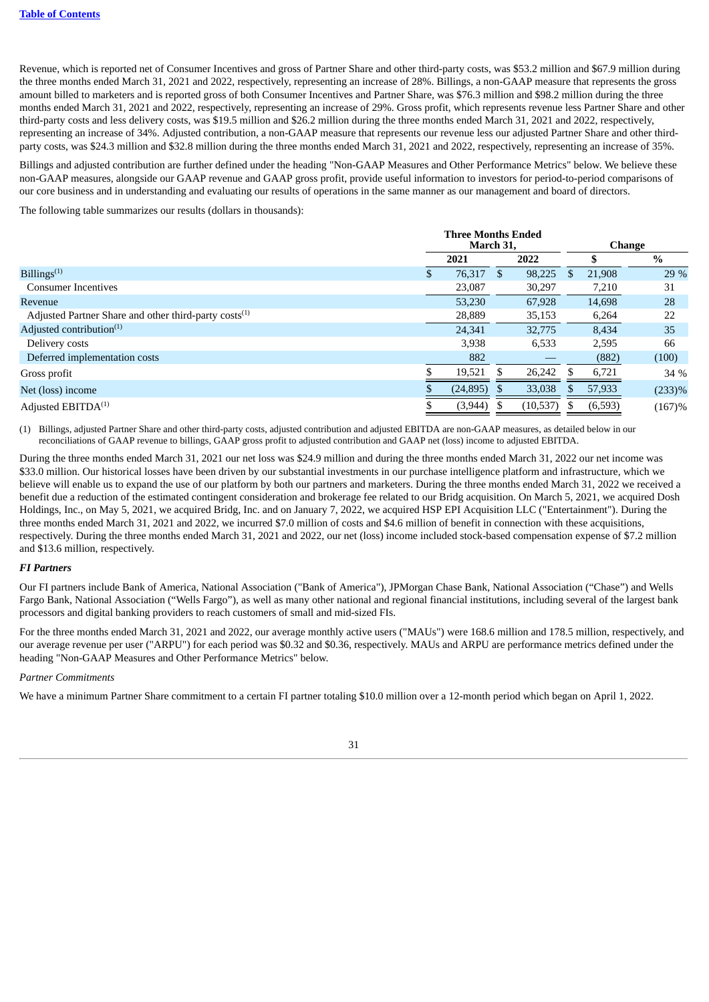Revenue, which is reported net of Consumer Incentives and gross of Partner Share and other third-party costs, was \$53.2 million and \$67.9 million during the three months ended March 31, 2021 and 2022, respectively, representing an increase of 28%. Billings, a non-GAAP measure that represents the gross amount billed to marketers and is reported gross of both Consumer Incentives and Partner Share, was \$76.3 million and \$98.2 million during the three months ended March 31, 2021 and 2022, respectively, representing an increase of 29%. Gross profit, which represents revenue less Partner Share and other third-party costs and less delivery costs, was \$19.5 million and \$26.2 million during the three months ended March 31, 2021 and 2022, respectively, representing an increase of 34%. Adjusted contribution, a non-GAAP measure that represents our revenue less our adjusted Partner Share and other thirdparty costs, was \$24.3 million and \$32.8 million during the three months ended March 31, 2021 and 2022, respectively, representing an increase of 35%.

Billings and adjusted contribution are further defined under the heading "Non-GAAP Measures and Other Performance Metrics" below. We believe these non-GAAP measures, alongside our GAAP revenue and GAAP gross profit, provide useful information to investors for period-to-period comparisons of our core business and in understanding and evaluating our results of operations in the same manner as our management and board of directors.

The following table summarizes our results (dollars in thousands):

|                                                                   |   | <b>Three Months Ended</b><br>March 31, |    |           |     |         | <b>Change</b> |  |
|-------------------------------------------------------------------|---|----------------------------------------|----|-----------|-----|---------|---------------|--|
|                                                                   |   | 2021                                   |    | 2022      |     |         | $\%$          |  |
| Billings <sup>(1)</sup>                                           | Ъ | 76,317                                 | -S | 98,225    | S   | 21,908  | 29 %          |  |
| <b>Consumer Incentives</b>                                        |   | 23,087                                 |    | 30,297    |     | 7,210   | 31            |  |
| Revenue                                                           |   | 53,230                                 |    | 67,928    |     | 14,698  | 28            |  |
| Adjusted Partner Share and other third-party costs <sup>(1)</sup> |   | 28,889                                 |    | 35,153    |     | 6,264   | 22            |  |
| Adjusted contribution <sup>(1)</sup>                              |   | 24,341                                 |    | 32,775    |     | 8,434   | 35            |  |
| Delivery costs                                                    |   | 3,938                                  |    | 6,533     |     | 2,595   | 66            |  |
| Deferred implementation costs                                     |   | 882                                    |    |           |     | (882)   | (100)         |  |
| Gross profit                                                      |   | 19,521                                 |    | 26,242    |     | 6,721   | 34 %          |  |
| Net (loss) income                                                 |   | (24, 895)                              | -S | 33,038    | \$. | 57,933  | (233)%        |  |
| Adjusted EBITDA <sup>(1)</sup>                                    |   | (3,944)                                |    | (10, 537) |     | (6,593) | (167)%        |  |

(1) Billings, adjusted Partner Share and other third-party costs, adjusted contribution and adjusted EBITDA are non-GAAP measures, as detailed below in our reconciliations of GAAP revenue to billings, GAAP gross profit to adjusted contribution and GAAP net (loss) income to adjusted EBITDA.

During the three months ended March 31, 2021 our net loss was \$24.9 million and during the three months ended March 31, 2022 our net income was \$33.0 million. Our historical losses have been driven by our substantial investments in our purchase intelligence platform and infrastructure, which we believe will enable us to expand the use of our platform by both our partners and marketers. During the three months ended March 31, 2022 we received a benefit due a reduction of the estimated contingent consideration and brokerage fee related to our Bridg acquisition. On March 5, 2021, we acquired Dosh Holdings, Inc., on May 5, 2021, we acquired Bridg, Inc. and on January 7, 2022, we acquired HSP EPI Acquisition LLC ("Entertainment"). During the three months ended March 31, 2021 and 2022, we incurred \$7.0 million of costs and \$4.6 million of benefit in connection with these acquisitions, respectively. During the three months ended March 31, 2021 and 2022, our net (loss) income included stock-based compensation expense of \$7.2 million and \$13.6 million, respectively.

#### *FI Partners*

Our FI partners include Bank of America, National Association ("Bank of America"), JPMorgan Chase Bank, National Association ("Chase") and Wells Fargo Bank, National Association ("Wells Fargo"), as well as many other national and regional financial institutions, including several of the largest bank processors and digital banking providers to reach customers of small and mid-sized FIs.

For the three months ended March 31, 2021 and 2022, our average monthly active users ("MAUs") were 168.6 million and 178.5 million, respectively, and our average revenue per user ("ARPU") for each period was \$0.32 and \$0.36, respectively. MAUs and ARPU are performance metrics defined under the heading "Non-GAAP Measures and Other Performance Metrics" below.

#### *Partner Commitments*

We have a minimum Partner Share commitment to a certain FI partner totaling \$10.0 million over a 12-month period which began on April 1, 2022.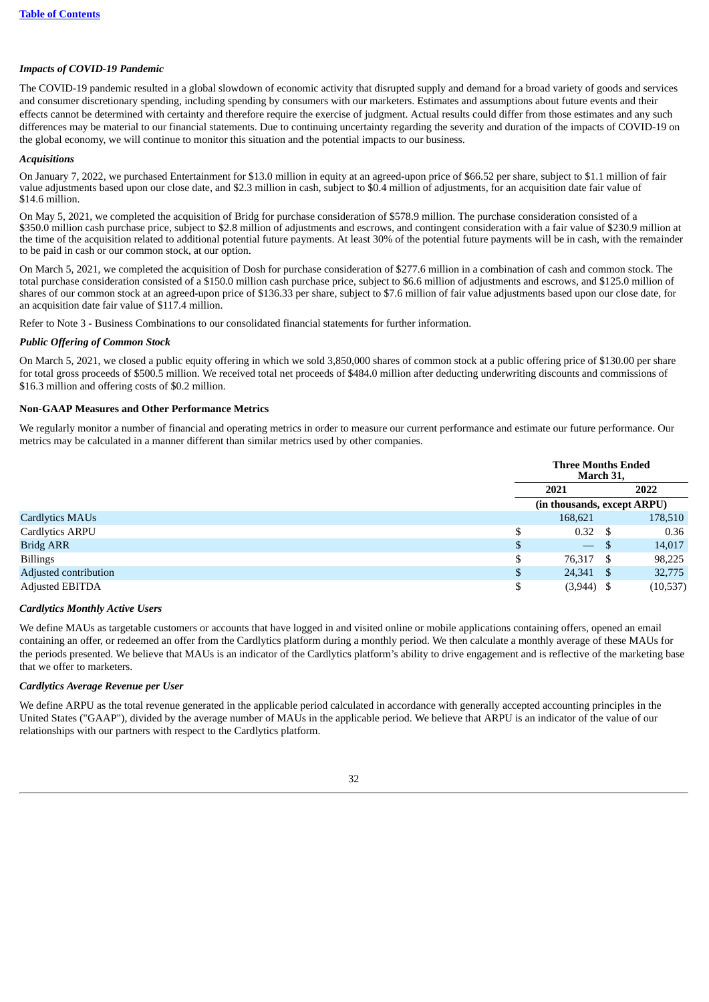#### *Impacts of COVID-19 Pandemic*

The COVID-19 pandemic resulted in a global slowdown of economic activity that disrupted supply and demand for a broad variety of goods and services and consumer discretionary spending, including spending by consumers with our marketers. Estimates and assumptions about future events and their effects cannot be determined with certainty and therefore require the exercise of judgment. Actual results could differ from those estimates and any such differences may be material to our financial statements. Due to continuing uncertainty regarding the severity and duration of the impacts of COVID-19 on the global economy, we will continue to monitor this situation and the potential impacts to our business.

#### *Acquisitions*

On January 7, 2022, we purchased Entertainment for \$13.0 million in equity at an agreed-upon price of \$66.52 per share, subject to \$1.1 million of fair value adjustments based upon our close date, and \$2.3 million in cash, subject to \$0.4 million of adjustments, for an acquisition date fair value of \$14.6 million.

On May 5, 2021, we completed the acquisition of Bridg for purchase consideration of \$578.9 million. The purchase consideration consisted of a \$350.0 million cash purchase price, subject to \$2.8 million of adjustments and escrows, and contingent consideration with a fair value of \$230.9 million at the time of the acquisition related to additional potential future payments. At least 30% of the potential future payments will be in cash, with the remainder to be paid in cash or our common stock, at our option.

On March 5, 2021, we completed the acquisition of Dosh for purchase consideration of \$277.6 million in a combination of cash and common stock. The total purchase consideration consisted of a \$150.0 million cash purchase price, subject to \$6.6 million of adjustments and escrows, and \$125.0 million of shares of our common stock at an agreed-upon price of \$136.33 per share, subject to \$7.6 million of fair value adjustments based upon our close date, for an acquisition date fair value of \$117.4 million.

Refer to Note 3 - Business Combinations to our consolidated financial statements for further information.

#### *Public Offering of Common Stock*

On March 5, 2021, we closed a public equity offering in which we sold 3,850,000 shares of common stock at a public offering price of \$130.00 per share for total gross proceeds of \$500.5 million. We received total net proceeds of \$484.0 million after deducting underwriting discounts and commissions of \$16.3 million and offering costs of \$0.2 million.

#### **Non-GAAP Measures and Other Performance Metrics**

We regularly monitor a number of financial and operating metrics in order to measure our current performance and estimate our future performance. Our metrics may be calculated in a manner different than similar metrics used by other companies.

|                        | <b>Three Months Ended</b><br>March 31, |          |           |  |  |
|------------------------|----------------------------------------|----------|-----------|--|--|
|                        | 2022<br>2021                           |          |           |  |  |
|                        | (in thousands, except ARPU)            |          |           |  |  |
| <b>Cardlytics MAUs</b> | 168,621                                |          | 178,510   |  |  |
| <b>Cardlytics ARPU</b> | \$<br>$0.32 \quad$ \$                  |          | 0.36      |  |  |
| <b>Bridg ARR</b>       | \$<br>$\overline{\phantom{0}}$         | <b>S</b> | 14,017    |  |  |
| <b>Billings</b>        | \$<br>76,317 \$                        |          | 98,225    |  |  |
| Adjusted contribution  | \$<br>24,341 \$                        |          | 32,775    |  |  |
| Adjusted EBITDA        | \$<br>$(3,944)$ \$                     |          | (10, 537) |  |  |

#### *Cardlytics Monthly Active Users*

We define MAUs as targetable customers or accounts that have logged in and visited online or mobile applications containing offers, opened an email containing an offer, or redeemed an offer from the Cardlytics platform during a monthly period. We then calculate a monthly average of these MAUs for the periods presented. We believe that MAUs is an indicator of the Cardlytics platform's ability to drive engagement and is reflective of the marketing base that we offer to marketers.

# *Cardlytics Average Revenue per User*

We define ARPU as the total revenue generated in the applicable period calculated in accordance with generally accepted accounting principles in the United States ("GAAP"), divided by the average number of MAUs in the applicable period. We believe that ARPU is an indicator of the value of our relationships with our partners with respect to the Cardlytics platform.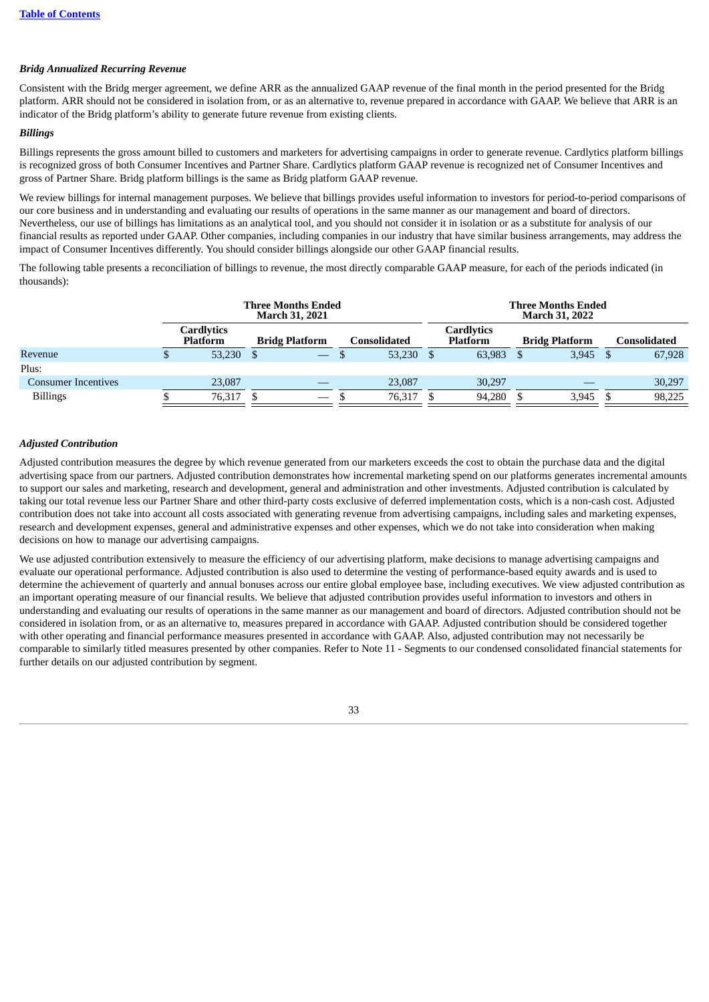# *Bridg Annualized Recurring Revenue*

Consistent with the Bridg merger agreement, we define ARR as the annualized GAAP revenue of the final month in the period presented for the Bridg platform. ARR should not be considered in isolation from, or as an alternative to, revenue prepared in accordance with GAAP. We believe that ARR is an indicator of the Bridg platform's ability to generate future revenue from existing clients.

### *Billings*

Billings represents the gross amount billed to customers and marketers for advertising campaigns in order to generate revenue. Cardlytics platform billings is recognized gross of both Consumer Incentives and Partner Share. Cardlytics platform GAAP revenue is recognized net of Consumer Incentives and gross of Partner Share. Bridg platform billings is the same as Bridg platform GAAP revenue.

We review billings for internal management purposes. We believe that billings provides useful information to investors for period-to-period comparisons of our core business and in understanding and evaluating our results of operations in the same manner as our management and board of directors. Nevertheless, our use of billings has limitations as an analytical tool, and you should not consider it in isolation or as a substitute for analysis of our financial results as reported under GAAP. Other companies, including companies in our industry that have similar business arrangements, may address the impact of Consumer Incentives differently. You should consider billings alongside our other GAAP financial results.

The following table presents a reconciliation of billings to revenue, the most directly comparable GAAP measure, for each of the periods indicated (in thousands):

|                            |                                                                        |  | <b>Three Months Ended</b><br><b>March 31, 2021</b> |  |                                      |                       |        | <b>Three Months Ended</b> |  |        |
|----------------------------|------------------------------------------------------------------------|--|----------------------------------------------------|--|--------------------------------------|-----------------------|--------|---------------------------|--|--------|
|                            | Cardlytics<br><b>Platform</b><br><b>Bridg Platform</b><br>Consolidated |  |                                                    |  | <b>Cardlytics</b><br><b>Platform</b> | <b>Bridg Platform</b> |        | <b>Consolidated</b>       |  |        |
| Revenue                    | 53,230                                                                 |  | $\hspace{0.1mm}-\hspace{0.1mm}$                    |  | 53,230                               |                       | 63,983 | $3,945$ \$                |  | 67,928 |
| Plus:                      |                                                                        |  |                                                    |  |                                      |                       |        |                           |  |        |
| <b>Consumer Incentives</b> | 23,087                                                                 |  |                                                    |  | 23,087                               |                       | 30.297 |                           |  | 30,297 |
| <b>Billings</b>            | 76,317                                                                 |  | $\hspace{0.05cm}$                                  |  | 76,317                               |                       | 94,280 | 3,945                     |  | 98,225 |

# *Adjusted Contribution*

Adjusted contribution measures the degree by which revenue generated from our marketers exceeds the cost to obtain the purchase data and the digital advertising space from our partners. Adjusted contribution demonstrates how incremental marketing spend on our platforms generates incremental amounts to support our sales and marketing, research and development, general and administration and other investments. Adjusted contribution is calculated by taking our total revenue less our Partner Share and other third-party costs exclusive of deferred implementation costs, which is a non-cash cost. Adjusted contribution does not take into account all costs associated with generating revenue from advertising campaigns, including sales and marketing expenses, research and development expenses, general and administrative expenses and other expenses, which we do not take into consideration when making decisions on how to manage our advertising campaigns.

We use adjusted contribution extensively to measure the efficiency of our advertising platform, make decisions to manage advertising campaigns and evaluate our operational performance. Adjusted contribution is also used to determine the vesting of performance-based equity awards and is used to determine the achievement of quarterly and annual bonuses across our entire global employee base, including executives. We view adjusted contribution as an important operating measure of our financial results. We believe that adjusted contribution provides useful information to investors and others in understanding and evaluating our results of operations in the same manner as our management and board of directors. Adjusted contribution should not be considered in isolation from, or as an alternative to, measures prepared in accordance with GAAP. Adjusted contribution should be considered together with other operating and financial performance measures presented in accordance with GAAP. Also, adjusted contribution may not necessarily be comparable to similarly titled measures presented by other companies. Refer to Note 11 - Segments to our condensed consolidated financial statements for further details on our adjusted contribution by segment.

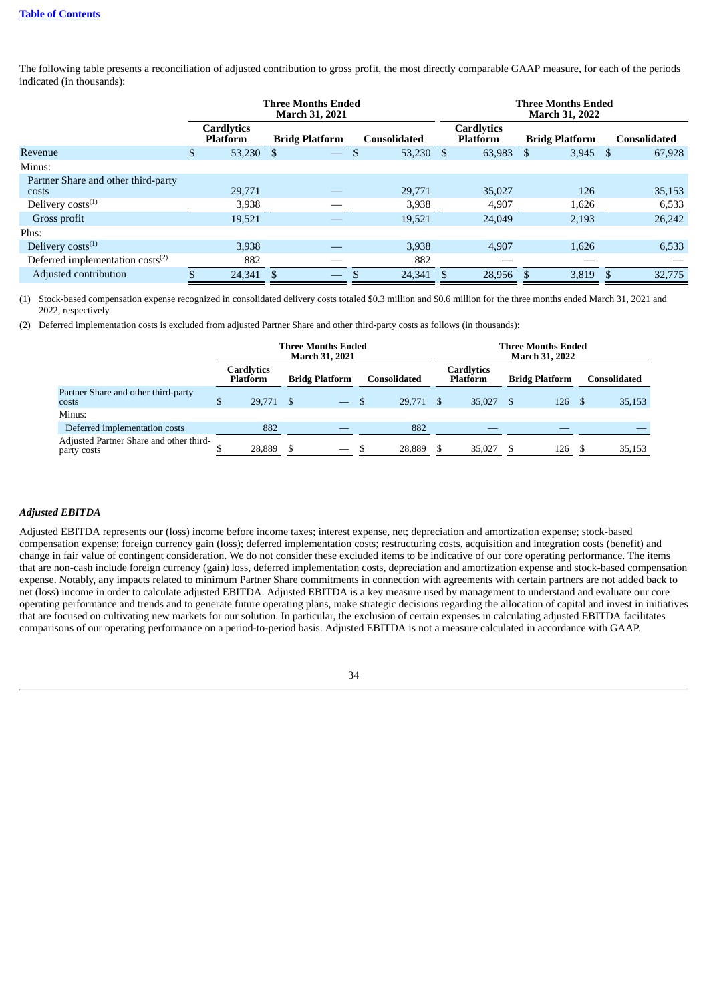The following table presents a reconciliation of adjusted contribution to gross profit, the most directly comparable GAAP measure, for each of the periods indicated (in thousands):

|                                              | <b>Three Months Ended</b><br><b>March 31, 2021</b> |                                      |     |                       |  |                     |     | <b>Three Months Ended</b><br><b>March 31, 2022</b> |                       |            |  |                     |  |  |  |  |
|----------------------------------------------|----------------------------------------------------|--------------------------------------|-----|-----------------------|--|---------------------|-----|----------------------------------------------------|-----------------------|------------|--|---------------------|--|--|--|--|
|                                              |                                                    | <b>Cardlytics</b><br><b>Platform</b> |     | <b>Bridg Platform</b> |  | <b>Consolidated</b> |     | <b>Cardlytics</b><br><b>Platform</b>               | <b>Bridg Platform</b> |            |  | <b>Consolidated</b> |  |  |  |  |
| Revenue                                      | \$                                                 | 53,230                               | -\$ |                       |  | 53,230              | -\$ | 63,983                                             | -S                    | $3,945$ \$ |  | 67,928              |  |  |  |  |
| Minus:                                       |                                                    |                                      |     |                       |  |                     |     |                                                    |                       |            |  |                     |  |  |  |  |
| Partner Share and other third-party<br>costs |                                                    | 29,771                               |     |                       |  | 29,771              |     | 35,027                                             |                       | 126        |  | 35,153              |  |  |  |  |
| Delivery $costs^{(1)}$                       |                                                    | 3,938                                |     |                       |  | 3,938               |     | 4,907                                              |                       | 1,626      |  | 6,533               |  |  |  |  |
| Gross profit                                 |                                                    | 19,521                               |     |                       |  | 19,521              |     | 24.049                                             |                       | 2,193      |  | 26,242              |  |  |  |  |
| Plus:                                        |                                                    |                                      |     |                       |  |                     |     |                                                    |                       |            |  |                     |  |  |  |  |
| Delivery $costs^{(1)}$                       |                                                    | 3,938                                |     |                       |  | 3,938               |     | 4,907                                              |                       | 1,626      |  | 6,533               |  |  |  |  |
| Deferred implementation $costs^{(2)}$        |                                                    | 882                                  |     |                       |  | 882                 |     |                                                    |                       |            |  |                     |  |  |  |  |
| Adjusted contribution                        |                                                    | 24,341                               |     |                       |  | 24,341              | -\$ | 28,956                                             |                       | 3,819      |  | 32,775              |  |  |  |  |

(1) Stock-based compensation expense recognized in consolidated delivery costs totaled \$0.3 million and \$0.6 million for the three months ended March 31, 2021 and 2022, respectively.

(2) Deferred implementation costs is excluded from adjusted Partner Share and other third-party costs as follows (in thousands):

|                                                        |                                      |                       | <b>Three Months Ended</b><br><b>March 31, 2021</b> |              |        | <b>Three Months Ended</b><br><b>March 31, 2022</b> |                               |  |                       |  |              |  |  |
|--------------------------------------------------------|--------------------------------------|-----------------------|----------------------------------------------------|--------------|--------|----------------------------------------------------|-------------------------------|--|-----------------------|--|--------------|--|--|
|                                                        | <b>Cardlytics</b><br><b>Platform</b> | <b>Bridg Platform</b> |                                                    | Consolidated |        |                                                    | <b>Cardlytics</b><br>Platform |  | <b>Bridg Platform</b> |  | Consolidated |  |  |
| Partner Share and other third-party<br><b>COStS</b>    | \$<br>29,771                         | - \$                  |                                                    | - \$         | 29.771 | -S                                                 | 35,027                        |  | 126S                  |  | 35,153       |  |  |
| Minus:                                                 |                                      |                       |                                                    |              |        |                                                    |                               |  |                       |  |              |  |  |
| Deferred implementation costs                          | 882                                  |                       |                                                    |              | 882    |                                                    |                               |  |                       |  |              |  |  |
| Adjusted Partner Share and other third-<br>party costs | 28,889                               |                       |                                                    |              | 28,889 |                                                    | 35.027                        |  | 126                   |  | 35,153       |  |  |

# *Adjusted EBITDA*

Adjusted EBITDA represents our (loss) income before income taxes; interest expense, net; depreciation and amortization expense; stock-based compensation expense; foreign currency gain (loss); deferred implementation costs; restructuring costs, acquisition and integration costs (benefit) and change in fair value of contingent consideration. We do not consider these excluded items to be indicative of our core operating performance. The items that are non-cash include foreign currency (gain) loss, deferred implementation costs, depreciation and amortization expense and stock-based compensation expense. Notably, any impacts related to minimum Partner Share commitments in connection with agreements with certain partners are not added back to net (loss) income in order to calculate adjusted EBITDA. Adjusted EBITDA is a key measure used by management to understand and evaluate our core operating performance and trends and to generate future operating plans, make strategic decisions regarding the allocation of capital and invest in initiatives that are focused on cultivating new markets for our solution. In particular, the exclusion of certain expenses in calculating adjusted EBITDA facilitates comparisons of our operating performance on a period-to-period basis. Adjusted EBITDA is not a measure calculated in accordance with GAAP.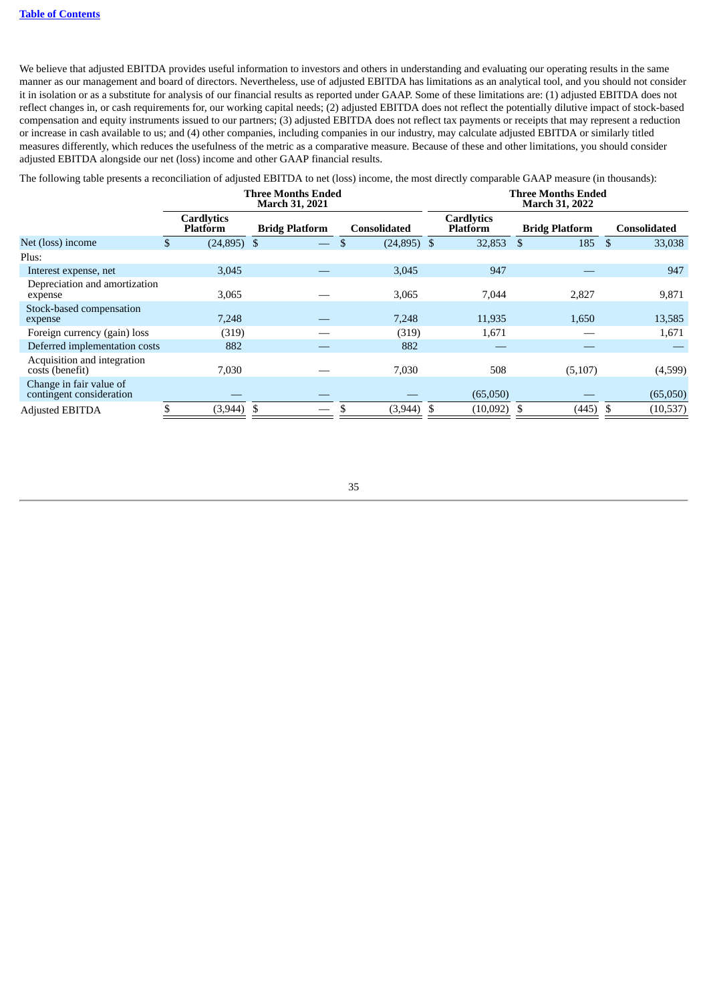We believe that adjusted EBITDA provides useful information to investors and others in understanding and evaluating our operating results in the same manner as our management and board of directors. Nevertheless, use of adjusted EBITDA has limitations as an analytical tool, and you should not consider it in isolation or as a substitute for analysis of our financial results as reported under GAAP. Some of these limitations are: (1) adjusted EBITDA does not reflect changes in, or cash requirements for, our working capital needs; (2) adjusted EBITDA does not reflect the potentially dilutive impact of stock-based compensation and equity instruments issued to our partners; (3) adjusted EBITDA does not reflect tax payments or receipts that may represent a reduction or increase in cash available to us; and (4) other companies, including companies in our industry, may calculate adjusted EBITDA or similarly titled measures differently, which reduces the usefulness of the metric as a comparative measure. Because of these and other limitations, you should consider adjusted EBITDA alongside our net (loss) income and other GAAP financial results.

The following table presents a reconciliation of adjusted EBITDA to net (loss) income, the most directly comparable GAAP measure (in thousands):

|                                                     | <b>Three Months Ended</b><br>March 31, 2021 |     |                       |  |                     |    | Three Months Ended<br><b>March 31, 2022</b> |    |                       |   |                     |  |
|-----------------------------------------------------|---------------------------------------------|-----|-----------------------|--|---------------------|----|---------------------------------------------|----|-----------------------|---|---------------------|--|
|                                                     | <b>Cardlytics</b><br><b>Platform</b>        |     | <b>Bridg Platform</b> |  | <b>Consolidated</b> |    | <b>Cardlytics</b><br><b>Platform</b>        |    | <b>Bridg Platform</b> |   | <b>Consolidated</b> |  |
| Net (loss) income                                   | \$<br>$(24,895)$ \$                         |     |                       |  | $(24,895)$ \$       |    | 32,853                                      | \$ | 185                   |   | 33,038              |  |
| Plus:                                               |                                             |     |                       |  |                     |    |                                             |    |                       |   |                     |  |
| Interest expense, net                               | 3,045                                       |     |                       |  | 3,045               |    | 947                                         |    |                       |   | 947                 |  |
| Depreciation and amortization<br>expense            | 3,065                                       |     |                       |  | 3,065               |    | 7,044                                       |    | 2,827                 |   | 9,871               |  |
| Stock-based compensation<br>expense                 | 7,248                                       |     |                       |  | 7,248               |    | 11,935                                      |    | 1,650                 |   | 13,585              |  |
| Foreign currency (gain) loss                        | (319)                                       |     |                       |  | (319)               |    | 1,671                                       |    |                       |   | 1,671               |  |
| Deferred implementation costs                       | 882                                         |     |                       |  | 882                 |    |                                             |    |                       |   |                     |  |
| Acquisition and integration<br>costs (benefit)      | 7,030                                       |     |                       |  | 7,030               |    | 508                                         |    | (5,107)               |   | (4,599)             |  |
| Change in fair value of<br>contingent consideration |                                             |     |                       |  |                     |    | (65,050)                                    |    |                       |   | (65,050)            |  |
| <b>Adjusted EBITDA</b>                              | (3,944)                                     | -\$ |                       |  | (3,944)             | -S | (10,092)                                    | S  | (445)                 | S | (10, 537)           |  |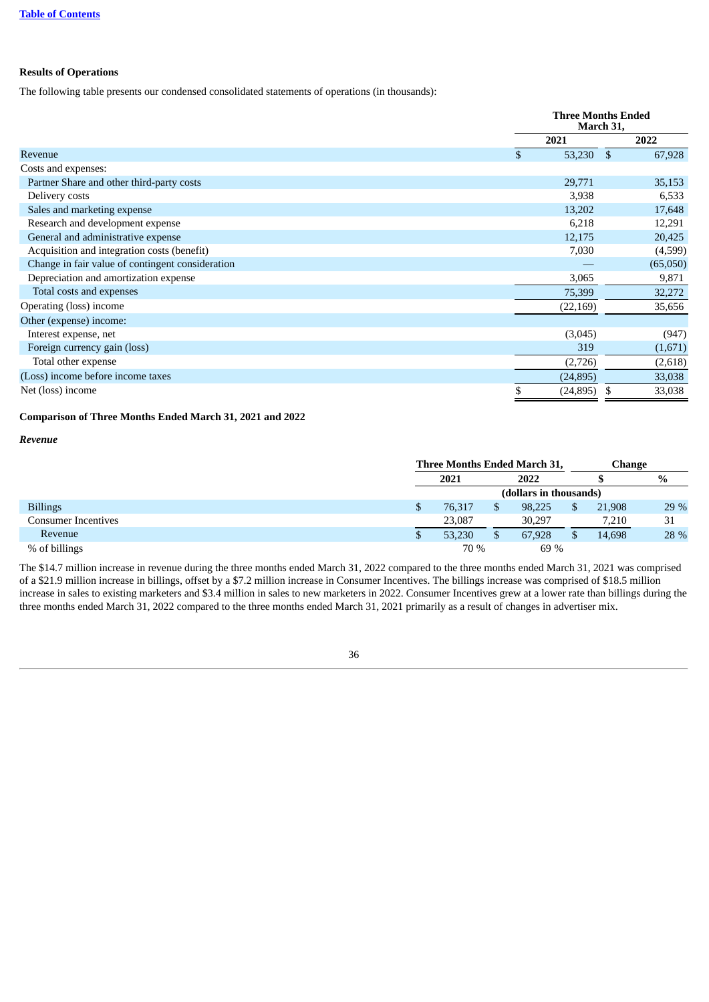# **Results of Operations**

The following table presents our condensed consolidated statements of operations (in thousands):

|                                                  |                     | <b>Three Months Ended</b><br>March 31, |
|--------------------------------------------------|---------------------|----------------------------------------|
|                                                  | 2021                | 2022                                   |
| Revenue                                          | 53,230 \$<br>\$     | 67,928                                 |
| Costs and expenses:                              |                     |                                        |
| Partner Share and other third-party costs        | 29,771              | 35,153                                 |
| Delivery costs                                   | 3,938               | 6,533                                  |
| Sales and marketing expense                      | 13,202              | 17,648                                 |
| Research and development expense                 | 6,218               | 12,291                                 |
| General and administrative expense               | 12,175              | 20,425                                 |
| Acquisition and integration costs (benefit)      | 7,030               | (4,599)                                |
| Change in fair value of contingent consideration |                     | (65,050)                               |
| Depreciation and amortization expense            | 3,065               | 9,871                                  |
| Total costs and expenses                         | 75,399              | 32,272                                 |
| Operating (loss) income                          | (22, 169)           | 35,656                                 |
| Other (expense) income:                          |                     |                                        |
| Interest expense, net                            | (3,045)             | (947)                                  |
| Foreign currency gain (loss)                     | 319                 | (1,671)                                |
| Total other expense                              | (2,726)             | (2,618)                                |
| (Loss) income before income taxes                | (24, 895)           | 33,038                                 |
| Net (loss) income                                | \$<br>$(24,895)$ \$ | 33,038                                 |

## **Comparison of Three Months Ended March 31, 2021 and 2022**

*Revenue*

|                     | Three Months Ended March 31, |  |        |  | <b>Change</b> |      |  |  |  |  |
|---------------------|------------------------------|--|--------|--|---------------|------|--|--|--|--|
|                     | 2021                         |  | 2022   |  |               | %    |  |  |  |  |
|                     | (dollars in thousands)       |  |        |  |               |      |  |  |  |  |
| <b>Billings</b>     | 76,317                       |  | 98,225 |  | 21,908        | 29 % |  |  |  |  |
| Consumer Incentives | 23.087                       |  | 30.297 |  | 7,210         | 31   |  |  |  |  |
| Revenue             | 53.230                       |  | 67,928 |  | 14.698        | 28 % |  |  |  |  |
| % of billings       | 70 %                         |  | 69 %   |  |               |      |  |  |  |  |

The \$14.7 million increase in revenue during the three months ended March 31, 2022 compared to the three months ended March 31, 2021 was comprised of a \$21.9 million increase in billings, offset by a \$7.2 million increase in Consumer Incentives. The billings increase was comprised of \$18.5 million increase in sales to existing marketers and \$3.4 million in sales to new marketers in 2022. Consumer Incentives grew at a lower rate than billings during the three months ended March 31, 2022 compared to the three months ended March 31, 2021 primarily as a result of changes in advertiser mix.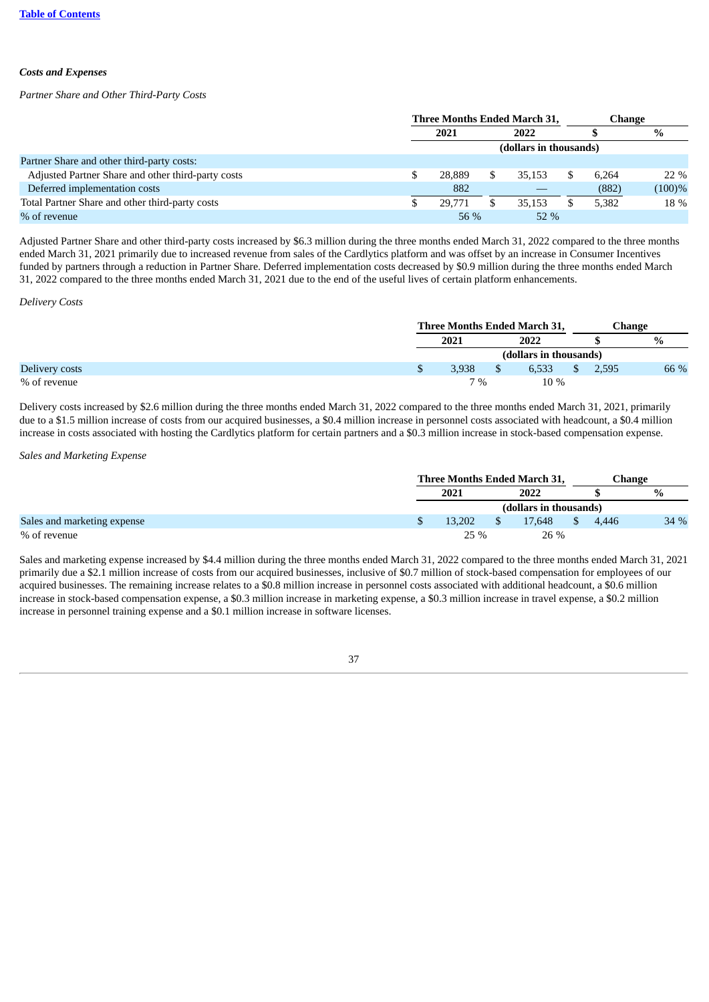## *Costs and Expenses*

*Partner Share and Other Third-Party Costs*

|                                                    | Three Months Ended March 31, |  |        |  | Change |           |  |  |  |
|----------------------------------------------------|------------------------------|--|--------|--|--------|-----------|--|--|--|
|                                                    | 2021                         |  | 2022   |  |        | $\%$      |  |  |  |
|                                                    | (dollars in thousands)       |  |        |  |        |           |  |  |  |
| Partner Share and other third-party costs:         |                              |  |        |  |        |           |  |  |  |
| Adjusted Partner Share and other third-party costs | \$<br>28,889                 |  | 35.153 |  | 6.264  | 22 %      |  |  |  |
| Deferred implementation costs                      | 882                          |  |        |  | (882)  | $(100)\%$ |  |  |  |
| Total Partner Share and other third-party costs    | 29.771                       |  | 35.153 |  | 5.382  | 18 %      |  |  |  |
| % of revenue                                       | 56 $%$                       |  | $52\%$ |  |        |           |  |  |  |

Adjusted Partner Share and other third-party costs increased by \$6.3 million during the three months ended March 31, 2022 compared to the three months ended March 31, 2021 primarily due to increased revenue from sales of the Cardlytics platform and was offset by an increase in Consumer Incentives funded by partners through a reduction in Partner Share. Deferred implementation costs decreased by \$0.9 million during the three months ended March 31, 2022 compared to the three months ended March 31, 2021 due to the end of the useful lives of certain platform enhancements.

#### *Delivery Costs*

|  | Three Months Ended March 31, |  |                        | Change |      |  |
|--|------------------------------|--|------------------------|--------|------|--|
|  | 2021                         |  | 2022                   |        | $\%$ |  |
|  |                              |  | (dollars in thousands) |        |      |  |
|  | 3.938                        |  | 6.533                  | 2.595  | 66 % |  |
|  | $7\%$                        |  | $10\%$                 |        |      |  |

Delivery costs increased by \$2.6 million during the three months ended March 31, 2022 compared to the three months ended March 31, 2021, primarily due to a \$1.5 million increase of costs from our acquired businesses, a \$0.4 million increase in personnel costs associated with headcount, a \$0.4 million increase in costs associated with hosting the Cardlytics platform for certain partners and a \$0.3 million increase in stock-based compensation expense.

## *Sales and Marketing Expense*

|                             | Three Months Ended March 31, |  |                        | $\cap$ hange |      |  |
|-----------------------------|------------------------------|--|------------------------|--------------|------|--|
|                             | 2021                         |  | 2022                   |              | $\%$ |  |
|                             |                              |  | (dollars in thousands) |              |      |  |
| Sales and marketing expense | 13.202                       |  | 17.648                 | \$<br>4.446  | 34 % |  |
| % of revenue                | 25%                          |  | 26 %                   |              |      |  |

Sales and marketing expense increased by \$4.4 million during the three months ended March 31, 2022 compared to the three months ended March 31, 2021 primarily due a \$2.1 million increase of costs from our acquired businesses, inclusive of \$0.7 million of stock-based compensation for employees of our acquired businesses. The remaining increase relates to a \$0.8 million increase in personnel costs associated with additional headcount, a \$0.6 million increase in stock-based compensation expense, a \$0.3 million increase in marketing expense, a \$0.3 million increase in travel expense, a \$0.2 million increase in personnel training expense and a \$0.1 million increase in software licenses.

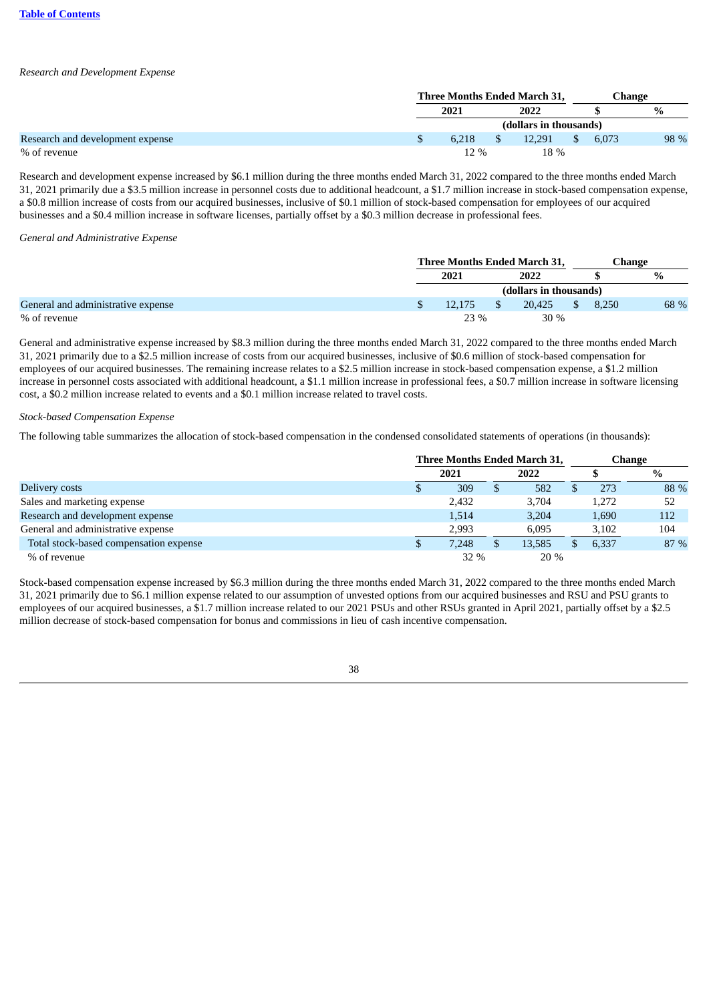## *Research and Development Expense*

|                                  | Three Months Ended March 31, |  |                        | Change |      |  |
|----------------------------------|------------------------------|--|------------------------|--------|------|--|
|                                  | 2021                         |  | 2022                   |        | $\%$ |  |
|                                  |                              |  | (dollars in thousands) |        |      |  |
| Research and development expense | 6.218                        |  | 12.291                 | 6.073  | 98 % |  |
| % of revenue                     | $12\%$                       |  | 18 %                   |        |      |  |

Research and development expense increased by \$6.1 million during the three months ended March 31, 2022 compared to the three months ended March 31, 2021 primarily due a \$3.5 million increase in personnel costs due to additional headcount, a \$1.7 million increase in stock-based compensation expense, a \$0.8 million increase of costs from our acquired businesses, inclusive of \$0.1 million of stock-based compensation for employees of our acquired businesses and a \$0.4 million increase in software licenses, partially offset by a \$0.3 million decrease in professional fees.

*General and Administrative Expense*

|                                    | Three Months Ended March 31, |  |                        | Change |      |  |
|------------------------------------|------------------------------|--|------------------------|--------|------|--|
|                                    | 2022<br>2021                 |  |                        |        | %    |  |
|                                    |                              |  | (dollars in thousands) |        |      |  |
| General and administrative expense | 12.175                       |  | 20,425                 | 8.250  | 68 % |  |
| % of revenue                       | 23 %                         |  | 30%                    |        |      |  |

General and administrative expense increased by \$8.3 million during the three months ended March 31, 2022 compared to the three months ended March 31, 2021 primarily due to a \$2.5 million increase of costs from our acquired businesses, inclusive of \$0.6 million of stock-based compensation for employees of our acquired businesses. The remaining increase relates to a \$2.5 million increase in stock-based compensation expense, a \$1.2 million increase in personnel costs associated with additional headcount, a \$1.1 million increase in professional fees, a \$0.7 million increase in software licensing cost, a \$0.2 million increase related to events and a \$0.1 million increase related to travel costs.

#### *Stock-based Compensation Expense*

The following table summarizes the allocation of stock-based compensation in the condensed consolidated statements of operations (in thousands):

|                                        |   | Three Months Ended March 31, |  |        |  | Change |      |  |
|----------------------------------------|---|------------------------------|--|--------|--|--------|------|--|
|                                        |   | 2021                         |  | 2022   |  |        | $\%$ |  |
| Delivery costs                         | S | 309                          |  | 582    |  | 273    | 88 % |  |
| Sales and marketing expense            |   | 2.432                        |  | 3.704  |  | 1,272  | 52   |  |
| Research and development expense       |   | 1,514                        |  | 3.204  |  | 1,690  | 112  |  |
| General and administrative expense     |   | 2.993                        |  | 6.095  |  | 3,102  | 104  |  |
| Total stock-based compensation expense | Φ | 7.248                        |  | 13,585 |  | 6,337  | 87 % |  |
| % of revenue                           |   | 32 %                         |  | 20 %   |  |        |      |  |

Stock-based compensation expense increased by \$6.3 million during the three months ended March 31, 2022 compared to the three months ended March 31, 2021 primarily due to \$6.1 million expense related to our assumption of unvested options from our acquired businesses and RSU and PSU grants to employees of our acquired businesses, a \$1.7 million increase related to our 2021 PSUs and other RSUs granted in April 2021, partially offset by a \$2.5 million decrease of stock-based compensation for bonus and commissions in lieu of cash incentive compensation.

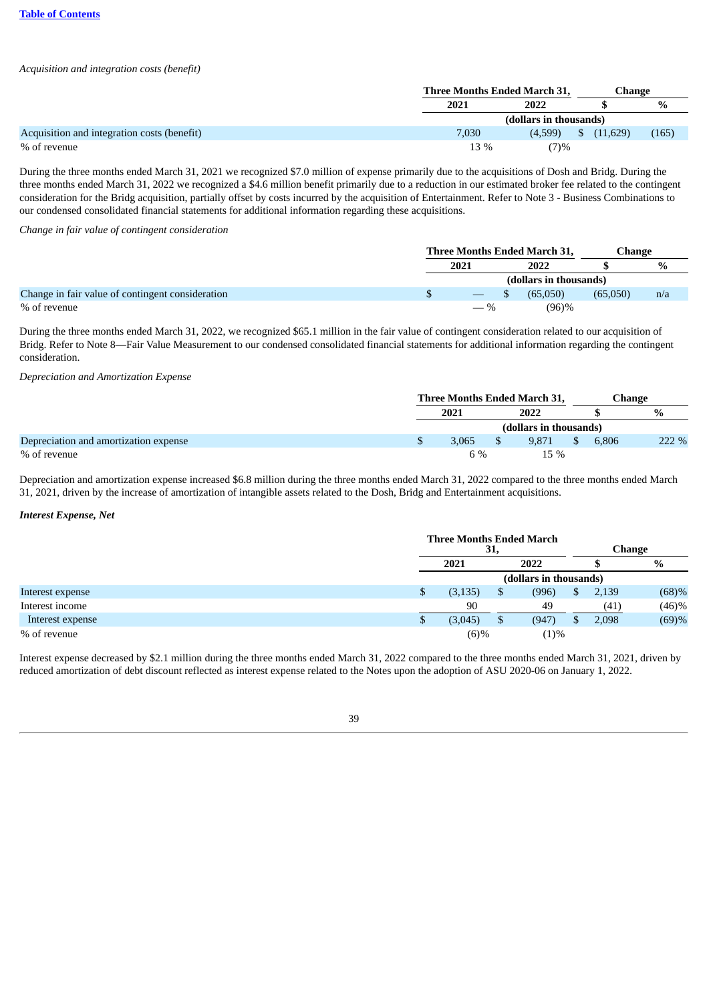#### *Acquisition and integration costs (benefit)*

|                                             | Three Months Ended March 31, |                        | Change   |       |  |  |  |  |  |
|---------------------------------------------|------------------------------|------------------------|----------|-------|--|--|--|--|--|
|                                             | 2021                         | 2022                   |          | %     |  |  |  |  |  |
|                                             |                              | (dollars in thousands) |          |       |  |  |  |  |  |
| Acquisition and integration costs (benefit) | 7.030                        | (4.599)                | (11.629) | (165) |  |  |  |  |  |
| % of revenue                                | 13 %                         | (7)%                   |          |       |  |  |  |  |  |

During the three months ended March 31, 2021 we recognized \$7.0 million of expense primarily due to the acquisitions of Dosh and Bridg. During the three months ended March 31, 2022 we recognized a \$4.6 million benefit primarily due to a reduction in our estimated broker fee related to the contingent consideration for the Bridg acquisition, partially offset by costs incurred by the acquisition of Entertainment. Refer to Note 3 - Business Combinations to our condensed consolidated financial statements for additional information regarding these acquisitions.

*Change in fair value of contingent consideration*

|                                                  | <b>Three Months Ended March 31.</b> |  |                        | Change   |      |  |
|--------------------------------------------------|-------------------------------------|--|------------------------|----------|------|--|
|                                                  | 2021                                |  | 2022                   |          | $\%$ |  |
|                                                  |                                     |  | (dollars in thousands) |          |      |  |
| Change in fair value of contingent consideration |                                     |  | (65.050)               | (65.050) | n/a  |  |
| % of revenue                                     | $-$ %                               |  | $(96)$ %               |          |      |  |

During the three months ended March 31, 2022, we recognized \$65.1 million in the fair value of contingent consideration related to our acquisition of Bridg. Refer to Note 8—Fair Value Measurement to our condensed consolidated financial statements for additional information regarding the contingent consideration.

*Depreciation and Amortization Expense*

|                                       | Three Months Ended March 31, |  |                        | Change |       |  |
|---------------------------------------|------------------------------|--|------------------------|--------|-------|--|
|                                       | 2021                         |  | 2022                   |        | $\%$  |  |
|                                       |                              |  | (dollars in thousands) |        |       |  |
| Depreciation and amortization expense | 3.065                        |  | 9.871                  | 6.806  | 222 % |  |
| % of revenue                          | 6 %                          |  | 15 %                   |        |       |  |

Depreciation and amortization expense increased \$6.8 million during the three months ended March 31, 2022 compared to the three months ended March 31, 2021, driven by the increase of amortization of intangible assets related to the Dosh, Bridg and Entertainment acquisitions.

#### *Interest Expense, Net*

|                  | <b>Three Months Ended March</b><br>31, |  |         |    | Change |       |  |  |  |  |
|------------------|----------------------------------------|--|---------|----|--------|-------|--|--|--|--|
|                  | 2021                                   |  | 2022    |    |        | $\%$  |  |  |  |  |
|                  | (dollars in thousands)                 |  |         |    |        |       |  |  |  |  |
| Interest expense | (3, 135)                               |  | (996)   | \$ | 2,139  | (68)% |  |  |  |  |
| Interest income  | 90                                     |  | 49      |    | (41)   | (46)% |  |  |  |  |
| Interest expense | (3,045)                                |  | (947)   |    | 2,098  | (69)% |  |  |  |  |
| % of revenue     | $(6)$ %                                |  | $(1)\%$ |    |        |       |  |  |  |  |

Interest expense decreased by \$2.1 million during the three months ended March 31, 2022 compared to the three months ended March 31, 2021, driven by reduced amortization of debt discount reflected as interest expense related to the Notes upon the adoption of ASU 2020-06 on January 1, 2022.

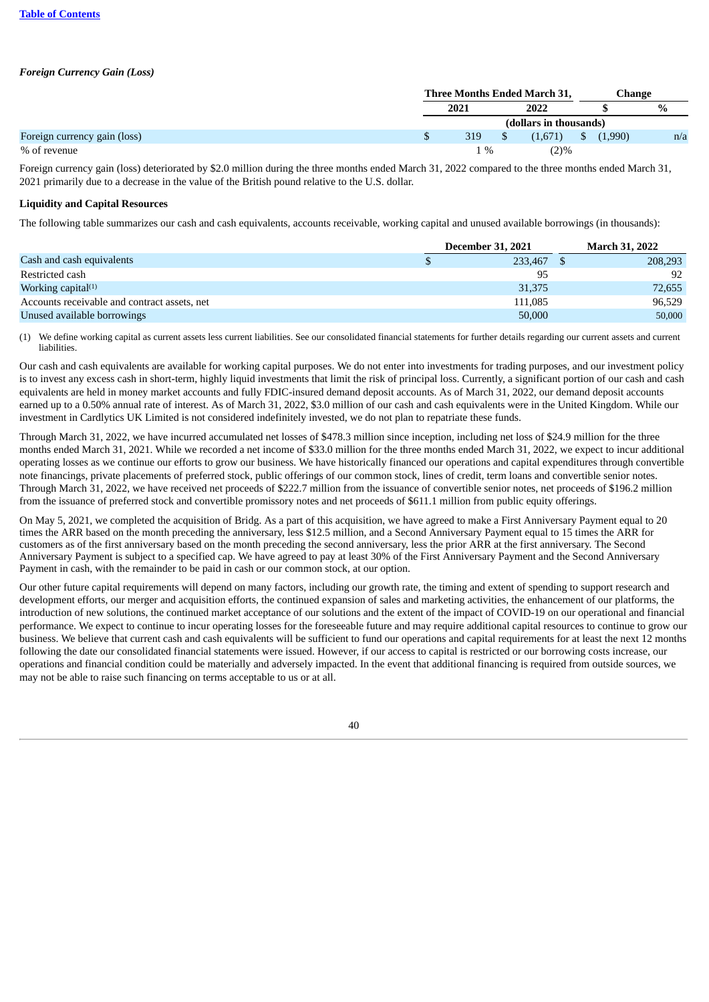# *Foreign Currency Gain (Loss)*

|                              | Three Months Ended March 31, |  |         |  | Change  |      |  |
|------------------------------|------------------------------|--|---------|--|---------|------|--|
|                              | 2021                         |  | 2022    |  |         | $\%$ |  |
|                              | (dollars in thousands)       |  |         |  |         |      |  |
| Foreign currency gain (loss) | 319                          |  | (1.671) |  | (1,990) | n/a  |  |
| % of revenue                 | $\frac{9}{6}$                |  | $(2)\%$ |  |         |      |  |

Foreign currency gain (loss) deteriorated by \$2.0 million during the three months ended March 31, 2022 compared to the three months ended March 31, 2021 primarily due to a decrease in the value of the British pound relative to the U.S. dollar.

## **Liquidity and Capital Resources**

The following table summarizes our cash and cash equivalents, accounts receivable, working capital and unused available borrowings (in thousands):

|                                              | <b>December 31, 2021</b> | <b>March 31, 2022</b> |         |  |
|----------------------------------------------|--------------------------|-----------------------|---------|--|
| Cash and cash equivalents                    | 233,467                  |                       | 208,293 |  |
| Restricted cash                              | 95                       |                       | 92      |  |
| Working capital $(1)$                        | 31,375                   |                       | 72,655  |  |
| Accounts receivable and contract assets, net | 111.085                  |                       | 96,529  |  |
| Unused available borrowings                  | 50,000                   |                       | 50,000  |  |

(1) We define working capital as current assets less current liabilities. See our consolidated financial statements for further details regarding our current assets and current liabilities.

Our cash and cash equivalents are available for working capital purposes. We do not enter into investments for trading purposes, and our investment policy is to invest any excess cash in short-term, highly liquid investments that limit the risk of principal loss. Currently, a significant portion of our cash and cash equivalents are held in money market accounts and fully FDIC-insured demand deposit accounts. As of March 31, 2022, our demand deposit accounts earned up to a 0.50% annual rate of interest. As of March 31, 2022, \$3.0 million of our cash and cash equivalents were in the United Kingdom. While our investment in Cardlytics UK Limited is not considered indefinitely invested, we do not plan to repatriate these funds.

Through March 31, 2022, we have incurred accumulated net losses of \$478.3 million since inception, including net loss of \$24.9 million for the three months ended March 31, 2021. While we recorded a net income of \$33.0 million for the three months ended March 31, 2022, we expect to incur additional operating losses as we continue our efforts to grow our business. We have historically financed our operations and capital expenditures through convertible note financings, private placements of preferred stock, public offerings of our common stock, lines of credit, term loans and convertible senior notes. Through March 31, 2022, we have received net proceeds of \$222.7 million from the issuance of convertible senior notes, net proceeds of \$196.2 million from the issuance of preferred stock and convertible promissory notes and net proceeds of \$611.1 million from public equity offerings.

On May 5, 2021, we completed the acquisition of Bridg. As a part of this acquisition, we have agreed to make a First Anniversary Payment equal to 20 times the ARR based on the month preceding the anniversary, less \$12.5 million, and a Second Anniversary Payment equal to 15 times the ARR for customers as of the first anniversary based on the month preceding the second anniversary, less the prior ARR at the first anniversary. The Second Anniversary Payment is subject to a specified cap. We have agreed to pay at least 30% of the First Anniversary Payment and the Second Anniversary Payment in cash, with the remainder to be paid in cash or our common stock, at our option.

Our other future capital requirements will depend on many factors, including our growth rate, the timing and extent of spending to support research and development efforts, our merger and acquisition efforts, the continued expansion of sales and marketing activities, the enhancement of our platforms, the introduction of new solutions, the continued market acceptance of our solutions and the extent of the impact of COVID-19 on our operational and financial performance. We expect to continue to incur operating losses for the foreseeable future and may require additional capital resources to continue to grow our business. We believe that current cash and cash equivalents will be sufficient to fund our operations and capital requirements for at least the next 12 months following the date our consolidated financial statements were issued. However, if our access to capital is restricted or our borrowing costs increase, our operations and financial condition could be materially and adversely impacted. In the event that additional financing is required from outside sources, we may not be able to raise such financing on terms acceptable to us or at all.

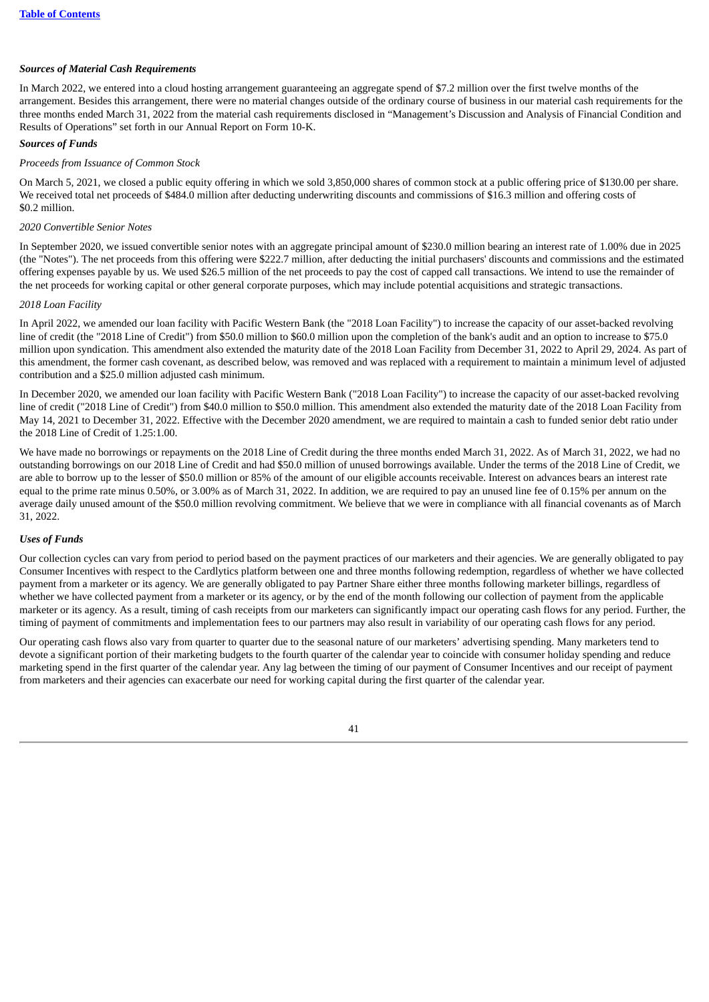# *Sources of Material Cash Requirements*

In March 2022, we entered into a cloud hosting arrangement guaranteeing an aggregate spend of \$7.2 million over the first twelve months of the arrangement. Besides this arrangement, there were no material changes outside of the ordinary course of business in our material cash requirements for the three months ended March 31, 2022 from the material cash requirements disclosed in "Management's Discussion and Analysis of Financial Condition and Results of Operations" set forth in our Annual Report on Form 10-K.

# *Sources of Funds*

# *Proceeds from Issuance of Common Stock*

On March 5, 2021, we closed a public equity offering in which we sold 3,850,000 shares of common stock at a public offering price of \$130.00 per share. We received total net proceeds of \$484.0 million after deducting underwriting discounts and commissions of \$16.3 million and offering costs of \$0.2 million.

# *2020 Convertible Senior Notes*

In September 2020, we issued convertible senior notes with an aggregate principal amount of \$230.0 million bearing an interest rate of 1.00% due in 2025 (the "Notes"). The net proceeds from this offering were \$222.7 million, after deducting the initial purchasers' discounts and commissions and the estimated offering expenses payable by us. We used \$26.5 million of the net proceeds to pay the cost of capped call transactions. We intend to use the remainder of the net proceeds for working capital or other general corporate purposes, which may include potential acquisitions and strategic transactions.

# *2018 Loan Facility*

In April 2022, we amended our loan facility with Pacific Western Bank (the "2018 Loan Facility") to increase the capacity of our asset-backed revolving line of credit (the "2018 Line of Credit") from \$50.0 million to \$60.0 million upon the completion of the bank's audit and an option to increase to \$75.0 million upon syndication. This amendment also extended the maturity date of the 2018 Loan Facility from December 31, 2022 to April 29, 2024. As part of this amendment, the former cash covenant, as described below, was removed and was replaced with a requirement to maintain a minimum level of adjusted contribution and a \$25.0 million adjusted cash minimum.

In December 2020, we amended our loan facility with Pacific Western Bank ("2018 Loan Facility") to increase the capacity of our asset-backed revolving line of credit ("2018 Line of Credit") from \$40.0 million to \$50.0 million. This amendment also extended the maturity date of the 2018 Loan Facility from May 14, 2021 to December 31, 2022. Effective with the December 2020 amendment, we are required to maintain a cash to funded senior debt ratio under the 2018 Line of Credit of 1.25:1.00.

We have made no borrowings or repayments on the 2018 Line of Credit during the three months ended March 31, 2022. As of March 31, 2022, we had no outstanding borrowings on our 2018 Line of Credit and had \$50.0 million of unused borrowings available. Under the terms of the 2018 Line of Credit, we are able to borrow up to the lesser of \$50.0 million or 85% of the amount of our eligible accounts receivable. Interest on advances bears an interest rate equal to the prime rate minus 0.50%, or 3.00% as of March 31, 2022. In addition, we are required to pay an unused line fee of 0.15% per annum on the average daily unused amount of the \$50.0 million revolving commitment. We believe that we were in compliance with all financial covenants as of March 31, 2022.

## *Uses of Funds*

Our collection cycles can vary from period to period based on the payment practices of our marketers and their agencies. We are generally obligated to pay Consumer Incentives with respect to the Cardlytics platform between one and three months following redemption, regardless of whether we have collected payment from a marketer or its agency. We are generally obligated to pay Partner Share either three months following marketer billings, regardless of whether we have collected payment from a marketer or its agency, or by the end of the month following our collection of payment from the applicable marketer or its agency. As a result, timing of cash receipts from our marketers can significantly impact our operating cash flows for any period. Further, the timing of payment of commitments and implementation fees to our partners may also result in variability of our operating cash flows for any period.

Our operating cash flows also vary from quarter to quarter due to the seasonal nature of our marketers' advertising spending. Many marketers tend to devote a significant portion of their marketing budgets to the fourth quarter of the calendar year to coincide with consumer holiday spending and reduce marketing spend in the first quarter of the calendar year. Any lag between the timing of our payment of Consumer Incentives and our receipt of payment from marketers and their agencies can exacerbate our need for working capital during the first quarter of the calendar year.

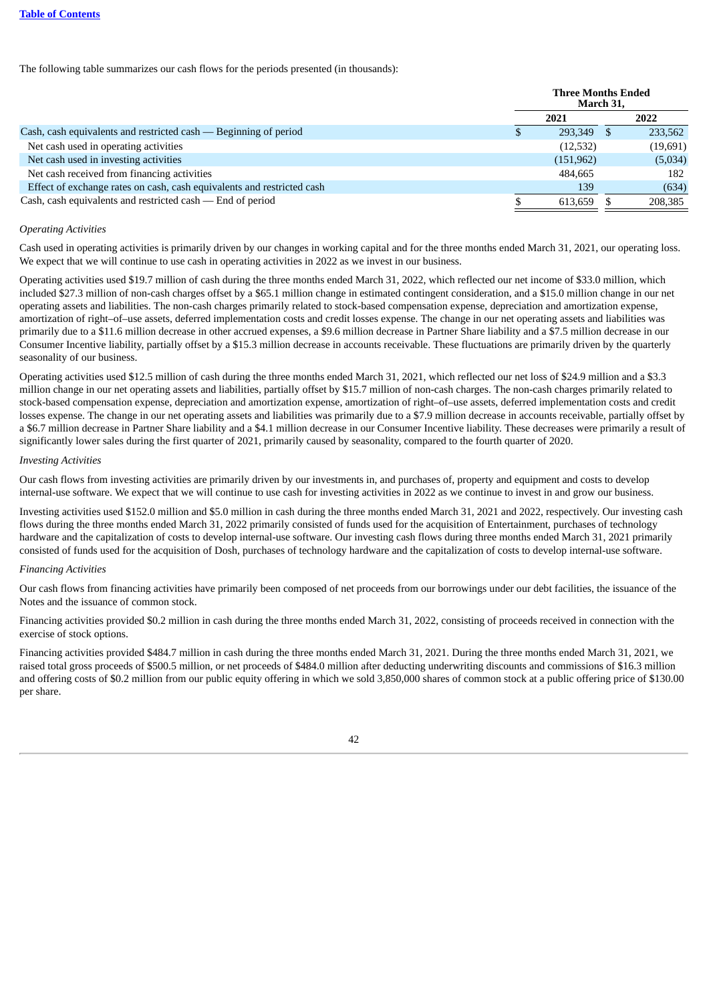The following table summarizes our cash flows for the periods presented (in thousands):

|                                                                        | <b>Three Months Ended</b><br>March 31, |            |  |           |  |
|------------------------------------------------------------------------|----------------------------------------|------------|--|-----------|--|
|                                                                        | 2021                                   |            |  | 2022      |  |
| Cash, cash equivalents and restricted cash — Beginning of period       |                                        | 293.349 \$ |  | 233,562   |  |
| Net cash used in operating activities                                  |                                        | (12,532)   |  | (19, 691) |  |
| Net cash used in investing activities                                  |                                        | (151,962)  |  | (5,034)   |  |
| Net cash received from financing activities                            |                                        | 484,665    |  | 182       |  |
| Effect of exchange rates on cash, cash equivalents and restricted cash |                                        | 139        |  | (634)     |  |
| Cash, cash equivalents and restricted cash — End of period             |                                        | 613.659    |  | 208,385   |  |

## *Operating Activities*

Cash used in operating activities is primarily driven by our changes in working capital and for the three months ended March 31, 2021, our operating loss. We expect that we will continue to use cash in operating activities in 2022 as we invest in our business.

Operating activities used \$19.7 million of cash during the three months ended March 31, 2022, which reflected our net income of \$33.0 million, which included \$27.3 million of non-cash charges offset by a \$65.1 million change in estimated contingent consideration, and a \$15.0 million change in our net operating assets and liabilities. The non-cash charges primarily related to stock-based compensation expense, depreciation and amortization expense, amortization of right–of–use assets, deferred implementation costs and credit losses expense. The change in our net operating assets and liabilities was primarily due to a \$11.6 million decrease in other accrued expenses, a \$9.6 million decrease in Partner Share liability and a \$7.5 million decrease in our Consumer Incentive liability, partially offset by a \$15.3 million decrease in accounts receivable. These fluctuations are primarily driven by the quarterly seasonality of our business.

Operating activities used \$12.5 million of cash during the three months ended March 31, 2021, which reflected our net loss of \$24.9 million and a \$3.3 million change in our net operating assets and liabilities, partially offset by \$15.7 million of non-cash charges. The non-cash charges primarily related to stock-based compensation expense, depreciation and amortization expense, amortization of right–of–use assets, deferred implementation costs and credit losses expense. The change in our net operating assets and liabilities was primarily due to a \$7.9 million decrease in accounts receivable, partially offset by a \$6.7 million decrease in Partner Share liability and a \$4.1 million decrease in our Consumer Incentive liability. These decreases were primarily a result of significantly lower sales during the first quarter of 2021, primarily caused by seasonality, compared to the fourth quarter of 2020.

### *Investing Activities*

Our cash flows from investing activities are primarily driven by our investments in, and purchases of, property and equipment and costs to develop internal-use software. We expect that we will continue to use cash for investing activities in 2022 as we continue to invest in and grow our business.

Investing activities used \$152.0 million and \$5.0 million in cash during the three months ended March 31, 2021 and 2022, respectively. Our investing cash flows during the three months ended March 31, 2022 primarily consisted of funds used for the acquisition of Entertainment, purchases of technology hardware and the capitalization of costs to develop internal-use software. Our investing cash flows during three months ended March 31, 2021 primarily consisted of funds used for the acquisition of Dosh, purchases of technology hardware and the capitalization of costs to develop internal-use software.

## *Financing Activities*

Our cash flows from financing activities have primarily been composed of net proceeds from our borrowings under our debt facilities, the issuance of the Notes and the issuance of common stock.

Financing activities provided \$0.2 million in cash during the three months ended March 31, 2022, consisting of proceeds received in connection with the exercise of stock options.

Financing activities provided \$484.7 million in cash during the three months ended March 31, 2021. During the three months ended March 31, 2021, we raised total gross proceeds of \$500.5 million, or net proceeds of \$484.0 million after deducting underwriting discounts and commissions of \$16.3 million and offering costs of \$0.2 million from our public equity offering in which we sold 3,850,000 shares of common stock at a public offering price of \$130.00 per share.

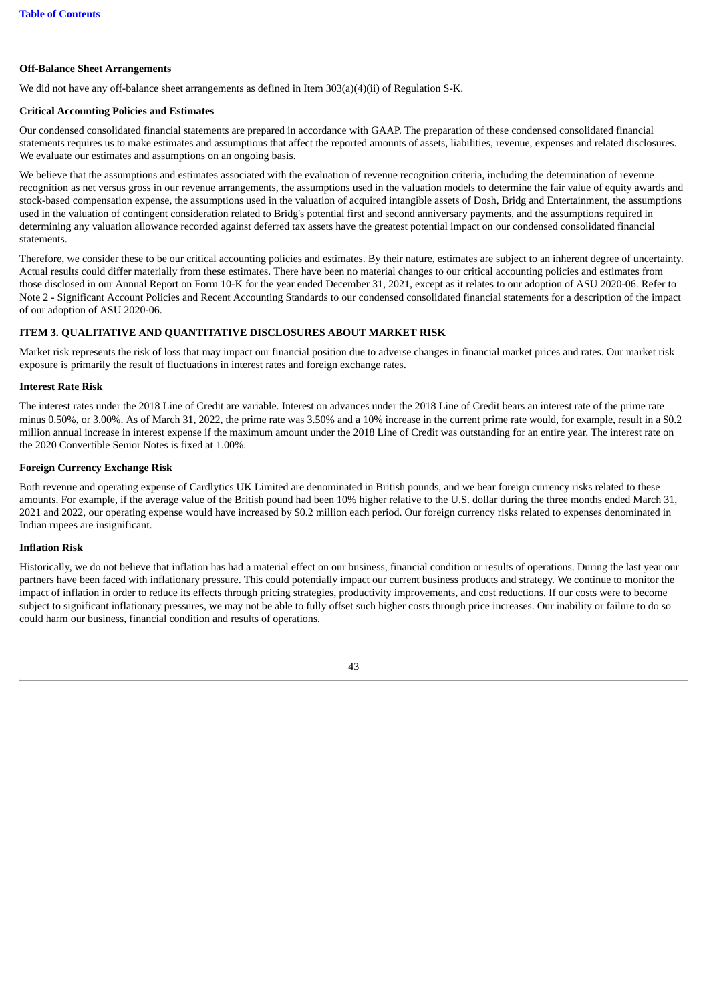## **Off-Balance Sheet Arrangements**

We did not have any off-balance sheet arrangements as defined in Item 303(a)(4)(ii) of Regulation S-K.

## **Critical Accounting Policies and Estimates**

Our condensed consolidated financial statements are prepared in accordance with GAAP. The preparation of these condensed consolidated financial statements requires us to make estimates and assumptions that affect the reported amounts of assets, liabilities, revenue, expenses and related disclosures. We evaluate our estimates and assumptions on an ongoing basis.

We believe that the assumptions and estimates associated with the evaluation of revenue recognition criteria, including the determination of revenue recognition as net versus gross in our revenue arrangements, the assumptions used in the valuation models to determine the fair value of equity awards and stock-based compensation expense, the assumptions used in the valuation of acquired intangible assets of Dosh, Bridg and Entertainment, the assumptions used in the valuation of contingent consideration related to Bridg's potential first and second anniversary payments, and the assumptions required in determining any valuation allowance recorded against deferred tax assets have the greatest potential impact on our condensed consolidated financial statements.

Therefore, we consider these to be our critical accounting policies and estimates. By their nature, estimates are subject to an inherent degree of uncertainty. Actual results could differ materially from these estimates. There have been no material changes to our critical accounting policies and estimates from those disclosed in our Annual Report on Form 10-K for the year ended December 31, 2021, except as it relates to our adoption of ASU 2020-06. Refer to Note 2 - Significant Account Policies and Recent Accounting Standards to our condensed consolidated financial statements for a description of the impact of our adoption of ASU 2020-06.

## **ITEM 3. QUALITATIVE AND QUANTITATIVE DISCLOSURES ABOUT MARKET RISK**

Market risk represents the risk of loss that may impact our financial position due to adverse changes in financial market prices and rates. Our market risk exposure is primarily the result of fluctuations in interest rates and foreign exchange rates.

### **Interest Rate Risk**

The interest rates under the 2018 Line of Credit are variable. Interest on advances under the 2018 Line of Credit bears an interest rate of the prime rate minus 0.50%, or 3.00%. As of March 31, 2022, the prime rate was 3.50% and a 10% increase in the current prime rate would, for example, result in a \$0.2 million annual increase in interest expense if the maximum amount under the 2018 Line of Credit was outstanding for an entire year. The interest rate on the 2020 Convertible Senior Notes is fixed at 1.00%.

### **Foreign Currency Exchange Risk**

Both revenue and operating expense of Cardlytics UK Limited are denominated in British pounds, and we bear foreign currency risks related to these amounts. For example, if the average value of the British pound had been 10% higher relative to the U.S. dollar during the three months ended March 31, 2021 and 2022, our operating expense would have increased by \$0.2 million each period. Our foreign currency risks related to expenses denominated in Indian rupees are insignificant.

## **Inflation Risk**

Historically, we do not believe that inflation has had a material effect on our business, financial condition or results of operations. During the last year our partners have been faced with inflationary pressure. This could potentially impact our current business products and strategy. We continue to monitor the impact of inflation in order to reduce its effects through pricing strategies, productivity improvements, and cost reductions. If our costs were to become subject to significant inflationary pressures, we may not be able to fully offset such higher costs through price increases. Our inability or failure to do so could harm our business, financial condition and results of operations.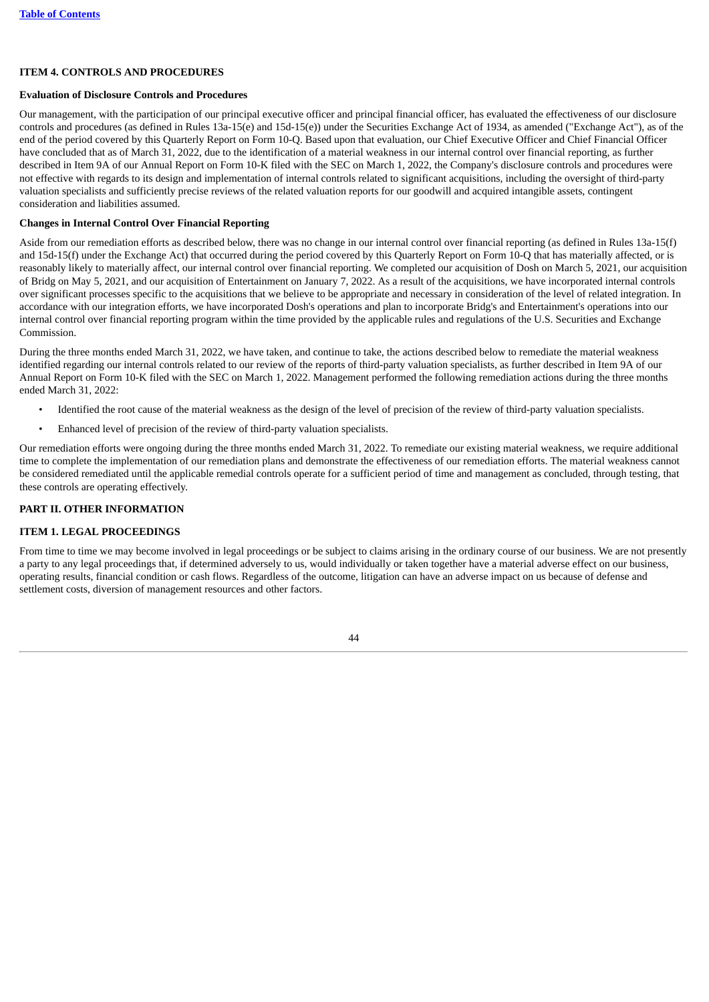# **ITEM 4. CONTROLS AND PROCEDURES**

### **Evaluation of Disclosure Controls and Procedures**

Our management, with the participation of our principal executive officer and principal financial officer, has evaluated the effectiveness of our disclosure controls and procedures (as defined in Rules 13a-15(e) and 15d-15(e)) under the Securities Exchange Act of 1934, as amended ("Exchange Act"), as of the end of the period covered by this Quarterly Report on Form 10-Q. Based upon that evaluation, our Chief Executive Officer and Chief Financial Officer have concluded that as of March 31, 2022, due to the identification of a material weakness in our internal control over financial reporting, as further described in Item 9A of our Annual Report on Form 10-K filed with the SEC on March 1, 2022, the Company's disclosure controls and procedures were not effective with regards to its design and implementation of internal controls related to significant acquisitions, including the oversight of third-party valuation specialists and sufficiently precise reviews of the related valuation reports for our goodwill and acquired intangible assets, contingent consideration and liabilities assumed.

## **Changes in Internal Control Over Financial Reporting**

Aside from our remediation efforts as described below, there was no change in our internal control over financial reporting (as defined in Rules 13a-15(f) and 15d-15(f) under the Exchange Act) that occurred during the period covered by this Quarterly Report on Form  $10$ -Q that has materially affected, or is reasonably likely to materially affect, our internal control over financial reporting. We completed our acquisition of Dosh on March 5, 2021, our acquisition of Bridg on May 5, 2021, and our acquisition of Entertainment on January 7, 2022. As a result of the acquisitions, we have incorporated internal controls over significant processes specific to the acquisitions that we believe to be appropriate and necessary in consideration of the level of related integration. In accordance with our integration efforts, we have incorporated Dosh's operations and plan to incorporate Bridg's and Entertainment's operations into our internal control over financial reporting program within the time provided by the applicable rules and regulations of the U.S. Securities and Exchange Commission.

During the three months ended March 31, 2022, we have taken, and continue to take, the actions described below to remediate the material weakness identified regarding our internal controls related to our review of the reports of third-party valuation specialists, as further described in Item 9A of our Annual Report on Form 10-K filed with the SEC on March 1, 2022. Management performed the following remediation actions during the three months ended March 31, 2022:

- Identified the root cause of the material weakness as the design of the level of precision of the review of third-party valuation specialists.
- Enhanced level of precision of the review of third-party valuation specialists.

Our remediation efforts were ongoing during the three months ended March 31, 2022. To remediate our existing material weakness, we require additional time to complete the implementation of our remediation plans and demonstrate the effectiveness of our remediation efforts. The material weakness cannot be considered remediated until the applicable remedial controls operate for a sufficient period of time and management as concluded, through testing, that these controls are operating effectively.

## **PART II. OTHER INFORMATION**

# **ITEM 1. LEGAL PROCEEDINGS**

From time to time we may become involved in legal proceedings or be subject to claims arising in the ordinary course of our business. We are not presently a party to any legal proceedings that, if determined adversely to us, would individually or taken together have a material adverse effect on our business, operating results, financial condition or cash flows. Regardless of the outcome, litigation can have an adverse impact on us because of defense and settlement costs, diversion of management resources and other factors.

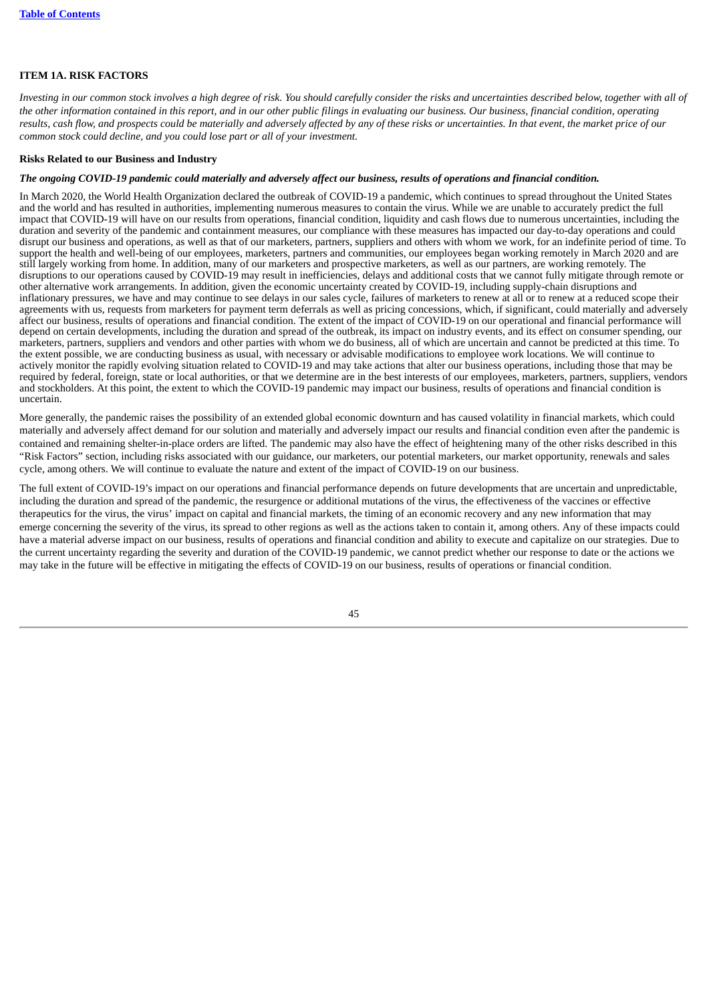# **ITEM 1A. RISK FACTORS**

Investing in our common stock involves a high degree of risk. You should carefully consider the risks and uncertainties described below, together with all of the other information contained in this report, and in our other public filings in evaluating our business. Our business, financial condition, operating results, cash flow, and prospects could be materially and adversely affected by any of these risks or uncertainties. In that event, the market price of our *common stock could decline, and you could lose part or all of your investment.*

### **Risks Related to our Business and Industry**

#### The ongoing COVID-19 pandemic could materially and adversely affect our business, results of operations and financial condition.

In March 2020, the World Health Organization declared the outbreak of COVID-19 a pandemic, which continues to spread throughout the United States and the world and has resulted in authorities, implementing numerous measures to contain the virus. While we are unable to accurately predict the full impact that COVID-19 will have on our results from operations, financial condition, liquidity and cash flows due to numerous uncertainties, including the duration and severity of the pandemic and containment measures, our compliance with these measures has impacted our day-to-day operations and could disrupt our business and operations, as well as that of our marketers, partners, suppliers and others with whom we work, for an indefinite period of time. To support the health and well-being of our employees, marketers, partners and communities, our employees began working remotely in March 2020 and are still largely working from home. In addition, many of our marketers and prospective marketers, as well as our partners, are working remotely. The disruptions to our operations caused by COVID-19 may result in inefficiencies, delays and additional costs that we cannot fully mitigate through remote or other alternative work arrangements. In addition, given the economic uncertainty created by COVID-19, including supply-chain disruptions and inflationary pressures, we have and may continue to see delays in our sales cycle, failures of marketers to renew at all or to renew at a reduced scope their agreements with us, requests from marketers for payment term deferrals as well as pricing concessions, which, if significant, could materially and adversely affect our business, results of operations and financial condition. The extent of the impact of COVID-19 on our operational and financial performance will depend on certain developments, including the duration and spread of the outbreak, its impact on industry events, and its effect on consumer spending, our marketers, partners, suppliers and vendors and other parties with whom we do business, all of which are uncertain and cannot be predicted at this time. To the extent possible, we are conducting business as usual, with necessary or advisable modifications to employee work locations. We will continue to actively monitor the rapidly evolving situation related to COVID-19 and may take actions that alter our business operations, including those that may be required by federal, foreign, state or local authorities, or that we determine are in the best interests of our employees, marketers, partners, suppliers, vendors and stockholders. At this point, the extent to which the COVID-19 pandemic may impact our business, results of operations and financial condition is uncertain.

More generally, the pandemic raises the possibility of an extended global economic downturn and has caused volatility in financial markets, which could materially and adversely affect demand for our solution and materially and adversely impact our results and financial condition even after the pandemic is contained and remaining shelter-in-place orders are lifted. The pandemic may also have the effect of heightening many of the other risks described in this "Risk Factors" section, including risks associated with our guidance, our marketers, our potential marketers, our market opportunity, renewals and sales cycle, among others. We will continue to evaluate the nature and extent of the impact of COVID-19 on our business.

The full extent of COVID-19's impact on our operations and financial performance depends on future developments that are uncertain and unpredictable, including the duration and spread of the pandemic, the resurgence or additional mutations of the virus, the effectiveness of the vaccines or effective therapeutics for the virus, the virus' impact on capital and financial markets, the timing of an economic recovery and any new information that may emerge concerning the severity of the virus, its spread to other regions as well as the actions taken to contain it, among others. Any of these impacts could have a material adverse impact on our business, results of operations and financial condition and ability to execute and capitalize on our strategies. Due to the current uncertainty regarding the severity and duration of the COVID-19 pandemic, we cannot predict whether our response to date or the actions we may take in the future will be effective in mitigating the effects of COVID-19 on our business, results of operations or financial condition.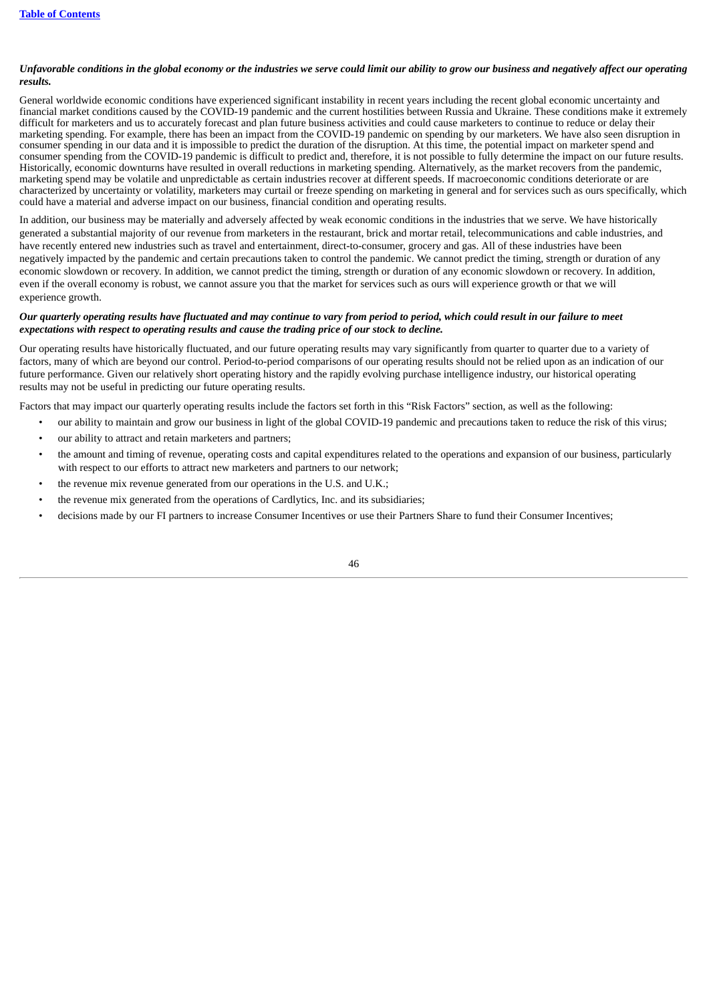## Unfavorable conditions in the global economy or the industries we serve could limit our ability to grow our business and negatively affect our operating *results.*

General worldwide economic conditions have experienced significant instability in recent years including the recent global economic uncertainty and financial market conditions caused by the COVID-19 pandemic and the current hostilities between Russia and Ukraine. These conditions make it extremely difficult for marketers and us to accurately forecast and plan future business activities and could cause marketers to continue to reduce or delay their marketing spending. For example, there has been an impact from the COVID-19 pandemic on spending by our marketers. We have also seen disruption in consumer spending in our data and it is impossible to predict the duration of the disruption. At this time, the potential impact on marketer spend and consumer spending from the COVID-19 pandemic is difficult to predict and, therefore, it is not possible to fully determine the impact on our future results. Historically, economic downturns have resulted in overall reductions in marketing spending. Alternatively, as the market recovers from the pandemic, marketing spend may be volatile and unpredictable as certain industries recover at different speeds. If macroeconomic conditions deteriorate or are characterized by uncertainty or volatility, marketers may curtail or freeze spending on marketing in general and for services such as ours specifically, which could have a material and adverse impact on our business, financial condition and operating results.

In addition, our business may be materially and adversely affected by weak economic conditions in the industries that we serve. We have historically generated a substantial majority of our revenue from marketers in the restaurant, brick and mortar retail, telecommunications and cable industries, and have recently entered new industries such as travel and entertainment, direct-to-consumer, grocery and gas. All of these industries have been negatively impacted by the pandemic and certain precautions taken to control the pandemic. We cannot predict the timing, strength or duration of any economic slowdown or recovery. In addition, we cannot predict the timing, strength or duration of any economic slowdown or recovery. In addition, even if the overall economy is robust, we cannot assure you that the market for services such as ours will experience growth or that we will experience growth.

### Our quarterly operating results have fluctuated and may continue to vary from period to period, which could result in our failure to meet *expectations with respect to operating results and cause the trading price of our stock to decline.*

Our operating results have historically fluctuated, and our future operating results may vary significantly from quarter to quarter due to a variety of factors, many of which are beyond our control. Period-to-period comparisons of our operating results should not be relied upon as an indication of our future performance. Given our relatively short operating history and the rapidly evolving purchase intelligence industry, our historical operating results may not be useful in predicting our future operating results.

Factors that may impact our quarterly operating results include the factors set forth in this "Risk Factors" section, as well as the following:

- our ability to maintain and grow our business in light of the global COVID-19 pandemic and precautions taken to reduce the risk of this virus;
- our ability to attract and retain marketers and partners;
- the amount and timing of revenue, operating costs and capital expenditures related to the operations and expansion of our business, particularly with respect to our efforts to attract new marketers and partners to our network;
- the revenue mix revenue generated from our operations in the U.S. and U.K.;
- the revenue mix generated from the operations of Cardlytics, Inc. and its subsidiaries;
- decisions made by our FI partners to increase Consumer Incentives or use their Partners Share to fund their Consumer Incentives;

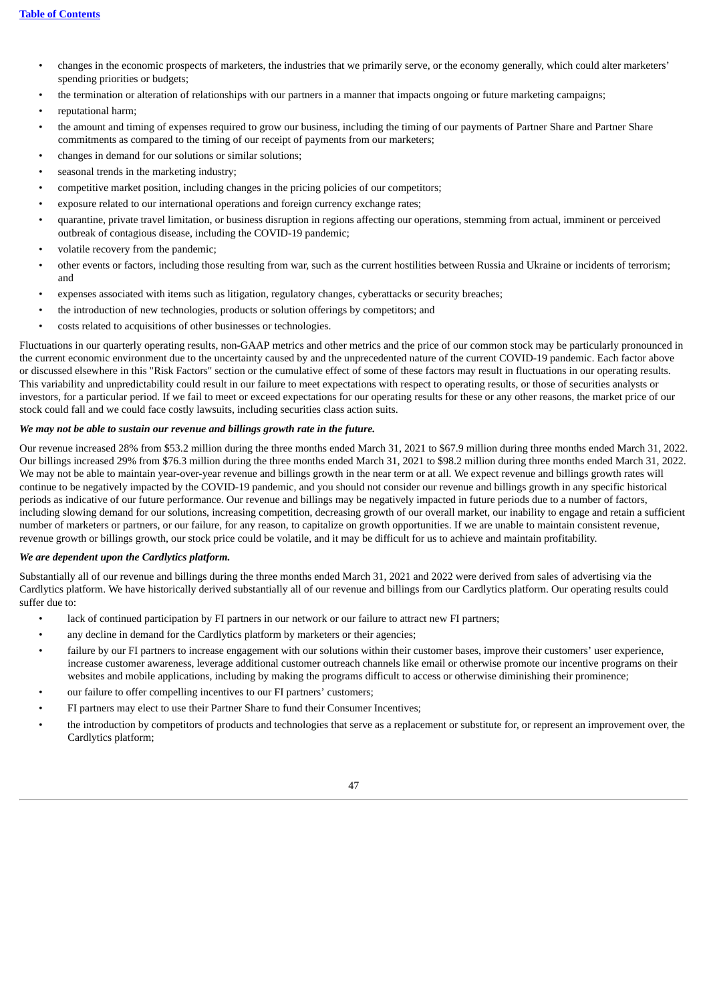- changes in the economic prospects of marketers, the industries that we primarily serve, or the economy generally, which could alter marketers' spending priorities or budgets;
- the termination or alteration of relationships with our partners in a manner that impacts ongoing or future marketing campaigns;
- reputational harm;
- the amount and timing of expenses required to grow our business, including the timing of our payments of Partner Share and Partner Share commitments as compared to the timing of our receipt of payments from our marketers;
- changes in demand for our solutions or similar solutions;
- seasonal trends in the marketing industry;
- competitive market position, including changes in the pricing policies of our competitors;
- exposure related to our international operations and foreign currency exchange rates;
- quarantine, private travel limitation, or business disruption in regions affecting our operations, stemming from actual, imminent or perceived outbreak of contagious disease, including the COVID-19 pandemic;
- volatile recovery from the pandemic;
- other events or factors, including those resulting from war, such as the current hostilities between Russia and Ukraine or incidents of terrorism; and
- expenses associated with items such as litigation, regulatory changes, cyberattacks or security breaches;
- the introduction of new technologies, products or solution offerings by competitors; and
- costs related to acquisitions of other businesses or technologies.

Fluctuations in our quarterly operating results, non-GAAP metrics and other metrics and the price of our common stock may be particularly pronounced in the current economic environment due to the uncertainty caused by and the unprecedented nature of the current COVID-19 pandemic. Each factor above or discussed elsewhere in this "Risk Factors" section or the cumulative effect of some of these factors may result in fluctuations in our operating results. This variability and unpredictability could result in our failure to meet expectations with respect to operating results, or those of securities analysts or investors, for a particular period. If we fail to meet or exceed expectations for our operating results for these or any other reasons, the market price of our stock could fall and we could face costly lawsuits, including securities class action suits.

# *We may not be able to sustain our revenue and billings growth rate in the future.*

Our revenue increased 28% from \$53.2 million during the three months ended March 31, 2021 to \$67.9 million during three months ended March 31, 2022. Our billings increased 29% from \$76.3 million during the three months ended March 31, 2021 to \$98.2 million during three months ended March 31, 2022. We may not be able to maintain year-over-year revenue and billings growth in the near term or at all. We expect revenue and billings growth rates will continue to be negatively impacted by the COVID-19 pandemic, and you should not consider our revenue and billings growth in any specific historical periods as indicative of our future performance. Our revenue and billings may be negatively impacted in future periods due to a number of factors, including slowing demand for our solutions, increasing competition, decreasing growth of our overall market, our inability to engage and retain a sufficient number of marketers or partners, or our failure, for any reason, to capitalize on growth opportunities. If we are unable to maintain consistent revenue, revenue growth or billings growth, our stock price could be volatile, and it may be difficult for us to achieve and maintain profitability.

## *We are dependent upon the Cardlytics platform.*

Substantially all of our revenue and billings during the three months ended March 31, 2021 and 2022 were derived from sales of advertising via the Cardlytics platform. We have historically derived substantially all of our revenue and billings from our Cardlytics platform. Our operating results could suffer due to:

- lack of continued participation by FI partners in our network or our failure to attract new FI partners;
- any decline in demand for the Cardlytics platform by marketers or their agencies;
- failure by our FI partners to increase engagement with our solutions within their customer bases, improve their customers' user experience, increase customer awareness, leverage additional customer outreach channels like email or otherwise promote our incentive programs on their websites and mobile applications, including by making the programs difficult to access or otherwise diminishing their prominence;
- our failure to offer compelling incentives to our FI partners' customers;
- FI partners may elect to use their Partner Share to fund their Consumer Incentives;
- the introduction by competitors of products and technologies that serve as a replacement or substitute for, or represent an improvement over, the Cardlytics platform;

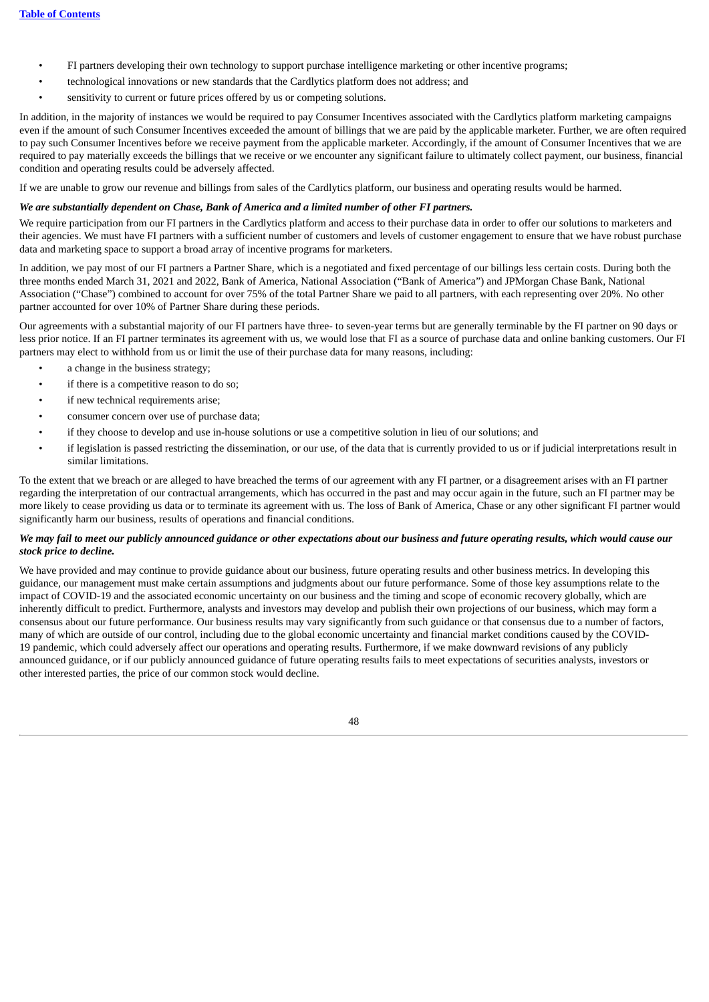- FI partners developing their own technology to support purchase intelligence marketing or other incentive programs;
	- technological innovations or new standards that the Cardlytics platform does not address; and
- sensitivity to current or future prices offered by us or competing solutions.

In addition, in the majority of instances we would be required to pay Consumer Incentives associated with the Cardlytics platform marketing campaigns even if the amount of such Consumer Incentives exceeded the amount of billings that we are paid by the applicable marketer. Further, we are often required to pay such Consumer Incentives before we receive payment from the applicable marketer. Accordingly, if the amount of Consumer Incentives that we are required to pay materially exceeds the billings that we receive or we encounter any significant failure to ultimately collect payment, our business, financial condition and operating results could be adversely affected.

If we are unable to grow our revenue and billings from sales of the Cardlytics platform, our business and operating results would be harmed.

#### *We are substantially dependent on Chase, Bank of America and a limited number of other FI partners.*

We require participation from our FI partners in the Cardlytics platform and access to their purchase data in order to offer our solutions to marketers and their agencies. We must have FI partners with a sufficient number of customers and levels of customer engagement to ensure that we have robust purchase data and marketing space to support a broad array of incentive programs for marketers.

In addition, we pay most of our FI partners a Partner Share, which is a negotiated and fixed percentage of our billings less certain costs. During both the three months ended March 31, 2021 and 2022, Bank of America, National Association ("Bank of America") and JPMorgan Chase Bank, National Association ("Chase") combined to account for over 75% of the total Partner Share we paid to all partners, with each representing over 20%. No other partner accounted for over 10% of Partner Share during these periods.

Our agreements with a substantial majority of our FI partners have three- to seven-year terms but are generally terminable by the FI partner on 90 days or less prior notice. If an FI partner terminates its agreement with us, we would lose that FI as a source of purchase data and online banking customers. Our FI partners may elect to withhold from us or limit the use of their purchase data for many reasons, including:

- a change in the business strategy;
- if there is a competitive reason to do so;
- if new technical requirements arise:
- consumer concern over use of purchase data;
- if they choose to develop and use in-house solutions or use a competitive solution in lieu of our solutions; and
- if legislation is passed restricting the dissemination, or our use, of the data that is currently provided to us or if judicial interpretations result in similar limitations.

To the extent that we breach or are alleged to have breached the terms of our agreement with any FI partner, or a disagreement arises with an FI partner regarding the interpretation of our contractual arrangements, which has occurred in the past and may occur again in the future, such an FI partner may be more likely to cease providing us data or to terminate its agreement with us. The loss of Bank of America, Chase or any other significant FI partner would significantly harm our business, results of operations and financial conditions.

## We may fail to meet our publicly announced quidance or other expectations about our business and future operating results, which would cause our *stock price to decline.*

We have provided and may continue to provide guidance about our business, future operating results and other business metrics. In developing this guidance, our management must make certain assumptions and judgments about our future performance. Some of those key assumptions relate to the impact of COVID-19 and the associated economic uncertainty on our business and the timing and scope of economic recovery globally, which are inherently difficult to predict. Furthermore, analysts and investors may develop and publish their own projections of our business, which may form a consensus about our future performance. Our business results may vary significantly from such guidance or that consensus due to a number of factors, many of which are outside of our control, including due to the global economic uncertainty and financial market conditions caused by the COVID-19 pandemic, which could adversely affect our operations and operating results. Furthermore, if we make downward revisions of any publicly announced guidance, or if our publicly announced guidance of future operating results fails to meet expectations of securities analysts, investors or other interested parties, the price of our common stock would decline.

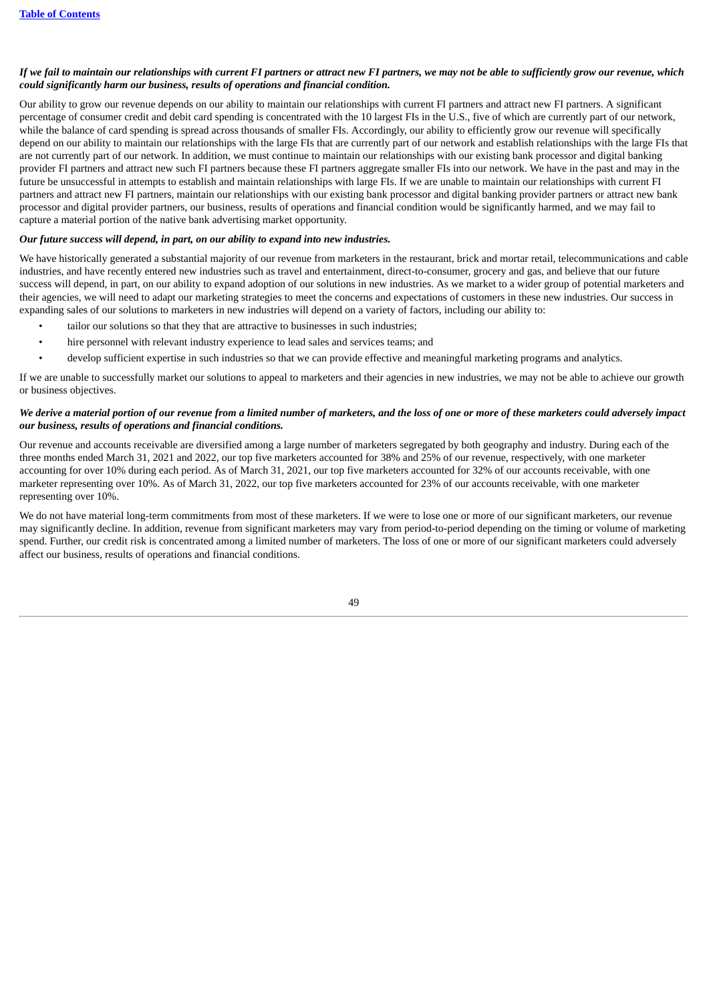## If we fail to maintain our relationships with current FI partners or attract new FI partners, we may not be able to sufficiently grow our revenue, which *could significantly harm our business, results of operations and financial condition.*

Our ability to grow our revenue depends on our ability to maintain our relationships with current FI partners and attract new FI partners. A significant percentage of consumer credit and debit card spending is concentrated with the 10 largest FIs in the U.S., five of which are currently part of our network, while the balance of card spending is spread across thousands of smaller FIs. Accordingly, our ability to efficiently grow our revenue will specifically depend on our ability to maintain our relationships with the large FIs that are currently part of our network and establish relationships with the large FIs that are not currently part of our network. In addition, we must continue to maintain our relationships with our existing bank processor and digital banking provider FI partners and attract new such FI partners because these FI partners aggregate smaller FIs into our network. We have in the past and may in the future be unsuccessful in attempts to establish and maintain relationships with large FIs. If we are unable to maintain our relationships with current FI partners and attract new FI partners, maintain our relationships with our existing bank processor and digital banking provider partners or attract new bank processor and digital provider partners, our business, results of operations and financial condition would be significantly harmed, and we may fail to capture a material portion of the native bank advertising market opportunity.

## *Our future success will depend, in part, on our ability to expand into new industries.*

We have historically generated a substantial majority of our revenue from marketers in the restaurant, brick and mortar retail, telecommunications and cable industries, and have recently entered new industries such as travel and entertainment, direct-to-consumer, grocery and gas, and believe that our future success will depend, in part, on our ability to expand adoption of our solutions in new industries. As we market to a wider group of potential marketers and their agencies, we will need to adapt our marketing strategies to meet the concerns and expectations of customers in these new industries. Our success in expanding sales of our solutions to marketers in new industries will depend on a variety of factors, including our ability to:

- tailor our solutions so that they that are attractive to businesses in such industries:
- hire personnel with relevant industry experience to lead sales and services teams; and
- develop sufficient expertise in such industries so that we can provide effective and meaningful marketing programs and analytics.

If we are unable to successfully market our solutions to appeal to marketers and their agencies in new industries, we may not be able to achieve our growth or business objectives.

## We derive a material portion of our revenue from a limited number of marketers, and the loss of one or more of these marketers could adversely impact *our business, results of operations and financial conditions.*

Our revenue and accounts receivable are diversified among a large number of marketers segregated by both geography and industry. During each of the three months ended March 31, 2021 and 2022, our top five marketers accounted for 38% and 25% of our revenue, respectively, with one marketer accounting for over 10% during each period. As of March 31, 2021, our top five marketers accounted for 32% of our accounts receivable, with one marketer representing over 10%. As of March 31, 2022, our top five marketers accounted for 23% of our accounts receivable, with one marketer representing over 10%.

We do not have material long-term commitments from most of these marketers. If we were to lose one or more of our significant marketers, our revenue may significantly decline. In addition, revenue from significant marketers may vary from period-to-period depending on the timing or volume of marketing spend. Further, our credit risk is concentrated among a limited number of marketers. The loss of one or more of our significant marketers could adversely affect our business, results of operations and financial conditions.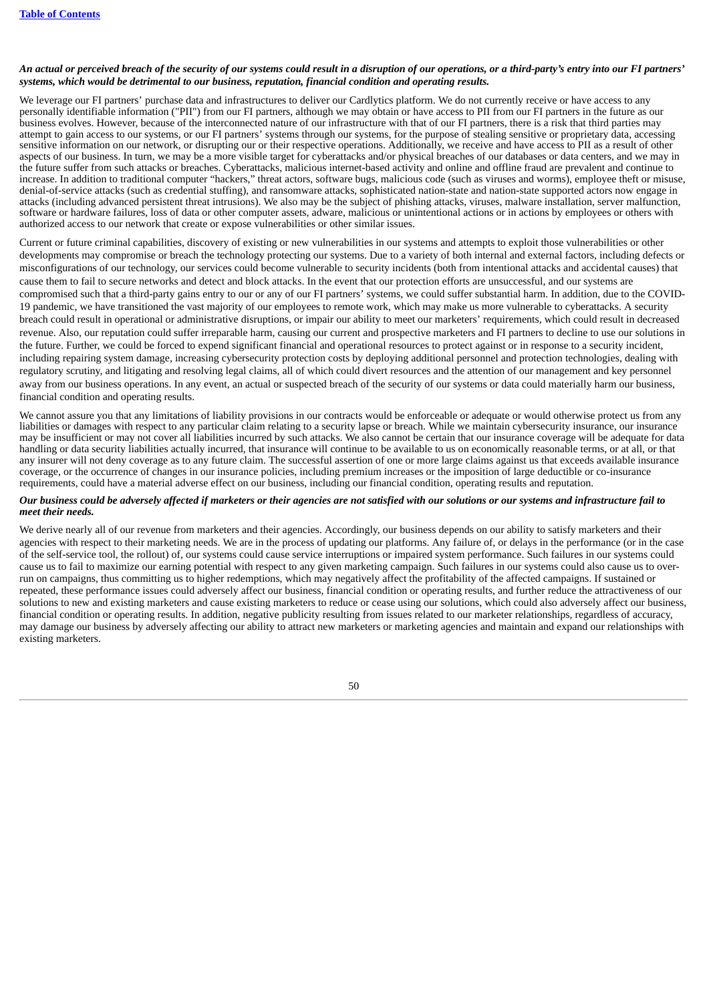# An actual or perceived breach of the security of our systems could result in a disruption of our operations, or a third-party's entry into our FI partners' *systems, which would be detrimental to our business, reputation, financial condition and operating results.*

We leverage our FI partners' purchase data and infrastructures to deliver our Cardlytics platform. We do not currently receive or have access to any personally identifiable information ("PII") from our FI partners, although we may obtain or have access to PII from our FI partners in the future as our business evolves. However, because of the interconnected nature of our infrastructure with that of our FI partners, there is a risk that third parties may attempt to gain access to our systems, or our FI partners' systems through our systems, for the purpose of stealing sensitive or proprietary data, accessing sensitive information on our network, or disrupting our or their respective operations. Additionally, we receive and have access to PII as a result of other aspects of our business. In turn, we may be a more visible target for cyberattacks and/or physical breaches of our databases or data centers, and we may in the future suffer from such attacks or breaches. Cyberattacks, malicious internet-based activity and online and offline fraud are prevalent and continue to increase. In addition to traditional computer "hackers," threat actors, software bugs, malicious code (such as viruses and worms), employee theft or misuse, denial-of-service attacks (such as credential stuffing), and ransomware attacks, sophisticated nation-state and nation-state supported actors now engage in attacks (including advanced persistent threat intrusions). We also may be the subject of phishing attacks, viruses, malware installation, server malfunction, software or hardware failures, loss of data or other computer assets, adware, malicious or unintentional actions or in actions by employees or others with authorized access to our network that create or expose vulnerabilities or other similar issues.

Current or future criminal capabilities, discovery of existing or new vulnerabilities in our systems and attempts to exploit those vulnerabilities or other developments may compromise or breach the technology protecting our systems. Due to a variety of both internal and external factors, including defects or misconfigurations of our technology, our services could become vulnerable to security incidents (both from intentional attacks and accidental causes) that cause them to fail to secure networks and detect and block attacks. In the event that our protection efforts are unsuccessful, and our systems are compromised such that a third-party gains entry to our or any of our FI partners' systems, we could suffer substantial harm. In addition, due to the COVID-19 pandemic, we have transitioned the vast majority of our employees to remote work, which may make us more vulnerable to cyberattacks. A security breach could result in operational or administrative disruptions, or impair our ability to meet our marketers' requirements, which could result in decreased revenue. Also, our reputation could suffer irreparable harm, causing our current and prospective marketers and FI partners to decline to use our solutions in the future. Further, we could be forced to expend significant financial and operational resources to protect against or in response to a security incident, including repairing system damage, increasing cybersecurity protection costs by deploying additional personnel and protection technologies, dealing with regulatory scrutiny, and litigating and resolving legal claims, all of which could divert resources and the attention of our management and key personnel away from our business operations. In any event, an actual or suspected breach of the security of our systems or data could materially harm our business, financial condition and operating results.

We cannot assure you that any limitations of liability provisions in our contracts would be enforceable or adequate or would otherwise protect us from any liabilities or damages with respect to any particular claim relating to a security lapse or breach. While we maintain cybersecurity insurance, our insurance may be insufficient or may not cover all liabilities incurred by such attacks. We also cannot be certain that our insurance coverage will be adequate for data handling or data security liabilities actually incurred, that insurance will continue to be available to us on economically reasonable terms, or at all, or that any insurer will not deny coverage as to any future claim. The successful assertion of one or more large claims against us that exceeds available insurance coverage, or the occurrence of changes in our insurance policies, including premium increases or the imposition of large deductible or co-insurance requirements, could have a material adverse effect on our business, including our financial condition, operating results and reputation.

#### Our business could be adversely affected if marketers or their agencies are not satisfied with our solutions or our systems and infrastructure fail to *meet their needs.*

We derive nearly all of our revenue from marketers and their agencies. Accordingly, our business depends on our ability to satisfy marketers and their agencies with respect to their marketing needs. We are in the process of updating our platforms. Any failure of, or delays in the performance (or in the case of the self-service tool, the rollout) of, our systems could cause service interruptions or impaired system performance. Such failures in our systems could cause us to fail to maximize our earning potential with respect to any given marketing campaign. Such failures in our systems could also cause us to overrun on campaigns, thus committing us to higher redemptions, which may negatively affect the profitability of the affected campaigns. If sustained or repeated, these performance issues could adversely affect our business, financial condition or operating results, and further reduce the attractiveness of our solutions to new and existing marketers and cause existing marketers to reduce or cease using our solutions, which could also adversely affect our business, financial condition or operating results. In addition, negative publicity resulting from issues related to our marketer relationships, regardless of accuracy, may damage our business by adversely affecting our ability to attract new marketers or marketing agencies and maintain and expand our relationships with existing marketers.

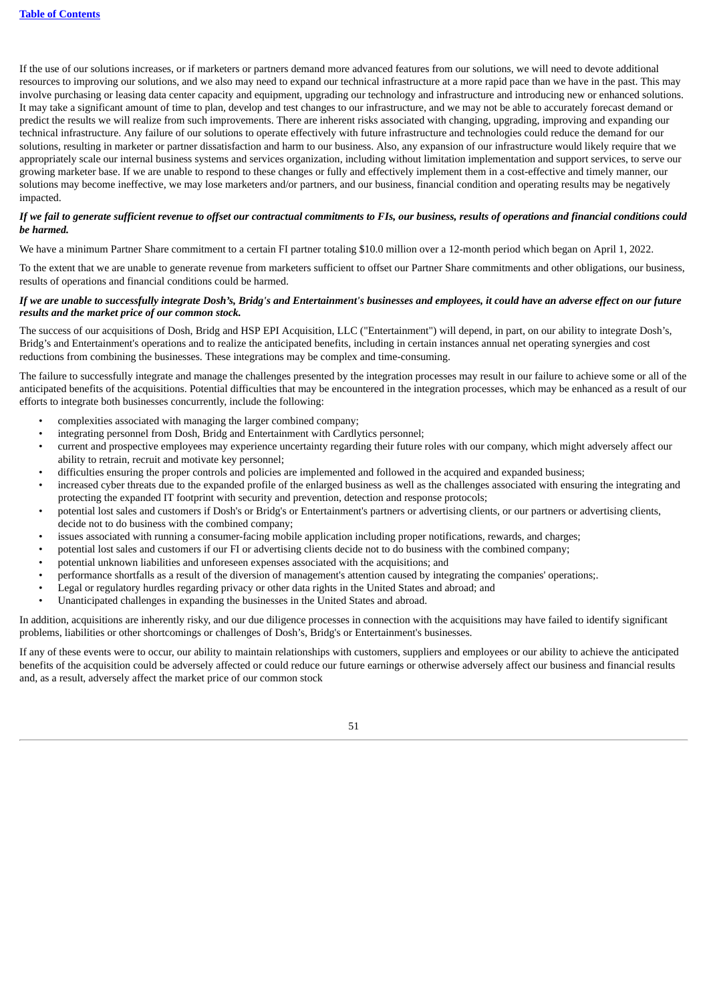If the use of our solutions increases, or if marketers or partners demand more advanced features from our solutions, we will need to devote additional resources to improving our solutions, and we also may need to expand our technical infrastructure at a more rapid pace than we have in the past. This may involve purchasing or leasing data center capacity and equipment, upgrading our technology and infrastructure and introducing new or enhanced solutions. It may take a significant amount of time to plan, develop and test changes to our infrastructure, and we may not be able to accurately forecast demand or predict the results we will realize from such improvements. There are inherent risks associated with changing, upgrading, improving and expanding our technical infrastructure. Any failure of our solutions to operate effectively with future infrastructure and technologies could reduce the demand for our solutions, resulting in marketer or partner dissatisfaction and harm to our business. Also, any expansion of our infrastructure would likely require that we appropriately scale our internal business systems and services organization, including without limitation implementation and support services, to serve our growing marketer base. If we are unable to respond to these changes or fully and effectively implement them in a cost-effective and timely manner, our solutions may become ineffective, we may lose marketers and/or partners, and our business, financial condition and operating results may be negatively impacted.

## If we fail to generate sufficient revenue to offset our contractual commitments to FIs, our business, results of operations and financial conditions could *be harmed.*

We have a minimum Partner Share commitment to a certain FI partner totaling \$10.0 million over a 12-month period which began on April 1, 2022.

To the extent that we are unable to generate revenue from marketers sufficient to offset our Partner Share commitments and other obligations, our business, results of operations and financial conditions could be harmed.

## If we are unable to successfully integrate Dosh's, Bridg's and Entertainment's businesses and employees, it could have an adverse effect on our future *results and the market price of our common stock.*

The success of our acquisitions of Dosh, Bridg and HSP EPI Acquisition, LLC ("Entertainment") will depend, in part, on our ability to integrate Dosh's, Bridg's and Entertainment's operations and to realize the anticipated benefits, including in certain instances annual net operating synergies and cost reductions from combining the businesses. These integrations may be complex and time-consuming.

The failure to successfully integrate and manage the challenges presented by the integration processes may result in our failure to achieve some or all of the anticipated benefits of the acquisitions. Potential difficulties that may be encountered in the integration processes, which may be enhanced as a result of our efforts to integrate both businesses concurrently, include the following:

- complexities associated with managing the larger combined company;
- integrating personnel from Dosh, Bridg and Entertainment with Cardlytics personnel;
- current and prospective employees may experience uncertainty regarding their future roles with our company, which might adversely affect our ability to retrain, recruit and motivate key personnel;
- difficulties ensuring the proper controls and policies are implemented and followed in the acquired and expanded business;
- increased cyber threats due to the expanded profile of the enlarged business as well as the challenges associated with ensuring the integrating and protecting the expanded IT footprint with security and prevention, detection and response protocols;
- potential lost sales and customers if Dosh's or Bridg's or Entertainment's partners or advertising clients, or our partners or advertising clients, decide not to do business with the combined company;
- issues associated with running a consumer-facing mobile application including proper notifications, rewards, and charges;
- potential lost sales and customers if our FI or advertising clients decide not to do business with the combined company;
- potential unknown liabilities and unforeseen expenses associated with the acquisitions; and
- performance shortfalls as a result of the diversion of management's attention caused by integrating the companies' operations;.
- Legal or regulatory hurdles regarding privacy or other data rights in the United States and abroad; and
- Unanticipated challenges in expanding the businesses in the United States and abroad.

In addition, acquisitions are inherently risky, and our due diligence processes in connection with the acquisitions may have failed to identify significant problems, liabilities or other shortcomings or challenges of Dosh's, Bridg's or Entertainment's businesses.

If any of these events were to occur, our ability to maintain relationships with customers, suppliers and employees or our ability to achieve the anticipated benefits of the acquisition could be adversely affected or could reduce our future earnings or otherwise adversely affect our business and financial results and, as a result, adversely affect the market price of our common stock

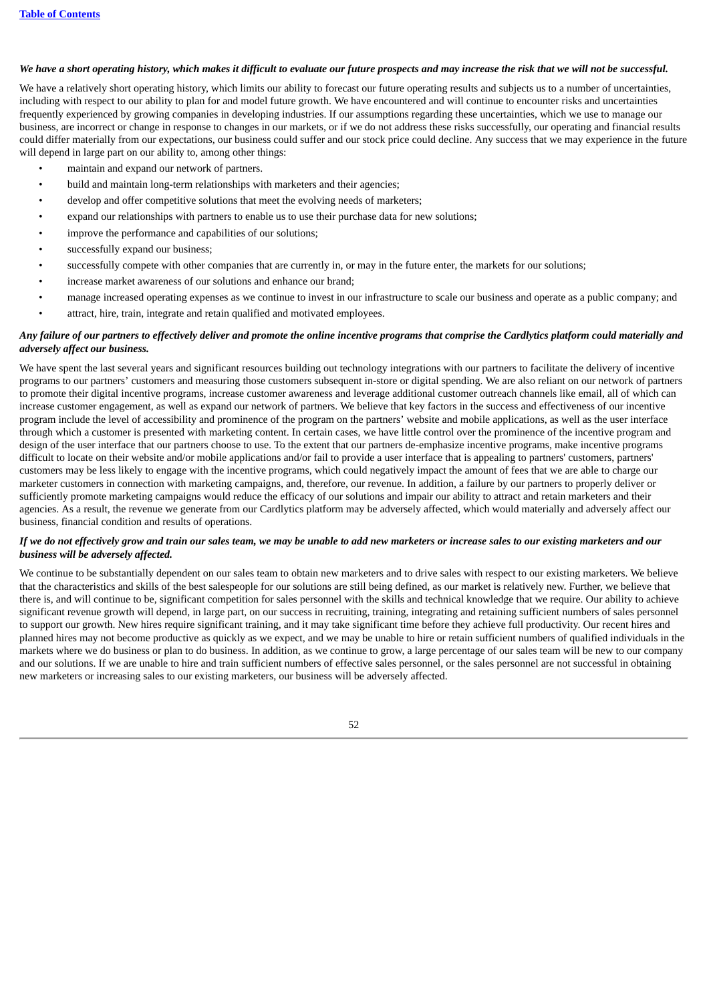## We have a short operating history, which makes it difficult to evaluate our future prospects and may increase the risk that we will not be successful.

We have a relatively short operating history, which limits our ability to forecast our future operating results and subjects us to a number of uncertainties, including with respect to our ability to plan for and model future growth. We have encountered and will continue to encounter risks and uncertainties frequently experienced by growing companies in developing industries. If our assumptions regarding these uncertainties, which we use to manage our business, are incorrect or change in response to changes in our markets, or if we do not address these risks successfully, our operating and financial results could differ materially from our expectations, our business could suffer and our stock price could decline. Any success that we may experience in the future will depend in large part on our ability to, among other things:

- maintain and expand our network of partners.
- build and maintain long-term relationships with marketers and their agencies;
- develop and offer competitive solutions that meet the evolving needs of marketers;
- expand our relationships with partners to enable us to use their purchase data for new solutions;
- improve the performance and capabilities of our solutions;
- successfully expand our business;
- successfully compete with other companies that are currently in, or may in the future enter, the markets for our solutions;
- increase market awareness of our solutions and enhance our brand;
- manage increased operating expenses as we continue to invest in our infrastructure to scale our business and operate as a public company; and
- attract, hire, train, integrate and retain qualified and motivated employees.

# Any failure of our partners to effectively deliver and promote the online incentive programs that comprise the Cardlytics platform could materially and *adversely affect our business.*

We have spent the last several years and significant resources building out technology integrations with our partners to facilitate the delivery of incentive programs to our partners' customers and measuring those customers subsequent in-store or digital spending. We are also reliant on our network of partners to promote their digital incentive programs, increase customer awareness and leverage additional customer outreach channels like email, all of which can increase customer engagement, as well as expand our network of partners. We believe that key factors in the success and effectiveness of our incentive program include the level of accessibility and prominence of the program on the partners' website and mobile applications, as well as the user interface through which a customer is presented with marketing content. In certain cases, we have little control over the prominence of the incentive program and design of the user interface that our partners choose to use. To the extent that our partners de-emphasize incentive programs, make incentive programs difficult to locate on their website and/or mobile applications and/or fail to provide a user interface that is appealing to partners' customers, partners' customers may be less likely to engage with the incentive programs, which could negatively impact the amount of fees that we are able to charge our marketer customers in connection with marketing campaigns, and, therefore, our revenue. In addition, a failure by our partners to properly deliver or sufficiently promote marketing campaigns would reduce the efficacy of our solutions and impair our ability to attract and retain marketers and their agencies. As a result, the revenue we generate from our Cardlytics platform may be adversely affected, which would materially and adversely affect our business, financial condition and results of operations.

## If we do not effectively grow and train our sales team, we may be unable to add new marketers or increase sales to our existing marketers and our *business will be adversely affected.*

We continue to be substantially dependent on our sales team to obtain new marketers and to drive sales with respect to our existing marketers. We believe that the characteristics and skills of the best salespeople for our solutions are still being defined, as our market is relatively new. Further, we believe that there is, and will continue to be, significant competition for sales personnel with the skills and technical knowledge that we require. Our ability to achieve significant revenue growth will depend, in large part, on our success in recruiting, training, integrating and retaining sufficient numbers of sales personnel to support our growth. New hires require significant training, and it may take significant time before they achieve full productivity. Our recent hires and planned hires may not become productive as quickly as we expect, and we may be unable to hire or retain sufficient numbers of qualified individuals in the markets where we do business or plan to do business. In addition, as we continue to grow, a large percentage of our sales team will be new to our company and our solutions. If we are unable to hire and train sufficient numbers of effective sales personnel, or the sales personnel are not successful in obtaining new marketers or increasing sales to our existing marketers, our business will be adversely affected.

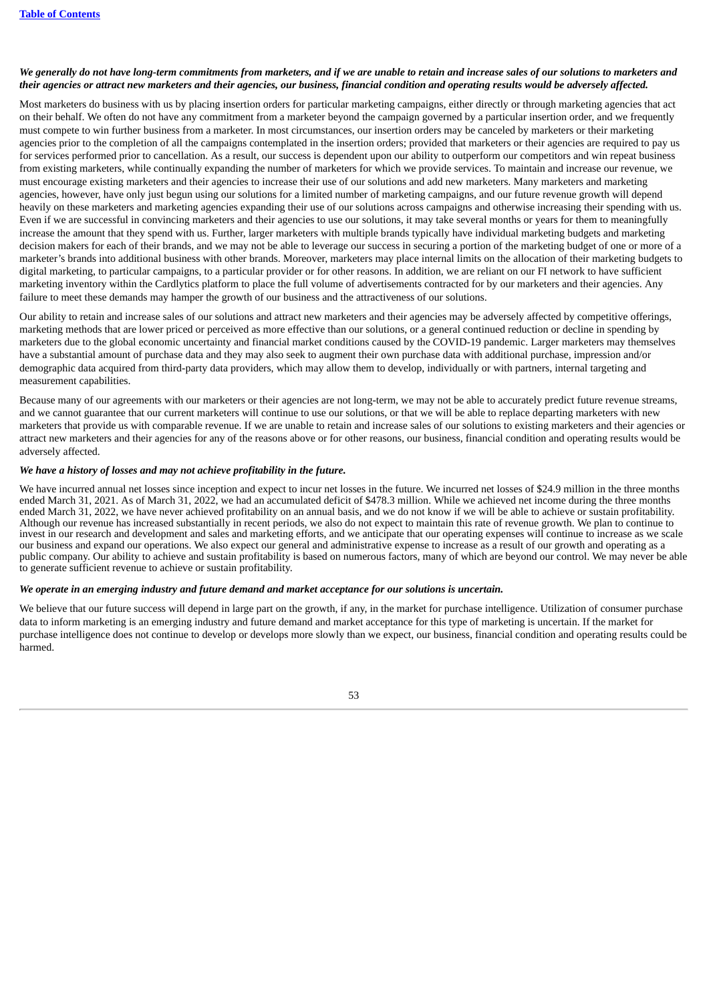## We generally do not have long-term commitments from marketers, and if we are unable to retain and increase sales of our solutions to marketers and their agencies or attract new marketers and their agencies, our business, financial condition and operating results would be adversely affected.

Most marketers do business with us by placing insertion orders for particular marketing campaigns, either directly or through marketing agencies that act on their behalf. We often do not have any commitment from a marketer beyond the campaign governed by a particular insertion order, and we frequently must compete to win further business from a marketer. In most circumstances, our insertion orders may be canceled by marketers or their marketing agencies prior to the completion of all the campaigns contemplated in the insertion orders; provided that marketers or their agencies are required to pay us for services performed prior to cancellation. As a result, our success is dependent upon our ability to outperform our competitors and win repeat business from existing marketers, while continually expanding the number of marketers for which we provide services. To maintain and increase our revenue, we must encourage existing marketers and their agencies to increase their use of our solutions and add new marketers. Many marketers and marketing agencies, however, have only just begun using our solutions for a limited number of marketing campaigns, and our future revenue growth will depend heavily on these marketers and marketing agencies expanding their use of our solutions across campaigns and otherwise increasing their spending with us. Even if we are successful in convincing marketers and their agencies to use our solutions, it may take several months or years for them to meaningfully increase the amount that they spend with us. Further, larger marketers with multiple brands typically have individual marketing budgets and marketing decision makers for each of their brands, and we may not be able to leverage our success in securing a portion of the marketing budget of one or more of a marketer's brands into additional business with other brands. Moreover, marketers may place internal limits on the allocation of their marketing budgets to digital marketing, to particular campaigns, to a particular provider or for other reasons. In addition, we are reliant on our FI network to have sufficient marketing inventory within the Cardlytics platform to place the full volume of advertisements contracted for by our marketers and their agencies. Any failure to meet these demands may hamper the growth of our business and the attractiveness of our solutions.

Our ability to retain and increase sales of our solutions and attract new marketers and their agencies may be adversely affected by competitive offerings, marketing methods that are lower priced or perceived as more effective than our solutions, or a general continued reduction or decline in spending by marketers due to the global economic uncertainty and financial market conditions caused by the COVID-19 pandemic. Larger marketers may themselves have a substantial amount of purchase data and they may also seek to augment their own purchase data with additional purchase, impression and/or demographic data acquired from third-party data providers, which may allow them to develop, individually or with partners, internal targeting and measurement capabilities.

Because many of our agreements with our marketers or their agencies are not long-term, we may not be able to accurately predict future revenue streams, and we cannot guarantee that our current marketers will continue to use our solutions, or that we will be able to replace departing marketers with new marketers that provide us with comparable revenue. If we are unable to retain and increase sales of our solutions to existing marketers and their agencies or attract new marketers and their agencies for any of the reasons above or for other reasons, our business, financial condition and operating results would be adversely affected.

#### *We have a history of losses and may not achieve profitability in the future.*

We have incurred annual net losses since inception and expect to incur net losses in the future. We incurred net losses of \$24.9 million in the three months ended March 31, 2021. As of March 31, 2022, we had an accumulated deficit of \$478.3 million. While we achieved net income during the three months ended March 31, 2022, we have never achieved profitability on an annual basis, and we do not know if we will be able to achieve or sustain profitability. Although our revenue has increased substantially in recent periods, we also do not expect to maintain this rate of revenue growth. We plan to continue to invest in our research and development and sales and marketing efforts, and we anticipate that our operating expenses will continue to increase as we scale our business and expand our operations. We also expect our general and administrative expense to increase as a result of our growth and operating as a public company. Our ability to achieve and sustain profitability is based on numerous factors, many of which are beyond our control. We may never be able to generate sufficient revenue to achieve or sustain profitability.

#### We operate in an emerging industry and future demand and market acceptance for our solutions is uncertain.

We believe that our future success will depend in large part on the growth, if any, in the market for purchase intelligence. Utilization of consumer purchase data to inform marketing is an emerging industry and future demand and market acceptance for this type of marketing is uncertain. If the market for purchase intelligence does not continue to develop or develops more slowly than we expect, our business, financial condition and operating results could be harmed.

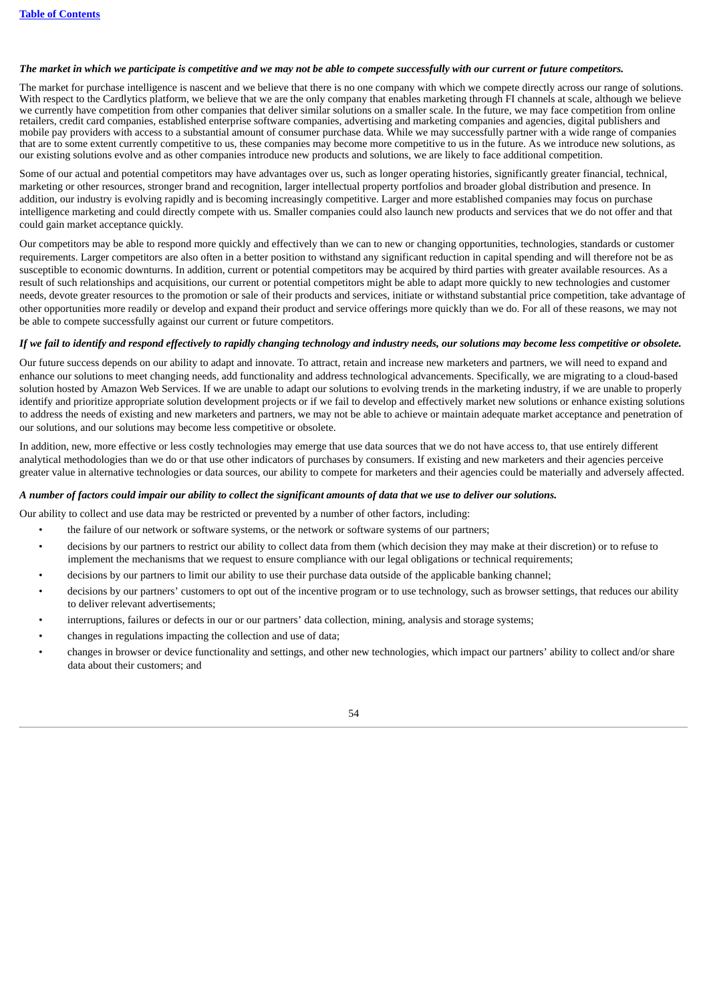### The market in which we participate is competitive and we may not be able to compete successfully with our current or future competitors.

The market for purchase intelligence is nascent and we believe that there is no one company with which we compete directly across our range of solutions. With respect to the Cardlytics platform, we believe that we are the only company that enables marketing through FI channels at scale, although we believe we currently have competition from other companies that deliver similar solutions on a smaller scale. In the future, we may face competition from online retailers, credit card companies, established enterprise software companies, advertising and marketing companies and agencies, digital publishers and mobile pay providers with access to a substantial amount of consumer purchase data. While we may successfully partner with a wide range of companies that are to some extent currently competitive to us, these companies may become more competitive to us in the future. As we introduce new solutions, as our existing solutions evolve and as other companies introduce new products and solutions, we are likely to face additional competition.

Some of our actual and potential competitors may have advantages over us, such as longer operating histories, significantly greater financial, technical, marketing or other resources, stronger brand and recognition, larger intellectual property portfolios and broader global distribution and presence. In addition, our industry is evolving rapidly and is becoming increasingly competitive. Larger and more established companies may focus on purchase intelligence marketing and could directly compete with us. Smaller companies could also launch new products and services that we do not offer and that could gain market acceptance quickly.

Our competitors may be able to respond more quickly and effectively than we can to new or changing opportunities, technologies, standards or customer requirements. Larger competitors are also often in a better position to withstand any significant reduction in capital spending and will therefore not be as susceptible to economic downturns. In addition, current or potential competitors may be acquired by third parties with greater available resources. As a result of such relationships and acquisitions, our current or potential competitors might be able to adapt more quickly to new technologies and customer needs, devote greater resources to the promotion or sale of their products and services, initiate or withstand substantial price competition, take advantage of other opportunities more readily or develop and expand their product and service offerings more quickly than we do. For all of these reasons, we may not be able to compete successfully against our current or future competitors.

## If we fail to identify and respond effectively to rapidly changing technology and industry needs, our solutions may become less competitive or obsolete.

Our future success depends on our ability to adapt and innovate. To attract, retain and increase new marketers and partners, we will need to expand and enhance our solutions to meet changing needs, add functionality and address technological advancements. Specifically, we are migrating to a cloud-based solution hosted by Amazon Web Services. If we are unable to adapt our solutions to evolving trends in the marketing industry, if we are unable to properly identify and prioritize appropriate solution development projects or if we fail to develop and effectively market new solutions or enhance existing solutions to address the needs of existing and new marketers and partners, we may not be able to achieve or maintain adequate market acceptance and penetration of our solutions, and our solutions may become less competitive or obsolete.

In addition, new, more effective or less costly technologies may emerge that use data sources that we do not have access to, that use entirely different analytical methodologies than we do or that use other indicators of purchases by consumers. If existing and new marketers and their agencies perceive greater value in alternative technologies or data sources, our ability to compete for marketers and their agencies could be materially and adversely affected.

### A number of factors could impair our ability to collect the significant amounts of data that we use to deliver our solutions.

Our ability to collect and use data may be restricted or prevented by a number of other factors, including:

- the failure of our network or software systems, or the network or software systems of our partners;
- decisions by our partners to restrict our ability to collect data from them (which decision they may make at their discretion) or to refuse to implement the mechanisms that we request to ensure compliance with our legal obligations or technical requirements;
- decisions by our partners to limit our ability to use their purchase data outside of the applicable banking channel;
- decisions by our partners' customers to opt out of the incentive program or to use technology, such as browser settings, that reduces our ability to deliver relevant advertisements;
- interruptions, failures or defects in our or our partners' data collection, mining, analysis and storage systems;
- changes in regulations impacting the collection and use of data;
- changes in browser or device functionality and settings, and other new technologies, which impact our partners' ability to collect and/or share data about their customers; and

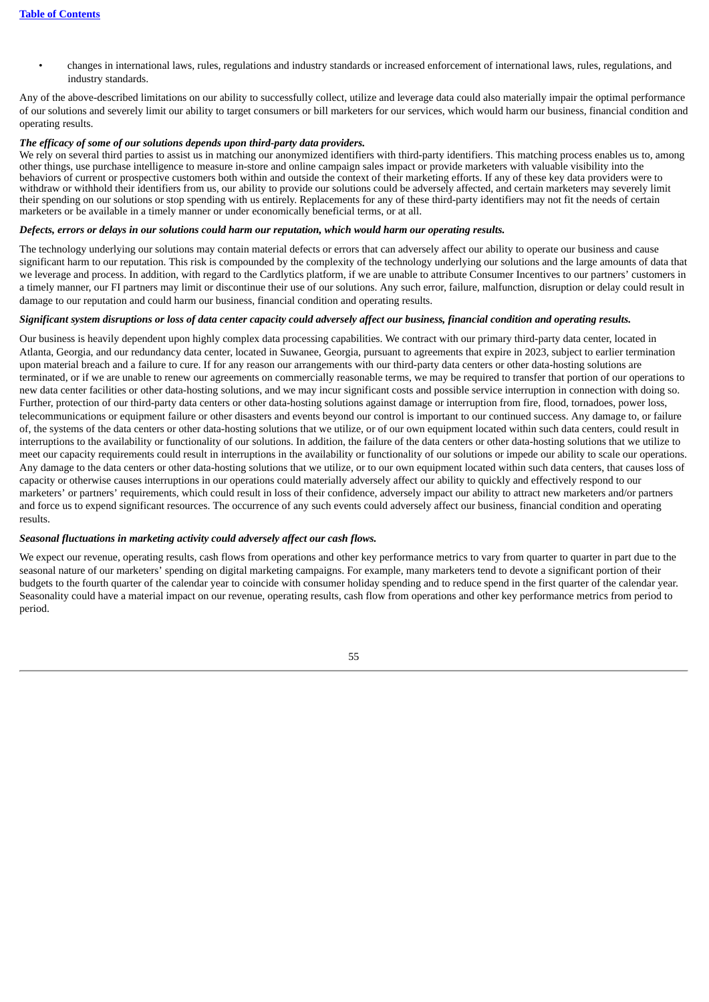• changes in international laws, rules, regulations and industry standards or increased enforcement of international laws, rules, regulations, and industry standards.

Any of the above-described limitations on our ability to successfully collect, utilize and leverage data could also materially impair the optimal performance of our solutions and severely limit our ability to target consumers or bill marketers for our services, which would harm our business, financial condition and operating results.

## *The efficacy of some of our solutions depends upon third-party data providers.*

We rely on several third parties to assist us in matching our anonymized identifiers with third-party identifiers. This matching process enables us to, among other things, use purchase intelligence to measure in-store and online campaign sales impact or provide marketers with valuable visibility into the behaviors of current or prospective customers both within and outside the context of their marketing efforts. If any of these key data providers were to withdraw or withhold their identifiers from us, our ability to provide our solutions could be adversely affected, and certain marketers may severely limit their spending on our solutions or stop spending with us entirely. Replacements for any of these third-party identifiers may not fit the needs of certain marketers or be available in a timely manner or under economically beneficial terms, or at all.

### Defects, errors or delays in our solutions could harm our reputation, which would harm our operating results.

The technology underlying our solutions may contain material defects or errors that can adversely affect our ability to operate our business and cause significant harm to our reputation. This risk is compounded by the complexity of the technology underlying our solutions and the large amounts of data that we leverage and process. In addition, with regard to the Cardlytics platform, if we are unable to attribute Consumer Incentives to our partners' customers in a timely manner, our FI partners may limit or discontinue their use of our solutions. Any such error, failure, malfunction, disruption or delay could result in damage to our reputation and could harm our business, financial condition and operating results.

## Significant system disruptions or loss of data center capacity could adversely affect our business, financial condition and operating results.

Our business is heavily dependent upon highly complex data processing capabilities. We contract with our primary third-party data center, located in Atlanta, Georgia, and our redundancy data center, located in Suwanee, Georgia, pursuant to agreements that expire in 2023, subject to earlier termination upon material breach and a failure to cure. If for any reason our arrangements with our third-party data centers or other data-hosting solutions are terminated, or if we are unable to renew our agreements on commercially reasonable terms, we may be required to transfer that portion of our operations to new data center facilities or other data-hosting solutions, and we may incur significant costs and possible service interruption in connection with doing so. Further, protection of our third-party data centers or other data-hosting solutions against damage or interruption from fire, flood, tornadoes, power loss, telecommunications or equipment failure or other disasters and events beyond our control is important to our continued success. Any damage to, or failure of, the systems of the data centers or other data-hosting solutions that we utilize, or of our own equipment located within such data centers, could result in interruptions to the availability or functionality of our solutions. In addition, the failure of the data centers or other data-hosting solutions that we utilize to meet our capacity requirements could result in interruptions in the availability or functionality of our solutions or impede our ability to scale our operations. Any damage to the data centers or other data-hosting solutions that we utilize, or to our own equipment located within such data centers, that causes loss of capacity or otherwise causes interruptions in our operations could materially adversely affect our ability to quickly and effectively respond to our marketers' or partners' requirements, which could result in loss of their confidence, adversely impact our ability to attract new marketers and/or partners and force us to expend significant resources. The occurrence of any such events could adversely affect our business, financial condition and operating results.

#### *Seasonal fluctuations in marketing activity could adversely affect our cash flows.*

We expect our revenue, operating results, cash flows from operations and other key performance metrics to vary from quarter to quarter in part due to the seasonal nature of our marketers' spending on digital marketing campaigns. For example, many marketers tend to devote a significant portion of their budgets to the fourth quarter of the calendar year to coincide with consumer holiday spending and to reduce spend in the first quarter of the calendar year. Seasonality could have a material impact on our revenue, operating results, cash flow from operations and other key performance metrics from period to period.

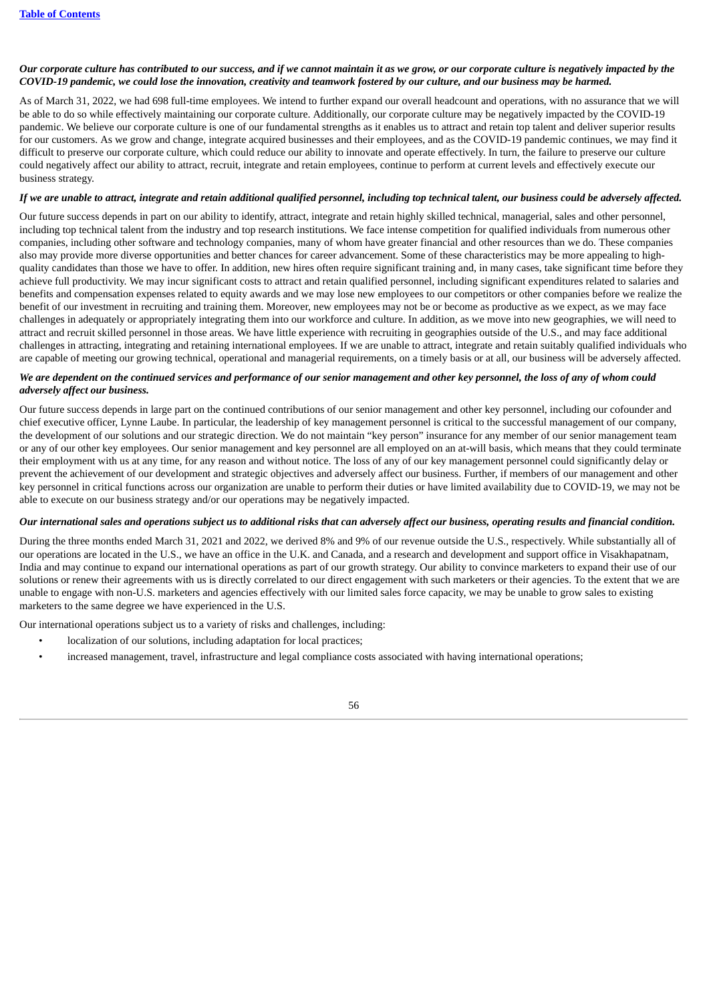# Our corporate culture has contributed to our success, and if we cannot maintain it as we grow, or our corporate culture is negatively impacted by the COVID-19 pandemic, we could lose the innovation, creativity and teamwork fostered by our culture, and our business may be harmed.

As of March 31, 2022, we had 698 full-time employees. We intend to further expand our overall headcount and operations, with no assurance that we will be able to do so while effectively maintaining our corporate culture. Additionally, our corporate culture may be negatively impacted by the COVID-19 pandemic. We believe our corporate culture is one of our fundamental strengths as it enables us to attract and retain top talent and deliver superior results for our customers. As we grow and change, integrate acquired businesses and their employees, and as the COVID-19 pandemic continues, we may find it difficult to preserve our corporate culture, which could reduce our ability to innovate and operate effectively. In turn, the failure to preserve our culture could negatively affect our ability to attract, recruit, integrate and retain employees, continue to perform at current levels and effectively execute our business strategy.

## If we are unable to attract, integrate and retain additional qualified personnel, including top technical talent, our business could be adversely affected.

Our future success depends in part on our ability to identify, attract, integrate and retain highly skilled technical, managerial, sales and other personnel, including top technical talent from the industry and top research institutions. We face intense competition for qualified individuals from numerous other companies, including other software and technology companies, many of whom have greater financial and other resources than we do. These companies also may provide more diverse opportunities and better chances for career advancement. Some of these characteristics may be more appealing to highquality candidates than those we have to offer. In addition, new hires often require significant training and, in many cases, take significant time before they achieve full productivity. We may incur significant costs to attract and retain qualified personnel, including significant expenditures related to salaries and benefits and compensation expenses related to equity awards and we may lose new employees to our competitors or other companies before we realize the benefit of our investment in recruiting and training them. Moreover, new employees may not be or become as productive as we expect, as we may face challenges in adequately or appropriately integrating them into our workforce and culture. In addition, as we move into new geographies, we will need to attract and recruit skilled personnel in those areas. We have little experience with recruiting in geographies outside of the U.S., and may face additional challenges in attracting, integrating and retaining international employees. If we are unable to attract, integrate and retain suitably qualified individuals who are capable of meeting our growing technical, operational and managerial requirements, on a timely basis or at all, our business will be adversely affected.

## We are dependent on the continued services and performance of our senior management and other key personnel, the loss of any of whom could *adversely affect our business.*

Our future success depends in large part on the continued contributions of our senior management and other key personnel, including our cofounder and chief executive officer, Lynne Laube. In particular, the leadership of key management personnel is critical to the successful management of our company, the development of our solutions and our strategic direction. We do not maintain "key person" insurance for any member of our senior management team or any of our other key employees. Our senior management and key personnel are all employed on an at-will basis, which means that they could terminate their employment with us at any time, for any reason and without notice. The loss of any of our key management personnel could significantly delay or prevent the achievement of our development and strategic objectives and adversely affect our business. Further, if members of our management and other key personnel in critical functions across our organization are unable to perform their duties or have limited availability due to COVID-19, we may not be able to execute on our business strategy and/or our operations may be negatively impacted.

## Our international sales and operations subject us to additional risks that can adversely affect our business, operating results and financial condition.

During the three months ended March 31, 2021 and 2022, we derived 8% and 9% of our revenue outside the U.S., respectively. While substantially all of our operations are located in the U.S., we have an office in the U.K. and Canada, and a research and development and support office in Visakhapatnam, India and may continue to expand our international operations as part of our growth strategy. Our ability to convince marketers to expand their use of our solutions or renew their agreements with us is directly correlated to our direct engagement with such marketers or their agencies. To the extent that we are unable to engage with non-U.S. marketers and agencies effectively with our limited sales force capacity, we may be unable to grow sales to existing marketers to the same degree we have experienced in the U.S.

Our international operations subject us to a variety of risks and challenges, including:

- localization of our solutions, including adaptation for local practices;
- increased management, travel, infrastructure and legal compliance costs associated with having international operations;

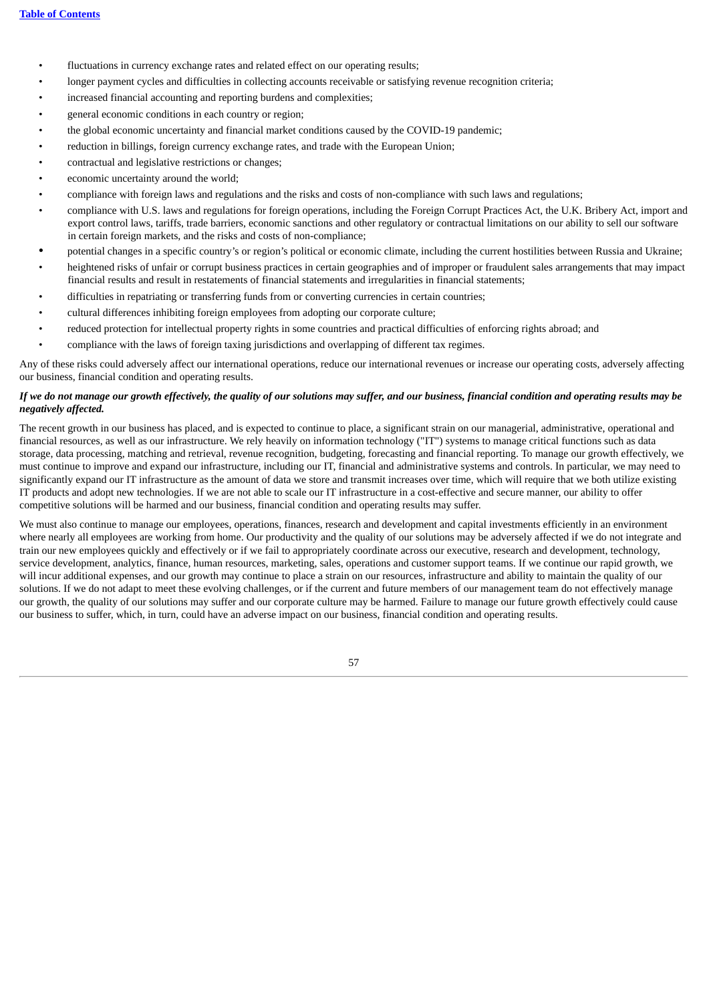- fluctuations in currency exchange rates and related effect on our operating results;
- longer payment cycles and difficulties in collecting accounts receivable or satisfying revenue recognition criteria;
- increased financial accounting and reporting burdens and complexities;
- general economic conditions in each country or region;
- the global economic uncertainty and financial market conditions caused by the COVID-19 pandemic;
- reduction in billings, foreign currency exchange rates, and trade with the European Union;
- contractual and legislative restrictions or changes;
- economic uncertainty around the world;
- compliance with foreign laws and regulations and the risks and costs of non-compliance with such laws and regulations;
- compliance with U.S. laws and regulations for foreign operations, including the Foreign Corrupt Practices Act, the U.K. Bribery Act, import and export control laws, tariffs, trade barriers, economic sanctions and other regulatory or contractual limitations on our ability to sell our software in certain foreign markets, and the risks and costs of non-compliance;
- potential changes in a specific country's or region's political or economic climate, including the current hostilities between Russia and Ukraine;
- heightened risks of unfair or corrupt business practices in certain geographies and of improper or fraudulent sales arrangements that may impact financial results and result in restatements of financial statements and irregularities in financial statements;
- difficulties in repatriating or transferring funds from or converting currencies in certain countries;
- cultural differences inhibiting foreign employees from adopting our corporate culture;
- reduced protection for intellectual property rights in some countries and practical difficulties of enforcing rights abroad; and
- compliance with the laws of foreign taxing jurisdictions and overlapping of different tax regimes.

Any of these risks could adversely affect our international operations, reduce our international revenues or increase our operating costs, adversely affecting our business, financial condition and operating results.

## If we do not manage our growth effectively, the quality of our solutions may suffer, and our business, financial condition and operating results may be *negatively affected.*

The recent growth in our business has placed, and is expected to continue to place, a significant strain on our managerial, administrative, operational and financial resources, as well as our infrastructure. We rely heavily on information technology ("IT") systems to manage critical functions such as data storage, data processing, matching and retrieval, revenue recognition, budgeting, forecasting and financial reporting. To manage our growth effectively, we must continue to improve and expand our infrastructure, including our IT, financial and administrative systems and controls. In particular, we may need to significantly expand our IT infrastructure as the amount of data we store and transmit increases over time, which will require that we both utilize existing IT products and adopt new technologies. If we are not able to scale our IT infrastructure in a cost-effective and secure manner, our ability to offer competitive solutions will be harmed and our business, financial condition and operating results may suffer.

We must also continue to manage our employees, operations, finances, research and development and capital investments efficiently in an environment where nearly all employees are working from home. Our productivity and the quality of our solutions may be adversely affected if we do not integrate and train our new employees quickly and effectively or if we fail to appropriately coordinate across our executive, research and development, technology, service development, analytics, finance, human resources, marketing, sales, operations and customer support teams. If we continue our rapid growth, we will incur additional expenses, and our growth may continue to place a strain on our resources, infrastructure and ability to maintain the quality of our solutions. If we do not adapt to meet these evolving challenges, or if the current and future members of our management team do not effectively manage our growth, the quality of our solutions may suffer and our corporate culture may be harmed. Failure to manage our future growth effectively could cause our business to suffer, which, in turn, could have an adverse impact on our business, financial condition and operating results.

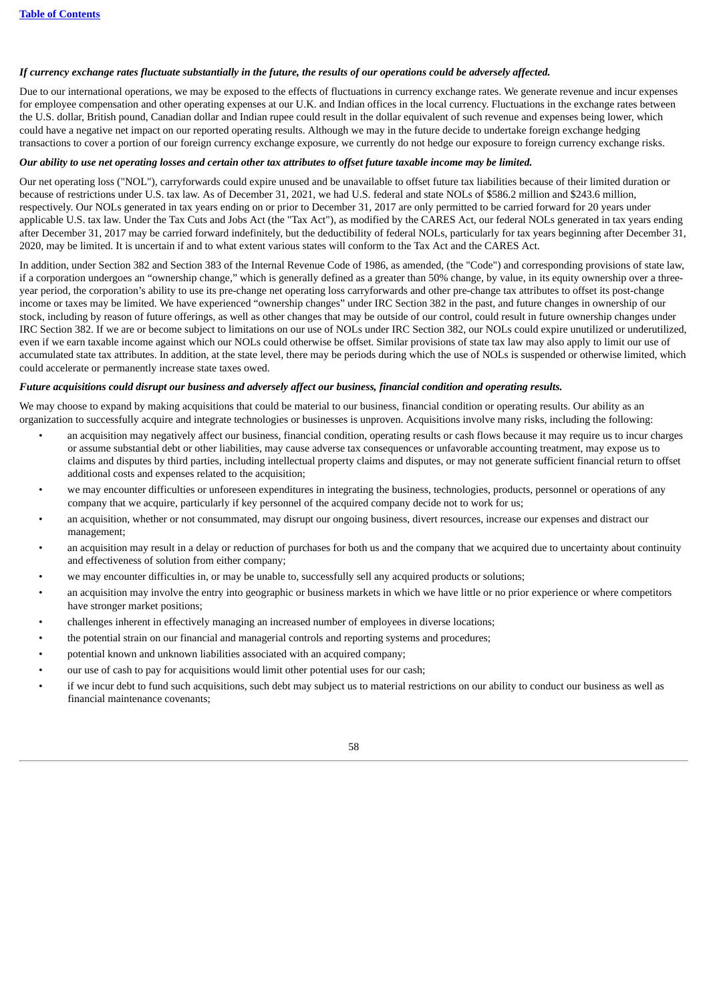# If currency exchange rates fluctuate substantially in the future, the results of our operations could be adversely affected.

Due to our international operations, we may be exposed to the effects of fluctuations in currency exchange rates. We generate revenue and incur expenses for employee compensation and other operating expenses at our U.K. and Indian offices in the local currency. Fluctuations in the exchange rates between the U.S. dollar, British pound, Canadian dollar and Indian rupee could result in the dollar equivalent of such revenue and expenses being lower, which could have a negative net impact on our reported operating results. Although we may in the future decide to undertake foreign exchange hedging transactions to cover a portion of our foreign currency exchange exposure, we currently do not hedge our exposure to foreign currency exchange risks.

## Our ability to use net operating losses and certain other tax attributes to offset future taxable income may be limited.

Our net operating loss ("NOL"), carryforwards could expire unused and be unavailable to offset future tax liabilities because of their limited duration or because of restrictions under U.S. tax law. As of December 31, 2021, we had U.S. federal and state NOLs of \$586.2 million and \$243.6 million, respectively. Our NOLs generated in tax years ending on or prior to December 31, 2017 are only permitted to be carried forward for 20 years under applicable U.S. tax law. Under the Tax Cuts and Jobs Act (the "Tax Act"), as modified by the CARES Act, our federal NOLs generated in tax years ending after December 31, 2017 may be carried forward indefinitely, but the deductibility of federal NOLs, particularly for tax years beginning after December 31, 2020, may be limited. It is uncertain if and to what extent various states will conform to the Tax Act and the CARES Act.

In addition, under Section 382 and Section 383 of the Internal Revenue Code of 1986, as amended, (the "Code") and corresponding provisions of state law, if a corporation undergoes an "ownership change," which is generally defined as a greater than 50% change, by value, in its equity ownership over a threeyear period, the corporation's ability to use its pre-change net operating loss carryforwards and other pre-change tax attributes to offset its post-change income or taxes may be limited. We have experienced "ownership changes" under IRC Section 382 in the past, and future changes in ownership of our stock, including by reason of future offerings, as well as other changes that may be outside of our control, could result in future ownership changes under IRC Section 382. If we are or become subject to limitations on our use of NOLs under IRC Section 382, our NOLs could expire unutilized or underutilized, even if we earn taxable income against which our NOLs could otherwise be offset. Similar provisions of state tax law may also apply to limit our use of accumulated state tax attributes. In addition, at the state level, there may be periods during which the use of NOLs is suspended or otherwise limited, which could accelerate or permanently increase state taxes owed.

## Future acquisitions could disrupt our business and adversely affect our business, financial condition and operating results.

We may choose to expand by making acquisitions that could be material to our business, financial condition or operating results. Our ability as an organization to successfully acquire and integrate technologies or businesses is unproven. Acquisitions involve many risks, including the following:

- an acquisition may negatively affect our business, financial condition, operating results or cash flows because it may require us to incur charges or assume substantial debt or other liabilities, may cause adverse tax consequences or unfavorable accounting treatment, may expose us to claims and disputes by third parties, including intellectual property claims and disputes, or may not generate sufficient financial return to offset additional costs and expenses related to the acquisition;
- we may encounter difficulties or unforeseen expenditures in integrating the business, technologies, products, personnel or operations of any company that we acquire, particularly if key personnel of the acquired company decide not to work for us;
- an acquisition, whether or not consummated, may disrupt our ongoing business, divert resources, increase our expenses and distract our management;
- an acquisition may result in a delay or reduction of purchases for both us and the company that we acquired due to uncertainty about continuity and effectiveness of solution from either company;
- we may encounter difficulties in, or may be unable to, successfully sell any acquired products or solutions;
- an acquisition may involve the entry into geographic or business markets in which we have little or no prior experience or where competitors have stronger market positions;
- challenges inherent in effectively managing an increased number of employees in diverse locations;
- the potential strain on our financial and managerial controls and reporting systems and procedures;
- potential known and unknown liabilities associated with an acquired company;
- our use of cash to pay for acquisitions would limit other potential uses for our cash;
- if we incur debt to fund such acquisitions, such debt may subject us to material restrictions on our ability to conduct our business as well as financial maintenance covenants;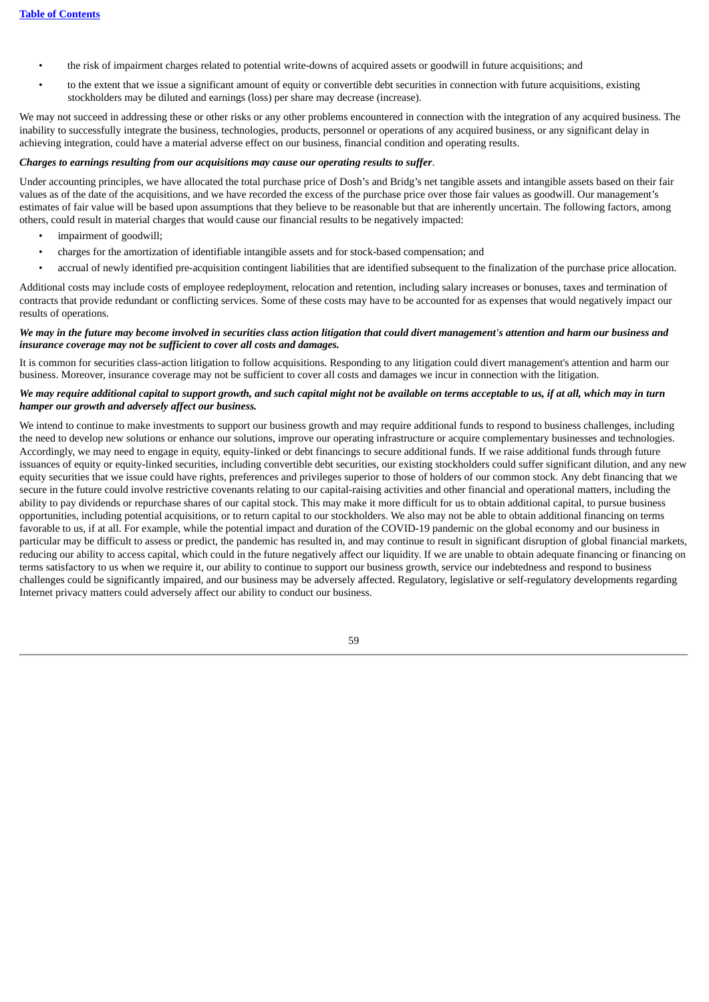- the risk of impairment charges related to potential write-downs of acquired assets or goodwill in future acquisitions; and
- to the extent that we issue a significant amount of equity or convertible debt securities in connection with future acquisitions, existing stockholders may be diluted and earnings (loss) per share may decrease (increase).

We may not succeed in addressing these or other risks or any other problems encountered in connection with the integration of any acquired business. The inability to successfully integrate the business, technologies, products, personnel or operations of any acquired business, or any significant delay in achieving integration, could have a material adverse effect on our business, financial condition and operating results.

#### *Charges to earnings resulting from our acquisitions may cause our operating results to suffer*.

Under accounting principles, we have allocated the total purchase price of Dosh's and Bridg's net tangible assets and intangible assets based on their fair values as of the date of the acquisitions, and we have recorded the excess of the purchase price over those fair values as goodwill. Our management's estimates of fair value will be based upon assumptions that they believe to be reasonable but that are inherently uncertain. The following factors, among others, could result in material charges that would cause our financial results to be negatively impacted:

- impairment of goodwill;
- charges for the amortization of identifiable intangible assets and for stock-based compensation; and
- accrual of newly identified pre-acquisition contingent liabilities that are identified subsequent to the finalization of the purchase price allocation.

Additional costs may include costs of employee redeployment, relocation and retention, including salary increases or bonuses, taxes and termination of contracts that provide redundant or conflicting services. Some of these costs may have to be accounted for as expenses that would negatively impact our results of operations.

#### We may in the future may become involved in securities class action litigation that could divert management's attention and harm our business and *insurance coverage may not be sufficient to cover all costs and damages.*

It is common for securities class-action litigation to follow acquisitions. Responding to any litigation could divert management's attention and harm our business. Moreover, insurance coverage may not be sufficient to cover all costs and damages we incur in connection with the litigation.

#### We may require additional capital to support growth, and such capital might not be available on terms acceptable to us, if at all, which may in turn *hamper our growth and adversely affect our business.*

We intend to continue to make investments to support our business growth and may require additional funds to respond to business challenges, including the need to develop new solutions or enhance our solutions, improve our operating infrastructure or acquire complementary businesses and technologies. Accordingly, we may need to engage in equity, equity-linked or debt financings to secure additional funds. If we raise additional funds through future issuances of equity or equity-linked securities, including convertible debt securities, our existing stockholders could suffer significant dilution, and any new equity securities that we issue could have rights, preferences and privileges superior to those of holders of our common stock. Any debt financing that we secure in the future could involve restrictive covenants relating to our capital-raising activities and other financial and operational matters, including the ability to pay dividends or repurchase shares of our capital stock. This may make it more difficult for us to obtain additional capital, to pursue business opportunities, including potential acquisitions, or to return capital to our stockholders. We also may not be able to obtain additional financing on terms favorable to us, if at all. For example, while the potential impact and duration of the COVID-19 pandemic on the global economy and our business in particular may be difficult to assess or predict, the pandemic has resulted in, and may continue to result in significant disruption of global financial markets, reducing our ability to access capital, which could in the future negatively affect our liquidity. If we are unable to obtain adequate financing or financing on terms satisfactory to us when we require it, our ability to continue to support our business growth, service our indebtedness and respond to business challenges could be significantly impaired, and our business may be adversely affected. Regulatory, legislative or self-regulatory developments regarding Internet privacy matters could adversely affect our ability to conduct our business.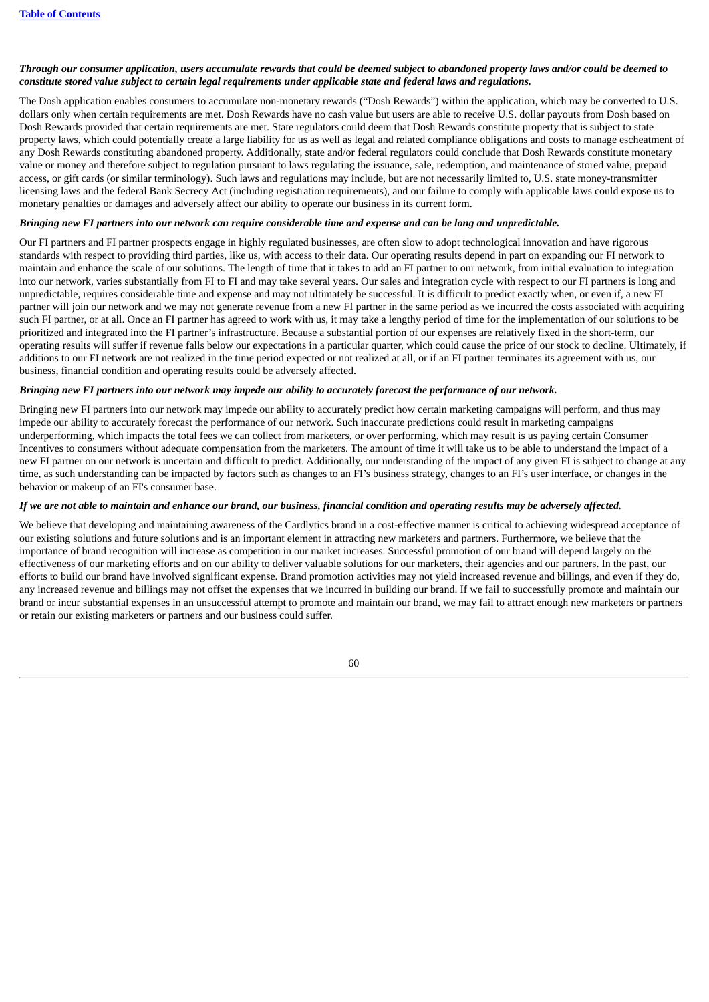# Through our consumer application, users accumulate rewards that could be deemed subject to abandoned property laws and/or could be deemed to constitute stored value subject to certain legal requirements under applicable state and federal laws and regulations.

The Dosh application enables consumers to accumulate non-monetary rewards ("Dosh Rewards") within the application, which may be converted to U.S. dollars only when certain requirements are met. Dosh Rewards have no cash value but users are able to receive U.S. dollar payouts from Dosh based on Dosh Rewards provided that certain requirements are met. State regulators could deem that Dosh Rewards constitute property that is subject to state property laws, which could potentially create a large liability for us as well as legal and related compliance obligations and costs to manage escheatment of any Dosh Rewards constituting abandoned property. Additionally, state and/or federal regulators could conclude that Dosh Rewards constitute monetary value or money and therefore subject to regulation pursuant to laws regulating the issuance, sale, redemption, and maintenance of stored value, prepaid access, or gift cards (or similar terminology). Such laws and regulations may include, but are not necessarily limited to, U.S. state money-transmitter licensing laws and the federal Bank Secrecy Act (including registration requirements), and our failure to comply with applicable laws could expose us to monetary penalties or damages and adversely affect our ability to operate our business in its current form.

### Bringing new FI partners into our network can reguire considerable time and expense and can be long and unpredictable.

Our FI partners and FI partner prospects engage in highly regulated businesses, are often slow to adopt technological innovation and have rigorous standards with respect to providing third parties, like us, with access to their data. Our operating results depend in part on expanding our FI network to maintain and enhance the scale of our solutions. The length of time that it takes to add an FI partner to our network, from initial evaluation to integration into our network, varies substantially from FI to FI and may take several years. Our sales and integration cycle with respect to our FI partners is long and unpredictable, requires considerable time and expense and may not ultimately be successful. It is difficult to predict exactly when, or even if, a new FI partner will join our network and we may not generate revenue from a new FI partner in the same period as we incurred the costs associated with acquiring such FI partner, or at all. Once an FI partner has agreed to work with us, it may take a lengthy period of time for the implementation of our solutions to be prioritized and integrated into the FI partner's infrastructure. Because a substantial portion of our expenses are relatively fixed in the short-term, our operating results will suffer if revenue falls below our expectations in a particular quarter, which could cause the price of our stock to decline. Ultimately, if additions to our FI network are not realized in the time period expected or not realized at all, or if an FI partner terminates its agreement with us, our business, financial condition and operating results could be adversely affected.

### Bringing new FI partners into our network may impede our ability to accurately forecast the performance of our network.

Bringing new FI partners into our network may impede our ability to accurately predict how certain marketing campaigns will perform, and thus may impede our ability to accurately forecast the performance of our network. Such inaccurate predictions could result in marketing campaigns underperforming, which impacts the total fees we can collect from marketers, or over performing, which may result is us paying certain Consumer Incentives to consumers without adequate compensation from the marketers. The amount of time it will take us to be able to understand the impact of a new FI partner on our network is uncertain and difficult to predict. Additionally, our understanding of the impact of any given FI is subject to change at any time, as such understanding can be impacted by factors such as changes to an FI's business strategy, changes to an FI's user interface, or changes in the behavior or makeup of an FI's consumer base.

#### If we are not able to maintain and enhance our brand, our business, financial condition and operating results may be adversely affected.

We believe that developing and maintaining awareness of the Cardlytics brand in a cost-effective manner is critical to achieving widespread acceptance of our existing solutions and future solutions and is an important element in attracting new marketers and partners. Furthermore, we believe that the importance of brand recognition will increase as competition in our market increases. Successful promotion of our brand will depend largely on the effectiveness of our marketing efforts and on our ability to deliver valuable solutions for our marketers, their agencies and our partners. In the past, our efforts to build our brand have involved significant expense. Brand promotion activities may not yield increased revenue and billings, and even if they do, any increased revenue and billings may not offset the expenses that we incurred in building our brand. If we fail to successfully promote and maintain our brand or incur substantial expenses in an unsuccessful attempt to promote and maintain our brand, we may fail to attract enough new marketers or partners or retain our existing marketers or partners and our business could suffer.

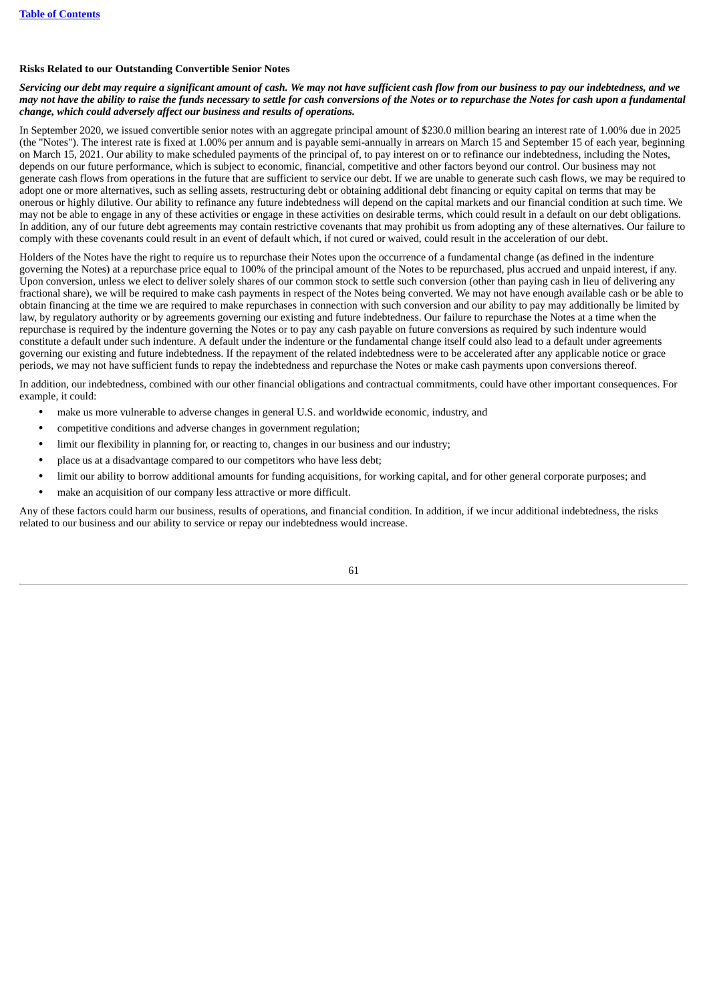#### **Risks Related to our Outstanding Convertible Senior Notes**

## Servicing our debt may require a significant amount of cash. We may not have sufficient cash flow from our business to pay our indebtedness, and we may not have the ability to raise the funds necessary to settle for cash conversions of the Notes or to repurchase the Notes for cash upon a fundamental *change, which could adversely affect our business and results of operations.*

In September 2020, we issued convertible senior notes with an aggregate principal amount of \$230.0 million bearing an interest rate of 1.00% due in 2025 (the "Notes"). The interest rate is fixed at 1.00% per annum and is payable semi-annually in arrears on March 15 and September 15 of each year, beginning on March 15, 2021. Our ability to make scheduled payments of the principal of, to pay interest on or to refinance our indebtedness, including the Notes, depends on our future performance, which is subject to economic, financial, competitive and other factors beyond our control. Our business may not generate cash flows from operations in the future that are sufficient to service our debt. If we are unable to generate such cash flows, we may be required to adopt one or more alternatives, such as selling assets, restructuring debt or obtaining additional debt financing or equity capital on terms that may be onerous or highly dilutive. Our ability to refinance any future indebtedness will depend on the capital markets and our financial condition at such time. We may not be able to engage in any of these activities or engage in these activities on desirable terms, which could result in a default on our debt obligations. In addition, any of our future debt agreements may contain restrictive covenants that may prohibit us from adopting any of these alternatives. Our failure to comply with these covenants could result in an event of default which, if not cured or waived, could result in the acceleration of our debt.

Holders of the Notes have the right to require us to repurchase their Notes upon the occurrence of a fundamental change (as defined in the indenture governing the Notes) at a repurchase price equal to 100% of the principal amount of the Notes to be repurchased, plus accrued and unpaid interest, if any. Upon conversion, unless we elect to deliver solely shares of our common stock to settle such conversion (other than paying cash in lieu of delivering any fractional share), we will be required to make cash payments in respect of the Notes being converted. We may not have enough available cash or be able to obtain financing at the time we are required to make repurchases in connection with such conversion and our ability to pay may additionally be limited by law, by regulatory authority or by agreements governing our existing and future indebtedness. Our failure to repurchase the Notes at a time when the repurchase is required by the indenture governing the Notes or to pay any cash payable on future conversions as required by such indenture would constitute a default under such indenture. A default under the indenture or the fundamental change itself could also lead to a default under agreements governing our existing and future indebtedness. If the repayment of the related indebtedness were to be accelerated after any applicable notice or grace periods, we may not have sufficient funds to repay the indebtedness and repurchase the Notes or make cash payments upon conversions thereof.

In addition, our indebtedness, combined with our other financial obligations and contractual commitments, could have other important consequences. For example, it could:

- make us more vulnerable to adverse changes in general U.S. and worldwide economic, industry, and
- competitive conditions and adverse changes in government regulation;
- limit our flexibility in planning for, or reacting to, changes in our business and our industry;
- place us at a disadvantage compared to our competitors who have less debt;
- limit our ability to borrow additional amounts for funding acquisitions, for working capital, and for other general corporate purposes; and
- make an acquisition of our company less attractive or more difficult.

Any of these factors could harm our business, results of operations, and financial condition. In addition, if we incur additional indebtedness, the risks related to our business and our ability to service or repay our indebtedness would increase.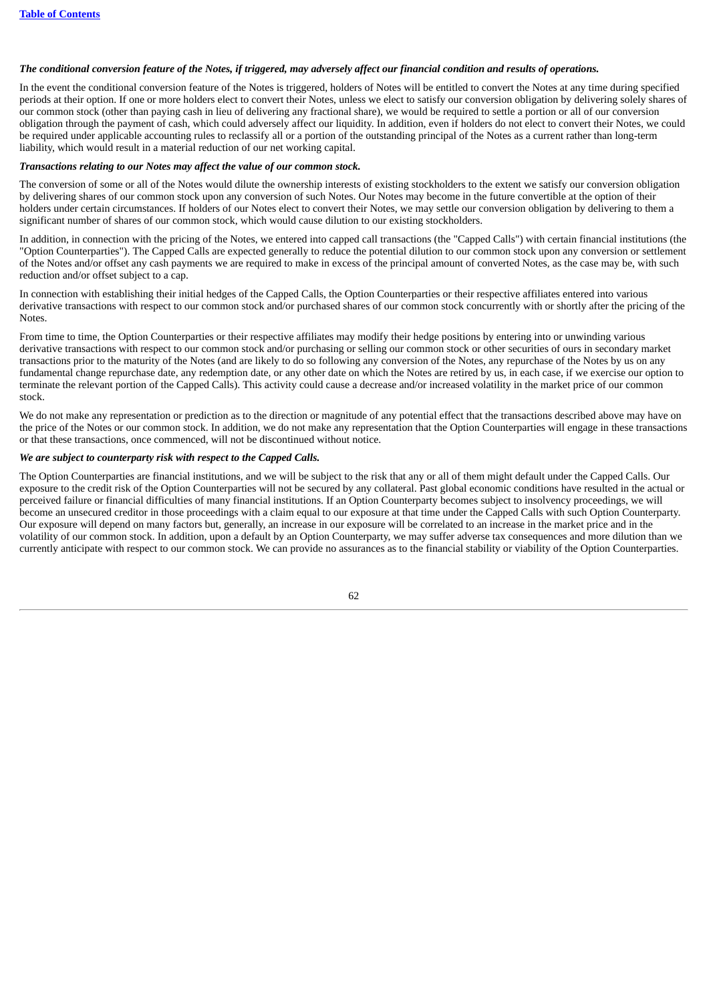## The conditional conversion feature of the Notes, if triggered, may adversely affect our financial condition and results of operations.

In the event the conditional conversion feature of the Notes is triggered, holders of Notes will be entitled to convert the Notes at any time during specified periods at their option. If one or more holders elect to convert their Notes, unless we elect to satisfy our conversion obligation by delivering solely shares of our common stock (other than paying cash in lieu of delivering any fractional share), we would be required to settle a portion or all of our conversion obligation through the payment of cash, which could adversely affect our liquidity. In addition, even if holders do not elect to convert their Notes, we could be required under applicable accounting rules to reclassify all or a portion of the outstanding principal of the Notes as a current rather than long-term liability, which would result in a material reduction of our net working capital.

#### *Transactions relating to our Notes may affect the value of our common stock.*

The conversion of some or all of the Notes would dilute the ownership interests of existing stockholders to the extent we satisfy our conversion obligation by delivering shares of our common stock upon any conversion of such Notes. Our Notes may become in the future convertible at the option of their holders under certain circumstances. If holders of our Notes elect to convert their Notes, we may settle our conversion obligation by delivering to them a significant number of shares of our common stock, which would cause dilution to our existing stockholders.

In addition, in connection with the pricing of the Notes, we entered into capped call transactions (the "Capped Calls") with certain financial institutions (the "Option Counterparties"). The Capped Calls are expected generally to reduce the potential dilution to our common stock upon any conversion or settlement of the Notes and/or offset any cash payments we are required to make in excess of the principal amount of converted Notes, as the case may be, with such reduction and/or offset subject to a cap.

In connection with establishing their initial hedges of the Capped Calls, the Option Counterparties or their respective affiliates entered into various derivative transactions with respect to our common stock and/or purchased shares of our common stock concurrently with or shortly after the pricing of the Notes.

From time to time, the Option Counterparties or their respective affiliates may modify their hedge positions by entering into or unwinding various derivative transactions with respect to our common stock and/or purchasing or selling our common stock or other securities of ours in secondary market transactions prior to the maturity of the Notes (and are likely to do so following any conversion of the Notes, any repurchase of the Notes by us on any fundamental change repurchase date, any redemption date, or any other date on which the Notes are retired by us, in each case, if we exercise our option to terminate the relevant portion of the Capped Calls). This activity could cause a decrease and/or increased volatility in the market price of our common stock.

We do not make any representation or prediction as to the direction or magnitude of any potential effect that the transactions described above may have on the price of the Notes or our common stock. In addition, we do not make any representation that the Option Counterparties will engage in these transactions or that these transactions, once commenced, will not be discontinued without notice.

### *We are subject to counterparty risk with respect to the Capped Calls.*

The Option Counterparties are financial institutions, and we will be subject to the risk that any or all of them might default under the Capped Calls. Our exposure to the credit risk of the Option Counterparties will not be secured by any collateral. Past global economic conditions have resulted in the actual or perceived failure or financial difficulties of many financial institutions. If an Option Counterparty becomes subject to insolvency proceedings, we will become an unsecured creditor in those proceedings with a claim equal to our exposure at that time under the Capped Calls with such Option Counterparty. Our exposure will depend on many factors but, generally, an increase in our exposure will be correlated to an increase in the market price and in the volatility of our common stock. In addition, upon a default by an Option Counterparty, we may suffer adverse tax consequences and more dilution than we currently anticipate with respect to our common stock. We can provide no assurances as to the financial stability or viability of the Option Counterparties.

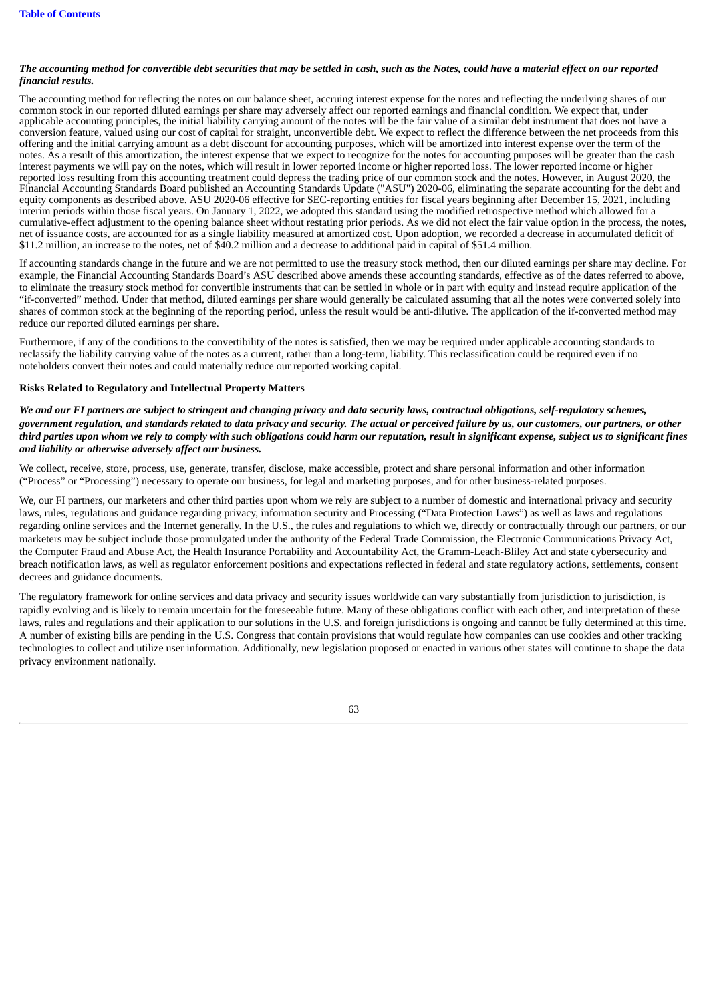## The accounting method for convertible debt securities that may be settled in cash, such as the Notes, could have a material effect on our reported *financial results.*

The accounting method for reflecting the notes on our balance sheet, accruing interest expense for the notes and reflecting the underlying shares of our common stock in our reported diluted earnings per share may adversely affect our reported earnings and financial condition. We expect that, under applicable accounting principles, the initial liability carrying amount of the notes will be the fair value of a similar debt instrument that does not have a conversion feature, valued using our cost of capital for straight, unconvertible debt. We expect to reflect the difference between the net proceeds from this offering and the initial carrying amount as a debt discount for accounting purposes, which will be amortized into interest expense over the term of the notes. As a result of this amortization, the interest expense that we expect to recognize for the notes for accounting purposes will be greater than the cash interest payments we will pay on the notes, which will result in lower reported income or higher reported loss. The lower reported income or higher reported loss resulting from this accounting treatment could depress the trading price of our common stock and the notes. However, in August 2020, the Financial Accounting Standards Board published an Accounting Standards Update ("ASU") 2020-06, eliminating the separate accounting for the debt and equity components as described above. ASU 2020-06 effective for SEC-reporting entities for fiscal years beginning after December 15, 2021, including interim periods within those fiscal years. On January 1, 2022, we adopted this standard using the modified retrospective method which allowed for a cumulative-effect adjustment to the opening balance sheet without restating prior periods. As we did not elect the fair value option in the process, the notes, net of issuance costs, are accounted for as a single liability measured at amortized cost. Upon adoption, we recorded a decrease in accumulated deficit of \$11.2 million, an increase to the notes, net of \$40.2 million and a decrease to additional paid in capital of \$51.4 million.

If accounting standards change in the future and we are not permitted to use the treasury stock method, then our diluted earnings per share may decline. For example, the Financial Accounting Standards Board's ASU described above amends these accounting standards, effective as of the dates referred to above, to eliminate the treasury stock method for convertible instruments that can be settled in whole or in part with equity and instead require application of the "if-converted" method. Under that method, diluted earnings per share would generally be calculated assuming that all the notes were converted solely into shares of common stock at the beginning of the reporting period, unless the result would be anti-dilutive. The application of the if-converted method may reduce our reported diluted earnings per share.

Furthermore, if any of the conditions to the convertibility of the notes is satisfied, then we may be required under applicable accounting standards to reclassify the liability carrying value of the notes as a current, rather than a long-term, liability. This reclassification could be required even if no noteholders convert their notes and could materially reduce our reported working capital.

#### **Risks Related to Regulatory and Intellectual Property Matters**

We and our FI partners are subject to stringent and changing privacy and data security laws, contractual obligations, self-regulatory schemes, government regulation, and standards related to data privacy and security. The actual or perceived failure by us, our customers, our partners, or other third parties upon whom we rely to comply with such obligations could harm our reputation, result in significant expense, subject us to significant fines *and liability or otherwise adversely affect our business.*

We collect, receive, store, process, use, generate, transfer, disclose, make accessible, protect and share personal information and other information ("Process" or "Processing") necessary to operate our business, for legal and marketing purposes, and for other business-related purposes.

We, our FI partners, our marketers and other third parties upon whom we rely are subject to a number of domestic and international privacy and security laws, rules, regulations and guidance regarding privacy, information security and Processing ("Data Protection Laws") as well as laws and regulations regarding online services and the Internet generally. In the U.S., the rules and regulations to which we, directly or contractually through our partners, or our marketers may be subject include those promulgated under the authority of the Federal Trade Commission, the Electronic Communications Privacy Act, the Computer Fraud and Abuse Act, the Health Insurance Portability and Accountability Act, the Gramm-Leach-Bliley Act and state cybersecurity and breach notification laws, as well as regulator enforcement positions and expectations reflected in federal and state regulatory actions, settlements, consent decrees and guidance documents.

The regulatory framework for online services and data privacy and security issues worldwide can vary substantially from jurisdiction to jurisdiction, is rapidly evolving and is likely to remain uncertain for the foreseeable future. Many of these obligations conflict with each other, and interpretation of these laws, rules and regulations and their application to our solutions in the U.S. and foreign jurisdictions is ongoing and cannot be fully determined at this time. A number of existing bills are pending in the U.S. Congress that contain provisions that would regulate how companies can use cookies and other tracking technologies to collect and utilize user information. Additionally, new legislation proposed or enacted in various other states will continue to shape the data privacy environment nationally.

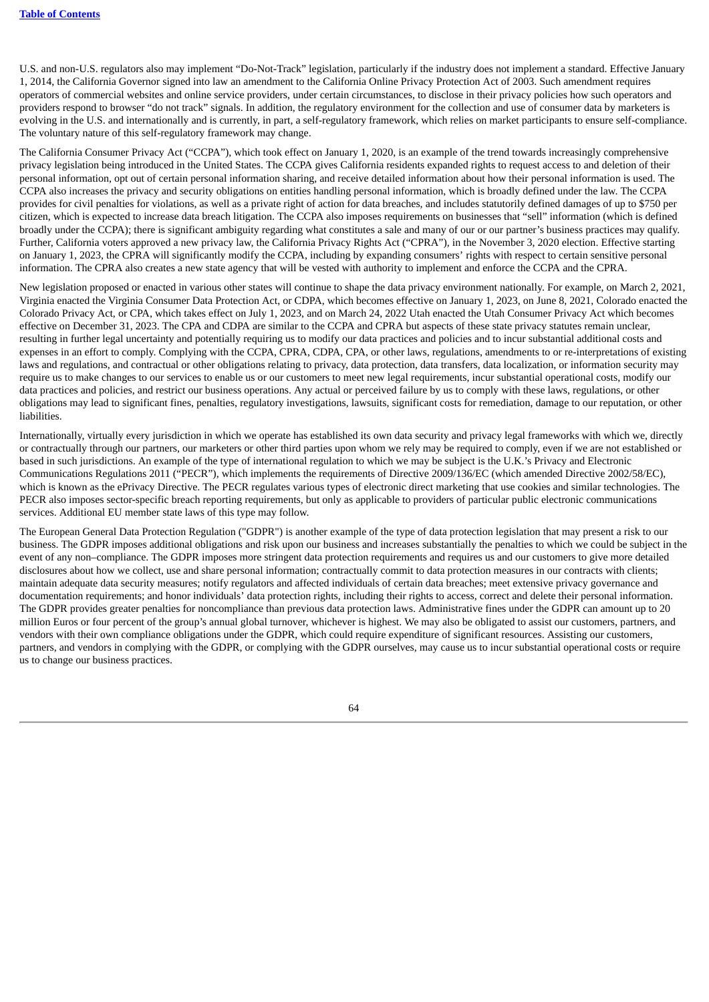U.S. and non-U.S. regulators also may implement "Do-Not-Track" legislation, particularly if the industry does not implement a standard. Effective January 1, 2014, the California Governor signed into law an amendment to the California Online Privacy Protection Act of 2003. Such amendment requires operators of commercial websites and online service providers, under certain circumstances, to disclose in their privacy policies how such operators and providers respond to browser "do not track" signals. In addition, the regulatory environment for the collection and use of consumer data by marketers is evolving in the U.S. and internationally and is currently, in part, a self-regulatory framework, which relies on market participants to ensure self-compliance. The voluntary nature of this self-regulatory framework may change.

The California Consumer Privacy Act ("CCPA"), which took effect on January 1, 2020, is an example of the trend towards increasingly comprehensive privacy legislation being introduced in the United States. The CCPA gives California residents expanded rights to request access to and deletion of their personal information, opt out of certain personal information sharing, and receive detailed information about how their personal information is used. The CCPA also increases the privacy and security obligations on entities handling personal information, which is broadly defined under the law. The CCPA provides for civil penalties for violations, as well as a private right of action for data breaches, and includes statutorily defined damages of up to \$750 per citizen, which is expected to increase data breach litigation. The CCPA also imposes requirements on businesses that "sell" information (which is defined broadly under the CCPA); there is significant ambiguity regarding what constitutes a sale and many of our or our partner's business practices may qualify. Further, California voters approved a new privacy law, the California Privacy Rights Act ("CPRA"), in the November 3, 2020 election. Effective starting on January 1, 2023, the CPRA will significantly modify the CCPA, including by expanding consumers' rights with respect to certain sensitive personal information. The CPRA also creates a new state agency that will be vested with authority to implement and enforce the CCPA and the CPRA.

New legislation proposed or enacted in various other states will continue to shape the data privacy environment nationally. For example, on March 2, 2021, Virginia enacted the Virginia Consumer Data Protection Act, or CDPA, which becomes effective on January 1, 2023, on June 8, 2021, Colorado enacted the Colorado Privacy Act, or CPA, which takes effect on July 1, 2023, and on March 24, 2022 Utah enacted the Utah Consumer Privacy Act which becomes effective on December 31, 2023. The CPA and CDPA are similar to the CCPA and CPRA but aspects of these state privacy statutes remain unclear, resulting in further legal uncertainty and potentially requiring us to modify our data practices and policies and to incur substantial additional costs and expenses in an effort to comply. Complying with the CCPA, CPRA, CDPA, CPA, or other laws, regulations, amendments to or re-interpretations of existing laws and regulations, and contractual or other obligations relating to privacy, data protection, data transfers, data localization, or information security may require us to make changes to our services to enable us or our customers to meet new legal requirements, incur substantial operational costs, modify our data practices and policies, and restrict our business operations. Any actual or perceived failure by us to comply with these laws, regulations, or other obligations may lead to significant fines, penalties, regulatory investigations, lawsuits, significant costs for remediation, damage to our reputation, or other liabilities.

Internationally, virtually every jurisdiction in which we operate has established its own data security and privacy legal frameworks with which we, directly or contractually through our partners, our marketers or other third parties upon whom we rely may be required to comply, even if we are not established or based in such jurisdictions. An example of the type of international regulation to which we may be subject is the U.K.'s Privacy and Electronic Communications Regulations 2011 ("PECR"), which implements the requirements of Directive 2009/136/EC (which amended Directive 2002/58/EC), which is known as the ePrivacy Directive. The PECR regulates various types of electronic direct marketing that use cookies and similar technologies. The PECR also imposes sector-specific breach reporting requirements, but only as applicable to providers of particular public electronic communications services. Additional EU member state laws of this type may follow.

The European General Data Protection Regulation ("GDPR") is another example of the type of data protection legislation that may present a risk to our business. The GDPR imposes additional obligations and risk upon our business and increases substantially the penalties to which we could be subject in the event of any non–compliance. The GDPR imposes more stringent data protection requirements and requires us and our customers to give more detailed disclosures about how we collect, use and share personal information; contractually commit to data protection measures in our contracts with clients; maintain adequate data security measures; notify regulators and affected individuals of certain data breaches; meet extensive privacy governance and documentation requirements; and honor individuals' data protection rights, including their rights to access, correct and delete their personal information. The GDPR provides greater penalties for noncompliance than previous data protection laws. Administrative fines under the GDPR can amount up to 20 million Euros or four percent of the group's annual global turnover, whichever is highest. We may also be obligated to assist our customers, partners, and vendors with their own compliance obligations under the GDPR, which could require expenditure of significant resources. Assisting our customers, partners, and vendors in complying with the GDPR, or complying with the GDPR ourselves, may cause us to incur substantial operational costs or require us to change our business practices.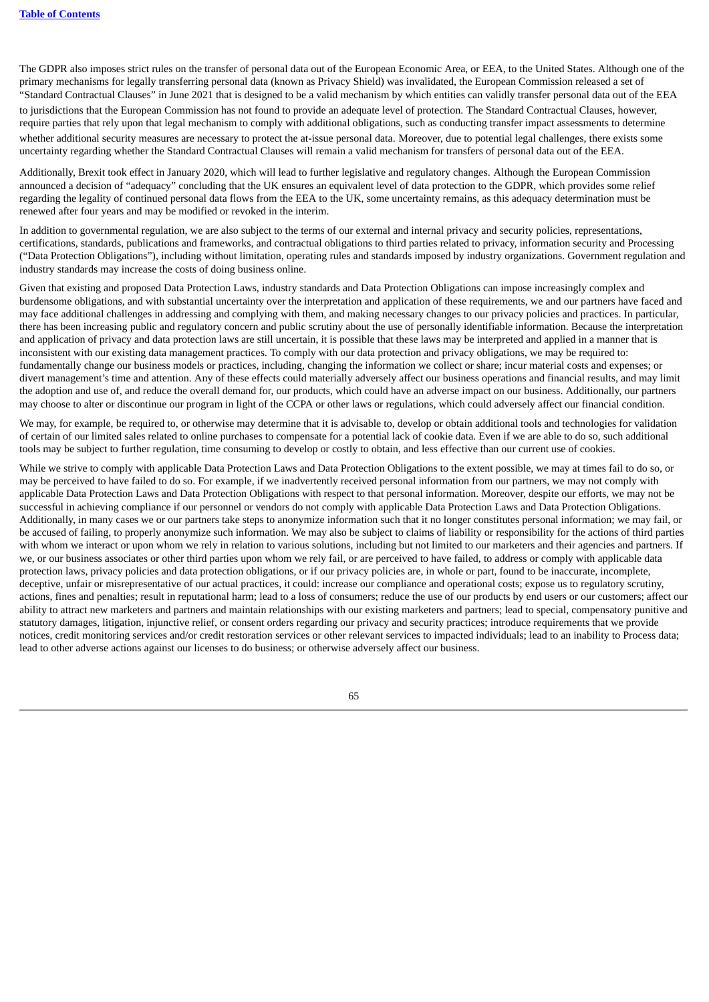The GDPR also imposes strict rules on the transfer of personal data out of the European Economic Area, or EEA, to the United States. Although one of the primary mechanisms for legally transferring personal data (known as Privacy Shield) was invalidated, the European Commission released a set of "Standard Contractual Clauses" in June 2021 that is designed to be a valid mechanism by which entities can validly transfer personal data out of the EEA to jurisdictions that the European Commission has not found to provide an adequate level of protection. The Standard Contractual Clauses, however, require parties that rely upon that legal mechanism to comply with additional obligations, such as conducting transfer impact assessments to determine whether additional security measures are necessary to protect the at-issue personal data. Moreover, due to potential legal challenges, there exists some uncertainty regarding whether the Standard Contractual Clauses will remain a valid mechanism for transfers of personal data out of the EEA.

Additionally, Brexit took effect in January 2020, which will lead to further legislative and regulatory changes. Although the European Commission announced a decision of "adequacy" concluding that the UK ensures an equivalent level of data protection to the GDPR, which provides some relief regarding the legality of continued personal data flows from the EEA to the UK, some uncertainty remains, as this adequacy determination must be renewed after four years and may be modified or revoked in the interim.

In addition to governmental regulation, we are also subject to the terms of our external and internal privacy and security policies, representations, certifications, standards, publications and frameworks, and contractual obligations to third parties related to privacy, information security and Processing ("Data Protection Obligations"), including without limitation, operating rules and standards imposed by industry organizations. Government regulation and industry standards may increase the costs of doing business online.

Given that existing and proposed Data Protection Laws, industry standards and Data Protection Obligations can impose increasingly complex and burdensome obligations, and with substantial uncertainty over the interpretation and application of these requirements, we and our partners have faced and may face additional challenges in addressing and complying with them, and making necessary changes to our privacy policies and practices. In particular, there has been increasing public and regulatory concern and public scrutiny about the use of personally identifiable information. Because the interpretation and application of privacy and data protection laws are still uncertain, it is possible that these laws may be interpreted and applied in a manner that is inconsistent with our existing data management practices. To comply with our data protection and privacy obligations, we may be required to: fundamentally change our business models or practices, including, changing the information we collect or share; incur material costs and expenses; or divert management's time and attention. Any of these effects could materially adversely affect our business operations and financial results, and may limit the adoption and use of, and reduce the overall demand for, our products, which could have an adverse impact on our business. Additionally, our partners may choose to alter or discontinue our program in light of the CCPA or other laws or regulations, which could adversely affect our financial condition.

We may, for example, be required to, or otherwise may determine that it is advisable to, develop or obtain additional tools and technologies for validation of certain of our limited sales related to online purchases to compensate for a potential lack of cookie data. Even if we are able to do so, such additional tools may be subject to further regulation, time consuming to develop or costly to obtain, and less effective than our current use of cookies.

While we strive to comply with applicable Data Protection Laws and Data Protection Obligations to the extent possible, we may at times fail to do so, or may be perceived to have failed to do so. For example, if we inadvertently received personal information from our partners, we may not comply with applicable Data Protection Laws and Data Protection Obligations with respect to that personal information. Moreover, despite our efforts, we may not be successful in achieving compliance if our personnel or vendors do not comply with applicable Data Protection Laws and Data Protection Obligations. Additionally, in many cases we or our partners take steps to anonymize information such that it no longer constitutes personal information; we may fail, or be accused of failing, to properly anonymize such information. We may also be subject to claims of liability or responsibility for the actions of third parties with whom we interact or upon whom we rely in relation to various solutions, including but not limited to our marketers and their agencies and partners. If we, or our business associates or other third parties upon whom we rely fail, or are perceived to have failed, to address or comply with applicable data protection laws, privacy policies and data protection obligations, or if our privacy policies are, in whole or part, found to be inaccurate, incomplete, deceptive, unfair or misrepresentative of our actual practices, it could: increase our compliance and operational costs; expose us to regulatory scrutiny, actions, fines and penalties; result in reputational harm; lead to a loss of consumers; reduce the use of our products by end users or our customers; affect our ability to attract new marketers and partners and maintain relationships with our existing marketers and partners; lead to special, compensatory punitive and statutory damages, litigation, injunctive relief, or consent orders regarding our privacy and security practices; introduce requirements that we provide notices, credit monitoring services and/or credit restoration services or other relevant services to impacted individuals; lead to an inability to Process data; lead to other adverse actions against our licenses to do business; or otherwise adversely affect our business.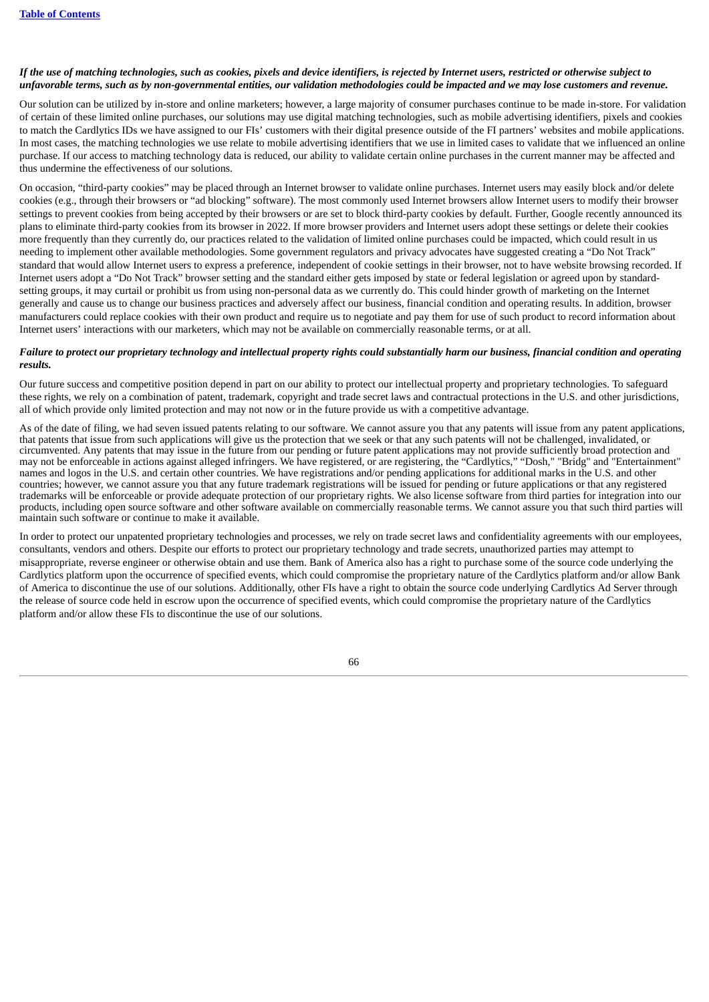# If the use of matching technologies, such as cookies, pixels and device identifiers, is rejected by Internet users, restricted or otherwise subject to unfavorable terms, such as by non-qovernmental entities, our validation methodologies could be impacted and we may lose customers and revenue.

Our solution can be utilized by in-store and online marketers; however, a large majority of consumer purchases continue to be made in-store. For validation of certain of these limited online purchases, our solutions may use digital matching technologies, such as mobile advertising identifiers, pixels and cookies to match the Cardlytics IDs we have assigned to our FIs' customers with their digital presence outside of the FI partners' websites and mobile applications. In most cases, the matching technologies we use relate to mobile advertising identifiers that we use in limited cases to validate that we influenced an online purchase. If our access to matching technology data is reduced, our ability to validate certain online purchases in the current manner may be affected and thus undermine the effectiveness of our solutions.

On occasion, "third-party cookies" may be placed through an Internet browser to validate online purchases. Internet users may easily block and/or delete cookies (e.g., through their browsers or "ad blocking" software). The most commonly used Internet browsers allow Internet users to modify their browser settings to prevent cookies from being accepted by their browsers or are set to block third-party cookies by default. Further, Google recently announced its plans to eliminate third-party cookies from its browser in 2022. If more browser providers and Internet users adopt these settings or delete their cookies more frequently than they currently do, our practices related to the validation of limited online purchases could be impacted, which could result in us needing to implement other available methodologies. Some government regulators and privacy advocates have suggested creating a "Do Not Track" standard that would allow Internet users to express a preference, independent of cookie settings in their browser, not to have website browsing recorded. If Internet users adopt a "Do Not Track" browser setting and the standard either gets imposed by state or federal legislation or agreed upon by standardsetting groups, it may curtail or prohibit us from using non-personal data as we currently do. This could hinder growth of marketing on the Internet generally and cause us to change our business practices and adversely affect our business, financial condition and operating results. In addition, browser manufacturers could replace cookies with their own product and require us to negotiate and pay them for use of such product to record information about Internet users' interactions with our marketers, which may not be available on commercially reasonable terms, or at all.

### Failure to protect our proprietary technology and intellectual property rights could substantially harm our business, financial condition and operating *results.*

Our future success and competitive position depend in part on our ability to protect our intellectual property and proprietary technologies. To safeguard these rights, we rely on a combination of patent, trademark, copyright and trade secret laws and contractual protections in the U.S. and other jurisdictions, all of which provide only limited protection and may not now or in the future provide us with a competitive advantage.

As of the date of filing, we had seven issued patents relating to our software. We cannot assure you that any patents will issue from any patent applications, that patents that issue from such applications will give us the protection that we seek or that any such patents will not be challenged, invalidated, or circumvented. Any patents that may issue in the future from our pending or future patent applications may not provide sufficiently broad protection and may not be enforceable in actions against alleged infringers. We have registered, or are registering, the "Cardlytics," "Dosh," "Bridg" and "Entertainment" names and logos in the U.S. and certain other countries. We have registrations and/or pending applications for additional marks in the U.S. and other countries; however, we cannot assure you that any future trademark registrations will be issued for pending or future applications or that any registered trademarks will be enforceable or provide adequate protection of our proprietary rights. We also license software from third parties for integration into our products, including open source software and other software available on commercially reasonable terms. We cannot assure you that such third parties will maintain such software or continue to make it available.

In order to protect our unpatented proprietary technologies and processes, we rely on trade secret laws and confidentiality agreements with our employees, consultants, vendors and others. Despite our efforts to protect our proprietary technology and trade secrets, unauthorized parties may attempt to misappropriate, reverse engineer or otherwise obtain and use them. Bank of America also has a right to purchase some of the source code underlying the Cardlytics platform upon the occurrence of specified events, which could compromise the proprietary nature of the Cardlytics platform and/or allow Bank of America to discontinue the use of our solutions. Additionally, other FIs have a right to obtain the source code underlying Cardlytics Ad Server through the release of source code held in escrow upon the occurrence of specified events, which could compromise the proprietary nature of the Cardlytics platform and/or allow these FIs to discontinue the use of our solutions.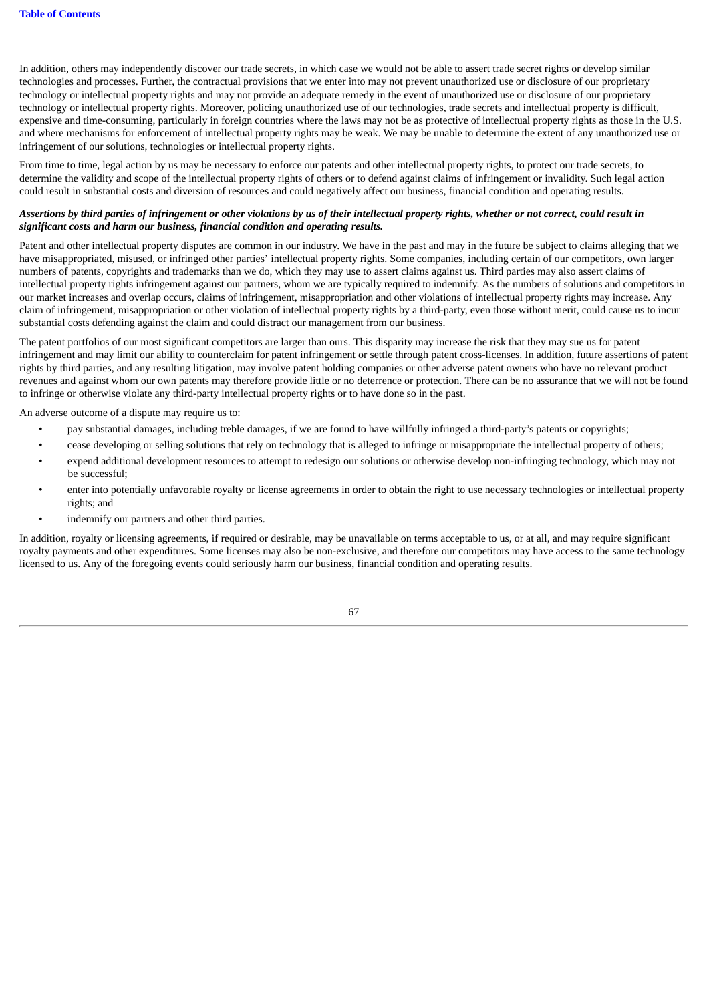In addition, others may independently discover our trade secrets, in which case we would not be able to assert trade secret rights or develop similar technologies and processes. Further, the contractual provisions that we enter into may not prevent unauthorized use or disclosure of our proprietary technology or intellectual property rights and may not provide an adequate remedy in the event of unauthorized use or disclosure of our proprietary technology or intellectual property rights. Moreover, policing unauthorized use of our technologies, trade secrets and intellectual property is difficult, expensive and time-consuming, particularly in foreign countries where the laws may not be as protective of intellectual property rights as those in the U.S. and where mechanisms for enforcement of intellectual property rights may be weak. We may be unable to determine the extent of any unauthorized use or infringement of our solutions, technologies or intellectual property rights.

From time to time, legal action by us may be necessary to enforce our patents and other intellectual property rights, to protect our trade secrets, to determine the validity and scope of the intellectual property rights of others or to defend against claims of infringement or invalidity. Such legal action could result in substantial costs and diversion of resources and could negatively affect our business, financial condition and operating results.

## Assertions by third parties of infringement or other violations by us of their intellectual property rights, whether or not correct, could result in *significant costs and harm our business, financial condition and operating results.*

Patent and other intellectual property disputes are common in our industry. We have in the past and may in the future be subject to claims alleging that we have misappropriated, misused, or infringed other parties' intellectual property rights. Some companies, including certain of our competitors, own larger numbers of patents, copyrights and trademarks than we do, which they may use to assert claims against us. Third parties may also assert claims of intellectual property rights infringement against our partners, whom we are typically required to indemnify. As the numbers of solutions and competitors in our market increases and overlap occurs, claims of infringement, misappropriation and other violations of intellectual property rights may increase. Any claim of infringement, misappropriation or other violation of intellectual property rights by a third-party, even those without merit, could cause us to incur substantial costs defending against the claim and could distract our management from our business.

The patent portfolios of our most significant competitors are larger than ours. This disparity may increase the risk that they may sue us for patent infringement and may limit our ability to counterclaim for patent infringement or settle through patent cross-licenses. In addition, future assertions of patent rights by third parties, and any resulting litigation, may involve patent holding companies or other adverse patent owners who have no relevant product revenues and against whom our own patents may therefore provide little or no deterrence or protection. There can be no assurance that we will not be found to infringe or otherwise violate any third-party intellectual property rights or to have done so in the past.

An adverse outcome of a dispute may require us to:

- pay substantial damages, including treble damages, if we are found to have willfully infringed a third-party's patents or copyrights;
- cease developing or selling solutions that rely on technology that is alleged to infringe or misappropriate the intellectual property of others;
- expend additional development resources to attempt to redesign our solutions or otherwise develop non-infringing technology, which may not be successful;
- enter into potentially unfavorable royalty or license agreements in order to obtain the right to use necessary technologies or intellectual property rights; and
- indemnify our partners and other third parties.

In addition, royalty or licensing agreements, if required or desirable, may be unavailable on terms acceptable to us, or at all, and may require significant royalty payments and other expenditures. Some licenses may also be non-exclusive, and therefore our competitors may have access to the same technology licensed to us. Any of the foregoing events could seriously harm our business, financial condition and operating results.

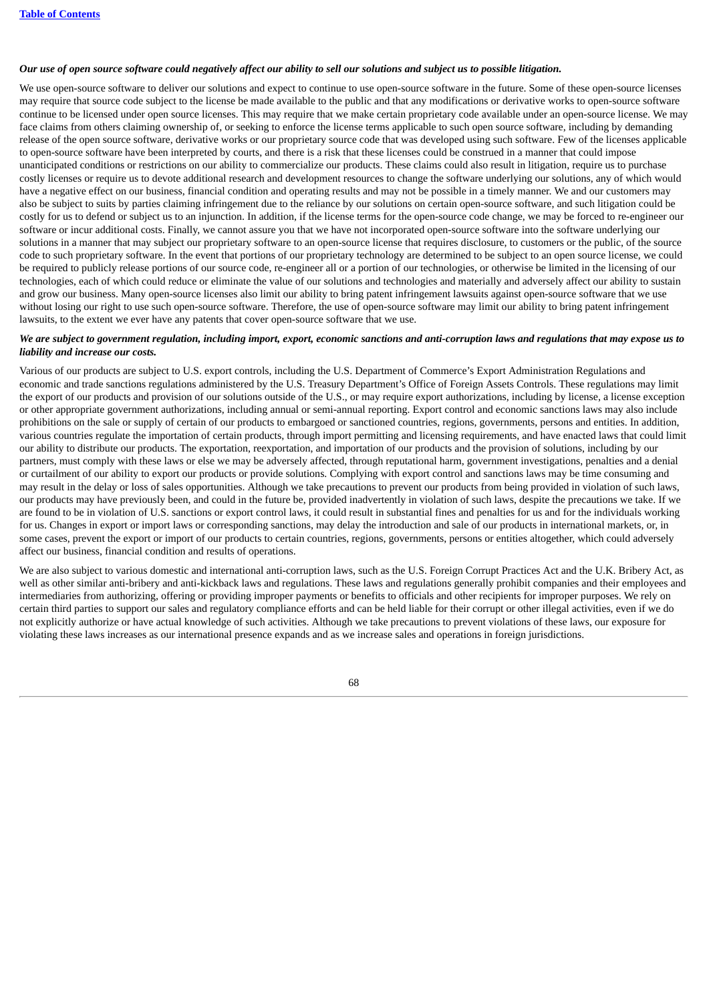## Our use of open source software could negatively affect our ability to sell our solutions and subject us to possible litigation.

We use open-source software to deliver our solutions and expect to continue to use open-source software in the future. Some of these open-source licenses may require that source code subject to the license be made available to the public and that any modifications or derivative works to open-source software continue to be licensed under open source licenses. This may require that we make certain proprietary code available under an open-source license. We may face claims from others claiming ownership of, or seeking to enforce the license terms applicable to such open source software, including by demanding release of the open source software, derivative works or our proprietary source code that was developed using such software. Few of the licenses applicable to open-source software have been interpreted by courts, and there is a risk that these licenses could be construed in a manner that could impose unanticipated conditions or restrictions on our ability to commercialize our products. These claims could also result in litigation, require us to purchase costly licenses or require us to devote additional research and development resources to change the software underlying our solutions, any of which would have a negative effect on our business, financial condition and operating results and may not be possible in a timely manner. We and our customers may also be subject to suits by parties claiming infringement due to the reliance by our solutions on certain open-source software, and such litigation could be costly for us to defend or subject us to an injunction. In addition, if the license terms for the open-source code change, we may be forced to re-engineer our software or incur additional costs. Finally, we cannot assure you that we have not incorporated open-source software into the software underlying our solutions in a manner that may subject our proprietary software to an open-source license that requires disclosure, to customers or the public, of the source code to such proprietary software. In the event that portions of our proprietary technology are determined to be subject to an open source license, we could be required to publicly release portions of our source code, re-engineer all or a portion of our technologies, or otherwise be limited in the licensing of our technologies, each of which could reduce or eliminate the value of our solutions and technologies and materially and adversely affect our ability to sustain and grow our business. Many open-source licenses also limit our ability to bring patent infringement lawsuits against open-source software that we use without losing our right to use such open-source software. Therefore, the use of open-source software may limit our ability to bring patent infringement lawsuits, to the extent we ever have any patents that cover open-source software that we use.

## We are subject to government regulation, including import, export, economic sanctions and anti-corruption laws and regulations that may expose us to *liability and increase our costs.*

Various of our products are subject to U.S. export controls, including the U.S. Department of Commerce's Export Administration Regulations and economic and trade sanctions regulations administered by the U.S. Treasury Department's Office of Foreign Assets Controls. These regulations may limit the export of our products and provision of our solutions outside of the U.S., or may require export authorizations, including by license, a license exception or other appropriate government authorizations, including annual or semi-annual reporting. Export control and economic sanctions laws may also include prohibitions on the sale or supply of certain of our products to embargoed or sanctioned countries, regions, governments, persons and entities. In addition, various countries regulate the importation of certain products, through import permitting and licensing requirements, and have enacted laws that could limit our ability to distribute our products. The exportation, reexportation, and importation of our products and the provision of solutions, including by our partners, must comply with these laws or else we may be adversely affected, through reputational harm, government investigations, penalties and a denial or curtailment of our ability to export our products or provide solutions. Complying with export control and sanctions laws may be time consuming and may result in the delay or loss of sales opportunities. Although we take precautions to prevent our products from being provided in violation of such laws, our products may have previously been, and could in the future be, provided inadvertently in violation of such laws, despite the precautions we take. If we are found to be in violation of U.S. sanctions or export control laws, it could result in substantial fines and penalties for us and for the individuals working for us. Changes in export or import laws or corresponding sanctions, may delay the introduction and sale of our products in international markets, or, in some cases, prevent the export or import of our products to certain countries, regions, governments, persons or entities altogether, which could adversely affect our business, financial condition and results of operations.

We are also subject to various domestic and international anti-corruption laws, such as the U.S. Foreign Corrupt Practices Act and the U.K. Bribery Act, as well as other similar anti-bribery and anti-kickback laws and regulations. These laws and regulations generally prohibit companies and their employees and intermediaries from authorizing, offering or providing improper payments or benefits to officials and other recipients for improper purposes. We rely on certain third parties to support our sales and regulatory compliance efforts and can be held liable for their corrupt or other illegal activities, even if we do not explicitly authorize or have actual knowledge of such activities. Although we take precautions to prevent violations of these laws, our exposure for violating these laws increases as our international presence expands and as we increase sales and operations in foreign jurisdictions.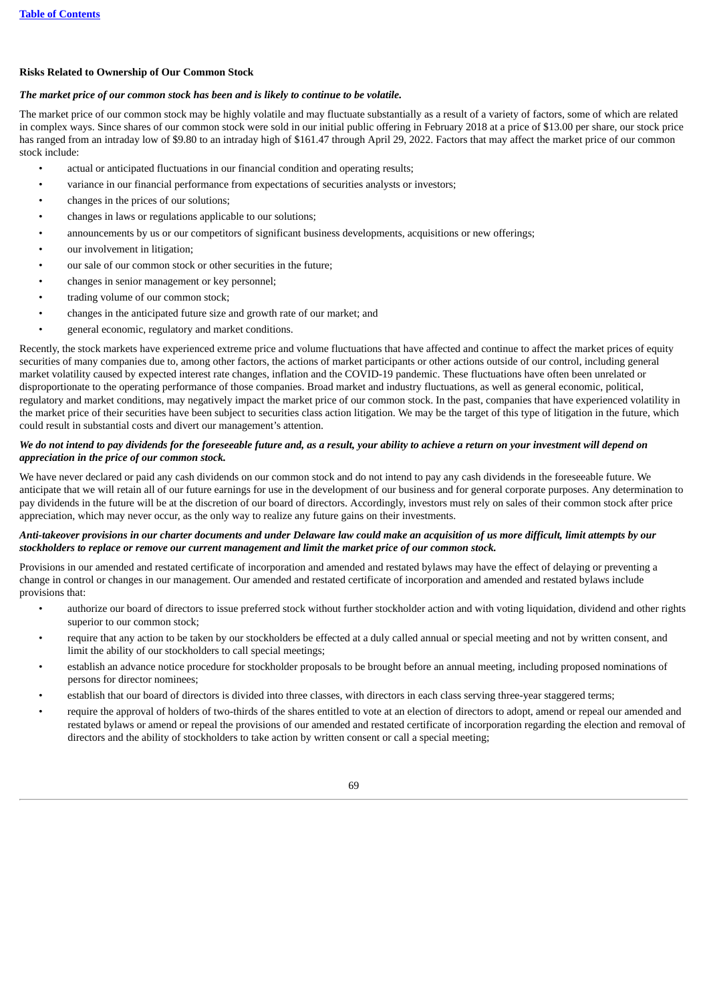# **Risks Related to Ownership of Our Common Stock**

## *The market price of our common stock has been and is likely to continue to be volatile.*

The market price of our common stock may be highly volatile and may fluctuate substantially as a result of a variety of factors, some of which are related in complex ways. Since shares of our common stock were sold in our initial public offering in February 2018 at a price of \$13.00 per share, our stock price has ranged from an intraday low of \$9.80 to an intraday high of \$161.47 through April 29, 2022. Factors that may affect the market price of our common stock include:

- actual or anticipated fluctuations in our financial condition and operating results;
- variance in our financial performance from expectations of securities analysts or investors;
- changes in the prices of our solutions;
- changes in laws or regulations applicable to our solutions;
- announcements by us or our competitors of significant business developments, acquisitions or new offerings;
- our involvement in litigation;
- our sale of our common stock or other securities in the future;
- changes in senior management or key personnel;
- trading volume of our common stock;
- changes in the anticipated future size and growth rate of our market; and
- general economic, regulatory and market conditions.

Recently, the stock markets have experienced extreme price and volume fluctuations that have affected and continue to affect the market prices of equity securities of many companies due to, among other factors, the actions of market participants or other actions outside of our control, including general market volatility caused by expected interest rate changes, inflation and the COVID-19 pandemic. These fluctuations have often been unrelated or disproportionate to the operating performance of those companies. Broad market and industry fluctuations, as well as general economic, political, regulatory and market conditions, may negatively impact the market price of our common stock. In the past, companies that have experienced volatility in the market price of their securities have been subject to securities class action litigation. We may be the target of this type of litigation in the future, which could result in substantial costs and divert our management's attention.

## We do not intend to pay dividends for the foreseeable future and, as a result, your ability to achieve a return on your investment will depend on *appreciation in the price of our common stock.*

We have never declared or paid any cash dividends on our common stock and do not intend to pay any cash dividends in the foreseeable future. We anticipate that we will retain all of our future earnings for use in the development of our business and for general corporate purposes. Any determination to pay dividends in the future will be at the discretion of our board of directors. Accordingly, investors must rely on sales of their common stock after price appreciation, which may never occur, as the only way to realize any future gains on their investments.

## Anti-takeover provisions in our charter documents and under Delaware law could make an acquisition of us more difficult, limit attempts by our *stockholders to replace or remove our current management and limit the market price of our common stock.*

Provisions in our amended and restated certificate of incorporation and amended and restated bylaws may have the effect of delaying or preventing a change in control or changes in our management. Our amended and restated certificate of incorporation and amended and restated bylaws include provisions that:

- authorize our board of directors to issue preferred stock without further stockholder action and with voting liquidation, dividend and other rights superior to our common stock;
- require that any action to be taken by our stockholders be effected at a duly called annual or special meeting and not by written consent, and limit the ability of our stockholders to call special meetings;
- establish an advance notice procedure for stockholder proposals to be brought before an annual meeting, including proposed nominations of persons for director nominees;
- establish that our board of directors is divided into three classes, with directors in each class serving three-year staggered terms;
- require the approval of holders of two-thirds of the shares entitled to vote at an election of directors to adopt, amend or repeal our amended and restated bylaws or amend or repeal the provisions of our amended and restated certificate of incorporation regarding the election and removal of directors and the ability of stockholders to take action by written consent or call a special meeting;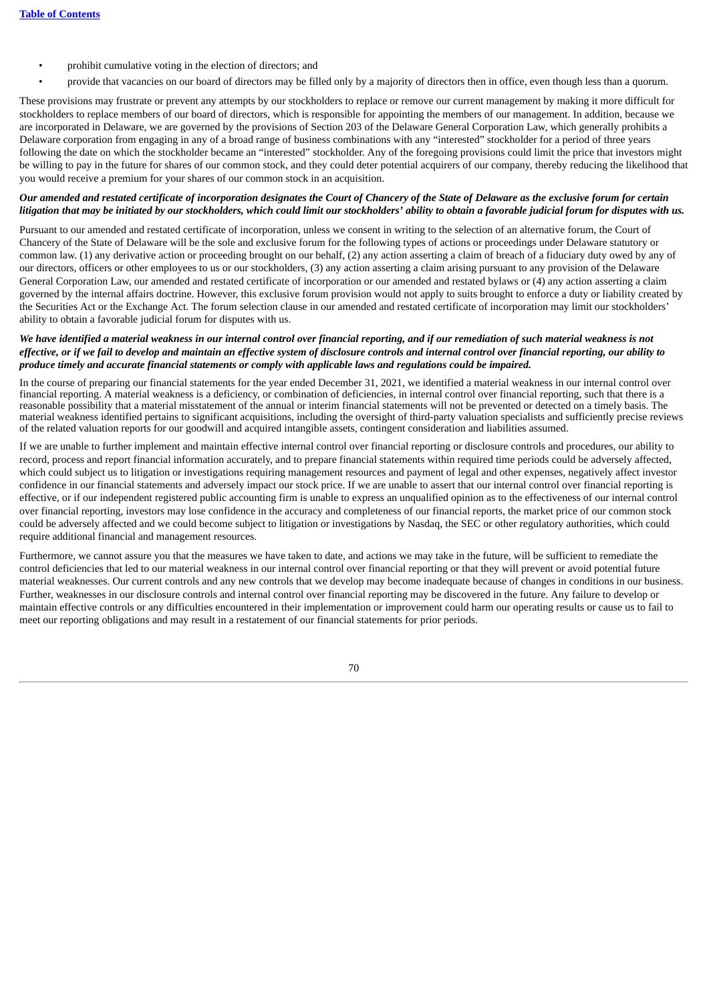- prohibit cumulative voting in the election of directors; and
- provide that vacancies on our board of directors may be filled only by a majority of directors then in office, even though less than a quorum.

These provisions may frustrate or prevent any attempts by our stockholders to replace or remove our current management by making it more difficult for stockholders to replace members of our board of directors, which is responsible for appointing the members of our management. In addition, because we are incorporated in Delaware, we are governed by the provisions of Section 203 of the Delaware General Corporation Law, which generally prohibits a Delaware corporation from engaging in any of a broad range of business combinations with any "interested" stockholder for a period of three years following the date on which the stockholder became an "interested" stockholder. Any of the foregoing provisions could limit the price that investors might be willing to pay in the future for shares of our common stock, and they could deter potential acquirers of our company, thereby reducing the likelihood that you would receive a premium for your shares of our common stock in an acquisition.

# Our amended and restated certificate of incorporation desianates the Court of Chancery of the State of Delaware as the exclusive forum for certain litigation that may be initiated by our stockholders, which could limit our stockholders' ability to obtain a favorable judicial forum for disputes with us.

Pursuant to our amended and restated certificate of incorporation, unless we consent in writing to the selection of an alternative forum, the Court of Chancery of the State of Delaware will be the sole and exclusive forum for the following types of actions or proceedings under Delaware statutory or common law. (1) any derivative action or proceeding brought on our behalf, (2) any action asserting a claim of breach of a fiduciary duty owed by any of our directors, officers or other employees to us or our stockholders, (3) any action asserting a claim arising pursuant to any provision of the Delaware General Corporation Law, our amended and restated certificate of incorporation or our amended and restated bylaws or (4) any action asserting a claim governed by the internal affairs doctrine. However, this exclusive forum provision would not apply to suits brought to enforce a duty or liability created by the Securities Act or the Exchange Act. The forum selection clause in our amended and restated certificate of incorporation may limit our stockholders' ability to obtain a favorable judicial forum for disputes with us.

# We have identified a material weakness in our internal control over financial reporting, and if our remediation of such material weakness is not effective, or if we fail to develop and maintain an effective system of disclosure controls and internal control over financial reportina, our ability to produce timely and accurate financial statements or comply with applicable laws and regulations could be impaired.

In the course of preparing our financial statements for the year ended December 31, 2021, we identified a material weakness in our internal control over financial reporting. A material weakness is a deficiency, or combination of deficiencies, in internal control over financial reporting, such that there is a reasonable possibility that a material misstatement of the annual or interim financial statements will not be prevented or detected on a timely basis. The material weakness identified pertains to significant acquisitions, including the oversight of third-party valuation specialists and sufficiently precise reviews of the related valuation reports for our goodwill and acquired intangible assets, contingent consideration and liabilities assumed.

If we are unable to further implement and maintain effective internal control over financial reporting or disclosure controls and procedures, our ability to record, process and report financial information accurately, and to prepare financial statements within required time periods could be adversely affected, which could subject us to litigation or investigations requiring management resources and payment of legal and other expenses, negatively affect investor confidence in our financial statements and adversely impact our stock price. If we are unable to assert that our internal control over financial reporting is effective, or if our independent registered public accounting firm is unable to express an unqualified opinion as to the effectiveness of our internal control over financial reporting, investors may lose confidence in the accuracy and completeness of our financial reports, the market price of our common stock could be adversely affected and we could become subject to litigation or investigations by Nasdaq, the SEC or other regulatory authorities, which could require additional financial and management resources.

Furthermore, we cannot assure you that the measures we have taken to date, and actions we may take in the future, will be sufficient to remediate the control deficiencies that led to our material weakness in our internal control over financial reporting or that they will prevent or avoid potential future material weaknesses. Our current controls and any new controls that we develop may become inadequate because of changes in conditions in our business. Further, weaknesses in our disclosure controls and internal control over financial reporting may be discovered in the future. Any failure to develop or maintain effective controls or any difficulties encountered in their implementation or improvement could harm our operating results or cause us to fail to meet our reporting obligations and may result in a restatement of our financial statements for prior periods.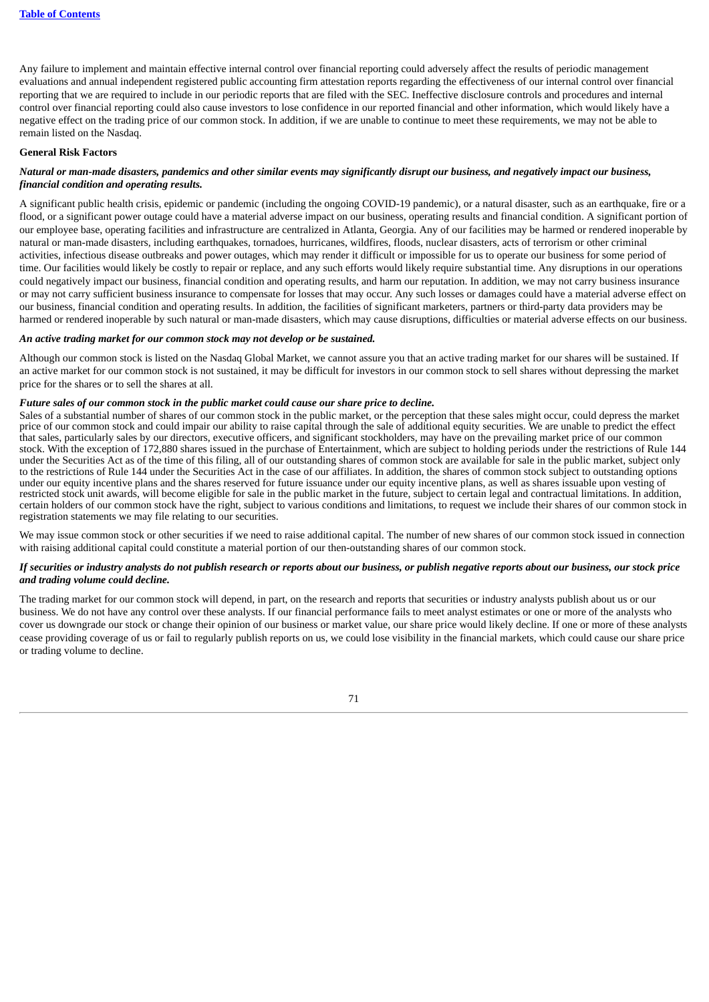Any failure to implement and maintain effective internal control over financial reporting could adversely affect the results of periodic management evaluations and annual independent registered public accounting firm attestation reports regarding the effectiveness of our internal control over financial reporting that we are required to include in our periodic reports that are filed with the SEC. Ineffective disclosure controls and procedures and internal control over financial reporting could also cause investors to lose confidence in our reported financial and other information, which would likely have a negative effect on the trading price of our common stock. In addition, if we are unable to continue to meet these requirements, we may not be able to remain listed on the Nasdaq.

#### **General Risk Factors**

## Natural or man-made disasters, pandemics and other similar events may significantly disrupt our business, and negatively impact our business, *financial condition and operating results.*

A significant public health crisis, epidemic or pandemic (including the ongoing COVID-19 pandemic), or a natural disaster, such as an earthquake, fire or a flood, or a significant power outage could have a material adverse impact on our business, operating results and financial condition. A significant portion of our employee base, operating facilities and infrastructure are centralized in Atlanta, Georgia. Any of our facilities may be harmed or rendered inoperable by natural or man-made disasters, including earthquakes, tornadoes, hurricanes, wildfires, floods, nuclear disasters, acts of terrorism or other criminal activities, infectious disease outbreaks and power outages, which may render it difficult or impossible for us to operate our business for some period of time. Our facilities would likely be costly to repair or replace, and any such efforts would likely require substantial time. Any disruptions in our operations could negatively impact our business, financial condition and operating results, and harm our reputation. In addition, we may not carry business insurance or may not carry sufficient business insurance to compensate for losses that may occur. Any such losses or damages could have a material adverse effect on our business, financial condition and operating results. In addition, the facilities of significant marketers, partners or third-party data providers may be harmed or rendered inoperable by such natural or man-made disasters, which may cause disruptions, difficulties or material adverse effects on our business.

#### *An active trading market for our common stock may not develop or be sustained.*

Although our common stock is listed on the Nasdaq Global Market, we cannot assure you that an active trading market for our shares will be sustained. If an active market for our common stock is not sustained, it may be difficult for investors in our common stock to sell shares without depressing the market price for the shares or to sell the shares at all.

### *Future sales of our common stock in the public market could cause our share price to decline.*

Sales of a substantial number of shares of our common stock in the public market, or the perception that these sales might occur, could depress the market price of our common stock and could impair our ability to raise capital through the sale of additional equity securities. We are unable to predict the effect that sales, particularly sales by our directors, executive officers, and significant stockholders, may have on the prevailing market price of our common stock. With the exception of 172,880 shares issued in the purchase of Entertainment, which are subject to holding periods under the restrictions of Rule 144 under the Securities Act as of the time of this filing, all of our outstanding shares of common stock are available for sale in the public market, subject only to the restrictions of Rule 144 under the Securities Act in the case of our affiliates. In addition, the shares of common stock subject to outstanding options under our equity incentive plans and the shares reserved for future issuance under our equity incentive plans, as well as shares issuable upon vesting of restricted stock unit awards, will become eligible for sale in the public market in the future, subject to certain legal and contractual limitations. In addition, certain holders of our common stock have the right, subject to various conditions and limitations, to request we include their shares of our common stock in registration statements we may file relating to our securities.

We may issue common stock or other securities if we need to raise additional capital. The number of new shares of our common stock issued in connection with raising additional capital could constitute a material portion of our then-outstanding shares of our common stock.

#### If securities or industry analysts do not publish research or reports about our business, or publish negative reports about our business, our stock price *and trading volume could decline.*

The trading market for our common stock will depend, in part, on the research and reports that securities or industry analysts publish about us or our business. We do not have any control over these analysts. If our financial performance fails to meet analyst estimates or one or more of the analysts who cover us downgrade our stock or change their opinion of our business or market value, our share price would likely decline. If one or more of these analysts cease providing coverage of us or fail to regularly publish reports on us, we could lose visibility in the financial markets, which could cause our share price or trading volume to decline.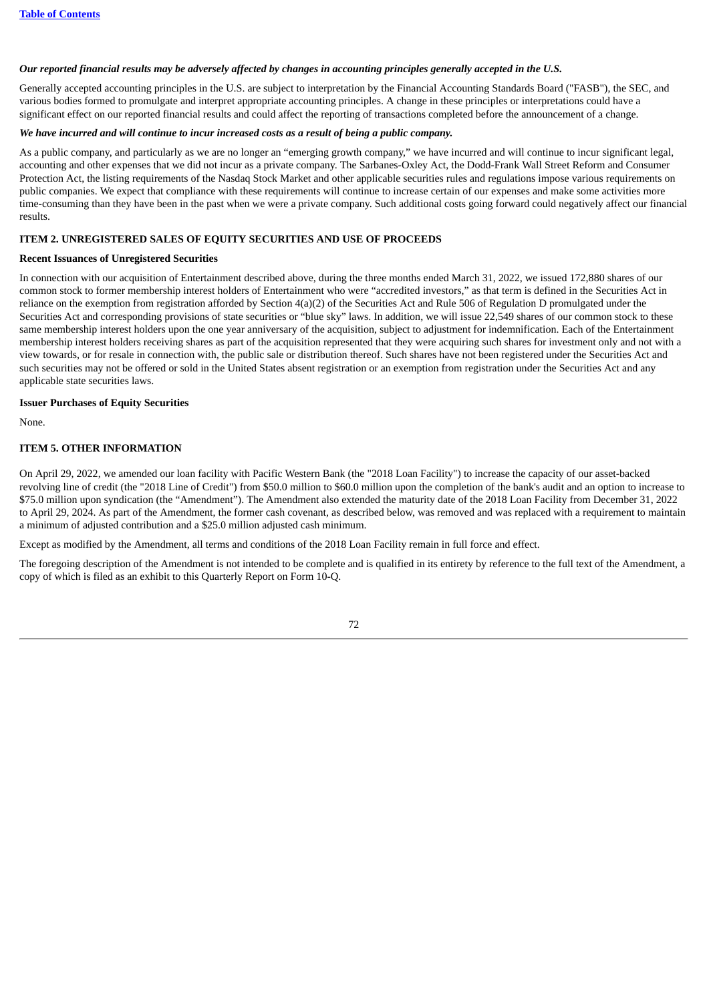#### Our reported financial results may be adversely affected by changes in accounting principles generally accepted in the U.S.

Generally accepted accounting principles in the U.S. are subject to interpretation by the Financial Accounting Standards Board ("FASB"), the SEC, and various bodies formed to promulgate and interpret appropriate accounting principles. A change in these principles or interpretations could have a significant effect on our reported financial results and could affect the reporting of transactions completed before the announcement of a change.

#### *We have incurred and will continue to incur increased costs as a result of being a public company.*

As a public company, and particularly as we are no longer an "emerging growth company," we have incurred and will continue to incur significant legal, accounting and other expenses that we did not incur as a private company. The Sarbanes-Oxley Act, the Dodd-Frank Wall Street Reform and Consumer Protection Act, the listing requirements of the Nasdaq Stock Market and other applicable securities rules and regulations impose various requirements on public companies. We expect that compliance with these requirements will continue to increase certain of our expenses and make some activities more time-consuming than they have been in the past when we were a private company. Such additional costs going forward could negatively affect our financial results.

#### **ITEM 2. UNREGISTERED SALES OF EQUITY SECURITIES AND USE OF PROCEEDS**

#### **Recent Issuances of Unregistered Securities**

In connection with our acquisition of Entertainment described above, during the three months ended March 31, 2022, we issued 172,880 shares of our common stock to former membership interest holders of Entertainment who were "accredited investors," as that term is defined in the Securities Act in reliance on the exemption from registration afforded by Section 4(a)(2) of the Securities Act and Rule 506 of Regulation D promulgated under the Securities Act and corresponding provisions of state securities or "blue sky" laws. In addition, we will issue 22,549 shares of our common stock to these same membership interest holders upon the one year anniversary of the acquisition, subject to adjustment for indemnification. Each of the Entertainment membership interest holders receiving shares as part of the acquisition represented that they were acquiring such shares for investment only and not with a view towards, or for resale in connection with, the public sale or distribution thereof. Such shares have not been registered under the Securities Act and such securities may not be offered or sold in the United States absent registration or an exemption from registration under the Securities Act and any applicable state securities laws.

#### **Issuer Purchases of Equity Securities**

None.

#### **ITEM 5. OTHER INFORMATION**

On April 29, 2022, we amended our loan facility with Pacific Western Bank (the "2018 Loan Facility") to increase the capacity of our asset-backed revolving line of credit (the "2018 Line of Credit") from \$50.0 million to \$60.0 million upon the completion of the bank's audit and an option to increase to \$75.0 million upon syndication (the "Amendment"). The Amendment also extended the maturity date of the 2018 Loan Facility from December 31, 2022 to April 29, 2024. As part of the Amendment, the former cash covenant, as described below, was removed and was replaced with a requirement to maintain a minimum of adjusted contribution and a \$25.0 million adjusted cash minimum.

Except as modified by the Amendment, all terms and conditions of the 2018 Loan Facility remain in full force and effect.

The foregoing description of the Amendment is not intended to be complete and is qualified in its entirety by reference to the full text of the Amendment, a copy of which is filed as an exhibit to this Quarterly Report on Form 10-Q.

72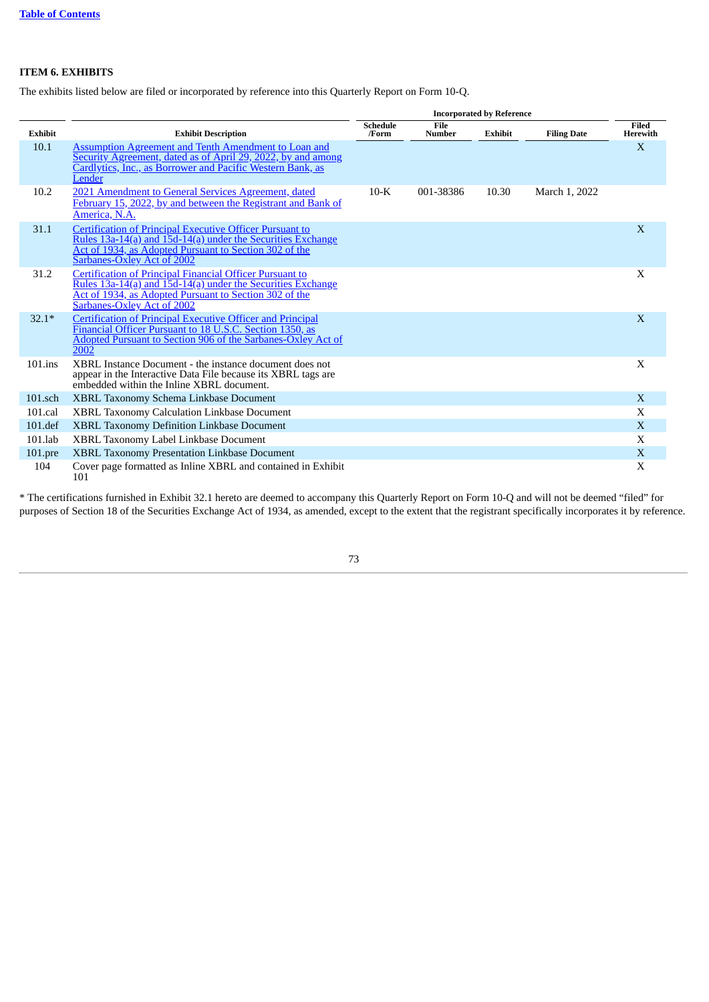# **ITEM 6. EXHIBITS**

The exhibits listed below are filed or incorporated by reference into this Quarterly Report on Form 10-Q.

|                |                                                                                                                                                                                                                        |                          |                              | <b>Incorporated by Reference</b> |                    |                          |
|----------------|------------------------------------------------------------------------------------------------------------------------------------------------------------------------------------------------------------------------|--------------------------|------------------------------|----------------------------------|--------------------|--------------------------|
| <b>Exhibit</b> | <b>Exhibit Description</b>                                                                                                                                                                                             | <b>Schedule</b><br>/Form | <b>File</b><br><b>Number</b> | <b>Exhibit</b>                   | <b>Filing Date</b> | <b>Filed</b><br>Herewith |
| 10.1           | <b>Assumption Agreement and Tenth Amendment to Loan and</b><br>Security Agreement, dated as of April 29, 2022, by and among<br>Cardlytics, Inc., as Borrower and Pacific Western Bank, as<br>Lender                    |                          |                              |                                  |                    | X                        |
| 10.2           | 2021 Amendment to General Services Agreement, dated<br>February 15, 2022, by and between the Registrant and Bank of<br>America, N.A.                                                                                   | $10-K$                   | 001-38386                    | 10.30                            | March 1, 2022      |                          |
| 31.1           | Certification of Principal Executive Officer Pursuant to<br><u>Rules 13a-14(a) and 15d-14(a) under the Securities Exchange</u><br>Act of 1934, as Adopted Pursuant to Section 302 of the<br>Sarbanes-Oxley Act of 2002 |                          |                              |                                  |                    | $\mathbf{X}$             |
| 31.2           | <b>Certification of Principal Financial Officer Pursuant to</b><br>Rules 13a-14(a) and 15d-14(a) under the Securities Exchange<br>Act of 1934, as Adopted Pursuant to Section 302 of the<br>Sarbanes-Oxley Act of 2002 |                          |                              |                                  |                    | X                        |
| $32.1*$        | <b>Certification of Principal Executive Officer and Principal</b><br>Financial Officer Pursuant to 18 U.S.C. Section 1350, as<br><b>Adopted Pursuant to Section 906 of the Sarbanes-Oxley Act of</b><br>2002           |                          |                              |                                  |                    | $\mathbf{X}$             |
| $101$ .ins     | XBRL Instance Document - the instance document does not<br>appear in the Interactive Data File because its XBRL tags are<br>embedded within the Inline XBRL document.                                                  |                          |                              |                                  |                    | X                        |
| $101$ .sch     | XBRL Taxonomy Schema Linkbase Document                                                                                                                                                                                 |                          |                              |                                  |                    | X                        |
| $101$ .cal     | XBRL Taxonomy Calculation Linkbase Document                                                                                                                                                                            |                          |                              |                                  |                    | X                        |
| 101.def        | <b>XBRL Taxonomy Definition Linkbase Document</b>                                                                                                                                                                      |                          |                              |                                  |                    | $\mathbf{X}$             |
| $101$ .lab     | XBRL Taxonomy Label Linkbase Document                                                                                                                                                                                  |                          |                              |                                  |                    | X                        |
| 101.pre        | XBRL Taxonomy Presentation Linkbase Document                                                                                                                                                                           |                          |                              |                                  |                    | X                        |
| 104            | Cover page formatted as Inline XBRL and contained in Exhibit<br>101                                                                                                                                                    |                          |                              |                                  |                    | X                        |

\* The certifications furnished in Exhibit 32.1 hereto are deemed to accompany this Quarterly Report on Form 10-Q and will not be deemed "filed" for purposes of Section 18 of the Securities Exchange Act of 1934, as amended, except to the extent that the registrant specifically incorporates it by reference.

73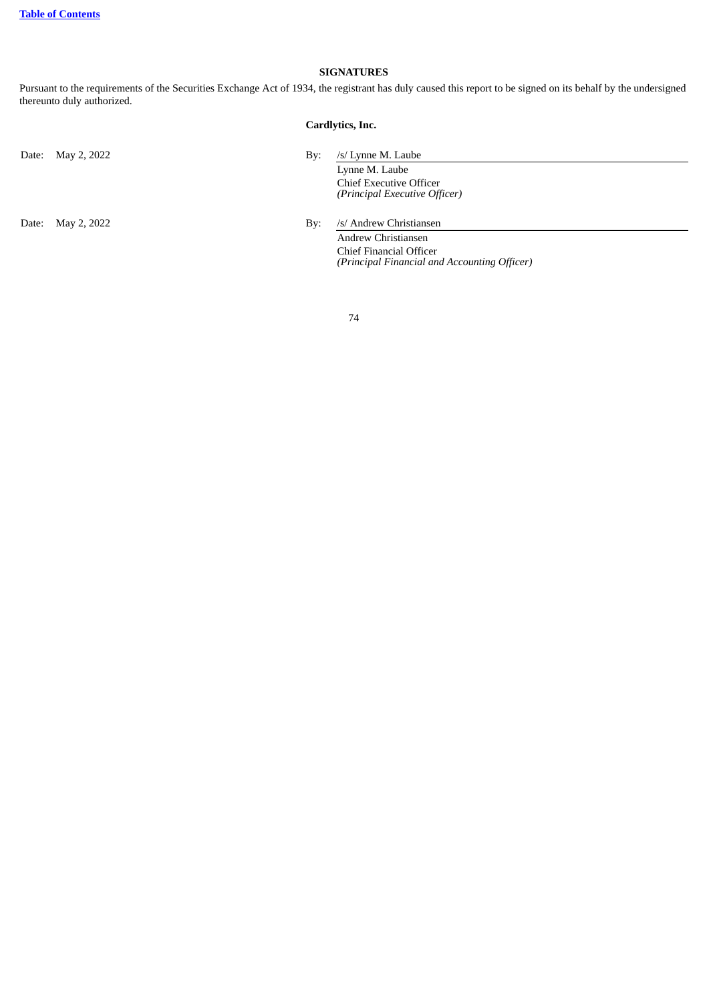# **SIGNATURES**

Pursuant to the requirements of the Securities Exchange Act of 1934, the registrant has duly caused this report to be signed on its behalf by the undersigned thereunto duly authorized.

## **Cardlytics, Inc.**

| Date: May 2, 2022 | Bv: | /s/ Lynne M. Laube<br>Lynne M. Laube<br>Chief Executive Officer<br>(Principal Executive Officer) |
|-------------------|-----|--------------------------------------------------------------------------------------------------|
| Date: May 2, 2022 | Bv: | /s/ Andrew Christiansen<br>Andrew Christiansen                                                   |

Chief Financial Officer

*(Principal Financial and Accounting Officer)*

74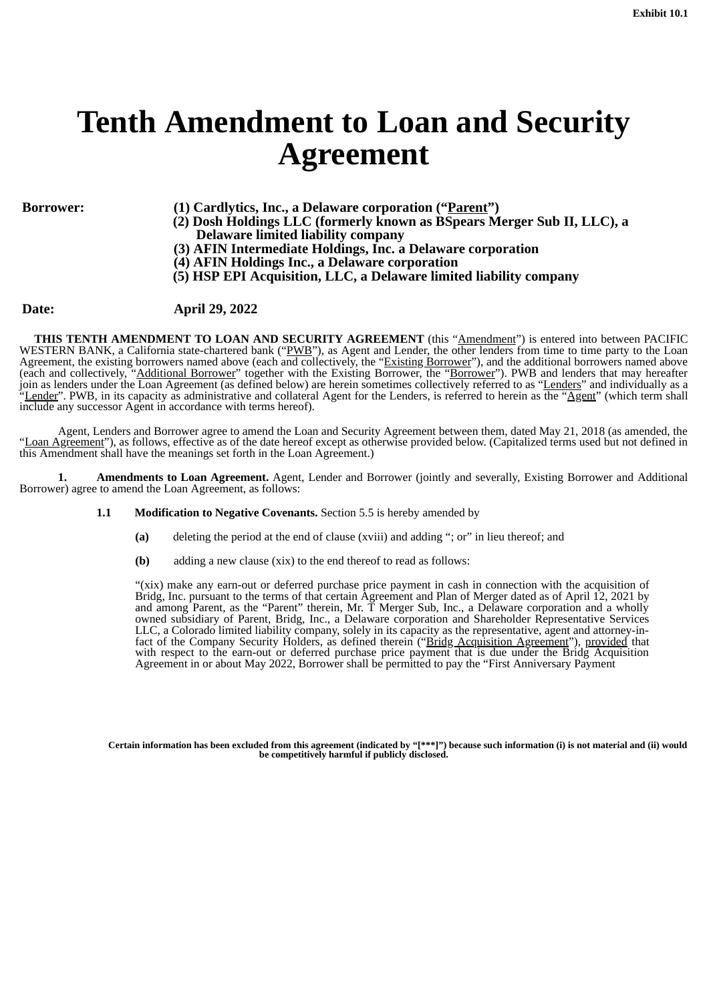# <span id="page-75-0"></span>**Tenth Amendment to Loan and Security Agreement**

**Borrower: (1) Cardlytics, Inc., a Delaware corporation ("Parent")**

- **(2) Dosh Holdings LLC (formerly known as BSpears Merger Sub II, LLC), a Delaware limited liability company**
- **(3) AFIN Intermediate Holdings, Inc. a Delaware corporation**
- **(4) AFIN Holdings Inc., a Delaware corporation**
- **(5) HSP EPI Acquisition, LLC, a Delaware limited liability company**

# **Date: April 29, 2022**

**THIS TENTH AMENDMENT TO LOAN AND SECURITY AGREEMENT** (this "Amendment") is entered into between PACIFIC WESTERN BANK, a California state-chartered bank ("PWB"), as Agent and Lender, the other lenders from time to time party to the Loan Agreement, the existing borrowers named above (each and collectively, the "Existing Borrower"), and the additional borrowers named above (each and collectively, "Additional Borrower" together with the Existing Borrower, the "Borrower"). PWB and lenders that may hereafter join as lenders under the Loan Agreement (as defined below) are herein sometimes collectively referred to as "<u>Lenders</u>" and individually as a "Lender". PWB, in its capacity as administrative and collateral Agent for the Lenders, is referred to herein as the "Agent" (which term shall include any successor Agent in accordance with terms hereof).

Agent, Lenders and Borrower agree to amend the Loan and Security Agreement between them, dated May 21, 2018 (as amended, the "Loan Agreement"), as follows, effective as of the date hereof except as otherwise provided below. (Capitalized terms used but not defined in this Amendment shall have the meanings set forth in the Loan Agreement.)

**1. Amendments to Loan Agreement.** Agent, Lender and Borrower (jointly and severally, Existing Borrower and Additional Borrower) agree to amend the Loan Agreement, as follows:

#### **1.1 Modification to Negative Covenants.** Section 5.5 is hereby amended by

- **(a)** deleting the period at the end of clause (xviii) and adding "; or" in lieu thereof; and
- **(b)** adding a new clause (xix) to the end thereof to read as follows:

"(xix) make any earn-out or deferred purchase price payment in cash in connection with the acquisition of Bridg, Inc. pursuant to the terms of that certain Agreement and Plan of Merger dated as of April 12, 2021 by and among Parent, as the "Parent" therein, Mr. T Merger Sub, Inc., a Delaware corporation and a wholly owned subsidiary of Parent, Bridg, Inc., a Delaware corporation and Shareholder Representative Services LLC, a Colorado limited liability company, solely in its capacity as the representative, agent and attorney-infact of the Company Security Holders, as defined therein ("Bridg Acquisition Agreement"), provided that with respect to the earn-out or deferred purchase price payment that is due under the Bridg Acquisition Agreement in or about May 2022, Borrower shall be permitted to pay the "First Anniversary Payment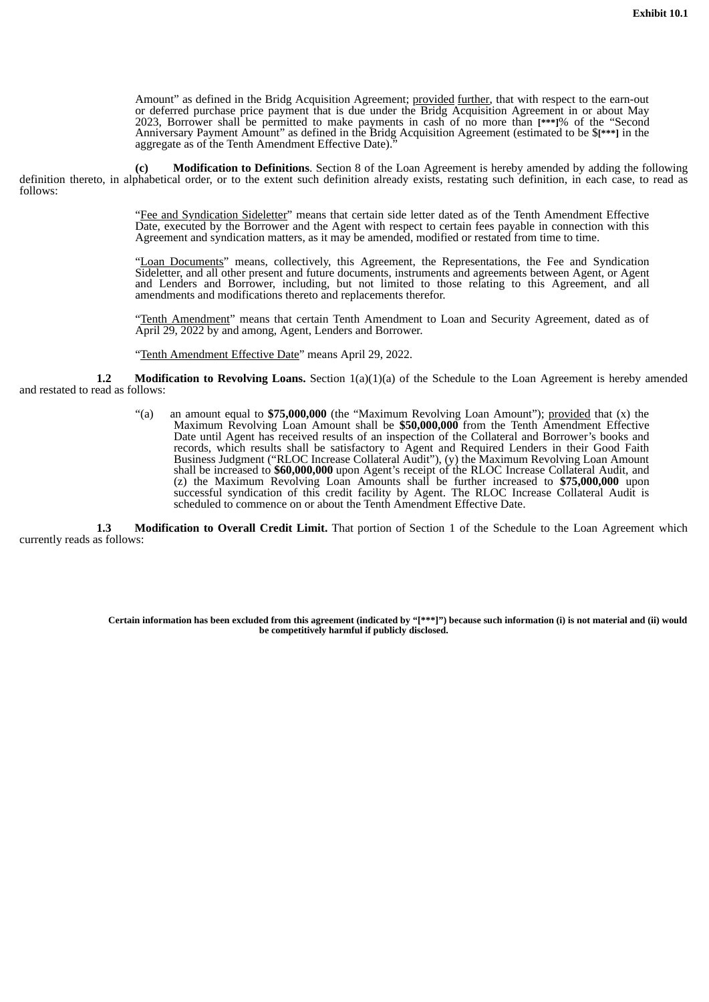Amount" as defined in the Bridg Acquisition Agreement; provided further, that with respect to the earn-out or deferred purchase price payment that is due under the Bridg Acquisition Agreement in or about May 2023, Borrower shall be permitted to make payments in cash of no more than **[\*\*\*]**% of the "Second Anniversary Payment Amount" as defined in the Bridg Acquisition Agreement (estimated to be \$**[\*\*\*]** in the aggregate as of the Tenth Amendment Effective Date)."

**(c) Modification to Definitions**. Section 8 of the Loan Agreement is hereby amended by adding the following definition thereto, in alphabetical order, or to the extent such definition already exists, restating such definition, in each case, to read as follows:

> "Fee and Syndication Sideletter" means that certain side letter dated as of the Tenth Amendment Effective Date, executed by the Borrower and the Agent with respect to certain fees payable in connection with this Agreement and syndication matters, as it may be amended, modified or restated from time to time.

> "Loan Documents" means, collectively, this Agreement, the Representations, the Fee and Syndication Sideletter, and all other present and future documents, instruments and agreements between Agent, or Agent and Lenders and Borrower, including, but not limited to those relating to this Agreement, and all amendments and modifications thereto and replacements therefor.

> "Tenth Amendment" means that certain Tenth Amendment to Loan and Security Agreement, dated as of April 29, 2022 by and among, Agent, Lenders and Borrower.

"Tenth Amendment Effective Date" means April 29, 2022.

**1.2 Modification to Revolving Loans.** Section 1(a)(1)(a) of the Schedule to the Loan Agreement is hereby amended and restated to read as follows:

> "(a) an amount equal to **\$75,000,000** (the "Maximum Revolving Loan Amount"); provided that (x) the Maximum Revolving Loan Amount shall be **\$50,000,000** from the Tenth Amendment Effective Date until Agent has received results of an inspection of the Collateral and Borrower's books and records, which results shall be satisfactory to Agent and Required Lenders in their Good Faith Business Judgment ("RLOC Increase Collateral Audit"), (y) the Maximum Revolving Loan Amount shall be increased to **\$60,000,000** upon Agent's receipt of the RLOC Increase Collateral Audit, and (z) the Maximum Revolving Loan Amounts shall be further increased to **\$75,000,000** upon successful syndication of this credit facility by Agent. The RLOC Increase Collateral Audit is scheduled to commence on or about the Tenth Amendment Effective Date.

**1.3 Modification to Overall Credit Limit.** That portion of Section 1 of the Schedule to the Loan Agreement which currently reads as follows: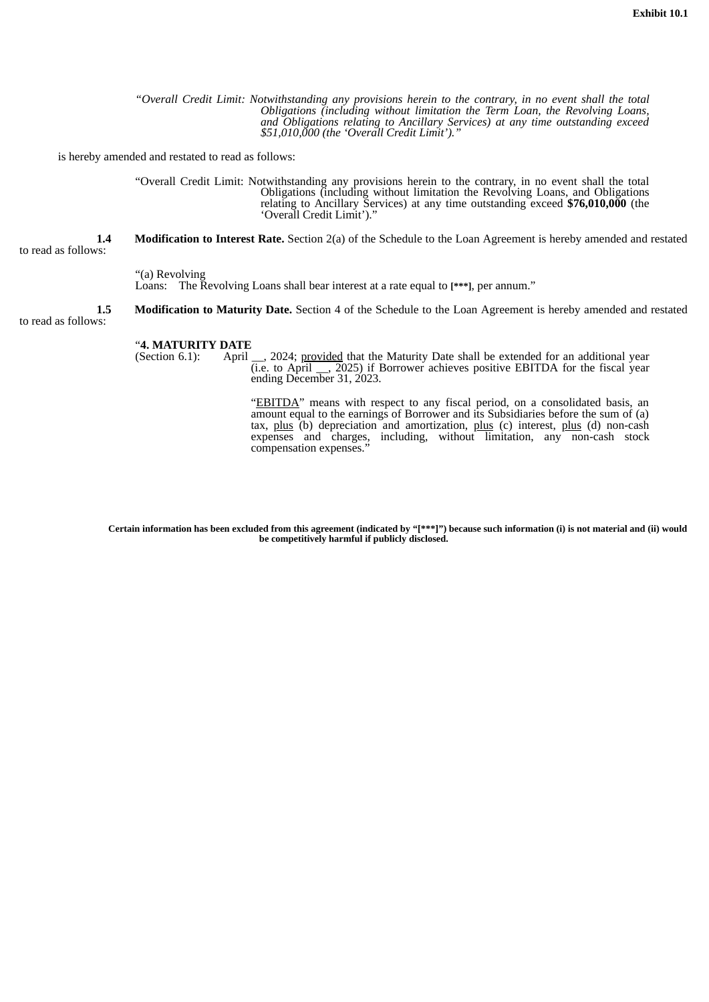*"Overall Credit Limit: Notwithstanding any provisions herein to the contrary, in no event shall the total Obligations (including without limitation the Term Loan, the Revolving Loans, and Obligations relating to Ancillary Services) at any time outstanding exceed \$51,010,000 (the 'Overall Credit Limit')."*

is hereby amended and restated to read as follows:

"Overall Credit Limit: Notwithstanding any provisions herein to the contrary, in no event shall the total Obligations (including without limitation the Revolving Loans, and Obligations relating to Ancillary Services) at any time outstanding exceed **\$76,010,000** (the 'Overall Credit Limit').'

#### **1.4 Modification to Interest Rate.** Section 2(a) of the Schedule to the Loan Agreement is hereby amended and restated

to read as follows:

"(a) Revolving Loans: The Revolving Loans shall bear interest at a rate equal to **[\*\*\*]**, per annum."

**1.5 Modification to Maturity Date.** Section 4 of the Schedule to the Loan Agreement is hereby amended and restated to read as follows:

# "**4. MATURITY DATE**

, 2024; provided that the Maturity Date shall be extended for an additional year (i.e. to April \_\_, 2025) if Borrower achieves positive EBITDA for the fiscal year ending December 31, 2023.

> "EBITDA" means with respect to any fiscal period, on a consolidated basis, an amount equal to the earnings of Borrower and its Subsidiaries before the sum of (a) tax, plus (b) depreciation and amortization, plus (c) interest, plus (d) non-cash expenses and charges, including, without limitation, any non-cash stock compensation expenses."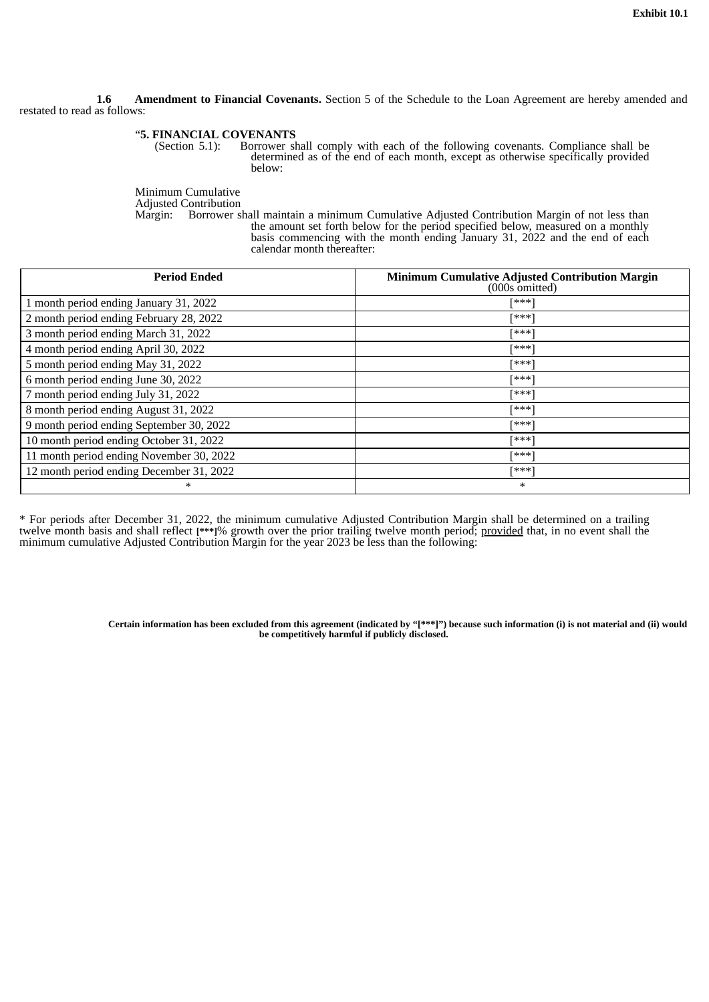**1.6 Amendment to Financial Covenants.** Section 5 of the Schedule to the Loan Agreement are hereby amended and restated to read as follows:

#### "**5. FINANCIAL COVENANTS**

(Section 5.1): Borrower shall comply with each of the following covenants. Compliance shall be determined as of the end of each month, except as otherwise specifically provided below:

Minimum Cumulative

Adjusted Contribution

Margin: Borrower shall maintain a minimum Cumulative Adjusted Contribution Margin of not less than the amount set forth below for the period specified below, measured on a monthly basis commencing with the month ending January 31, 2022 and the end of each calendar month thereafter:

| <b>Period Ended</b>                      | Minimum Cumulative Adjusted Contribution Margin<br>(000s omitted) |
|------------------------------------------|-------------------------------------------------------------------|
| 1 month period ending January 31, 2022   | ั∗**`                                                             |
| 2 month period ending February 28, 2022  | [***]                                                             |
| 3 month period ending March 31, 2022     | ⊺***]                                                             |
| 4 month period ending April 30, 2022     | [***]                                                             |
| 5 month period ending May 31, 2022       | [***]                                                             |
| 6 month period ending June 30, 2022      | [***]                                                             |
| 7 month period ending July 31, 2022      | [***]                                                             |
| 8 month period ending August 31, 2022    | [***]                                                             |
| 9 month period ending September 30, 2022 | [***]                                                             |
| 10 month period ending October 31, 2022  | [***]                                                             |
| 11 month period ending November 30, 2022 | [***]                                                             |
| 12 month period ending December 31, 2022 | [***]                                                             |
| ∗                                        | *                                                                 |

\* For periods after December 31, 2022, the minimum cumulative Adjusted Contribution Margin shall be determined on a trailing twelve month basis and shall reflect **[\*\*\*]**% growth over the prior trailing twelve month period; provided that, in no event shall the minimum cumulative Adjusted Contribution Margin for the year 2023 be less than the following: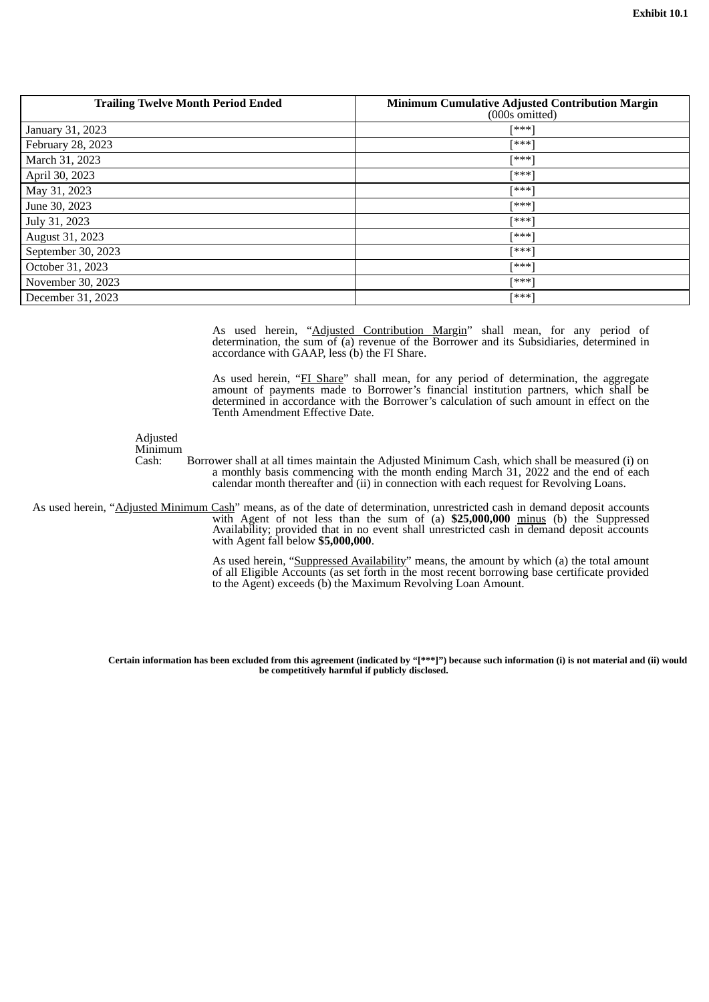| <b>Trailing Twelve Month Period Ended</b> | <b>Minimum Cumulative Adjusted Contribution Margin</b><br>(000s omitted) |
|-------------------------------------------|--------------------------------------------------------------------------|
| January 31, 2023                          | [***`                                                                    |
| February 28, 2023                         | [***`                                                                    |
| March 31, 2023                            | 「***]                                                                    |
| April 30, 2023                            | [***`                                                                    |
| May 31, 2023                              | [***`                                                                    |
| June 30, 2023                             | 「***]                                                                    |
| July 31, 2023                             | [***`                                                                    |
| August 31, 2023                           | [***`                                                                    |
| September 30, 2023                        | 「***]                                                                    |
| October 31, 2023                          | [***`                                                                    |
| November 30, 2023                         | 「***]                                                                    |
| December 31, 2023                         | 「***]                                                                    |

As used herein, "Adjusted Contribution Margin" shall mean, for any period of determination, the sum of (a) revenue of the Borrower and its Subsidiaries, determined in accordance with GAAP, less (b) the FI Share.

As used herein, "FI Share" shall mean, for any period of determination, the aggregate amount of payments made to Borrower's financial institution partners, which shall be determined in accordance with the Borrower's calculation of such amount in effect on the Tenth Amendment Effective Date.

Adjusted Minimum<br>Cash:

Cash: Borrower shall at all times maintain the Adjusted Minimum Cash, which shall be measured (i) on a monthly basis commencing with the month ending March 31, 2022 and the end of each calendar month thereafter and (ii) in connection with each request for Revolving Loans.

As used herein, "Adjusted Minimum Cash" means, as of the date of determination, unrestricted cash in demand deposit accounts with Agent of not less than the sum of (a) **\$25,000,000** minus (b) the Suppressed Availability; provided that in no event shall unrestricted cash in demand deposit accounts with Agent fall below **\$5,000,000**.

> As used herein, "Suppressed Availability" means, the amount by which (a) the total amount of all Eligible Accounts (as set forth in the most recent borrowing base certificate provided to the Agent) exceeds (b) the Maximum Revolving Loan Amount.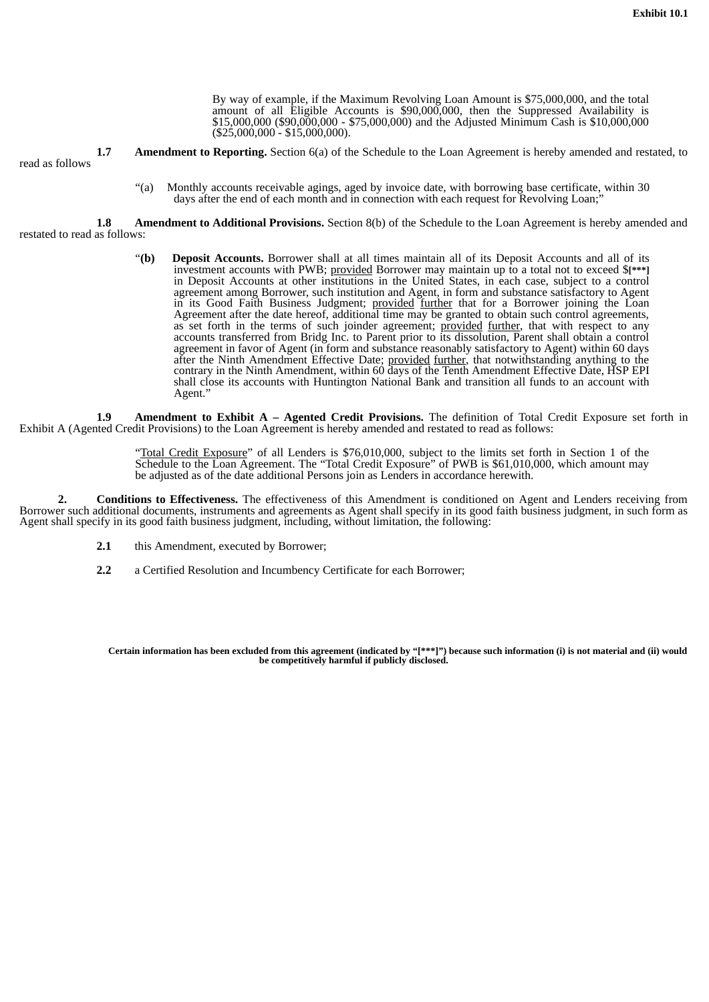By way of example, if the Maximum Revolving Loan Amount is \$75,000,000, and the total amount of all Eligible Accounts is \$90,000,000, then the Suppressed Availability is \$15,000,000 (\$90,000,000 - \$75,000,000) and the Adjusted Minimum Cash is \$10,000,000 (\$25,000,000 - \$15,000,000).

read as follows

- **1.7 Amendment to Reporting.** Section 6(a) of the Schedule to the Loan Agreement is hereby amended and restated, to
	- "(a) Monthly accounts receivable agings, aged by invoice date, with borrowing base certificate, within 30 days after the end of each month and in connection with each request for Revolving Loan;

**1.8 Amendment to Additional Provisions.** Section 8(b) of the Schedule to the Loan Agreement is hereby amended and restated to read as follows:

> "**(b) Deposit Accounts.** Borrower shall at all times maintain all of its Deposit Accounts and all of its investment accounts with PWB; provided Borrower may maintain up to a total not to exceed \$**[\*\*\*]** in Deposit Accounts at other institutions in the United States, in each case, subject to a control agreement among Borrower, such institution and Agent, in form and substance satisfactory to Agent in its Good Faith Business Judgment; provided further that for a Borrower joining the Loan Agreement after the date hereof, additional time may be granted to obtain such control agreements, as set forth in the terms of such joinder agreement; provided further, that with respect to any accounts transferred from Bridg Inc. to Parent prior to its dissolution, Parent shall obtain a control agreement in favor of Agent (in form and substance reasonably satisfactory to Agent) within 60 days after the Ninth Amendment Effective Date; provided further, that notwithstanding anything to the contrary in the Ninth Amendment, within 60 days of the Tenth Amendment Effective Date, HSP EPI shall close its accounts with Huntington National Bank and transition all funds to an account with Agent."

**1.9 Amendment to Exhibit A – Agented Credit Provisions.** The definition of Total Credit Exposure set forth in Exhibit A (Agented Credit Provisions) to the Loan Agreement is hereby amended and restated to read as follows:

> "Total Credit Exposure" of all Lenders is \$76,010,000, subject to the limits set forth in Section 1 of the Schedule to the Loan Agreement. The "Total Credit Exposure" of PWB is \$61,010,000, which amount may be adjusted as of the date additional Persons join as Lenders in accordance herewith.

**2. Conditions to Effectiveness.** The effectiveness of this Amendment is conditioned on Agent and Lenders receiving from Borrower such additional documents, instruments and agreements as Agent shall specify in its good faith business judgment, in such form as Agent shall specify in its good faith business judgment, including, without limitation, the following:

- **2.1** this Amendment, executed by Borrower;
- **2.2** a Certified Resolution and Incumbency Certificate for each Borrower;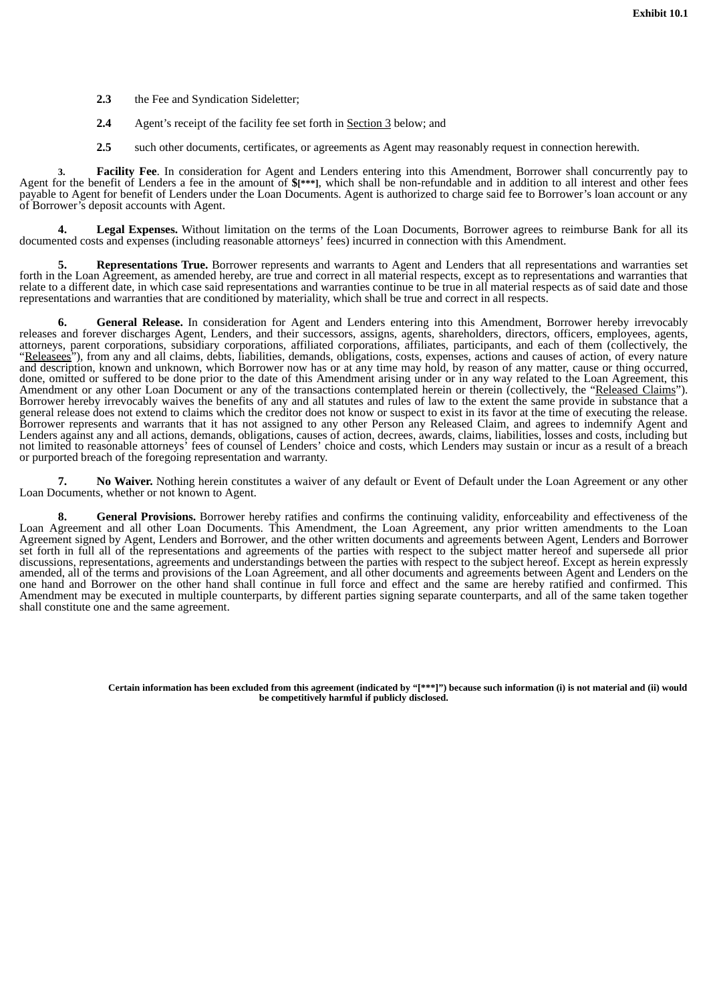- **2.3** the Fee and Syndication Sideletter;
- **2.4** Agent's receipt of the facility fee set forth in Section 3 below; and
- **2.5** such other documents, certificates, or agreements as Agent may reasonably request in connection herewith.

**3. Facility Fee**. In consideration for Agent and Lenders entering into this Amendment, Borrower shall concurrently pay to Agent for the benefit of Lenders a fee in the amount of **\$[\*\*\*]**, which shall be non-refundable and in addition to all interest and other fees payable to Agent for benefit of Lenders under the Loan Documents. Agent is authorized to charge said fee to Borrower's loan account or any of Borrower's deposit accounts with Agent.

**4. Legal Expenses.** Without limitation on the terms of the Loan Documents, Borrower agrees to reimburse Bank for all its documented costs and expenses (including reasonable attorneys' fees) incurred in connection with this Amendment.

**5. Representations True.** Borrower represents and warrants to Agent and Lenders that all representations and warranties set forth in the Loan Agreement, as amended hereby, are true and correct in all material respects, except as to representations and warranties that relate to a different date, in which case said representations and warranties continue to be true in all material respects as of said date and those representations and warranties that are conditioned by materiality, which shall be true and correct in all respects.

**6. General Release.** In consideration for Agent and Lenders entering into this Amendment, Borrower hereby irrevocably releases and forever discharges Agent, Lenders, and their successors, assigns, agents, shareholders, directors, officers, employees, agents, attorneys, parent corporations, subsidiary corporations, affiliated corporations, affiliates, participants, and each of them (collectively, the "Releasees"), from any and all claims, debts, liabilities, demands, obligations, costs, expenses, actions and causes of action, of every nature and description, known and unknown, which Borrower now has or at any time may hold, by reason of any matter, cause or thing occurred, done, omitted or suffered to be done prior to the date of this Amendment arising under or in any way related to the Loan Agreement, this Amendment or any other Loan Document or any of the transactions contemplated herein or therein (collectively, the "Released Claims"). Borrower hereby irrevocably waives the benefits of any and all statutes and rules of law to the extent the same provide in substance that a general release does not extend to claims which the creditor does not know or suspect to exist in its favor at the time of executing the release. Borrower represents and warrants that it has not assigned to any other Person any Released Claim, and agrees to indemnify Agent and Lenders against any and all actions, demands, obligations, causes of action, decrees, awards, claims, liabilities, losses and costs, including but not limited to reasonable attorneys' fees of counsel of Lenders' choice and costs, which Lenders may sustain or incur as a result of a breach or purported breach of the foregoing representation and warranty.

**7. No Waiver.** Nothing herein constitutes a waiver of any default or Event of Default under the Loan Agreement or any other Loan Documents, whether or not known to Agent.

**8. General Provisions.** Borrower hereby ratifies and confirms the continuing validity, enforceability and effectiveness of the Loan Agreement and all other Loan Documents. This Amendment, the Loan Agreement, any prior written amendments to the Loan Agreement signed by Agent, Lenders and Borrower, and the other written documents and agreements between Agent, Lenders and Borrower set forth in full all of the representations and agreements of the parties with respect to the subject matter hereof and supersede all prior discussions, representations, agreements and understandings between the parties with respect to the subject hereof. Except as herein expressly amended, all of the terms and provisions of the Loan Agreement, and all other documents and agreements between Agent and Lenders on the one hand and Borrower on the other hand shall continue in full force and effect and the same are hereby ratified and confirmed. This Amendment may be executed in multiple counterparts, by different parties signing separate counterparts, and all of the same taken together shall constitute one and the same agreement.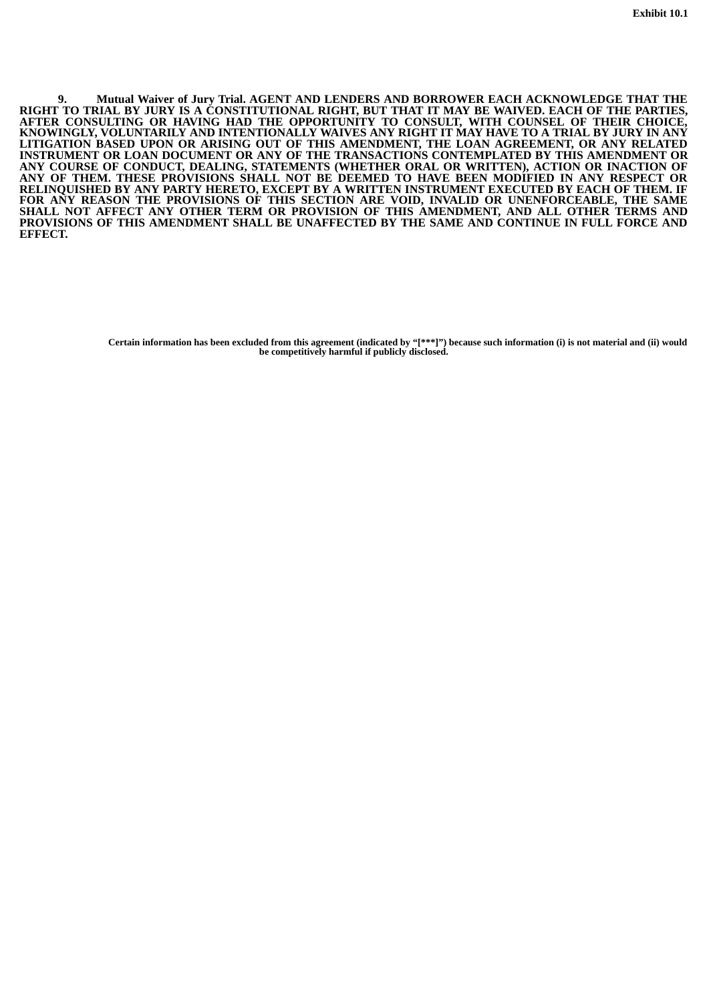**9. Mutual Waiver of Jury Trial. AGENT AND LENDERS AND BORROWER EACH ACKNOWLEDGE THAT THE** RIGHT TO TRIAL BY JURY IS A CONSTITUTIONAL RIGHT, BUT THAT IT MAY BE WAIVED. EACH OF THE PARTIES, **AFTER CONSULTING OR HAVING HAD THE OPPORTUNITY TO CONSULT, WITH COUNSEL OF THEIR CHOICE, KNOWINGLY, VOLUNTARILY AND INTENTIONALLY WAIVES ANY RIGHT IT MAY HAVE TO A TRIAL BY JURY IN ANY LITIGATION BASED UPON OR ARISING OUT OF THIS AMENDMENT, THE LOAN AGREEMENT, OR ANY RELATED INSTRUMENT OR LOAN DOCUMENT OR ANY OF THE TRANSACTIONS CONTEMPLATED BY THIS AMENDMENT OR ANY COURSE OF CONDUCT, DEALING, STATEMENTS (WHETHER ORAL OR WRITTEN), ACTION OR INACTION OF ANY OF THEM. THESE PROVISIONS SHALL NOT BE DEEMED TO HAVE BEEN MODIFIED IN ANY RESPECT OR RELINQUISHED BY ANY PARTY HERETO, EXCEPT BY A WRITTEN INSTRUMENT EXECUTED BY EACH OF THEM. IF FOR ANY REASON THE PROVISIONS OF THIS SECTION ARE VOID, INVALID OR UNENFORCEABLE, THE SAME SHALL NOT AFFECT ANY OTHER TERM OR PROVISION OF THIS AMENDMENT, AND ALL OTHER TERMS AND PROVISIONS OF THIS AMENDMENT SHALL BE UNAFFECTED BY THE SAME AND CONTINUE IN FULL FORCE AND EFFECT.**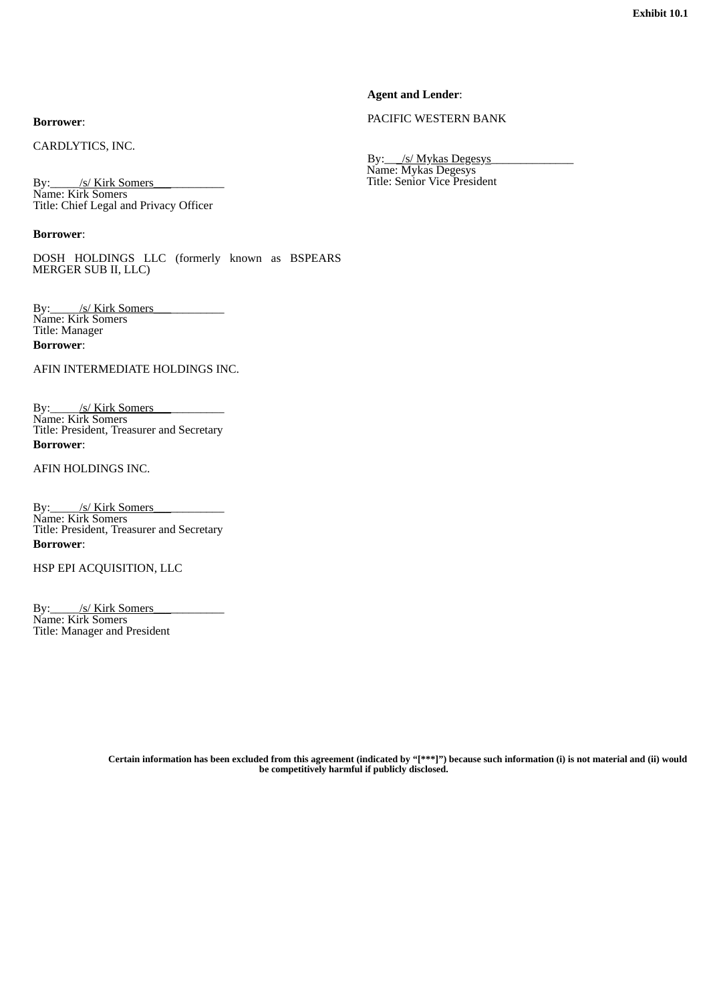#### **Agent and Lender**:

# PACIFIC WESTERN BANK

CARDLYTICS, INC.

By:  $\angle$  /s/ Kirk Somers Name: Kirk Somers Title: Chief Legal and Privacy Officer

#### **Borrower**:

**Borrower**:

DOSH HOLDINGS LLC (formerly known as BSPEARS MERGER SUB II, LLC)

By:  $\angle$  /s/ Kirk Somers Name: Kirk Somers Title: Manager **Borrower**:

AFIN INTERMEDIATE HOLDINGS INC.

By: /s/ Kirk Somers Name: Kirk Somers Title: President, Treasurer and Secretary **Borrower**:

AFIN HOLDINGS INC.

By:  $\angle$  /s/ Kirk Somers Name: Kirk Somers Title: President, Treasurer and Secretary **Borrower**:

HSP EPI ACQUISITION, LLC

By:  $\angle$  /s/ Kirk Somers Name: Kirk Somers Title: Manager and President

By: <u>/s/ Mykas Degesys</u>

Name: Mykas Degesys Title: Senior Vice President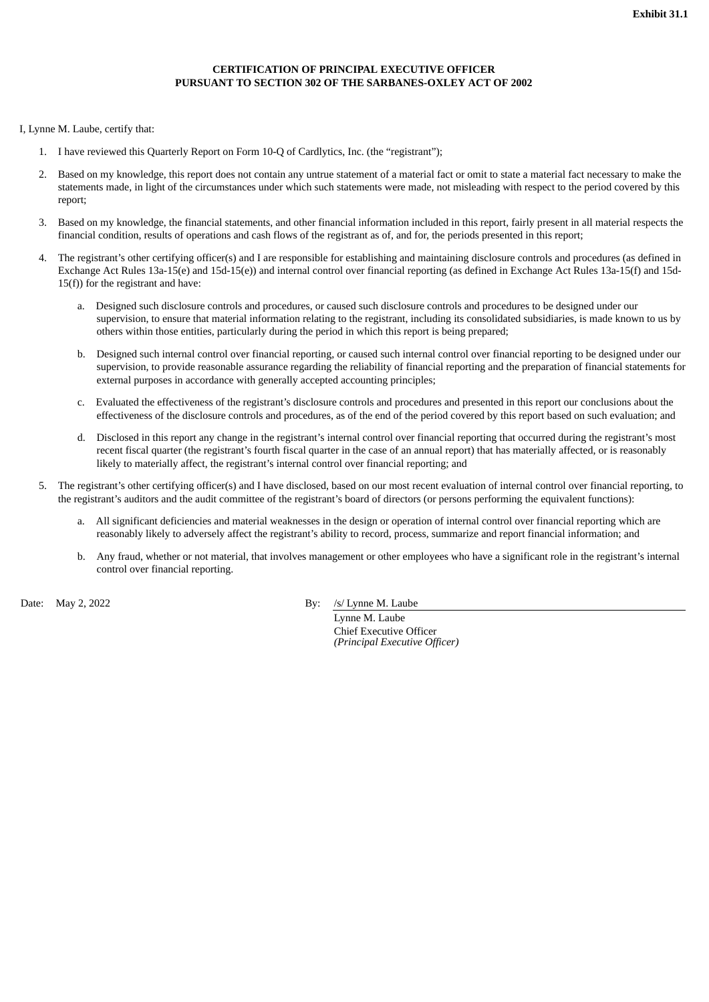#### **CERTIFICATION OF PRINCIPAL EXECUTIVE OFFICER PURSUANT TO SECTION 302 OF THE SARBANES-OXLEY ACT OF 2002**

<span id="page-84-0"></span>I, Lynne M. Laube, certify that:

- 1. I have reviewed this Quarterly Report on Form 10-Q of Cardlytics, Inc. (the "registrant");
- 2. Based on my knowledge, this report does not contain any untrue statement of a material fact or omit to state a material fact necessary to make the statements made, in light of the circumstances under which such statements were made, not misleading with respect to the period covered by this report;
- 3. Based on my knowledge, the financial statements, and other financial information included in this report, fairly present in all material respects the financial condition, results of operations and cash flows of the registrant as of, and for, the periods presented in this report;
- 4. The registrant's other certifying officer(s) and I are responsible for establishing and maintaining disclosure controls and procedures (as defined in Exchange Act Rules 13a-15(e) and 15d-15(e)) and internal control over financial reporting (as defined in Exchange Act Rules 13a-15(f) and 15d-15(f)) for the registrant and have:
	- a. Designed such disclosure controls and procedures, or caused such disclosure controls and procedures to be designed under our supervision, to ensure that material information relating to the registrant, including its consolidated subsidiaries, is made known to us by others within those entities, particularly during the period in which this report is being prepared;
	- b. Designed such internal control over financial reporting, or caused such internal control over financial reporting to be designed under our supervision, to provide reasonable assurance regarding the reliability of financial reporting and the preparation of financial statements for external purposes in accordance with generally accepted accounting principles;
	- c. Evaluated the effectiveness of the registrant's disclosure controls and procedures and presented in this report our conclusions about the effectiveness of the disclosure controls and procedures, as of the end of the period covered by this report based on such evaluation; and
	- d. Disclosed in this report any change in the registrant's internal control over financial reporting that occurred during the registrant's most recent fiscal quarter (the registrant's fourth fiscal quarter in the case of an annual report) that has materially affected, or is reasonably likely to materially affect, the registrant's internal control over financial reporting; and
- 5. The registrant's other certifying officer(s) and I have disclosed, based on our most recent evaluation of internal control over financial reporting, to the registrant's auditors and the audit committee of the registrant's board of directors (or persons performing the equivalent functions):
	- a. All significant deficiencies and material weaknesses in the design or operation of internal control over financial reporting which are reasonably likely to adversely affect the registrant's ability to record, process, summarize and report financial information; and
	- b. Any fraud, whether or not material, that involves management or other employees who have a significant role in the registrant's internal control over financial reporting.

Date: May 2, 2022 By: /s/ Lynne M. Laube

Lynne M. Laube Chief Executive Officer *(Principal Executive Officer)*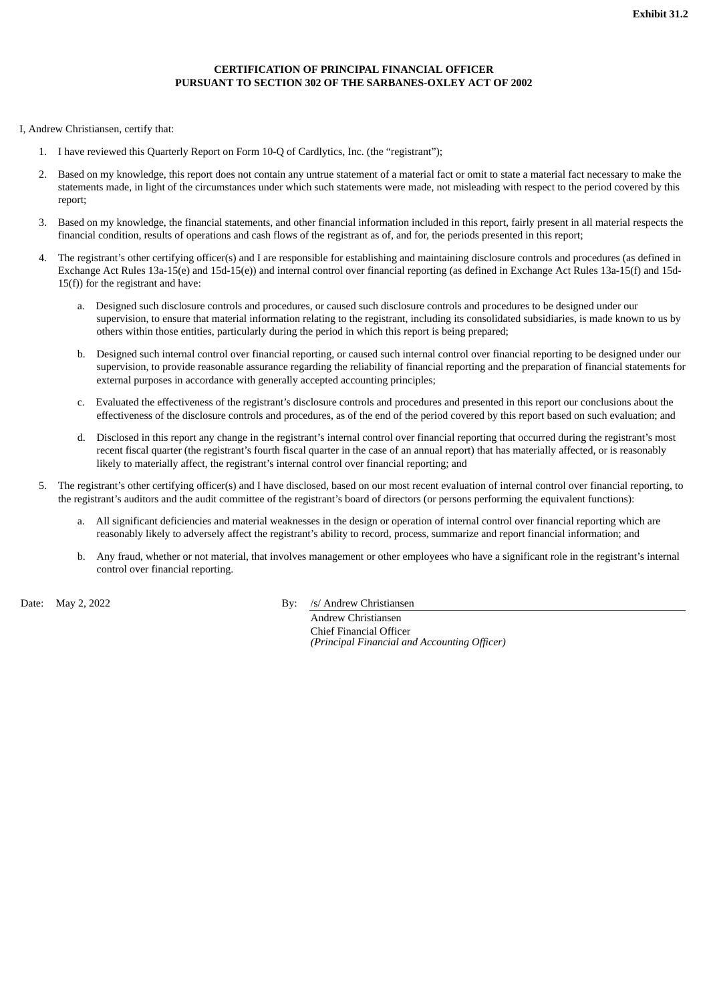#### **CERTIFICATION OF PRINCIPAL FINANCIAL OFFICER PURSUANT TO SECTION 302 OF THE SARBANES-OXLEY ACT OF 2002**

<span id="page-85-0"></span>I, Andrew Christiansen, certify that:

- 1. I have reviewed this Quarterly Report on Form 10-Q of Cardlytics, Inc. (the "registrant");
- 2. Based on my knowledge, this report does not contain any untrue statement of a material fact or omit to state a material fact necessary to make the statements made, in light of the circumstances under which such statements were made, not misleading with respect to the period covered by this report;
- 3. Based on my knowledge, the financial statements, and other financial information included in this report, fairly present in all material respects the financial condition, results of operations and cash flows of the registrant as of, and for, the periods presented in this report;
- 4. The registrant's other certifying officer(s) and I are responsible for establishing and maintaining disclosure controls and procedures (as defined in Exchange Act Rules 13a-15(e) and 15d-15(e)) and internal control over financial reporting (as defined in Exchange Act Rules 13a-15(f) and 15d-15(f)) for the registrant and have:
	- a. Designed such disclosure controls and procedures, or caused such disclosure controls and procedures to be designed under our supervision, to ensure that material information relating to the registrant, including its consolidated subsidiaries, is made known to us by others within those entities, particularly during the period in which this report is being prepared;
	- b. Designed such internal control over financial reporting, or caused such internal control over financial reporting to be designed under our supervision, to provide reasonable assurance regarding the reliability of financial reporting and the preparation of financial statements for external purposes in accordance with generally accepted accounting principles;
	- c. Evaluated the effectiveness of the registrant's disclosure controls and procedures and presented in this report our conclusions about the effectiveness of the disclosure controls and procedures, as of the end of the period covered by this report based on such evaluation; and
	- d. Disclosed in this report any change in the registrant's internal control over financial reporting that occurred during the registrant's most recent fiscal quarter (the registrant's fourth fiscal quarter in the case of an annual report) that has materially affected, or is reasonably likely to materially affect, the registrant's internal control over financial reporting; and
- 5. The registrant's other certifying officer(s) and I have disclosed, based on our most recent evaluation of internal control over financial reporting, to the registrant's auditors and the audit committee of the registrant's board of directors (or persons performing the equivalent functions):
	- a. All significant deficiencies and material weaknesses in the design or operation of internal control over financial reporting which are reasonably likely to adversely affect the registrant's ability to record, process, summarize and report financial information; and
	- b. Any fraud, whether or not material, that involves management or other employees who have a significant role in the registrant's internal control over financial reporting.

Date: May 2, 2022 By: /s/ Andrew Christiansen

Andrew Christiansen Chief Financial Officer *(Principal Financial and Accounting Officer)*